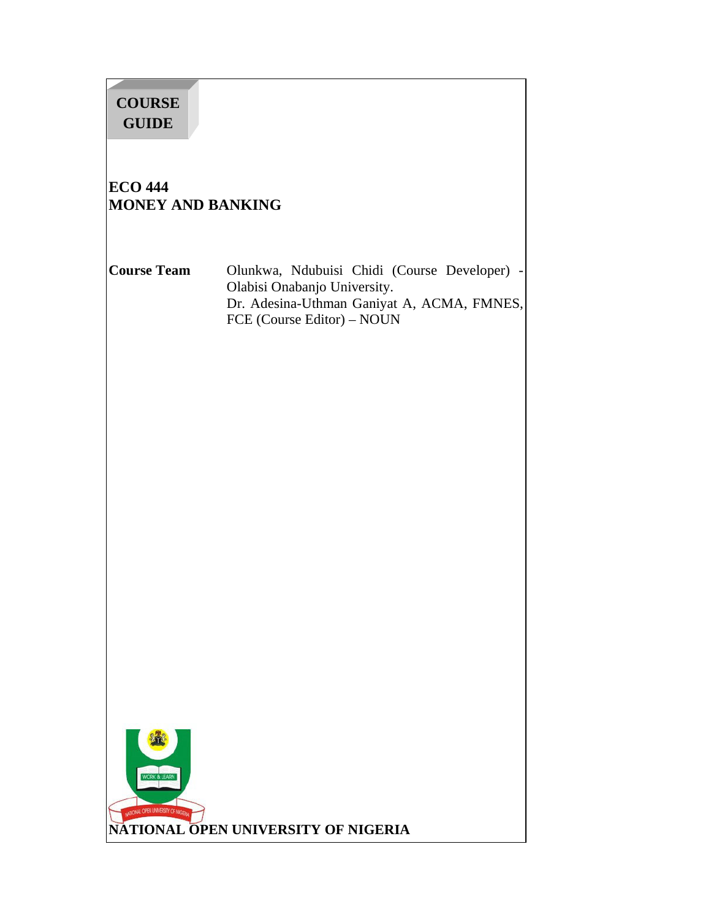# **COURSE GUIDE**

# **ECO 444 MONEY AND BANKING**

**Course Team** Olunkwa, Ndubuisi Chidi (Course Developer) - Olabisi Onabanjo University. Dr. Adesina-Uthman Ganiyat A, ACMA, FMNES, FCE (Course Editor) – NOUN

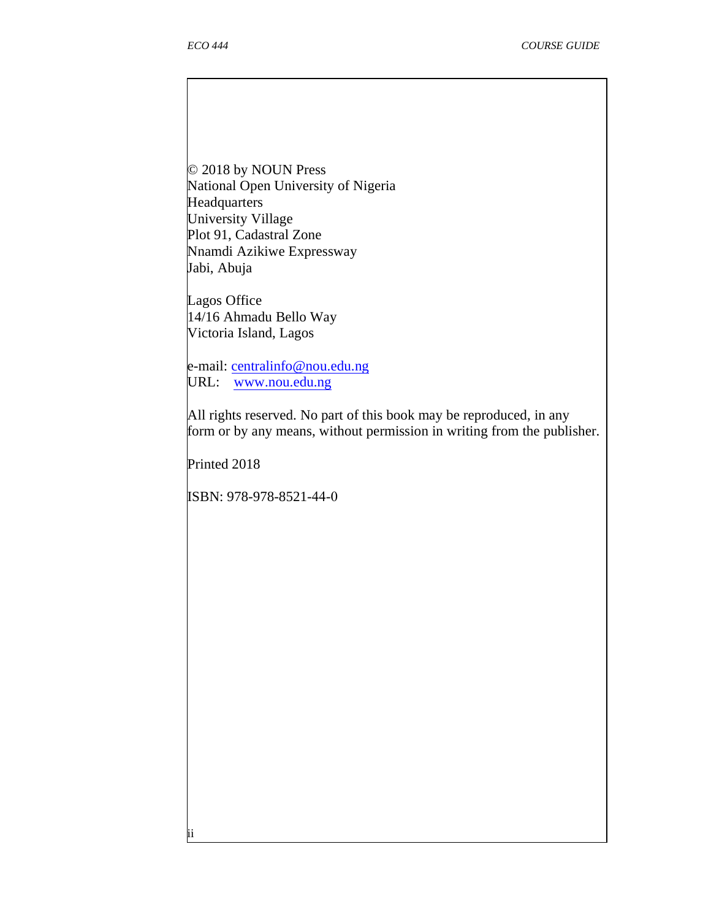$\overline{\phantom{a}}$ 

© 2018 by NOUN Press National Open University of Nigeria **Headquarters** University Village Plot 91, Cadastral Zone Nnamdi Azikiwe Expressway Jabi, Abuja

Lagos Office 14/16 Ahmadu Bello Way Victoria Island, Lagos

e-mail: centralinfo@nou.edu.ng URL: www.nou.edu.ng

All rights reserved. No part of this book may be reproduced, in any form or by any means, without permission in writing from the publisher.

Printed 2018

ii

ISBN: 978-978-8521-44-0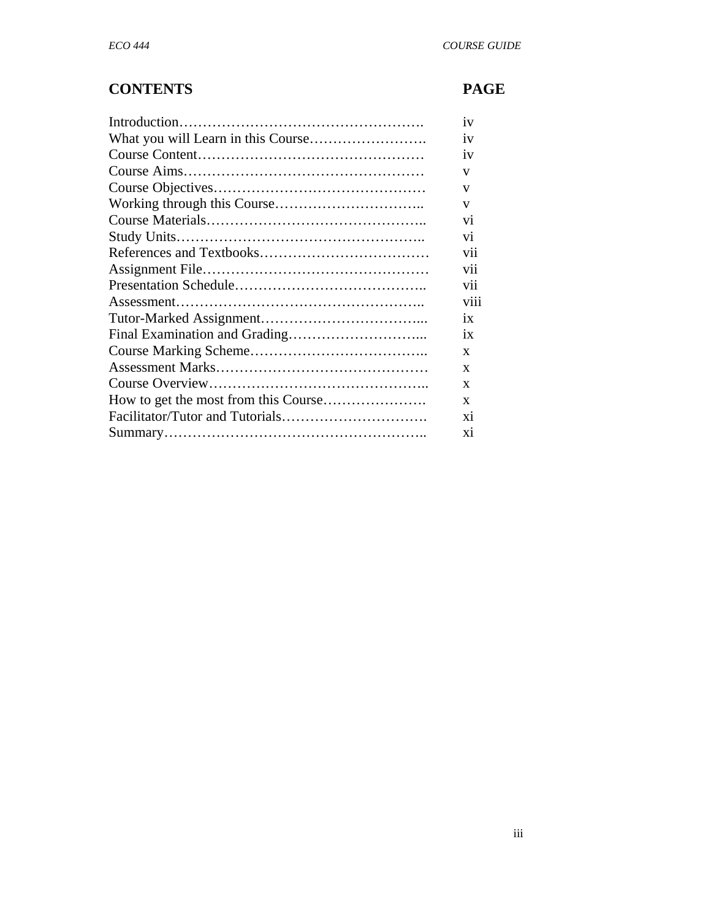# **CONTENTS PAGE**

| 1V              |
|-----------------|
| 1V              |
| iv              |
| V               |
| V               |
| V               |
| Vİ.             |
| vi              |
| vii             |
| vii             |
| vii             |
| viii            |
| $\overline{1}x$ |
| $\overline{1}x$ |
| $\mathbf{x}$    |
| X               |
| X               |
| X               |
| X1              |
| X1              |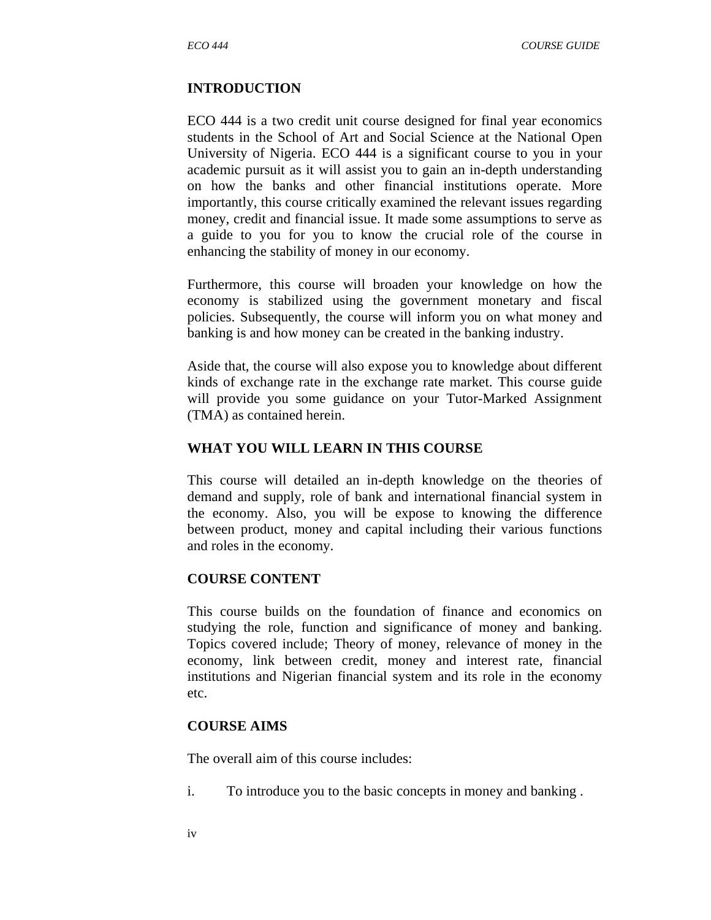#### **INTRODUCTION**

ECO 444 is a two credit unit course designed for final year economics students in the School of Art and Social Science at the National Open University of Nigeria. ECO 444 is a significant course to you in your academic pursuit as it will assist you to gain an in-depth understanding on how the banks and other financial institutions operate. More importantly, this course critically examined the relevant issues regarding money, credit and financial issue. It made some assumptions to serve as a guide to you for you to know the crucial role of the course in enhancing the stability of money in our economy.

Furthermore, this course will broaden your knowledge on how the economy is stabilized using the government monetary and fiscal policies. Subsequently, the course will inform you on what money and banking is and how money can be created in the banking industry.

Aside that, the course will also expose you to knowledge about different kinds of exchange rate in the exchange rate market. This course guide will provide you some guidance on your Tutor-Marked Assignment (TMA) as contained herein.

#### **WHAT YOU WILL LEARN IN THIS COURSE**

This course will detailed an in-depth knowledge on the theories of demand and supply, role of bank and international financial system in the economy. Also, you will be expose to knowing the difference between product, money and capital including their various functions and roles in the economy.

#### **COURSE CONTENT**

This course builds on the foundation of finance and economics on studying the role, function and significance of money and banking. Topics covered include; Theory of money, relevance of money in the economy, link between credit, money and interest rate, financial institutions and Nigerian financial system and its role in the economy etc.

#### **COURSE AIMS**

The overall aim of this course includes:

i. To introduce you to the basic concepts in money and banking .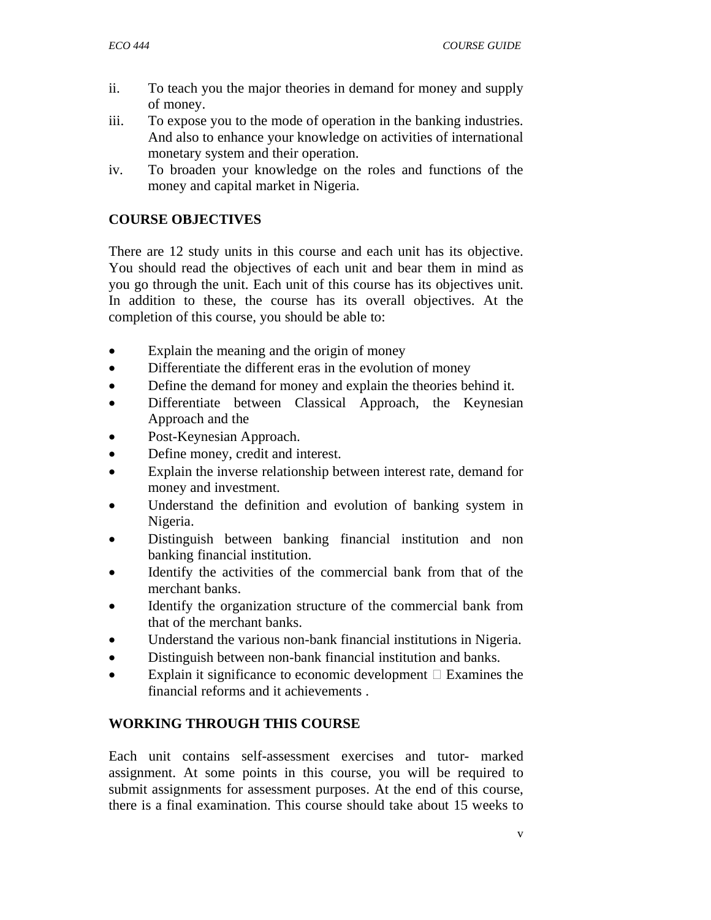- ii. To teach you the major theories in demand for money and supply of money.
- iii. To expose you to the mode of operation in the banking industries. And also to enhance your knowledge on activities of international monetary system and their operation.
- iv. To broaden your knowledge on the roles and functions of the money and capital market in Nigeria.

#### **COURSE OBJECTIVES**

There are 12 study units in this course and each unit has its objective. You should read the objectives of each unit and bear them in mind as you go through the unit. Each unit of this course has its objectives unit. In addition to these, the course has its overall objectives. At the completion of this course, you should be able to:

- Explain the meaning and the origin of money
- Differentiate the different eras in the evolution of money
- Define the demand for money and explain the theories behind it.
- Differentiate between Classical Approach, the Keynesian Approach and the
- Post-Keynesian Approach.
- Define money, credit and interest.
- Explain the inverse relationship between interest rate, demand for money and investment.
- Understand the definition and evolution of banking system in Nigeria.
- Distinguish between banking financial institution and non banking financial institution.
- Identify the activities of the commercial bank from that of the merchant banks.
- Identify the organization structure of the commercial bank from that of the merchant banks.
- Understand the various non-bank financial institutions in Nigeria.
- Distinguish between non-bank financial institution and banks.
- Explain it significance to economic development Examines the financial reforms and it achievements .

#### **WORKING THROUGH THIS COURSE**

Each unit contains self-assessment exercises and tutor- marked assignment. At some points in this course, you will be required to submit assignments for assessment purposes. At the end of this course, there is a final examination. This course should take about 15 weeks to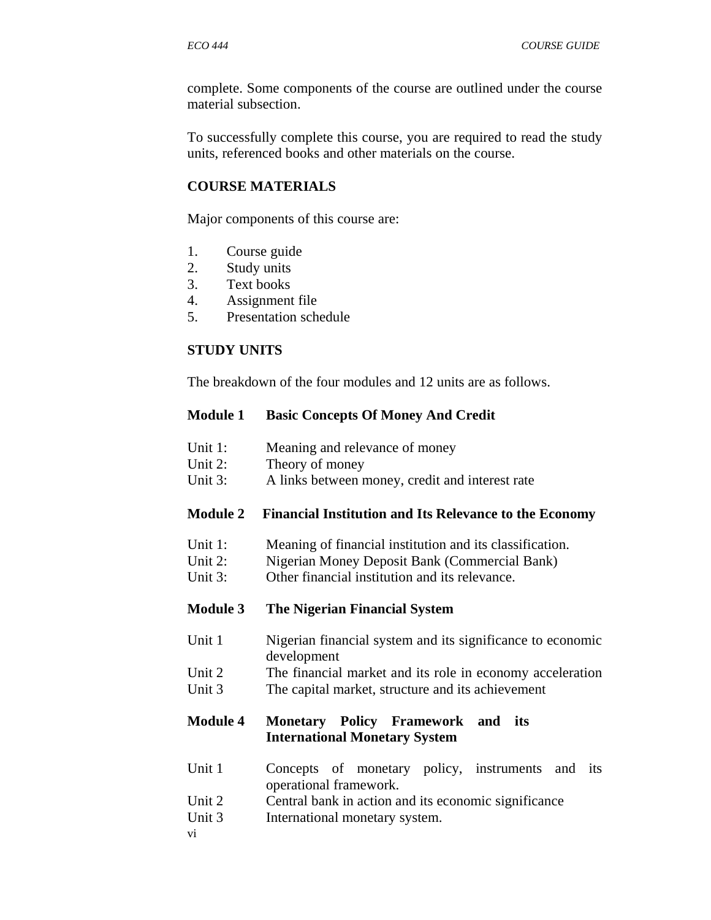complete. Some components of the course are outlined under the course material subsection.

To successfully complete this course, you are required to read the study units, referenced books and other materials on the course.

#### **COURSE MATERIALS**

Major components of this course are:

- 1. Course guide
- 2. Study units
- 3. Text books
- 4. Assignment file
- 5. Presentation schedule

#### **STUDY UNITS**

The breakdown of the four modules and 12 units are as follows.

#### **Module 1 Basic Concepts Of Money And Credit**

- Unit 1: Meaning and relevance of money
- Unit 2: Theory of money
- Unit 3: A links between money, credit and interest rate

#### **Module 2 Financial Institution and Its Relevance to the Economy**

- Unit 1: Meaning of financial institution and its classification.
- Unit 2: Nigerian Money Deposit Bank (Commercial Bank)
- Unit 3: Other financial institution and its relevance.

#### **Module 3 The Nigerian Financial System**

- Unit 1 Nigerian financial system and its significance to economic development
- Unit 2 The financial market and its role in economy acceleration Unit 3 The capital market, structure and its achievement

#### **Module 4 Monetary Policy Framework and its International Monetary System**

- Unit 1 Concepts of monetary policy, instruments and its operational framework.
- Unit 2 Central bank in action and its economic significance
- Unit 3 International monetary system.
- vi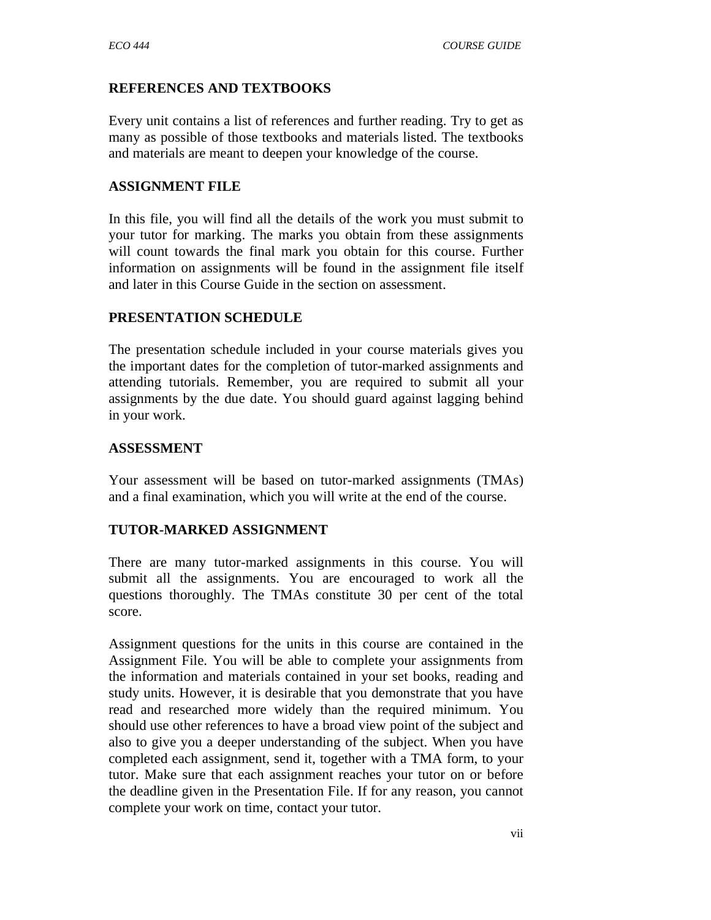#### **REFERENCES AND TEXTBOOKS**

Every unit contains a list of references and further reading. Try to get as many as possible of those textbooks and materials listed. The textbooks and materials are meant to deepen your knowledge of the course.

#### **ASSIGNMENT FILE**

In this file, you will find all the details of the work you must submit to your tutor for marking. The marks you obtain from these assignments will count towards the final mark you obtain for this course. Further information on assignments will be found in the assignment file itself and later in this Course Guide in the section on assessment.

#### **PRESENTATION SCHEDULE**

The presentation schedule included in your course materials gives you the important dates for the completion of tutor-marked assignments and attending tutorials. Remember, you are required to submit all your assignments by the due date. You should guard against lagging behind in your work.

#### **ASSESSMENT**

Your assessment will be based on tutor-marked assignments (TMAs) and a final examination, which you will write at the end of the course.

#### **TUTOR-MARKED ASSIGNMENT**

There are many tutor-marked assignments in this course. You will submit all the assignments. You are encouraged to work all the questions thoroughly. The TMAs constitute 30 per cent of the total score.

Assignment questions for the units in this course are contained in the Assignment File. You will be able to complete your assignments from the information and materials contained in your set books, reading and study units. However, it is desirable that you demonstrate that you have read and researched more widely than the required minimum. You should use other references to have a broad view point of the subject and also to give you a deeper understanding of the subject. When you have completed each assignment, send it, together with a TMA form, to your tutor. Make sure that each assignment reaches your tutor on or before the deadline given in the Presentation File. If for any reason, you cannot complete your work on time, contact your tutor.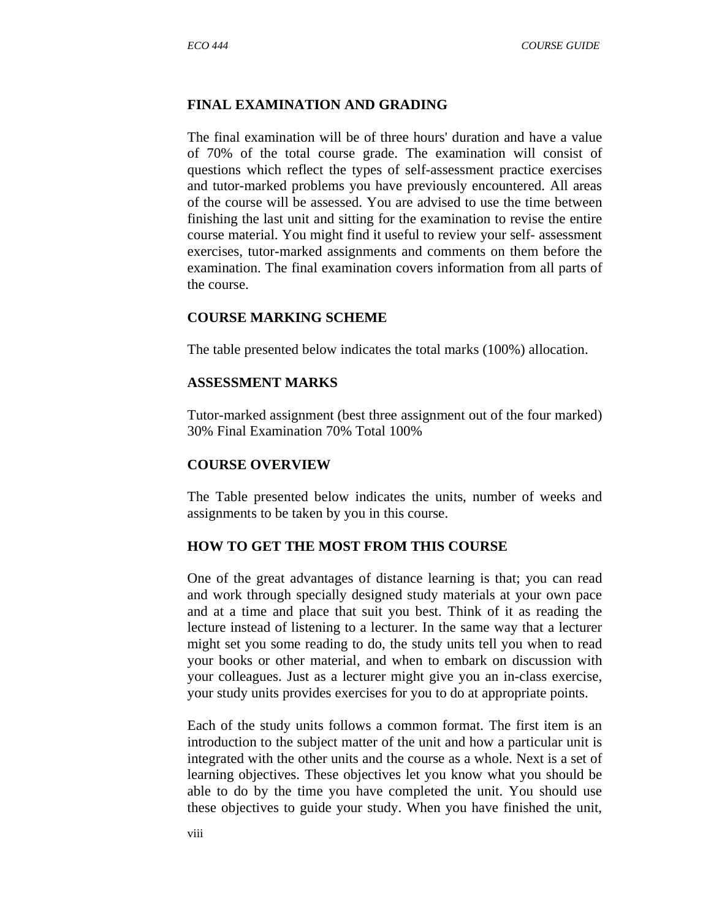#### **FINAL EXAMINATION AND GRADING**

The final examination will be of three hours' duration and have a value of 70% of the total course grade. The examination will consist of questions which reflect the types of self-assessment practice exercises and tutor-marked problems you have previously encountered. All areas of the course will be assessed. You are advised to use the time between finishing the last unit and sitting for the examination to revise the entire course material. You might find it useful to review your self- assessment exercises, tutor-marked assignments and comments on them before the examination. The final examination covers information from all parts of the course.

#### **COURSE MARKING SCHEME**

The table presented below indicates the total marks (100%) allocation.

#### **ASSESSMENT MARKS**

Tutor-marked assignment (best three assignment out of the four marked) 30% Final Examination 70% Total 100%

#### **COURSE OVERVIEW**

The Table presented below indicates the units, number of weeks and assignments to be taken by you in this course.

#### **HOW TO GET THE MOST FROM THIS COURSE**

One of the great advantages of distance learning is that; you can read and work through specially designed study materials at your own pace and at a time and place that suit you best. Think of it as reading the lecture instead of listening to a lecturer. In the same way that a lecturer might set you some reading to do, the study units tell you when to read your books or other material, and when to embark on discussion with your colleagues. Just as a lecturer might give you an in-class exercise, your study units provides exercises for you to do at appropriate points.

Each of the study units follows a common format. The first item is an introduction to the subject matter of the unit and how a particular unit is integrated with the other units and the course as a whole. Next is a set of learning objectives. These objectives let you know what you should be able to do by the time you have completed the unit. You should use these objectives to guide your study. When you have finished the unit,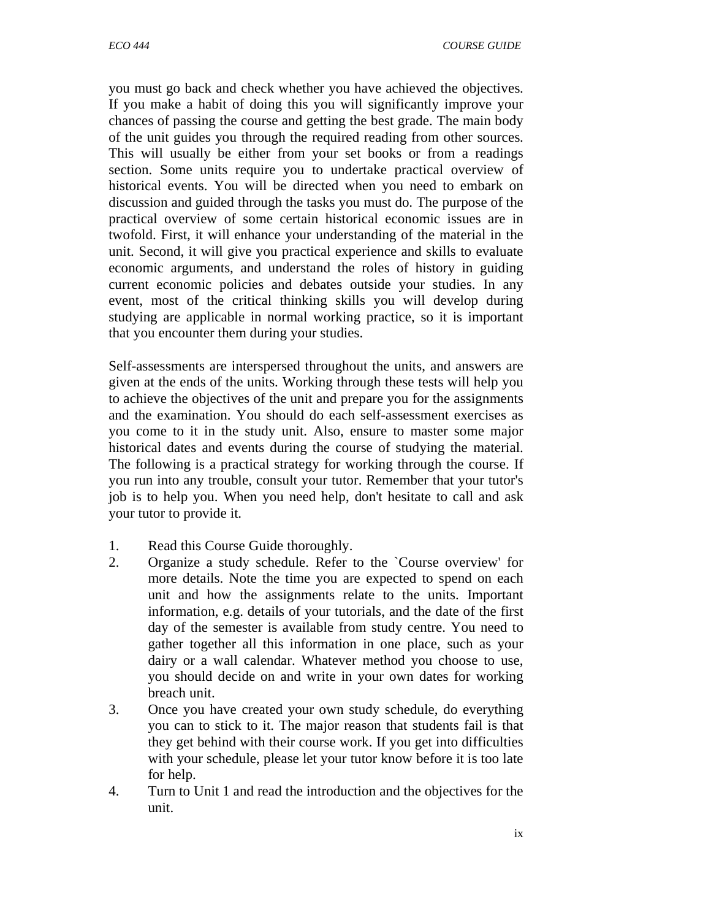you must go back and check whether you have achieved the objectives. If you make a habit of doing this you will significantly improve your chances of passing the course and getting the best grade. The main body of the unit guides you through the required reading from other sources. This will usually be either from your set books or from a readings section. Some units require you to undertake practical overview of historical events. You will be directed when you need to embark on discussion and guided through the tasks you must do. The purpose of the practical overview of some certain historical economic issues are in twofold. First, it will enhance your understanding of the material in the unit. Second, it will give you practical experience and skills to evaluate economic arguments, and understand the roles of history in guiding current economic policies and debates outside your studies. In any event, most of the critical thinking skills you will develop during studying are applicable in normal working practice, so it is important that you encounter them during your studies.

Self-assessments are interspersed throughout the units, and answers are given at the ends of the units. Working through these tests will help you to achieve the objectives of the unit and prepare you for the assignments and the examination. You should do each self-assessment exercises as you come to it in the study unit. Also, ensure to master some major historical dates and events during the course of studying the material. The following is a practical strategy for working through the course. If you run into any trouble, consult your tutor. Remember that your tutor's job is to help you. When you need help, don't hesitate to call and ask your tutor to provide it.

- 1. Read this Course Guide thoroughly.
- 2. Organize a study schedule. Refer to the `Course overview' for more details. Note the time you are expected to spend on each unit and how the assignments relate to the units. Important information, e.g. details of your tutorials, and the date of the first day of the semester is available from study centre. You need to gather together all this information in one place, such as your dairy or a wall calendar. Whatever method you choose to use, you should decide on and write in your own dates for working breach unit.
- 3. Once you have created your own study schedule, do everything you can to stick to it. The major reason that students fail is that they get behind with their course work. If you get into difficulties with your schedule, please let your tutor know before it is too late for help.
- 4. Turn to Unit 1 and read the introduction and the objectives for the unit.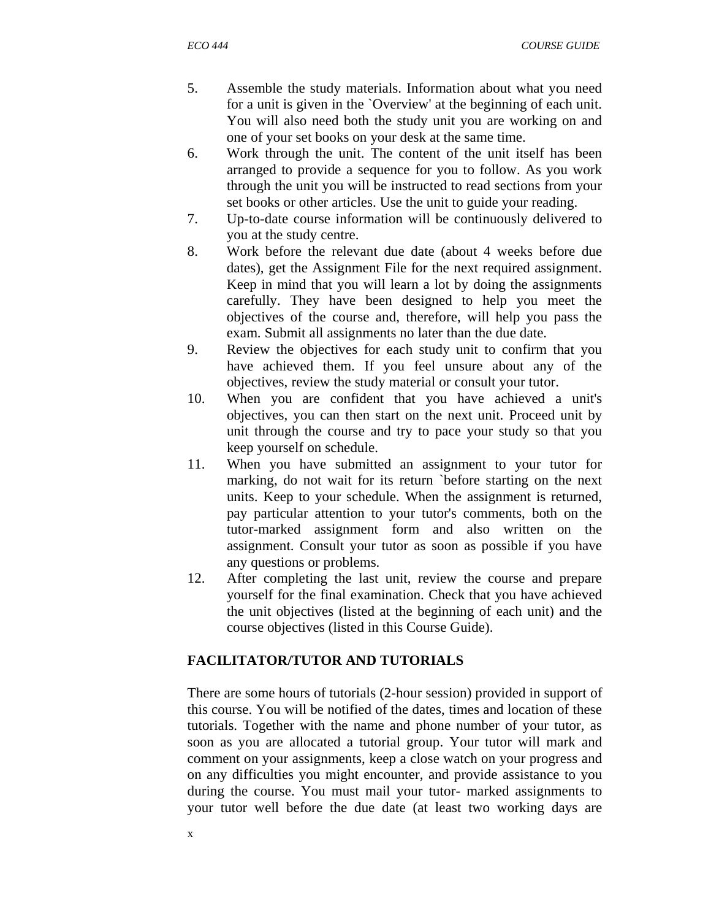- 5. Assemble the study materials. Information about what you need for a unit is given in the `Overview' at the beginning of each unit. You will also need both the study unit you are working on and one of your set books on your desk at the same time.
- 6. Work through the unit. The content of the unit itself has been arranged to provide a sequence for you to follow. As you work through the unit you will be instructed to read sections from your set books or other articles. Use the unit to guide your reading.
- 7. Up-to-date course information will be continuously delivered to you at the study centre.
- 8. Work before the relevant due date (about 4 weeks before due dates), get the Assignment File for the next required assignment. Keep in mind that you will learn a lot by doing the assignments carefully. They have been designed to help you meet the objectives of the course and, therefore, will help you pass the exam. Submit all assignments no later than the due date.
- 9. Review the objectives for each study unit to confirm that you have achieved them. If you feel unsure about any of the objectives, review the study material or consult your tutor.
- 10. When you are confident that you have achieved a unit's objectives, you can then start on the next unit. Proceed unit by unit through the course and try to pace your study so that you keep yourself on schedule.
- 11. When you have submitted an assignment to your tutor for marking, do not wait for its return `before starting on the next units. Keep to your schedule. When the assignment is returned, pay particular attention to your tutor's comments, both on the tutor-marked assignment form and also written on the assignment. Consult your tutor as soon as possible if you have any questions or problems.
- 12. After completing the last unit, review the course and prepare yourself for the final examination. Check that you have achieved the unit objectives (listed at the beginning of each unit) and the course objectives (listed in this Course Guide).

# **FACILITATOR/TUTOR AND TUTORIALS**

There are some hours of tutorials (2-hour session) provided in support of this course. You will be notified of the dates, times and location of these tutorials. Together with the name and phone number of your tutor, as soon as you are allocated a tutorial group. Your tutor will mark and comment on your assignments, keep a close watch on your progress and on any difficulties you might encounter, and provide assistance to you during the course. You must mail your tutor- marked assignments to your tutor well before the due date (at least two working days are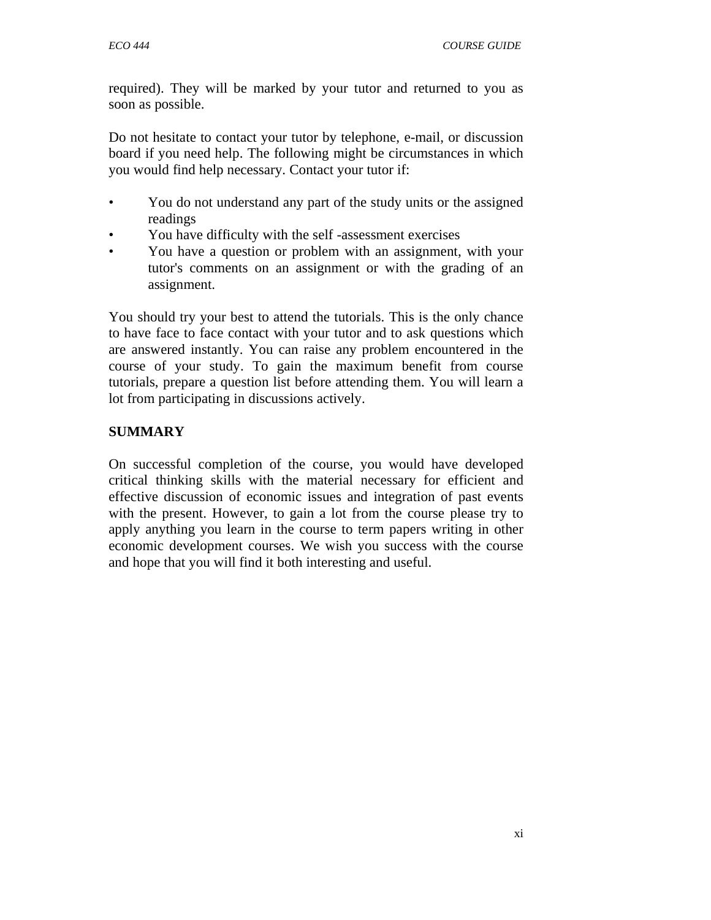required). They will be marked by your tutor and returned to you as soon as possible.

Do not hesitate to contact your tutor by telephone, e-mail, or discussion board if you need help. The following might be circumstances in which you would find help necessary. Contact your tutor if:

- You do not understand any part of the study units or the assigned readings
- You have difficulty with the self -assessment exercises
- You have a question or problem with an assignment, with your tutor's comments on an assignment or with the grading of an assignment.

You should try your best to attend the tutorials. This is the only chance to have face to face contact with your tutor and to ask questions which are answered instantly. You can raise any problem encountered in the course of your study. To gain the maximum benefit from course tutorials, prepare a question list before attending them. You will learn a lot from participating in discussions actively.

# **SUMMARY**

On successful completion of the course, you would have developed critical thinking skills with the material necessary for efficient and effective discussion of economic issues and integration of past events with the present. However, to gain a lot from the course please try to apply anything you learn in the course to term papers writing in other economic development courses. We wish you success with the course and hope that you will find it both interesting and useful.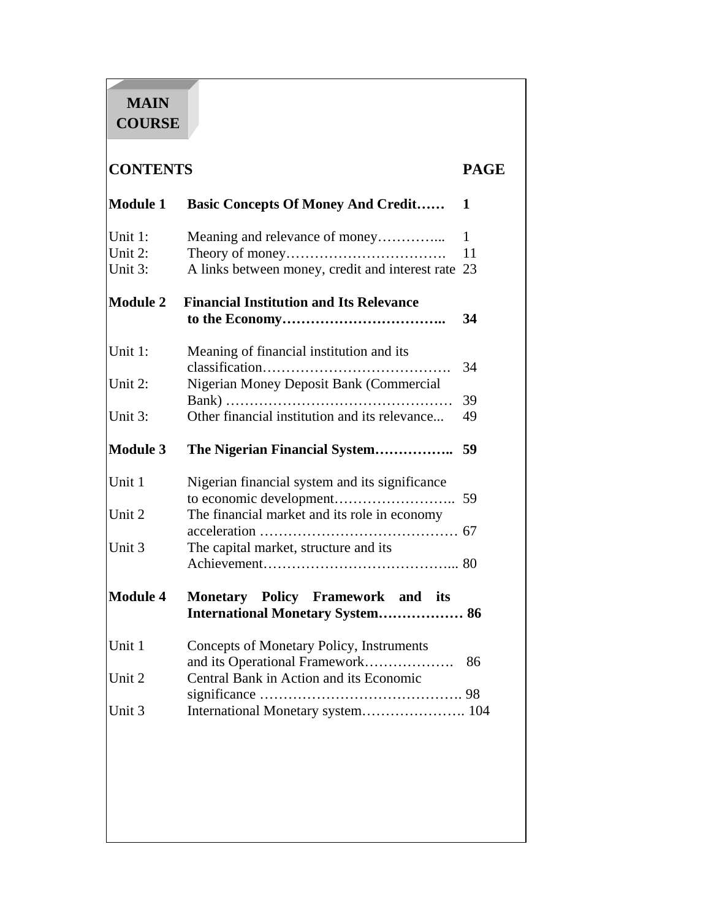# **MAIN COURSE**

# **CONTENTS PAGE**

| Module 1                      | <b>Basic Concepts Of Money And Credit</b>                                    | 1                        |
|-------------------------------|------------------------------------------------------------------------------|--------------------------|
| Unit 1:<br>Unit 2:<br>Unit 3: | A links between money, credit and interest rate                              | $\mathbf{1}$<br>11<br>23 |
|                               |                                                                              |                          |
| Module 2                      | <b>Financial Institution and Its Relevance</b>                               | 34                       |
| Unit 1:                       | Meaning of financial institution and its                                     | 34                       |
| Unit 2:                       | Nigerian Money Deposit Bank (Commercial                                      |                          |
| Unit 3:                       | Other financial institution and its relevance                                | 39<br>49                 |
| Module 3                      | The Nigerian Financial System                                                | 59                       |
| Unit 1                        | Nigerian financial system and its significance                               |                          |
| Unit 2                        | The financial market and its role in economy                                 | 59                       |
| Unit 3                        | The capital market, structure and its                                        |                          |
| <b>Module 4</b>               | Monetary Policy Framework and its<br><b>International Monetary System 86</b> |                          |
| Unit 1                        | Concepts of Monetary Policy, Instruments                                     | 86                       |
| Unit 2                        | Central Bank in Action and its Economic                                      |                          |
| Unit 3                        | International Monetary system 104                                            |                          |
|                               |                                                                              |                          |
|                               |                                                                              |                          |
|                               |                                                                              |                          |
|                               |                                                                              |                          |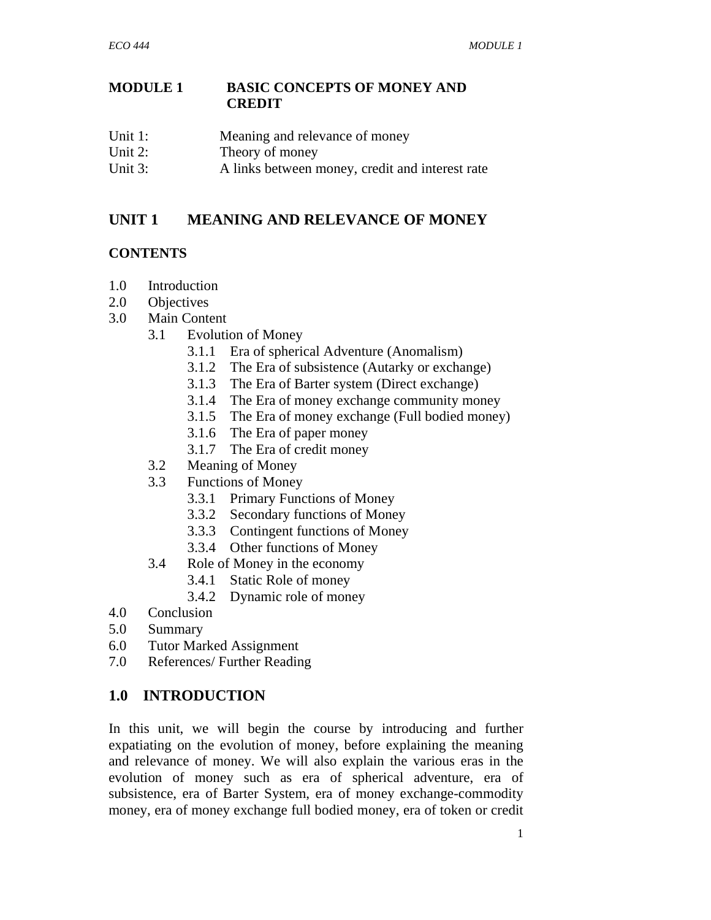#### **MODULE 1 BASIC CONCEPTS OF MONEY AND CREDIT**

- Unit 1: Meaning and relevance of money
- Unit 2: Theory of money
- Unit 3: A links between money, credit and interest rate

#### **UNIT 1 MEANING AND RELEVANCE OF MONEY**

#### **CONTENTS**

- 1.0 Introduction
- 2.0 Objectives
- 3.0 Main Content
	- 3.1 Evolution of Money
		- 3.1.1 Era of spherical Adventure (Anomalism)
		- 3.1.2 The Era of subsistence (Autarky or exchange)
		- 3.1.3 The Era of Barter system (Direct exchange)
		- 3.1.4 The Era of money exchange community money
		- 3.1.5 The Era of money exchange (Full bodied money)
		- 3.1.6 The Era of paper money
		- 3.1.7 The Era of credit money
		- 3.2 Meaning of Money
	- 3.3 Functions of Money
		- 3.3.1 Primary Functions of Money
		- 3.3.2 Secondary functions of Money
		- 3.3.3 Contingent functions of Money
		- 3.3.4 Other functions of Money
	- 3.4 Role of Money in the economy
		- 3.4.1 Static Role of money
		- 3.4.2 Dynamic role of money
- 4.0 Conclusion
- 5.0 Summary
- 6.0 Tutor Marked Assignment
- 7.0 References/ Further Reading

# **1.0 INTRODUCTION**

In this unit, we will begin the course by introducing and further expatiating on the evolution of money, before explaining the meaning and relevance of money. We will also explain the various eras in the evolution of money such as era of spherical adventure, era of subsistence, era of Barter System, era of money exchange-commodity money, era of money exchange full bodied money, era of token or credit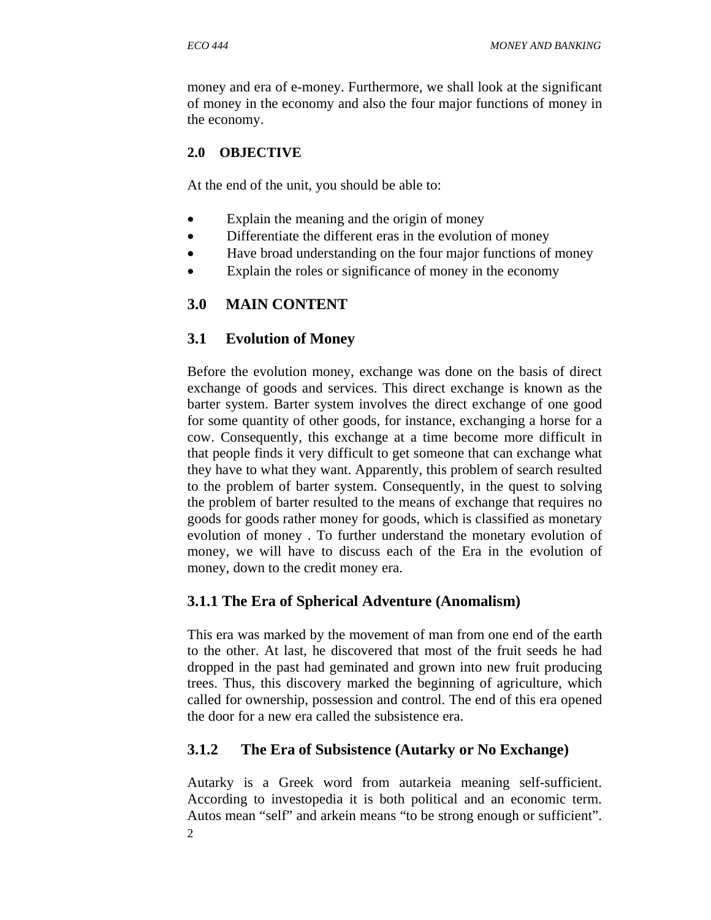money and era of e-money. Furthermore, we shall look at the significant of money in the economy and also the four major functions of money in the economy.

# **2.0 OBJECTIVE**

At the end of the unit, you should be able to:

- Explain the meaning and the origin of money
- Differentiate the different eras in the evolution of money
- Have broad understanding on the four major functions of money
- Explain the roles or significance of money in the economy

# **3.0 MAIN CONTENT**

# **3.1 Evolution of Money**

Before the evolution money, exchange was done on the basis of direct exchange of goods and services. This direct exchange is known as the barter system. Barter system involves the direct exchange of one good for some quantity of other goods, for instance, exchanging a horse for a cow. Consequently, this exchange at a time become more difficult in that people finds it very difficult to get someone that can exchange what they have to what they want. Apparently, this problem of search resulted to the problem of barter system. Consequently, in the quest to solving the problem of barter resulted to the means of exchange that requires no goods for goods rather money for goods, which is classified as monetary evolution of money . To further understand the monetary evolution of money, we will have to discuss each of the Era in the evolution of money, down to the credit money era.

# **3.1.1 The Era of Spherical Adventure (Anomalism)**

This era was marked by the movement of man from one end of the earth to the other. At last, he discovered that most of the fruit seeds he had dropped in the past had geminated and grown into new fruit producing trees. Thus, this discovery marked the beginning of agriculture, which called for ownership, possession and control. The end of this era opened the door for a new era called the subsistence era.

# **3.1.2 The Era of Subsistence (Autarky or No Exchange)**

2 Autarky is a Greek word from autarkeia meaning self-sufficient. According to investopedia it is both political and an economic term. Autos mean "self" and arkein means "to be strong enough or sufficient".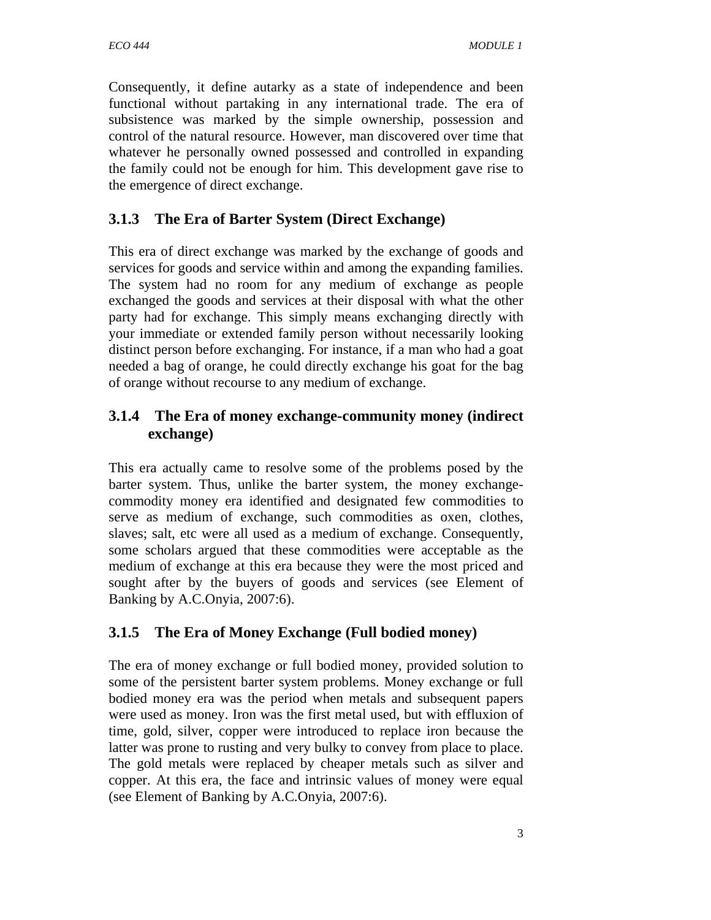Consequently, it define autarky as a state of independence and been functional without partaking in any international trade. The era of subsistence was marked by the simple ownership, possession and control of the natural resource. However, man discovered over time that whatever he personally owned possessed and controlled in expanding the family could not be enough for him. This development gave rise to the emergence of direct exchange.

# **3.1.3 The Era of Barter System (Direct Exchange)**

This era of direct exchange was marked by the exchange of goods and services for goods and service within and among the expanding families. The system had no room for any medium of exchange as people exchanged the goods and services at their disposal with what the other party had for exchange. This simply means exchanging directly with your immediate or extended family person without necessarily looking distinct person before exchanging. For instance, if a man who had a goat needed a bag of orange, he could directly exchange his goat for the bag of orange without recourse to any medium of exchange.

# **3.1.4 The Era of money exchange-community money (indirect exchange)**

This era actually came to resolve some of the problems posed by the barter system. Thus, unlike the barter system, the money exchangecommodity money era identified and designated few commodities to serve as medium of exchange, such commodities as oxen, clothes, slaves; salt, etc were all used as a medium of exchange. Consequently, some scholars argued that these commodities were acceptable as the medium of exchange at this era because they were the most priced and sought after by the buyers of goods and services (see Element of Banking by A.C.Onyia, 2007:6).

# **3.1.5 The Era of Money Exchange (Full bodied money)**

The era of money exchange or full bodied money, provided solution to some of the persistent barter system problems. Money exchange or full bodied money era was the period when metals and subsequent papers were used as money. Iron was the first metal used, but with effluxion of time, gold, silver, copper were introduced to replace iron because the latter was prone to rusting and very bulky to convey from place to place. The gold metals were replaced by cheaper metals such as silver and copper. At this era, the face and intrinsic values of money were equal (see Element of Banking by A.C.Onyia, 2007:6).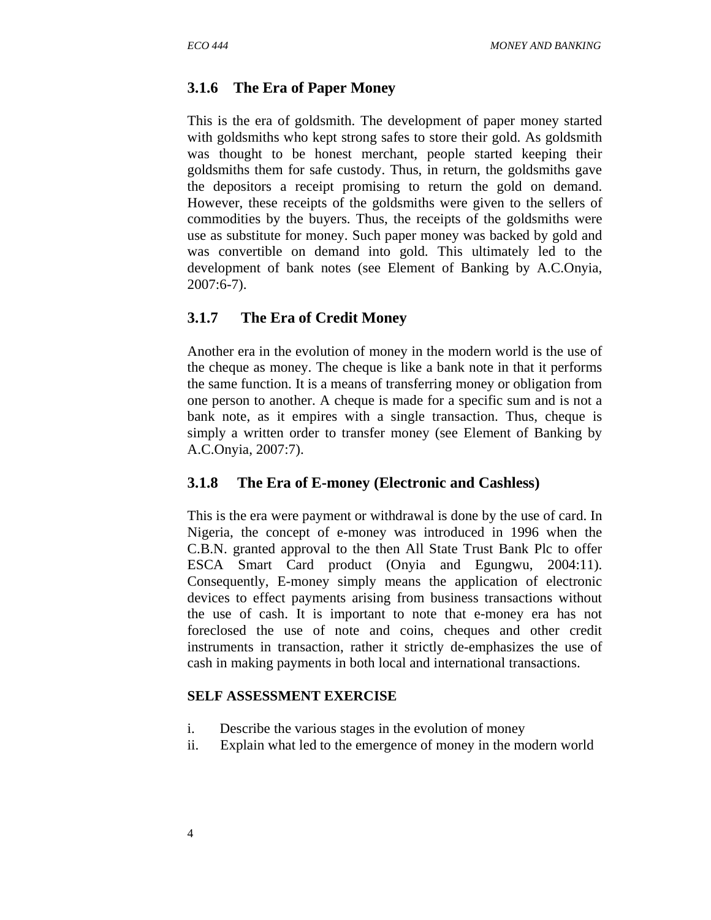#### **3.1.6 The Era of Paper Money**

This is the era of goldsmith. The development of paper money started with goldsmiths who kept strong safes to store their gold. As goldsmith was thought to be honest merchant, people started keeping their goldsmiths them for safe custody. Thus, in return, the goldsmiths gave the depositors a receipt promising to return the gold on demand. However, these receipts of the goldsmiths were given to the sellers of commodities by the buyers. Thus, the receipts of the goldsmiths were use as substitute for money. Such paper money was backed by gold and was convertible on demand into gold. This ultimately led to the development of bank notes (see Element of Banking by A.C.Onyia, 2007:6-7).

#### **3.1.7 The Era of Credit Money**

Another era in the evolution of money in the modern world is the use of the cheque as money. The cheque is like a bank note in that it performs the same function. It is a means of transferring money or obligation from one person to another. A cheque is made for a specific sum and is not a bank note, as it empires with a single transaction. Thus, cheque is simply a written order to transfer money (see Element of Banking by A.C.Onyia, 2007:7).

#### **3.1.8 The Era of E-money (Electronic and Cashless)**

This is the era were payment or withdrawal is done by the use of card. In Nigeria, the concept of e-money was introduced in 1996 when the C.B.N. granted approval to the then All State Trust Bank Plc to offer ESCA Smart Card product (Onyia and Egungwu, 2004:11). Consequently, E-money simply means the application of electronic devices to effect payments arising from business transactions without the use of cash. It is important to note that e-money era has not foreclosed the use of note and coins, cheques and other credit instruments in transaction, rather it strictly de-emphasizes the use of cash in making payments in both local and international transactions.

#### **SELF ASSESSMENT EXERCISE**

- i. Describe the various stages in the evolution of money
- ii. Explain what led to the emergence of money in the modern world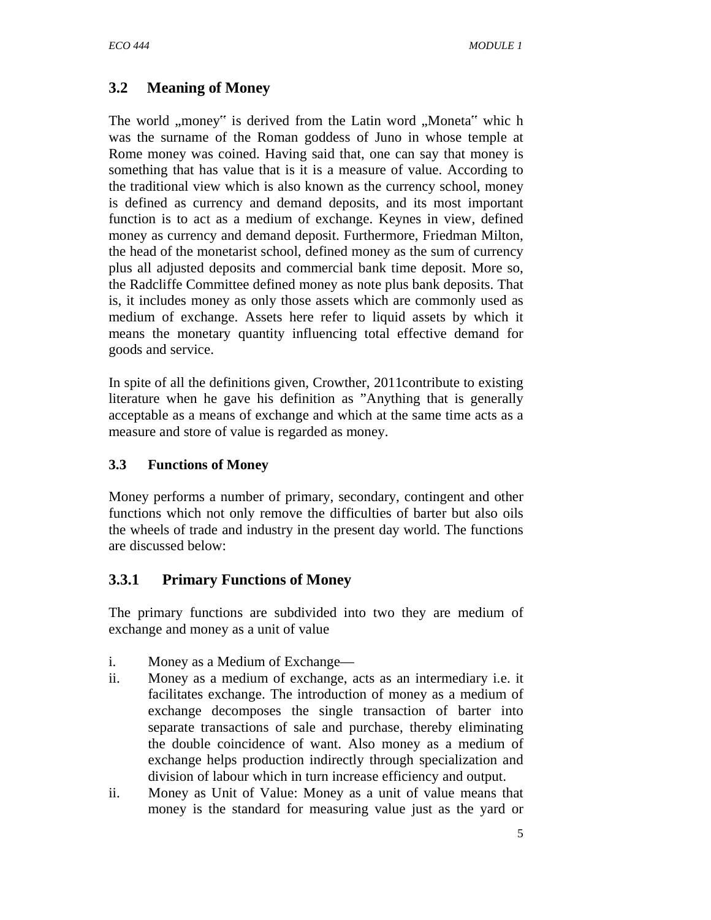# **3.2 Meaning of Money**

The world "money" is derived from the Latin word "Moneta" which was the surname of the Roman goddess of Juno in whose temple at Rome money was coined. Having said that, one can say that money is something that has value that is it is a measure of value. According to the traditional view which is also known as the currency school, money is defined as currency and demand deposits, and its most important function is to act as a medium of exchange. Keynes in view, defined money as currency and demand deposit. Furthermore, Friedman Milton, the head of the monetarist school, defined money as the sum of currency plus all adjusted deposits and commercial bank time deposit. More so, the Radcliffe Committee defined money as note plus bank deposits. That is, it includes money as only those assets which are commonly used as medium of exchange. Assets here refer to liquid assets by which it means the monetary quantity influencing total effective demand for goods and service.

In spite of all the definitions given, Crowther, 2011contribute to existing literature when he gave his definition as "Anything that is generally acceptable as a means of exchange and which at the same time acts as a measure and store of value is regarded as money.

# **3.3 Functions of Money**

Money performs a number of primary, secondary, contingent and other functions which not only remove the difficulties of barter but also oils the wheels of trade and industry in the present day world. The functions are discussed below:

# **3.3.1 Primary Functions of Money**

The primary functions are subdivided into two they are medium of exchange and money as a unit of value

- i. Money as a Medium of Exchange—
- ii. Money as a medium of exchange, acts as an intermediary i.e. it facilitates exchange. The introduction of money as a medium of exchange decomposes the single transaction of barter into separate transactions of sale and purchase, thereby eliminating the double coincidence of want. Also money as a medium of exchange helps production indirectly through specialization and division of labour which in turn increase efficiency and output.
- ii. Money as Unit of Value: Money as a unit of value means that money is the standard for measuring value just as the yard or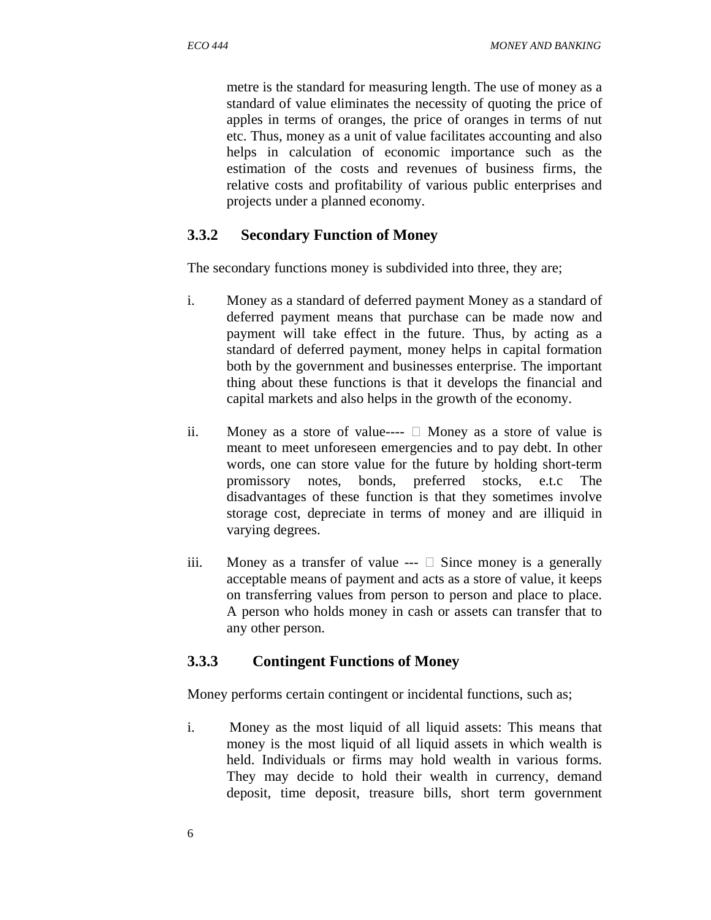metre is the standard for measuring length. The use of money as a standard of value eliminates the necessity of quoting the price of apples in terms of oranges, the price of oranges in terms of nut etc. Thus, money as a unit of value facilitates accounting and also helps in calculation of economic importance such as the estimation of the costs and revenues of business firms, the relative costs and profitability of various public enterprises and projects under a planned economy.

#### **3.3.2 Secondary Function of Money**

The secondary functions money is subdivided into three, they are;

- i. Money as a standard of deferred payment Money as a standard of deferred payment means that purchase can be made now and payment will take effect in the future. Thus, by acting as a standard of deferred payment, money helps in capital formation both by the government and businesses enterprise. The important thing about these functions is that it develops the financial and capital markets and also helps in the growth of the economy.
- ii. Money as a store of value----  $\Box$  Money as a store of value is meant to meet unforeseen emergencies and to pay debt. In other words, one can store value for the future by holding short-term promissory notes, bonds, preferred stocks, e.t.c The disadvantages of these function is that they sometimes involve storage cost, depreciate in terms of money and are illiquid in varying degrees.
- iii. Money as a transfer of value  $---$  Since money is a generally acceptable means of payment and acts as a store of value, it keeps on transferring values from person to person and place to place. A person who holds money in cash or assets can transfer that to any other person.

#### **3.3.3 Contingent Functions of Money**

Money performs certain contingent or incidental functions, such as;

i. Money as the most liquid of all liquid assets: This means that money is the most liquid of all liquid assets in which wealth is held. Individuals or firms may hold wealth in various forms. They may decide to hold their wealth in currency, demand deposit, time deposit, treasure bills, short term government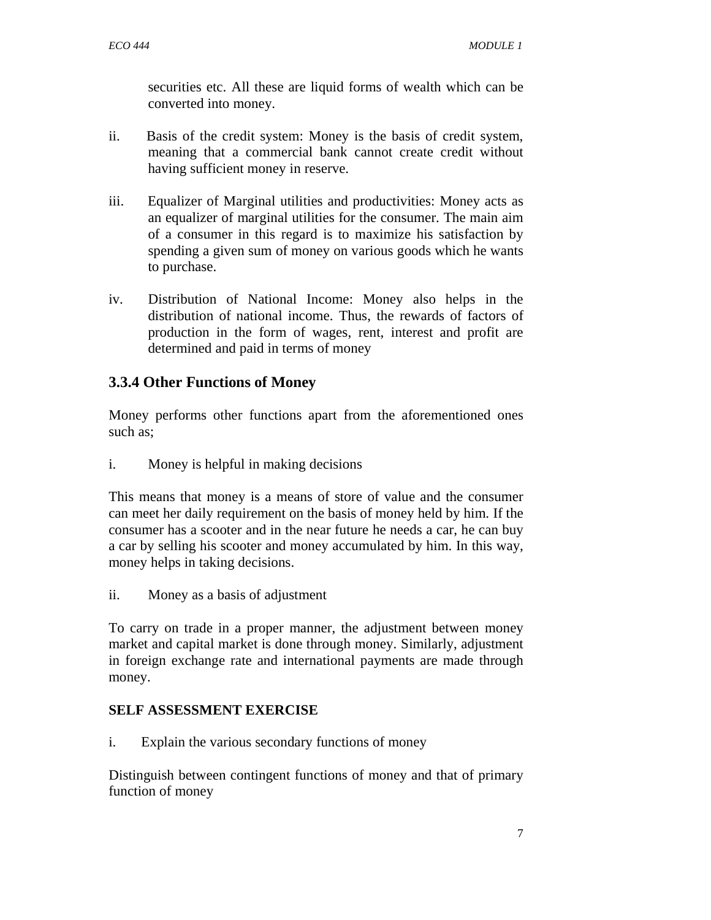securities etc. All these are liquid forms of wealth which can be converted into money.

- ii. Basis of the credit system: Money is the basis of credit system, meaning that a commercial bank cannot create credit without having sufficient money in reserve.
- iii. Equalizer of Marginal utilities and productivities: Money acts as an equalizer of marginal utilities for the consumer. The main aim of a consumer in this regard is to maximize his satisfaction by spending a given sum of money on various goods which he wants to purchase.
- iv. Distribution of National Income: Money also helps in the distribution of national income. Thus, the rewards of factors of production in the form of wages, rent, interest and profit are determined and paid in terms of money

# **3.3.4 Other Functions of Money**

Money performs other functions apart from the aforementioned ones such as;

i. Money is helpful in making decisions

This means that money is a means of store of value and the consumer can meet her daily requirement on the basis of money held by him. If the consumer has a scooter and in the near future he needs a car, he can buy a car by selling his scooter and money accumulated by him. In this way, money helps in taking decisions.

ii. Money as a basis of adjustment

To carry on trade in a proper manner, the adjustment between money market and capital market is done through money. Similarly, adjustment in foreign exchange rate and international payments are made through money.

# **SELF ASSESSMENT EXERCISE**

i. Explain the various secondary functions of money

Distinguish between contingent functions of money and that of primary function of money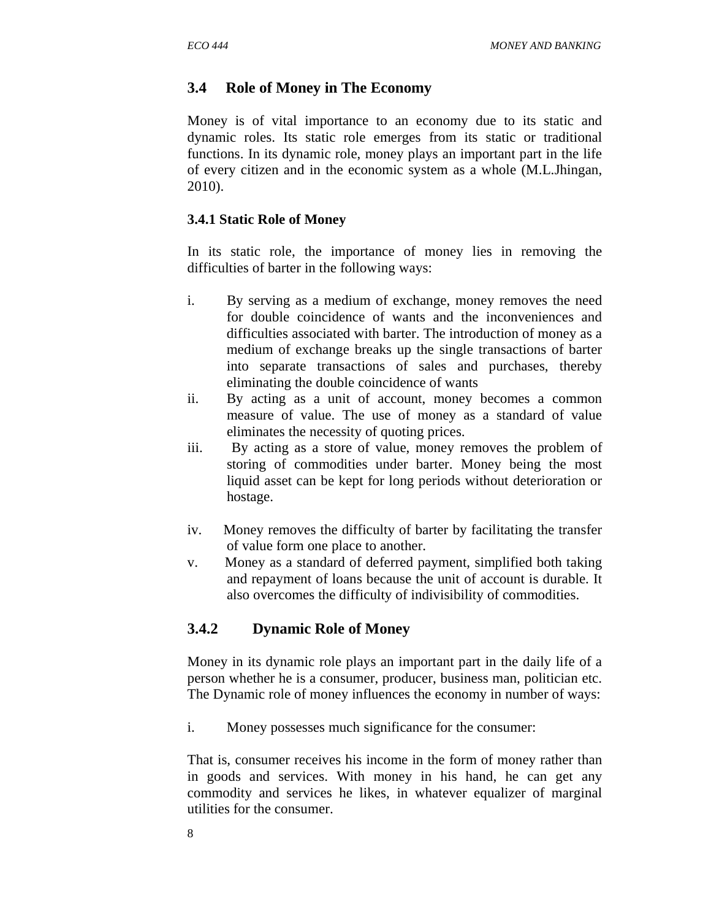#### **3.4 Role of Money in The Economy**

Money is of vital importance to an economy due to its static and dynamic roles. Its static role emerges from its static or traditional functions. In its dynamic role, money plays an important part in the life of every citizen and in the economic system as a whole (M.L.Jhingan, 2010).

#### **3.4.1 Static Role of Money**

In its static role, the importance of money lies in removing the difficulties of barter in the following ways:

- i. By serving as a medium of exchange, money removes the need for double coincidence of wants and the inconveniences and difficulties associated with barter. The introduction of money as a medium of exchange breaks up the single transactions of barter into separate transactions of sales and purchases, thereby eliminating the double coincidence of wants
- ii. By acting as a unit of account, money becomes a common measure of value. The use of money as a standard of value eliminates the necessity of quoting prices.
- iii. By acting as a store of value, money removes the problem of storing of commodities under barter. Money being the most liquid asset can be kept for long periods without deterioration or hostage.
- iv. Money removes the difficulty of barter by facilitating the transfer of value form one place to another.
- v. Money as a standard of deferred payment, simplified both taking and repayment of loans because the unit of account is durable. It also overcomes the difficulty of indivisibility of commodities.

#### **3.4.2 Dynamic Role of Money**

Money in its dynamic role plays an important part in the daily life of a person whether he is a consumer, producer, business man, politician etc. The Dynamic role of money influences the economy in number of ways:

i. Money possesses much significance for the consumer:

That is, consumer receives his income in the form of money rather than in goods and services. With money in his hand, he can get any commodity and services he likes, in whatever equalizer of marginal utilities for the consumer.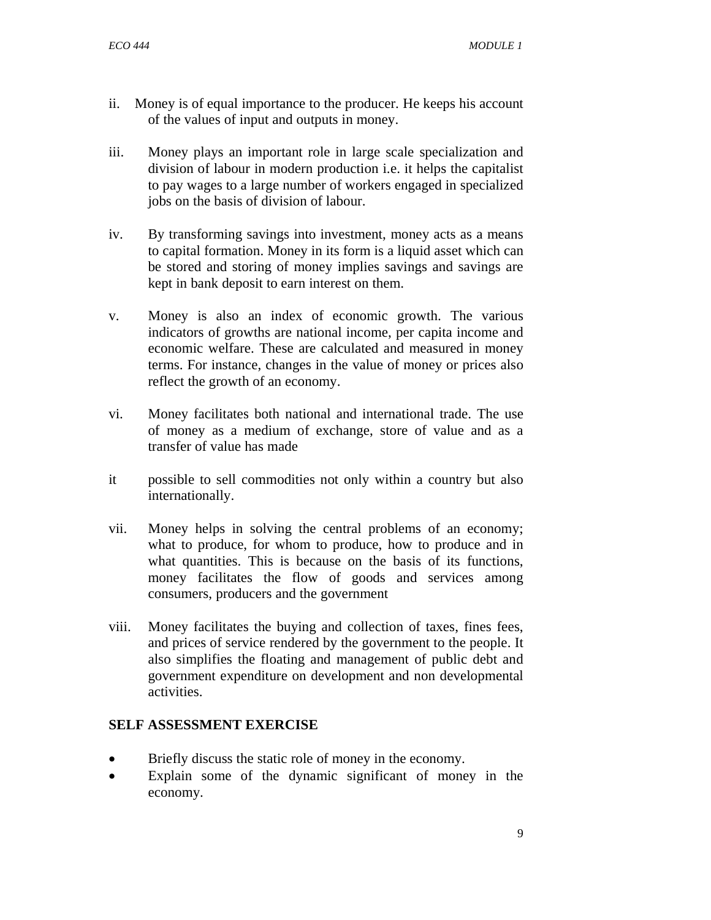- ii. Money is of equal importance to the producer. He keeps his account of the values of input and outputs in money.
- iii. Money plays an important role in large scale specialization and division of labour in modern production i.e. it helps the capitalist to pay wages to a large number of workers engaged in specialized jobs on the basis of division of labour.
- iv. By transforming savings into investment, money acts as a means to capital formation. Money in its form is a liquid asset which can be stored and storing of money implies savings and savings are kept in bank deposit to earn interest on them.
- v. Money is also an index of economic growth. The various indicators of growths are national income, per capita income and economic welfare. These are calculated and measured in money terms. For instance, changes in the value of money or prices also reflect the growth of an economy.
- vi. Money facilitates both national and international trade. The use of money as a medium of exchange, store of value and as a transfer of value has made
- it possible to sell commodities not only within a country but also internationally.
- vii. Money helps in solving the central problems of an economy; what to produce, for whom to produce, how to produce and in what quantities. This is because on the basis of its functions, money facilitates the flow of goods and services among consumers, producers and the government
- viii. Money facilitates the buying and collection of taxes, fines fees, and prices of service rendered by the government to the people. It also simplifies the floating and management of public debt and government expenditure on development and non developmental activities.

#### **SELF ASSESSMENT EXERCISE**

- Briefly discuss the static role of money in the economy.
- Explain some of the dynamic significant of money in the economy.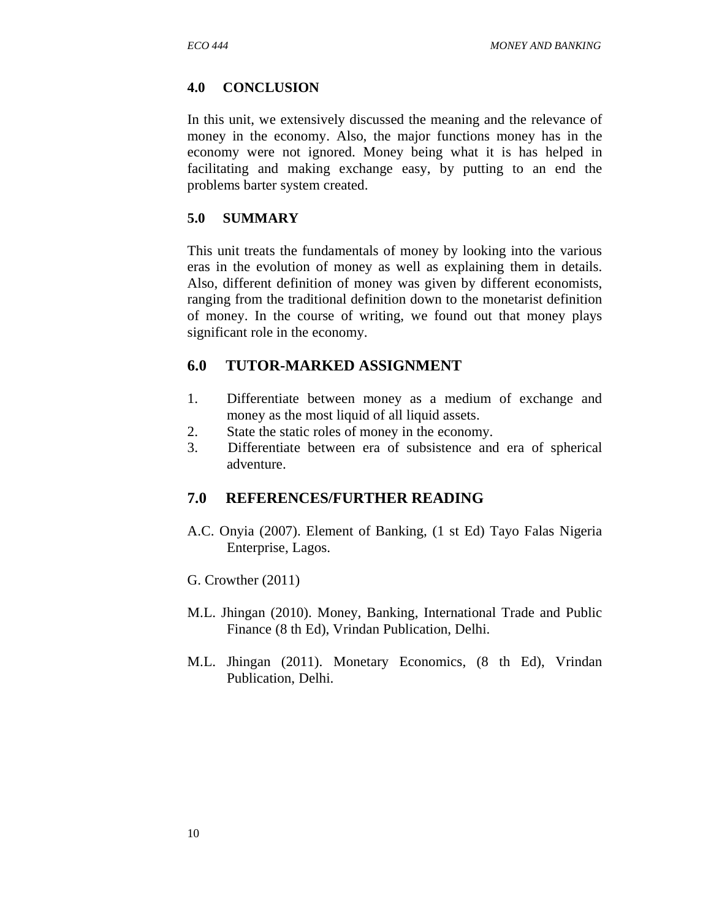#### **4.0 CONCLUSION**

In this unit, we extensively discussed the meaning and the relevance of money in the economy. Also, the major functions money has in the economy were not ignored. Money being what it is has helped in facilitating and making exchange easy, by putting to an end the problems barter system created.

#### **5.0 SUMMARY**

This unit treats the fundamentals of money by looking into the various eras in the evolution of money as well as explaining them in details. Also, different definition of money was given by different economists, ranging from the traditional definition down to the monetarist definition of money. In the course of writing, we found out that money plays significant role in the economy.

# **6.0 TUTOR-MARKED ASSIGNMENT**

- 1. Differentiate between money as a medium of exchange and money as the most liquid of all liquid assets.
- 2. State the static roles of money in the economy.
- 3. Differentiate between era of subsistence and era of spherical adventure.

# **7.0 REFERENCES/FURTHER READING**

- A.C. Onyia (2007). Element of Banking, (1 st Ed) Tayo Falas Nigeria Enterprise, Lagos.
- G. Crowther (2011)
- M.L. Jhingan (2010). Money, Banking, International Trade and Public Finance (8 th Ed), Vrindan Publication, Delhi.
- M.L. Jhingan (2011). Monetary Economics, (8 th Ed), Vrindan Publication, Delhi.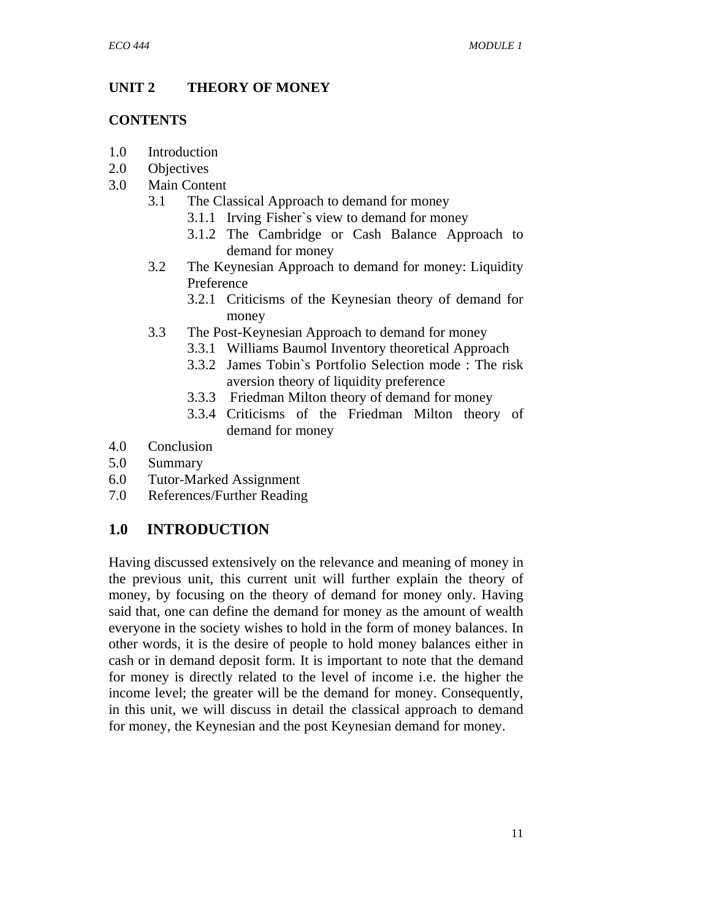#### **UNIT 2 THEORY OF MONEY**

#### **CONTENTS**

- 1.0 Introduction
- 2.0 Objectives
- 3.0 Main Content
	- 3.1 The Classical Approach to demand for money
		- 3.1.1 Irving Fisher`s view to demand for money
		- 3.1.2 The Cambridge or Cash Balance Approach to demand for money
	- 3.2 The Keynesian Approach to demand for money: Liquidity Preference
		- 3.2.1 Criticisms of the Keynesian theory of demand for money
	- 3.3 The Post-Keynesian Approach to demand for money
		- 3.3.1 Williams Baumol Inventory theoretical Approach
		- 3.3.2 James Tobin`s Portfolio Selection mode : The risk aversion theory of liquidity preference
		- 3.3.3 Friedman Milton theory of demand for money
		- 3.3.4 Criticisms of the Friedman Milton theory of demand for money
- 4.0 Conclusion
- 5.0 Summary
- 6.0 Tutor-Marked Assignment
- 7.0 References/Further Reading

# **1.0 INTRODUCTION**

Having discussed extensively on the relevance and meaning of money in the previous unit, this current unit will further explain the theory of money, by focusing on the theory of demand for money only. Having said that, one can define the demand for money as the amount of wealth everyone in the society wishes to hold in the form of money balances. In other words, it is the desire of people to hold money balances either in cash or in demand deposit form. It is important to note that the demand for money is directly related to the level of income i.e. the higher the income level; the greater will be the demand for money. Consequently, in this unit, we will discuss in detail the classical approach to demand for money, the Keynesian and the post Keynesian demand for money.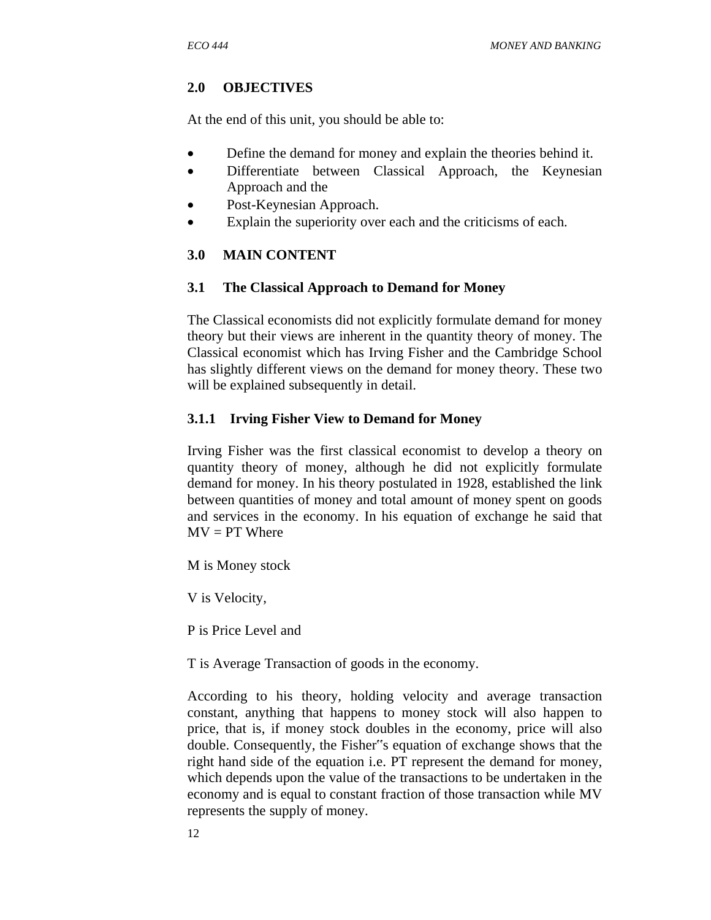# **2.0 OBJECTIVES**

At the end of this unit, you should be able to:

- Define the demand for money and explain the theories behind it.
- Differentiate between Classical Approach, the Keynesian Approach and the
- Post-Keynesian Approach.
- Explain the superiority over each and the criticisms of each.

# **3.0 MAIN CONTENT**

#### **3.1 The Classical Approach to Demand for Money**

The Classical economists did not explicitly formulate demand for money theory but their views are inherent in the quantity theory of money. The Classical economist which has Irving Fisher and the Cambridge School has slightly different views on the demand for money theory. These two will be explained subsequently in detail.

# **3.1.1 Irving Fisher View to Demand for Money**

Irving Fisher was the first classical economist to develop a theory on quantity theory of money, although he did not explicitly formulate demand for money. In his theory postulated in 1928, established the link between quantities of money and total amount of money spent on goods and services in the economy. In his equation of exchange he said that  $MV = PT$  Where

M is Money stock

V is Velocity,

P is Price Level and

T is Average Transaction of goods in the economy.

According to his theory, holding velocity and average transaction constant, anything that happens to money stock will also happen to price, that is, if money stock doubles in the economy, price will also double. Consequently, the Fisher"s equation of exchange shows that the right hand side of the equation i.e. PT represent the demand for money, which depends upon the value of the transactions to be undertaken in the economy and is equal to constant fraction of those transaction while MV represents the supply of money.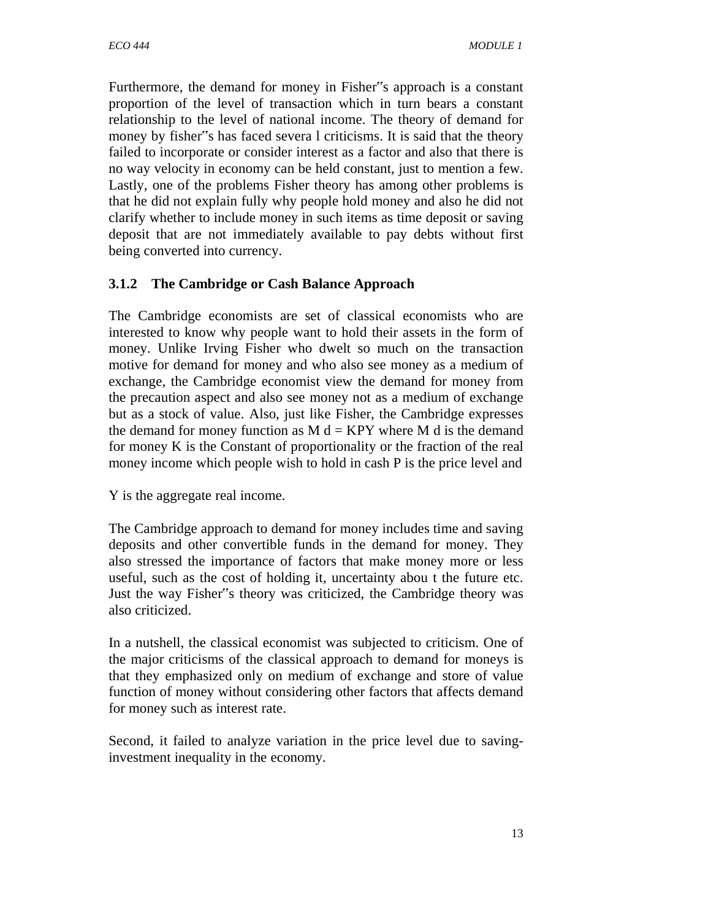Furthermore, the demand for money in Fisher"s approach is a constant proportion of the level of transaction which in turn bears a constant relationship to the level of national income. The theory of demand for money by fisher"s has faced severa l criticisms. It is said that the theory failed to incorporate or consider interest as a factor and also that there is no way velocity in economy can be held constant, just to mention a few. Lastly, one of the problems Fisher theory has among other problems is that he did not explain fully why people hold money and also he did not clarify whether to include money in such items as time deposit or saving deposit that are not immediately available to pay debts without first being converted into currency.

# **3.1.2 The Cambridge or Cash Balance Approach**

The Cambridge economists are set of classical economists who are interested to know why people want to hold their assets in the form of money. Unlike Irving Fisher who dwelt so much on the transaction motive for demand for money and who also see money as a medium of exchange, the Cambridge economist view the demand for money from the precaution aspect and also see money not as a medium of exchange but as a stock of value. Also, just like Fisher, the Cambridge expresses the demand for money function as  $M d = KPY$  where M d is the demand for money K is the Constant of proportionality or the fraction of the real money income which people wish to hold in cash P is the price level and

Y is the aggregate real income.

The Cambridge approach to demand for money includes time and saving deposits and other convertible funds in the demand for money. They also stressed the importance of factors that make money more or less useful, such as the cost of holding it, uncertainty abou t the future etc. Just the way Fisher"s theory was criticized, the Cambridge theory was also criticized.

In a nutshell, the classical economist was subjected to criticism. One of the major criticisms of the classical approach to demand for moneys is that they emphasized only on medium of exchange and store of value function of money without considering other factors that affects demand for money such as interest rate.

Second, it failed to analyze variation in the price level due to savinginvestment inequality in the economy.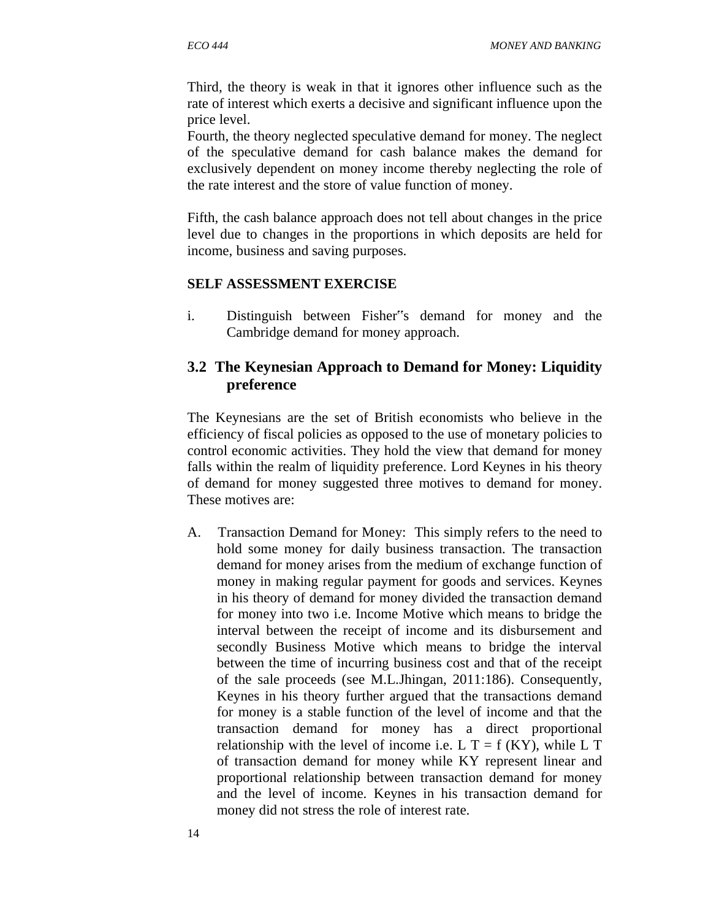Third, the theory is weak in that it ignores other influence such as the rate of interest which exerts a decisive and significant influence upon the price level.

Fourth, the theory neglected speculative demand for money. The neglect of the speculative demand for cash balance makes the demand for exclusively dependent on money income thereby neglecting the role of the rate interest and the store of value function of money.

Fifth, the cash balance approach does not tell about changes in the price level due to changes in the proportions in which deposits are held for income, business and saving purposes.

#### **SELF ASSESSMENT EXERCISE**

i. Distinguish between Fisher"s demand for money and the Cambridge demand for money approach.

#### **3.2 The Keynesian Approach to Demand for Money: Liquidity preference**

The Keynesians are the set of British economists who believe in the efficiency of fiscal policies as opposed to the use of monetary policies to control economic activities. They hold the view that demand for money falls within the realm of liquidity preference. Lord Keynes in his theory of demand for money suggested three motives to demand for money. These motives are:

A. Transaction Demand for Money: This simply refers to the need to hold some money for daily business transaction. The transaction demand for money arises from the medium of exchange function of money in making regular payment for goods and services. Keynes in his theory of demand for money divided the transaction demand for money into two i.e. Income Motive which means to bridge the interval between the receipt of income and its disbursement and secondly Business Motive which means to bridge the interval between the time of incurring business cost and that of the receipt of the sale proceeds (see M.L.Jhingan, 2011:186). Consequently, Keynes in his theory further argued that the transactions demand for money is a stable function of the level of income and that the transaction demand for money has a direct proportional relationship with the level of income i.e. L  $T = f(KY)$ , while L T of transaction demand for money while KY represent linear and proportional relationship between transaction demand for money and the level of income. Keynes in his transaction demand for money did not stress the role of interest rate.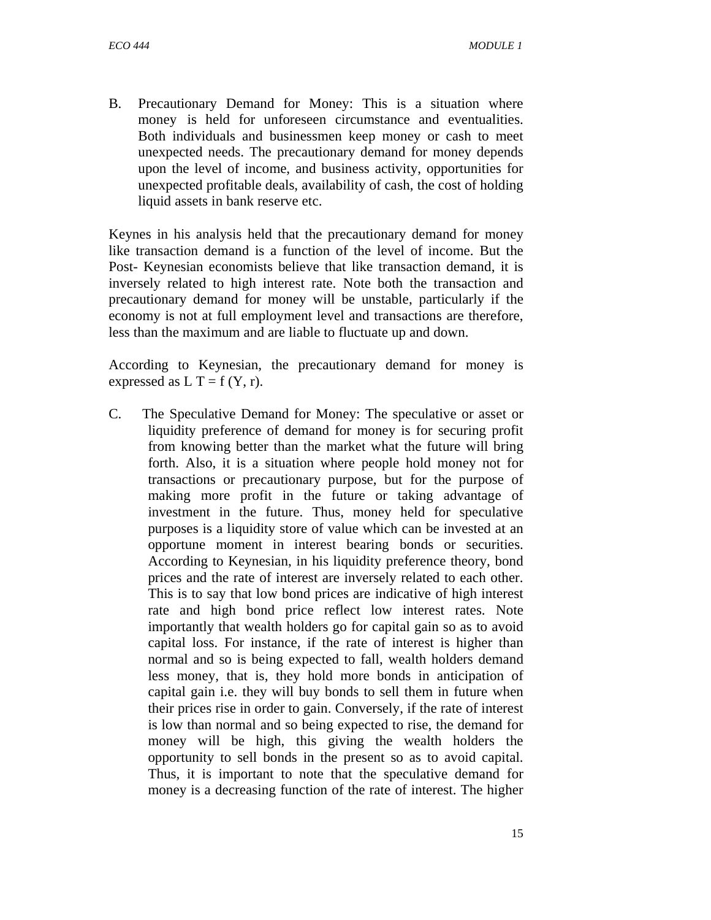B. Precautionary Demand for Money: This is a situation where money is held for unforeseen circumstance and eventualities. Both individuals and businessmen keep money or cash to meet unexpected needs. The precautionary demand for money depends upon the level of income, and business activity, opportunities for unexpected profitable deals, availability of cash, the cost of holding liquid assets in bank reserve etc.

Keynes in his analysis held that the precautionary demand for money like transaction demand is a function of the level of income. But the Post- Keynesian economists believe that like transaction demand, it is inversely related to high interest rate. Note both the transaction and precautionary demand for money will be unstable, particularly if the economy is not at full employment level and transactions are therefore, less than the maximum and are liable to fluctuate up and down.

According to Keynesian, the precautionary demand for money is expressed as  $L T = f(Y, r)$ .

C. The Speculative Demand for Money: The speculative or asset or liquidity preference of demand for money is for securing profit from knowing better than the market what the future will bring forth. Also, it is a situation where people hold money not for transactions or precautionary purpose, but for the purpose of making more profit in the future or taking advantage of investment in the future. Thus, money held for speculative purposes is a liquidity store of value which can be invested at an opportune moment in interest bearing bonds or securities. According to Keynesian, in his liquidity preference theory, bond prices and the rate of interest are inversely related to each other. This is to say that low bond prices are indicative of high interest rate and high bond price reflect low interest rates. Note importantly that wealth holders go for capital gain so as to avoid capital loss. For instance, if the rate of interest is higher than normal and so is being expected to fall, wealth holders demand less money, that is, they hold more bonds in anticipation of capital gain i.e. they will buy bonds to sell them in future when their prices rise in order to gain. Conversely, if the rate of interest is low than normal and so being expected to rise, the demand for money will be high, this giving the wealth holders the opportunity to sell bonds in the present so as to avoid capital. Thus, it is important to note that the speculative demand for money is a decreasing function of the rate of interest. The higher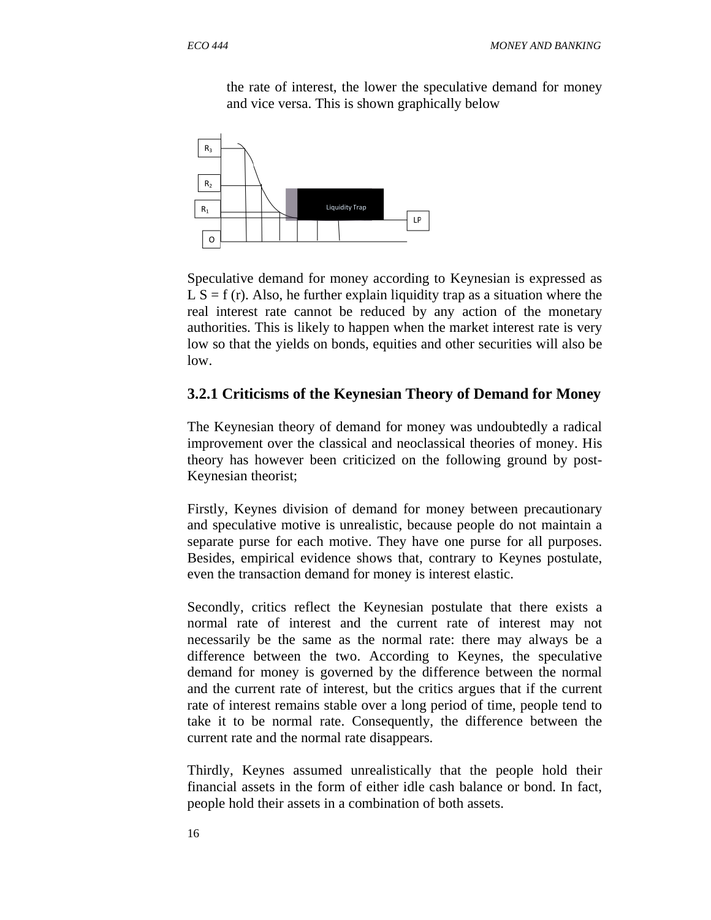the rate of interest, the lower the speculative demand for money and vice versa. This is shown graphically below



Speculative demand for money according to Keynesian is expressed as  $LS = f(r)$ . Also, he further explain liquidity trap as a situation where the real interest rate cannot be reduced by any action of the monetary authorities. This is likely to happen when the market interest rate is very low so that the yields on bonds, equities and other securities will also be low.

#### **3.2.1 Criticisms of the Keynesian Theory of Demand for Money**

The Keynesian theory of demand for money was undoubtedly a radical improvement over the classical and neoclassical theories of money. His theory has however been criticized on the following ground by post-Keynesian theorist;

Firstly, Keynes division of demand for money between precautionary and speculative motive is unrealistic, because people do not maintain a separate purse for each motive. They have one purse for all purposes. Besides, empirical evidence shows that, contrary to Keynes postulate, even the transaction demand for money is interest elastic.

Secondly, critics reflect the Keynesian postulate that there exists a normal rate of interest and the current rate of interest may not necessarily be the same as the normal rate: there may always be a difference between the two. According to Keynes, the speculative demand for money is governed by the difference between the normal and the current rate of interest, but the critics argues that if the current rate of interest remains stable over a long period of time, people tend to take it to be normal rate. Consequently, the difference between the current rate and the normal rate disappears.

Thirdly, Keynes assumed unrealistically that the people hold their financial assets in the form of either idle cash balance or bond. In fact, people hold their assets in a combination of both assets.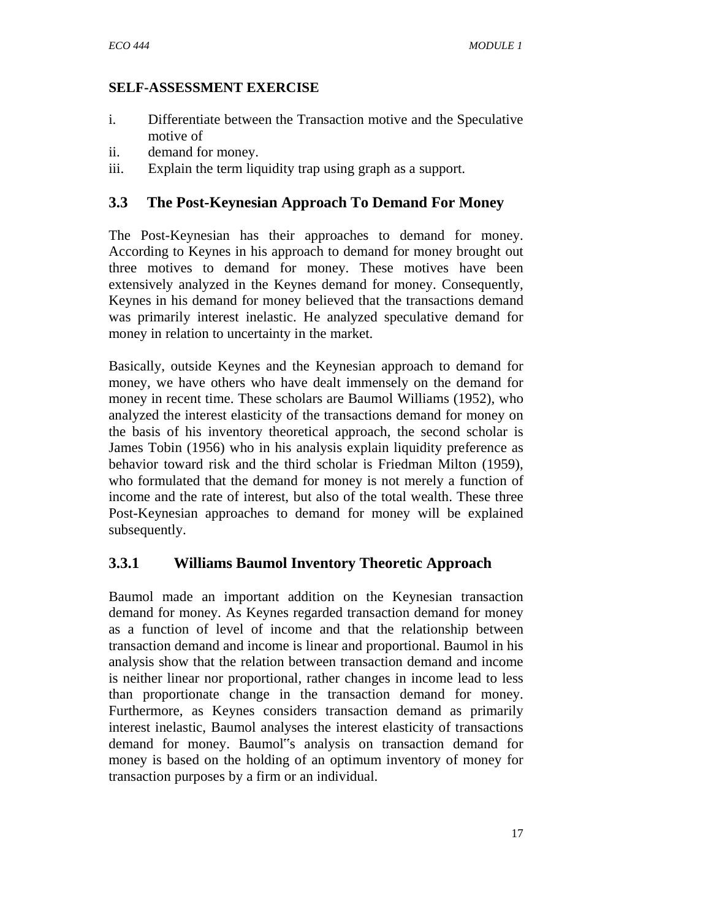#### **SELF-ASSESSMENT EXERCISE**

- i. Differentiate between the Transaction motive and the Speculative motive of
- ii. demand for money.
- iii. Explain the term liquidity trap using graph as a support.

# **3.3 The Post-Keynesian Approach To Demand For Money**

The Post-Keynesian has their approaches to demand for money. According to Keynes in his approach to demand for money brought out three motives to demand for money. These motives have been extensively analyzed in the Keynes demand for money. Consequently, Keynes in his demand for money believed that the transactions demand was primarily interest inelastic. He analyzed speculative demand for money in relation to uncertainty in the market.

Basically, outside Keynes and the Keynesian approach to demand for money, we have others who have dealt immensely on the demand for money in recent time. These scholars are Baumol Williams (1952), who analyzed the interest elasticity of the transactions demand for money on the basis of his inventory theoretical approach, the second scholar is James Tobin (1956) who in his analysis explain liquidity preference as behavior toward risk and the third scholar is Friedman Milton (1959), who formulated that the demand for money is not merely a function of income and the rate of interest, but also of the total wealth. These three Post-Keynesian approaches to demand for money will be explained subsequently.

# **3.3.1 Williams Baumol Inventory Theoretic Approach**

Baumol made an important addition on the Keynesian transaction demand for money. As Keynes regarded transaction demand for money as a function of level of income and that the relationship between transaction demand and income is linear and proportional. Baumol in his analysis show that the relation between transaction demand and income is neither linear nor proportional, rather changes in income lead to less than proportionate change in the transaction demand for money. Furthermore, as Keynes considers transaction demand as primarily interest inelastic, Baumol analyses the interest elasticity of transactions demand for money. Baumol"s analysis on transaction demand for money is based on the holding of an optimum inventory of money for transaction purposes by a firm or an individual.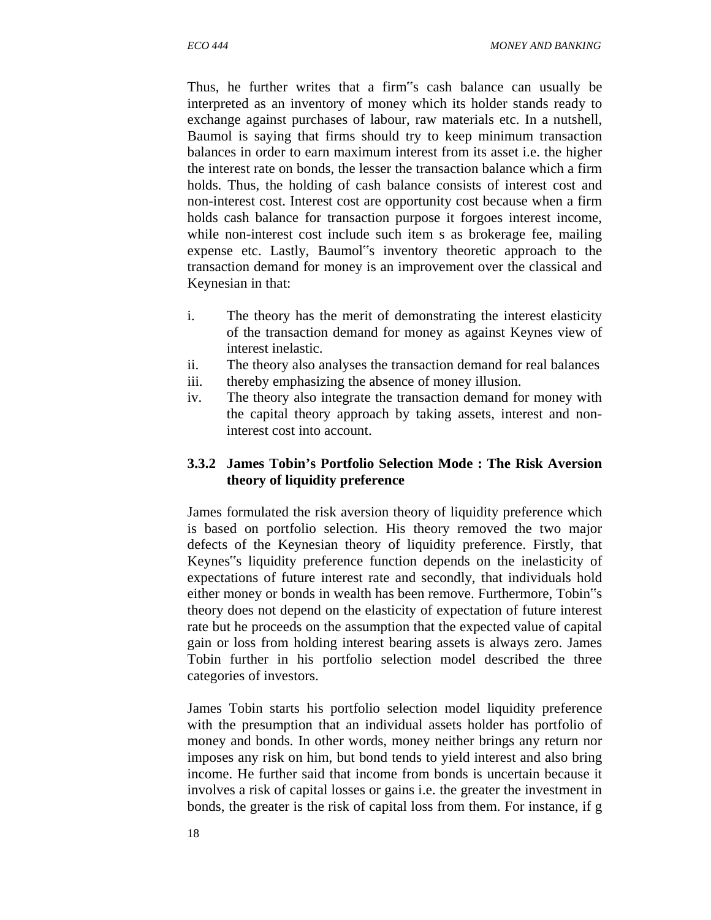Thus, he further writes that a firm"s cash balance can usually be interpreted as an inventory of money which its holder stands ready to exchange against purchases of labour, raw materials etc. In a nutshell, Baumol is saying that firms should try to keep minimum transaction balances in order to earn maximum interest from its asset i.e. the higher the interest rate on bonds, the lesser the transaction balance which a firm holds. Thus, the holding of cash balance consists of interest cost and non-interest cost. Interest cost are opportunity cost because when a firm holds cash balance for transaction purpose it forgoes interest income, while non-interest cost include such item s as brokerage fee, mailing expense etc. Lastly, Baumol"s inventory theoretic approach to the transaction demand for money is an improvement over the classical and Keynesian in that:

- i. The theory has the merit of demonstrating the interest elasticity of the transaction demand for money as against Keynes view of interest inelastic.
- ii. The theory also analyses the transaction demand for real balances
- iii. thereby emphasizing the absence of money illusion.
- iv. The theory also integrate the transaction demand for money with the capital theory approach by taking assets, interest and noninterest cost into account.

#### **3.3.2 James Tobin's Portfolio Selection Mode : The Risk Aversion theory of liquidity preference**

James formulated the risk aversion theory of liquidity preference which is based on portfolio selection. His theory removed the two major defects of the Keynesian theory of liquidity preference. Firstly, that Keynes"s liquidity preference function depends on the inelasticity of expectations of future interest rate and secondly, that individuals hold either money or bonds in wealth has been remove. Furthermore, Tobin"s theory does not depend on the elasticity of expectation of future interest rate but he proceeds on the assumption that the expected value of capital gain or loss from holding interest bearing assets is always zero. James Tobin further in his portfolio selection model described the three categories of investors.

James Tobin starts his portfolio selection model liquidity preference with the presumption that an individual assets holder has portfolio of money and bonds. In other words, money neither brings any return nor imposes any risk on him, but bond tends to yield interest and also bring income. He further said that income from bonds is uncertain because it involves a risk of capital losses or gains i.e. the greater the investment in bonds, the greater is the risk of capital loss from them. For instance, if g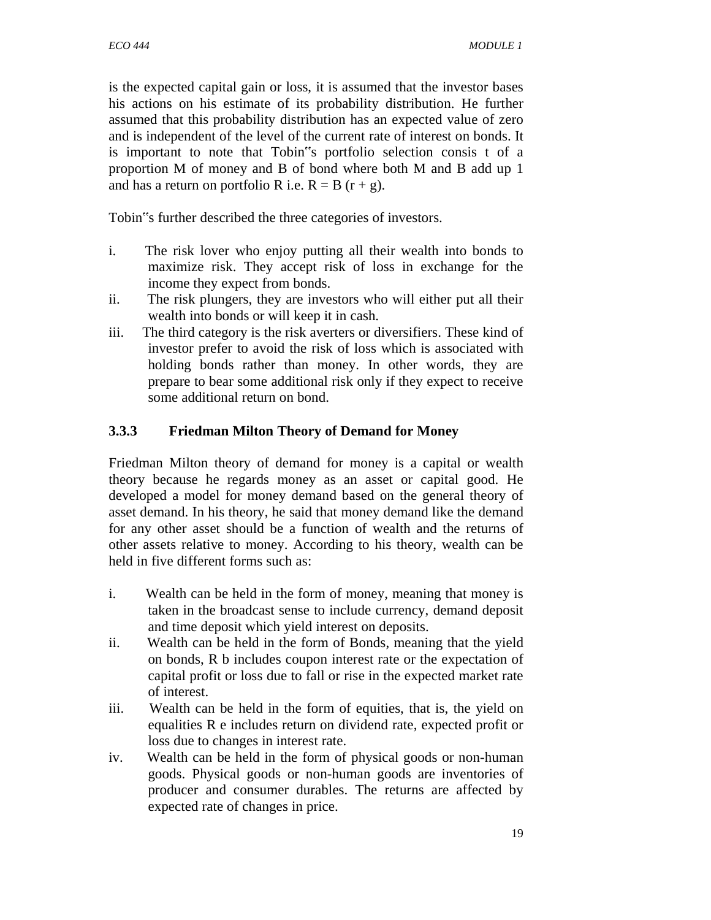is the expected capital gain or loss, it is assumed that the investor bases his actions on his estimate of its probability distribution. He further assumed that this probability distribution has an expected value of zero and is independent of the level of the current rate of interest on bonds. It is important to note that Tobin"s portfolio selection consis t of a proportion M of money and B of bond where both M and B add up 1 and has a return on portfolio R i.e.  $R = B (r + g)$ .

Tobin"s further described the three categories of investors.

- i. The risk lover who enjoy putting all their wealth into bonds to maximize risk. They accept risk of loss in exchange for the income they expect from bonds.
- ii. The risk plungers, they are investors who will either put all their wealth into bonds or will keep it in cash.
- iii. The third category is the risk averters or diversifiers. These kind of investor prefer to avoid the risk of loss which is associated with holding bonds rather than money. In other words, they are prepare to bear some additional risk only if they expect to receive some additional return on bond.

# **3.3.3 Friedman Milton Theory of Demand for Money**

Friedman Milton theory of demand for money is a capital or wealth theory because he regards money as an asset or capital good. He developed a model for money demand based on the general theory of asset demand. In his theory, he said that money demand like the demand for any other asset should be a function of wealth and the returns of other assets relative to money. According to his theory, wealth can be held in five different forms such as:

- i. Wealth can be held in the form of money, meaning that money is taken in the broadcast sense to include currency, demand deposit and time deposit which yield interest on deposits.
- ii. Wealth can be held in the form of Bonds, meaning that the yield on bonds, R b includes coupon interest rate or the expectation of capital profit or loss due to fall or rise in the expected market rate of interest.
- iii. Wealth can be held in the form of equities, that is, the yield on equalities R e includes return on dividend rate, expected profit or loss due to changes in interest rate.
- iv. Wealth can be held in the form of physical goods or non-human goods. Physical goods or non-human goods are inventories of producer and consumer durables. The returns are affected by expected rate of changes in price.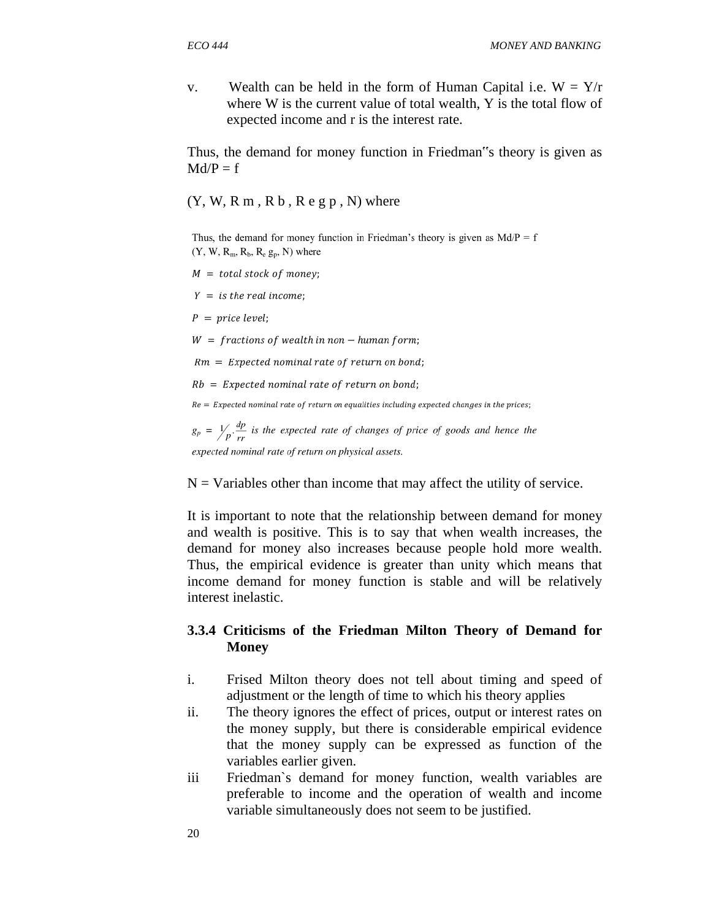v. Wealth can be held in the form of Human Capital i.e.  $W = Y/r$  where W is the current value of total wealth, Y is the total flow of expected income and r is the interest rate.

Thus, the demand for money function in Friedman"s theory is given as  $Md/P = f$ 

 $(Y, W, R, m, R, b, R, e, g, p, N)$  where

Thus, the demand for money function in Friedman's theory is given as  $Md/P = f$  $(Y, W, R_m, R_b, R_e g_p, N)$  where

- $M = total stock of money;$
- $Y =$  is the real income;
- $P = price level;$
- $W =$  fractions of wealth in non human form;

 $Rm = Expected nominal rate of return on bond;$ 

- $Rb = Expected nominal rate of return on bond;$
- $Re = Expected nominal rate of return on equalities including expected changes in the prices;$

 $g_p = \frac{1}{p} \cdot \frac{dp}{rr}$  is the expected rate of changes of price of goods and hence the expected nominal rate of return on physical assets.

 $N =$  Variables other than income that may affect the utility of service.

It is important to note that the relationship between demand for money and wealth is positive. This is to say that when wealth increases, the demand for money also increases because people hold more wealth. Thus, the empirical evidence is greater than unity which means that income demand for money function is stable and will be relatively interest inelastic.

#### **3.3.4 Criticisms of the Friedman Milton Theory of Demand for Money**

- i. Frised Milton theory does not tell about timing and speed of adjustment or the length of time to which his theory applies
- ii. The theory ignores the effect of prices, output or interest rates on the money supply, but there is considerable empirical evidence that the money supply can be expressed as function of the variables earlier given.
- iii Friedman`s demand for money function, wealth variables are preferable to income and the operation of wealth and income variable simultaneously does not seem to be justified.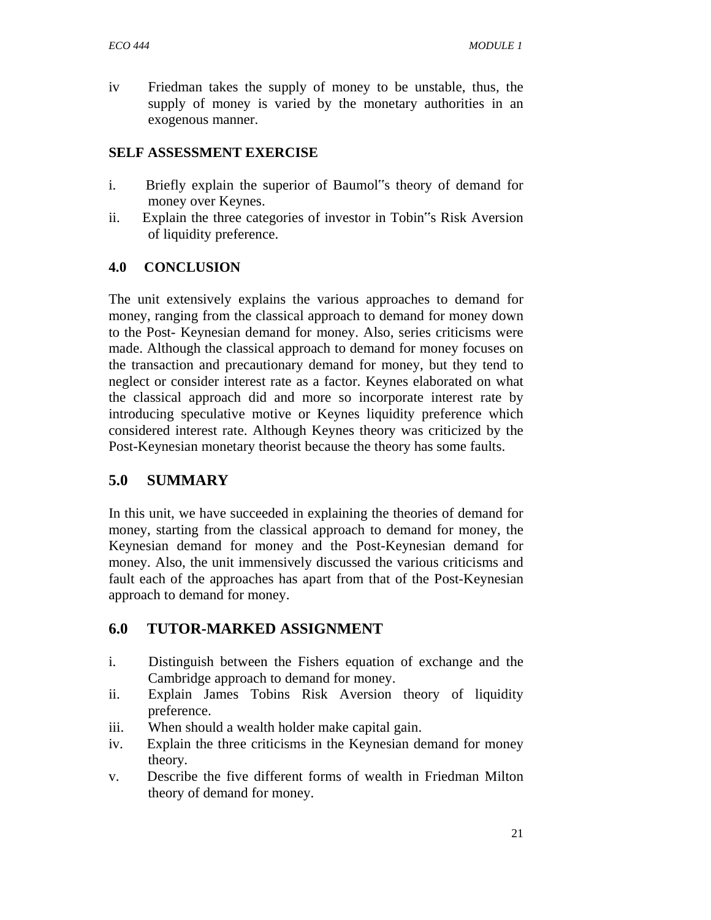iv Friedman takes the supply of money to be unstable, thus, the supply of money is varied by the monetary authorities in an exogenous manner.

#### **SELF ASSESSMENT EXERCISE**

- i. Briefly explain the superior of Baumol"s theory of demand for money over Keynes.
- ii. Explain the three categories of investor in Tobin"s Risk Aversion of liquidity preference.

# **4.0 CONCLUSION**

The unit extensively explains the various approaches to demand for money, ranging from the classical approach to demand for money down to the Post- Keynesian demand for money. Also, series criticisms were made. Although the classical approach to demand for money focuses on the transaction and precautionary demand for money, but they tend to neglect or consider interest rate as a factor. Keynes elaborated on what the classical approach did and more so incorporate interest rate by introducing speculative motive or Keynes liquidity preference which considered interest rate. Although Keynes theory was criticized by the Post-Keynesian monetary theorist because the theory has some faults.

# **5.0 SUMMARY**

In this unit, we have succeeded in explaining the theories of demand for money, starting from the classical approach to demand for money, the Keynesian demand for money and the Post-Keynesian demand for money. Also, the unit immensively discussed the various criticisms and fault each of the approaches has apart from that of the Post-Keynesian approach to demand for money.

# **6.0 TUTOR-MARKED ASSIGNMENT**

- i. Distinguish between the Fishers equation of exchange and the Cambridge approach to demand for money.
- ii. Explain James Tobins Risk Aversion theory of liquidity preference.
- iii. When should a wealth holder make capital gain.
- iv. Explain the three criticisms in the Keynesian demand for money theory.
- v. Describe the five different forms of wealth in Friedman Milton theory of demand for money.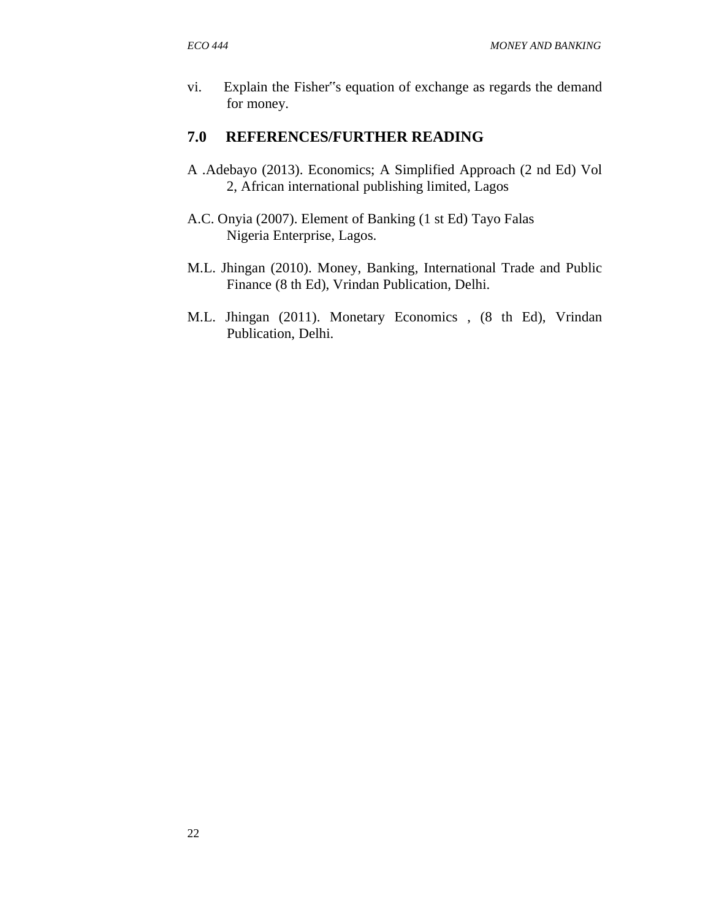vi. Explain the Fisher"s equation of exchange as regards the demand for money.

# **7.0 REFERENCES/FURTHER READING**

- A .Adebayo (2013). Economics; A Simplified Approach (2 nd Ed) Vol 2, African international publishing limited, Lagos
- A.C. Onyia (2007). Element of Banking (1 st Ed) Tayo Falas Nigeria Enterprise, Lagos.
- M.L. Jhingan (2010). Money, Banking, International Trade and Public Finance (8 th Ed), Vrindan Publication, Delhi.
- M.L. Jhingan (2011). Monetary Economics , (8 th Ed), Vrindan Publication, Delhi.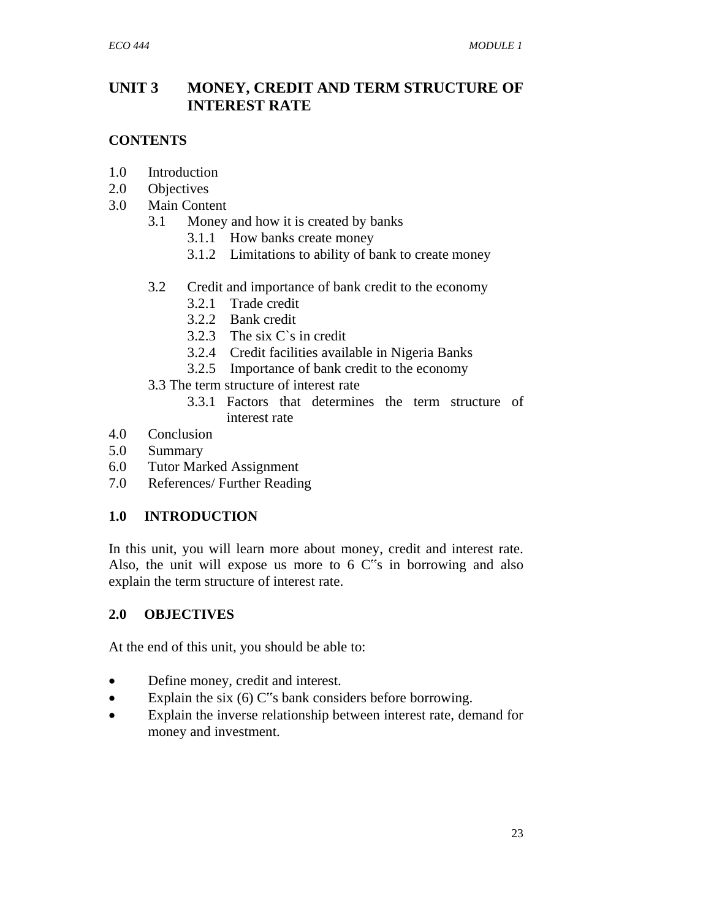# **UNIT 3 MONEY, CREDIT AND TERM STRUCTURE OF INTEREST RATE**

#### **CONTENTS**

- 1.0 Introduction
- 2.0 Objectives
- 3.0 Main Content
	- 3.1 Money and how it is created by banks
		- 3.1.1 How banks create money
		- 3.1.2 Limitations to ability of bank to create money
	- 3.2 Credit and importance of bank credit to the economy
		- 3.2.1 Trade credit
		- 3.2.2 Bank credit
		- 3.2.3 The six C`s in credit
		- 3.2.4 Credit facilities available in Nigeria Banks
		- 3.2.5 Importance of bank credit to the economy
	- 3.3 The term structure of interest rate
		- 3.3.1 Factors that determines the term structure of interest rate
- 4.0 Conclusion
- 5.0 Summary
- 6.0 Tutor Marked Assignment
- 7.0 References/ Further Reading

# **1.0 INTRODUCTION**

In this unit, you will learn more about money, credit and interest rate. Also, the unit will expose us more to  $6 \, \text{C}^*$ s in borrowing and also explain the term structure of interest rate.

#### **2.0 OBJECTIVES**

At the end of this unit, you should be able to:

- Define money, credit and interest.
- Explain the six  $(6)$  C"s bank considers before borrowing.
- Explain the inverse relationship between interest rate, demand for money and investment.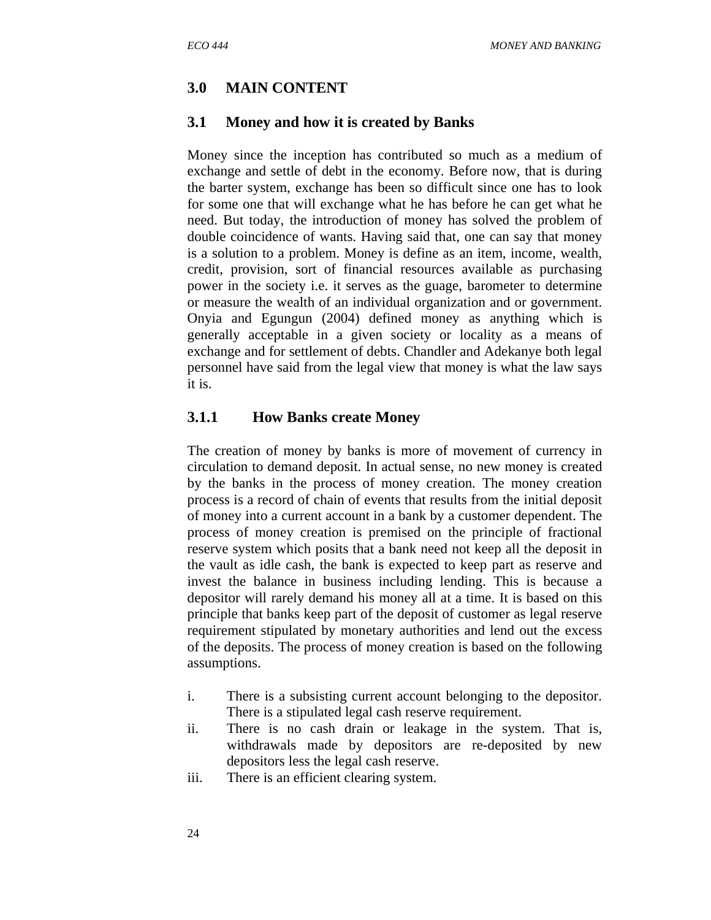#### **3.0 MAIN CONTENT**

#### **3.1 Money and how it is created by Banks**

Money since the inception has contributed so much as a medium of exchange and settle of debt in the economy. Before now, that is during the barter system, exchange has been so difficult since one has to look for some one that will exchange what he has before he can get what he need. But today, the introduction of money has solved the problem of double coincidence of wants. Having said that, one can say that money is a solution to a problem. Money is define as an item, income, wealth, credit, provision, sort of financial resources available as purchasing power in the society i.e. it serves as the guage, barometer to determine or measure the wealth of an individual organization and or government. Onyia and Egungun (2004) defined money as anything which is generally acceptable in a given society or locality as a means of exchange and for settlement of debts. Chandler and Adekanye both legal personnel have said from the legal view that money is what the law says it is.

#### **3.1.1 How Banks create Money**

The creation of money by banks is more of movement of currency in circulation to demand deposit. In actual sense, no new money is created by the banks in the process of money creation. The money creation process is a record of chain of events that results from the initial deposit of money into a current account in a bank by a customer dependent. The process of money creation is premised on the principle of fractional reserve system which posits that a bank need not keep all the deposit in the vault as idle cash, the bank is expected to keep part as reserve and invest the balance in business including lending. This is because a depositor will rarely demand his money all at a time. It is based on this principle that banks keep part of the deposit of customer as legal reserve requirement stipulated by monetary authorities and lend out the excess of the deposits. The process of money creation is based on the following assumptions.

- i. There is a subsisting current account belonging to the depositor. There is a stipulated legal cash reserve requirement.
- ii. There is no cash drain or leakage in the system. That is, withdrawals made by depositors are re-deposited by new depositors less the legal cash reserve.
- iii. There is an efficient clearing system.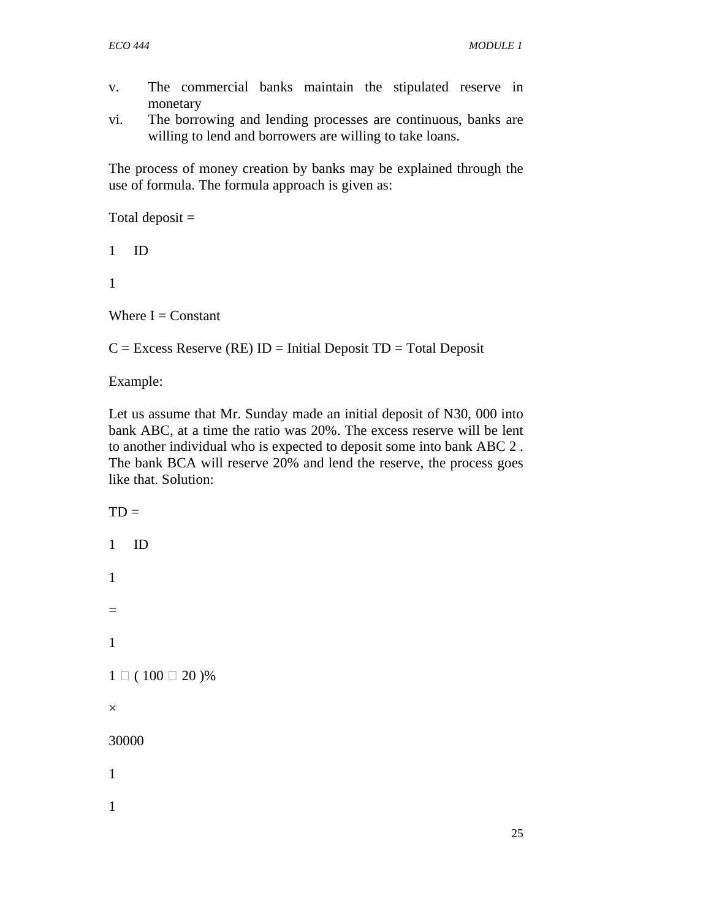- v. The commercial banks maintain the stipulated reserve in monetary
- vi. The borrowing and lending processes are continuous, banks are willing to lend and borrowers are willing to take loans.

The process of money creation by banks may be explained through the use of formula. The formula approach is given as:

Total deposit  $=$ 

1 ID

1

Where  $I =$  Constant

 $C =$  Excess Reserve (RE) ID = Initial Deposit TD = Total Deposit

Example:

Let us assume that Mr. Sunday made an initial deposit of N30, 000 into bank ABC, at a time the ratio was 20%. The excess reserve will be lent to another individual who is expected to deposit some into bank ABC 2 . The bank BCA will reserve 20% and lend the reserve, the process goes like that. Solution:

 $TD =$ 1 ID 1 = 1  $1 \Box (100 \Box 20)$ % × 30000 1 1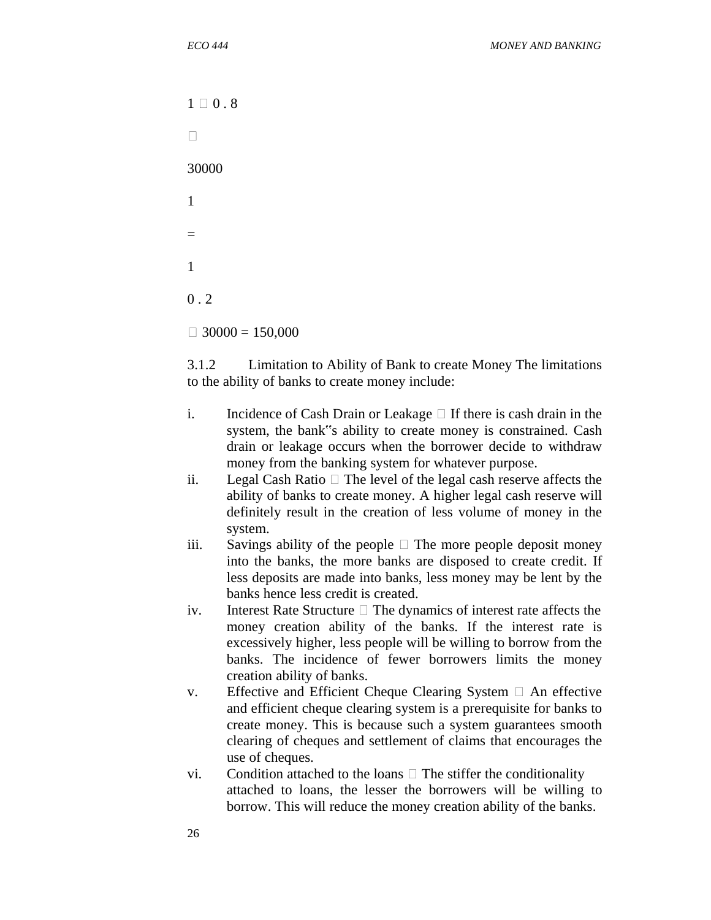$1 \square 0.8$  $\Box$ 30000 1 = 1  $0.2$  $\Box$  30000 = 150,000

3.1.2 Limitation to Ability of Bank to create Money The limitations to the ability of banks to create money include:

- i. Incidence of Cash Drain or Leakage  $\Box$  If there is cash drain in the system, the bank"s ability to create money is constrained. Cash drain or leakage occurs when the borrower decide to withdraw money from the banking system for whatever purpose.
- ii. Legal Cash Ratio  $\Box$  The level of the legal cash reserve affects the ability of banks to create money. A higher legal cash reserve will definitely result in the creation of less volume of money in the system.
- iii. Savings ability of the people  $\Box$  The more people deposit money into the banks, the more banks are disposed to create credit. If less deposits are made into banks, less money may be lent by the banks hence less credit is created.
- iv. Interest Rate Structure  $\Box$  The dynamics of interest rate affects the money creation ability of the banks. If the interest rate is excessively higher, less people will be willing to borrow from the banks. The incidence of fewer borrowers limits the money creation ability of banks.
- v. Effective and Efficient Cheque Clearing System  $\Box$  An effective and efficient cheque clearing system is a prerequisite for banks to create money. This is because such a system guarantees smooth clearing of cheques and settlement of claims that encourages the use of cheques.
- vi. Condition attached to the loans  $\Box$  The stiffer the conditionality attached to loans, the lesser the borrowers will be willing to borrow. This will reduce the money creation ability of the banks.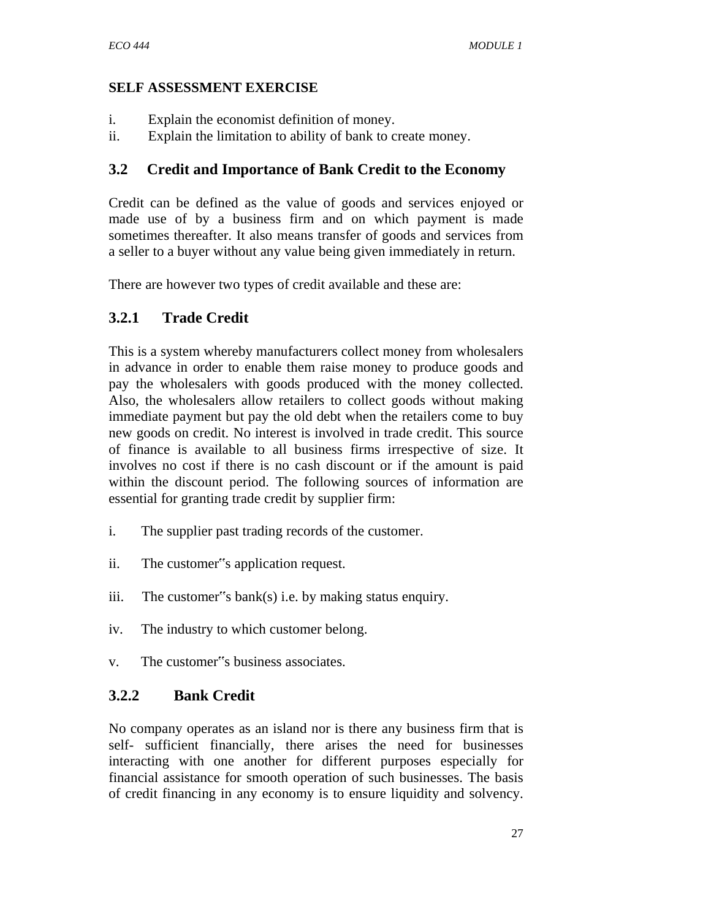- i. Explain the economist definition of money.
- ii. Explain the limitation to ability of bank to create money.

# **3.2 Credit and Importance of Bank Credit to the Economy**

Credit can be defined as the value of goods and services enjoyed or made use of by a business firm and on which payment is made sometimes thereafter. It also means transfer of goods and services from a seller to a buyer without any value being given immediately in return.

There are however two types of credit available and these are:

# **3.2.1 Trade Credit**

This is a system whereby manufacturers collect money from wholesalers in advance in order to enable them raise money to produce goods and pay the wholesalers with goods produced with the money collected. Also, the wholesalers allow retailers to collect goods without making immediate payment but pay the old debt when the retailers come to buy new goods on credit. No interest is involved in trade credit. This source of finance is available to all business firms irrespective of size. It involves no cost if there is no cash discount or if the amount is paid within the discount period. The following sources of information are essential for granting trade credit by supplier firm:

- i. The supplier past trading records of the customer.
- ii. The customer"s application request.
- iii. The customer"s bank(s) i.e. by making status enquiry.
- iv. The industry to which customer belong.
- v. The customer"s business associates.

# **3.2.2 Bank Credit**

No company operates as an island nor is there any business firm that is self- sufficient financially, there arises the need for businesses interacting with one another for different purposes especially for financial assistance for smooth operation of such businesses. The basis of credit financing in any economy is to ensure liquidity and solvency.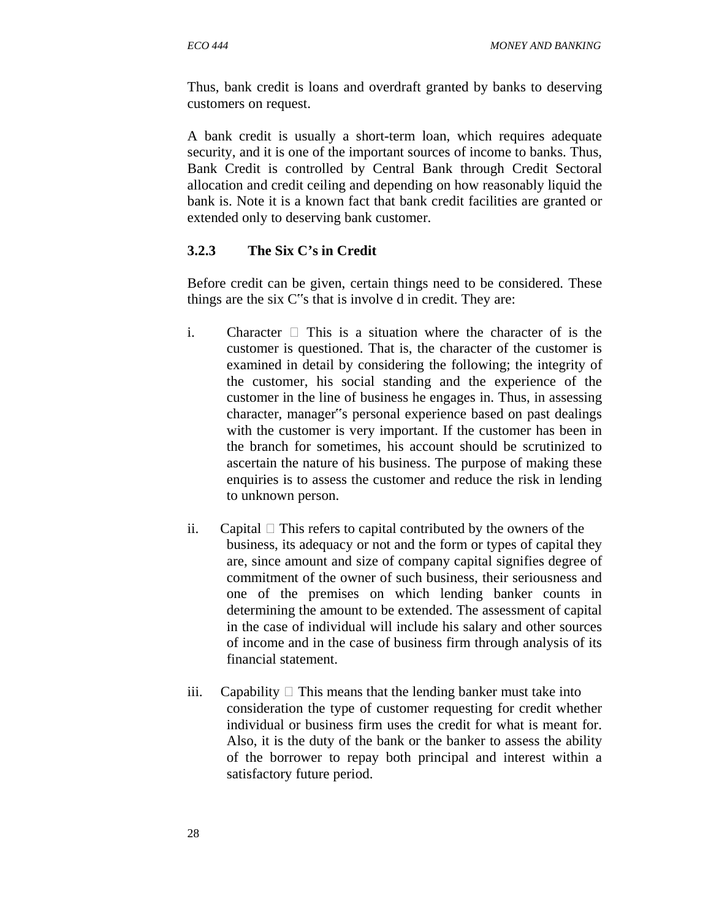Thus, bank credit is loans and overdraft granted by banks to deserving customers on request.

A bank credit is usually a short-term loan, which requires adequate security, and it is one of the important sources of income to banks. Thus, Bank Credit is controlled by Central Bank through Credit Sectoral allocation and credit ceiling and depending on how reasonably liquid the bank is. Note it is a known fact that bank credit facilities are granted or extended only to deserving bank customer.

## **3.2.3 The Six C's in Credit**

Before credit can be given, certain things need to be considered. These things are the six C"s that is involve d in credit. They are:

- i. Character  $\Box$  This is a situation where the character of is the customer is questioned. That is, the character of the customer is examined in detail by considering the following; the integrity of the customer, his social standing and the experience of the customer in the line of business he engages in. Thus, in assessing character, manager"s personal experience based on past dealings with the customer is very important. If the customer has been in the branch for sometimes, his account should be scrutinized to ascertain the nature of his business. The purpose of making these enquiries is to assess the customer and reduce the risk in lending to unknown person.
- ii. Capital  $\Box$  This refers to capital contributed by the owners of the business, its adequacy or not and the form or types of capital they are, since amount and size of company capital signifies degree of commitment of the owner of such business, their seriousness and one of the premises on which lending banker counts in determining the amount to be extended. The assessment of capital in the case of individual will include his salary and other sources of income and in the case of business firm through analysis of its financial statement.
- iii. Capability  $\Box$  This means that the lending banker must take into consideration the type of customer requesting for credit whether individual or business firm uses the credit for what is meant for. Also, it is the duty of the bank or the banker to assess the ability of the borrower to repay both principal and interest within a satisfactory future period.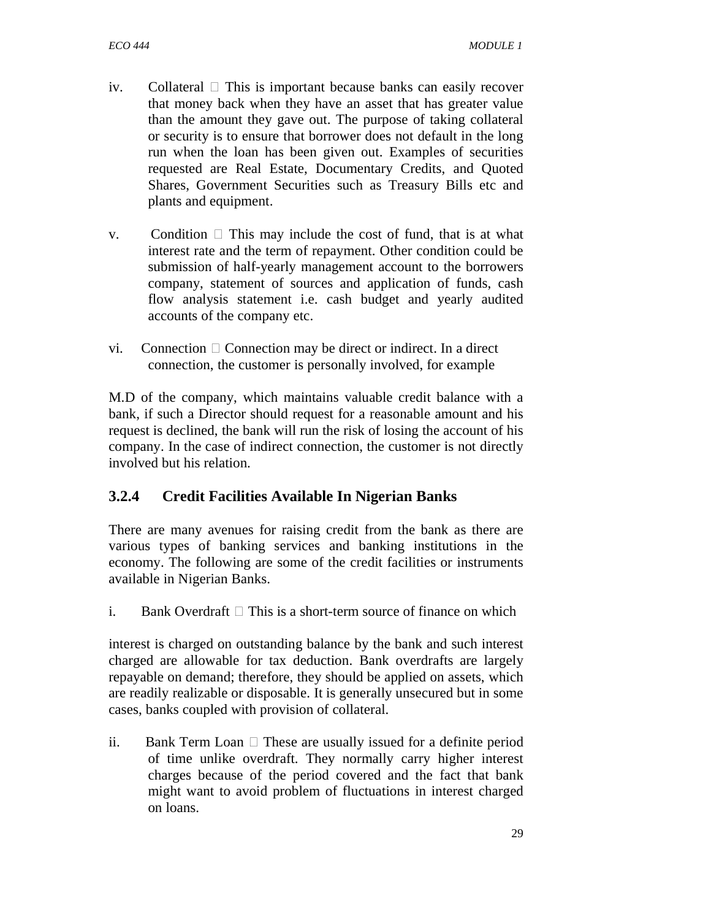- iv. Collateral  $\Box$  This is important because banks can easily recover that money back when they have an asset that has greater value than the amount they gave out. The purpose of taking collateral or security is to ensure that borrower does not default in the long run when the loan has been given out. Examples of securities requested are Real Estate, Documentary Credits, and Quoted Shares, Government Securities such as Treasury Bills etc and plants and equipment.
- v. Condition  $\Box$  This may include the cost of fund, that is at what interest rate and the term of repayment. Other condition could be submission of half-yearly management account to the borrowers company, statement of sources and application of funds, cash flow analysis statement i.e. cash budget and yearly audited accounts of the company etc.
- vi. Connection  $\Box$  Connection may be direct or indirect. In a direct connection, the customer is personally involved, for example

M.D of the company, which maintains valuable credit balance with a bank, if such a Director should request for a reasonable amount and his request is declined, the bank will run the risk of losing the account of his company. In the case of indirect connection, the customer is not directly involved but his relation.

# **3.2.4 Credit Facilities Available In Nigerian Banks**

There are many avenues for raising credit from the bank as there are various types of banking services and banking institutions in the economy. The following are some of the credit facilities or instruments available in Nigerian Banks.

i. Bank Overdraft  $\Box$  This is a short-term source of finance on which

interest is charged on outstanding balance by the bank and such interest charged are allowable for tax deduction. Bank overdrafts are largely repayable on demand; therefore, they should be applied on assets, which are readily realizable or disposable. It is generally unsecured but in some cases, banks coupled with provision of collateral.

ii. Bank Term Loan  $\Box$  These are usually issued for a definite period of time unlike overdraft. They normally carry higher interest charges because of the period covered and the fact that bank might want to avoid problem of fluctuations in interest charged on loans.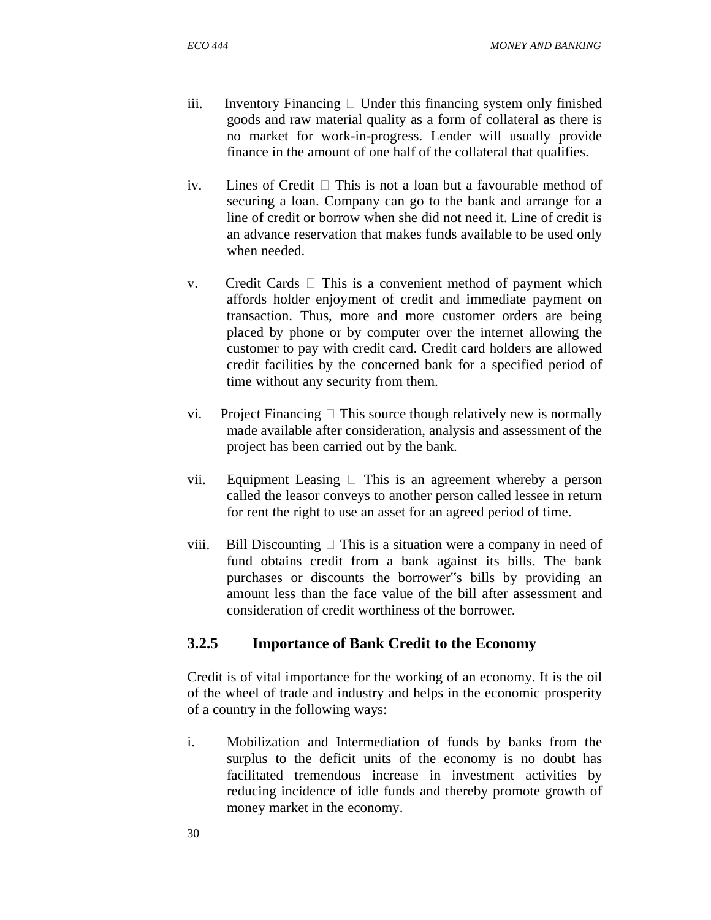- iii. Inventory Financing  $\Box$  Under this financing system only finished goods and raw material quality as a form of collateral as there is no market for work-in-progress. Lender will usually provide finance in the amount of one half of the collateral that qualifies.
- iv. Lines of Credit  $\Box$  This is not a loan but a favourable method of securing a loan. Company can go to the bank and arrange for a line of credit or borrow when she did not need it. Line of credit is an advance reservation that makes funds available to be used only when needed.
- v. Credit Cards  $\Box$  This is a convenient method of payment which affords holder enjoyment of credit and immediate payment on transaction. Thus, more and more customer orders are being placed by phone or by computer over the internet allowing the customer to pay with credit card. Credit card holders are allowed credit facilities by the concerned bank for a specified period of time without any security from them.
- vi. Project Financing  $\Box$  This source though relatively new is normally made available after consideration, analysis and assessment of the project has been carried out by the bank.
- vii. Equipment Leasing  $\Box$  This is an agreement whereby a person called the leasor conveys to another person called lessee in return for rent the right to use an asset for an agreed period of time.
- viii. Bill Discounting  $\Box$  This is a situation were a company in need of fund obtains credit from a bank against its bills. The bank purchases or discounts the borrower"s bills by providing an amount less than the face value of the bill after assessment and consideration of credit worthiness of the borrower.

# **3.2.5 Importance of Bank Credit to the Economy**

Credit is of vital importance for the working of an economy. It is the oil of the wheel of trade and industry and helps in the economic prosperity of a country in the following ways:

i. Mobilization and Intermediation of funds by banks from the surplus to the deficit units of the economy is no doubt has facilitated tremendous increase in investment activities by reducing incidence of idle funds and thereby promote growth of money market in the economy.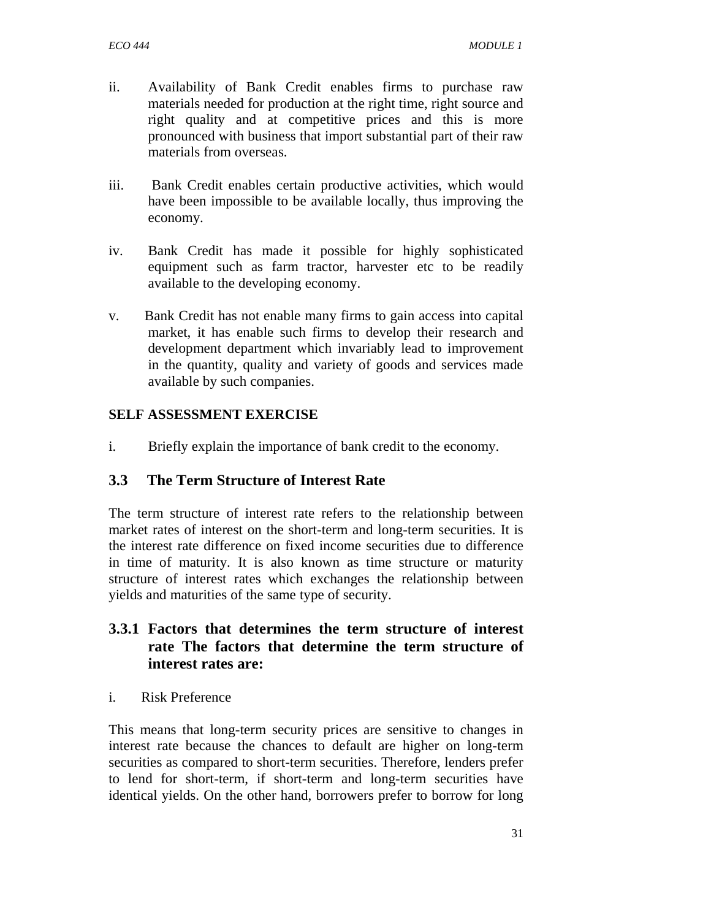- ii. Availability of Bank Credit enables firms to purchase raw materials needed for production at the right time, right source and right quality and at competitive prices and this is more pronounced with business that import substantial part of their raw materials from overseas.
- iii. Bank Credit enables certain productive activities, which would have been impossible to be available locally, thus improving the economy.
- iv. Bank Credit has made it possible for highly sophisticated equipment such as farm tractor, harvester etc to be readily available to the developing economy.
- v. Bank Credit has not enable many firms to gain access into capital market, it has enable such firms to develop their research and development department which invariably lead to improvement in the quantity, quality and variety of goods and services made available by such companies.

i. Briefly explain the importance of bank credit to the economy.

## **3.3 The Term Structure of Interest Rate**

The term structure of interest rate refers to the relationship between market rates of interest on the short-term and long-term securities. It is the interest rate difference on fixed income securities due to difference in time of maturity. It is also known as time structure or maturity structure of interest rates which exchanges the relationship between yields and maturities of the same type of security.

- **3.3.1 Factors that determines the term structure of interest rate The factors that determine the term structure of interest rates are:**
- i. Risk Preference

This means that long-term security prices are sensitive to changes in interest rate because the chances to default are higher on long-term securities as compared to short-term securities. Therefore, lenders prefer to lend for short-term, if short-term and long-term securities have identical yields. On the other hand, borrowers prefer to borrow for long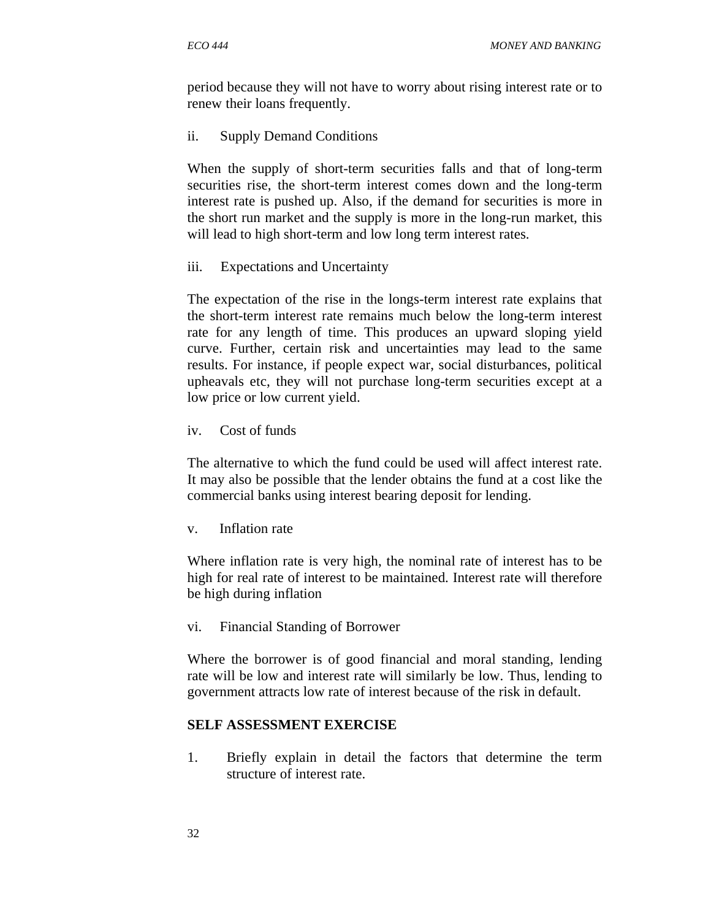period because they will not have to worry about rising interest rate or to renew their loans frequently.

ii. Supply Demand Conditions

When the supply of short-term securities falls and that of long-term securities rise, the short-term interest comes down and the long-term interest rate is pushed up. Also, if the demand for securities is more in the short run market and the supply is more in the long-run market, this will lead to high short-term and low long term interest rates.

iii. Expectations and Uncertainty

The expectation of the rise in the longs-term interest rate explains that the short-term interest rate remains much below the long-term interest rate for any length of time. This produces an upward sloping yield curve. Further, certain risk and uncertainties may lead to the same results. For instance, if people expect war, social disturbances, political upheavals etc, they will not purchase long-term securities except at a low price or low current yield.

iv. Cost of funds

The alternative to which the fund could be used will affect interest rate. It may also be possible that the lender obtains the fund at a cost like the commercial banks using interest bearing deposit for lending.

v. Inflation rate

Where inflation rate is very high, the nominal rate of interest has to be high for real rate of interest to be maintained. Interest rate will therefore be high during inflation

vi. Financial Standing of Borrower

Where the borrower is of good financial and moral standing, lending rate will be low and interest rate will similarly be low. Thus, lending to government attracts low rate of interest because of the risk in default.

## **SELF ASSESSMENT EXERCISE**

1. Briefly explain in detail the factors that determine the term structure of interest rate.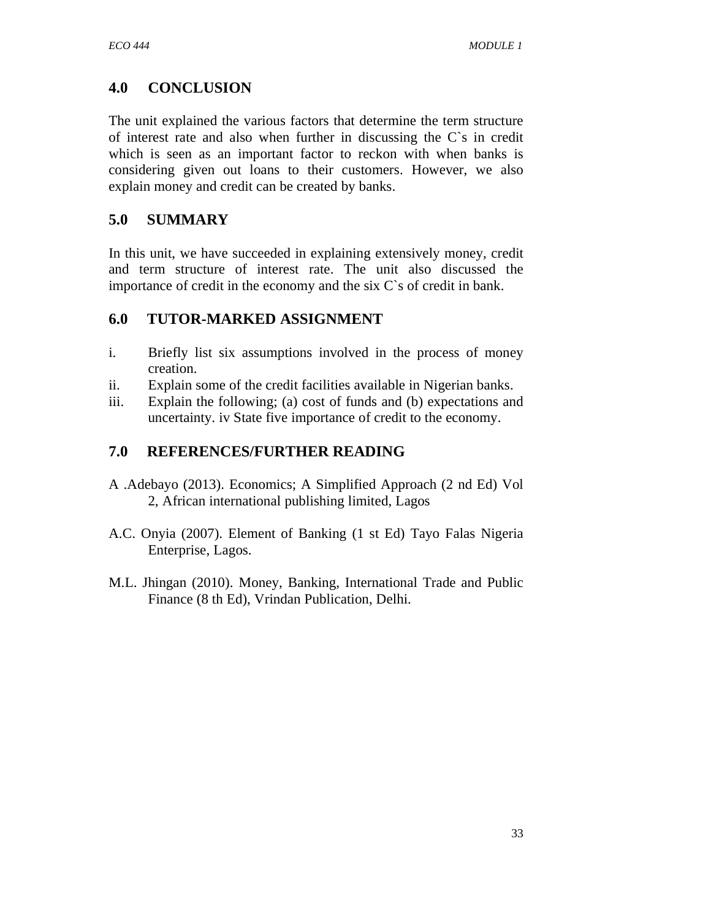# **4.0 CONCLUSION**

The unit explained the various factors that determine the term structure of interest rate and also when further in discussing the C`s in credit which is seen as an important factor to reckon with when banks is considering given out loans to their customers. However, we also explain money and credit can be created by banks.

# **5.0 SUMMARY**

In this unit, we have succeeded in explaining extensively money, credit and term structure of interest rate. The unit also discussed the importance of credit in the economy and the six C`s of credit in bank.

# **6.0 TUTOR-MARKED ASSIGNMENT**

- i. Briefly list six assumptions involved in the process of money creation.
- ii. Explain some of the credit facilities available in Nigerian banks.
- iii. Explain the following; (a) cost of funds and (b) expectations and uncertainty. iv State five importance of credit to the economy.

# **7.0 REFERENCES/FURTHER READING**

- A .Adebayo (2013). Economics; A Simplified Approach (2 nd Ed) Vol 2, African international publishing limited, Lagos
- A.C. Onyia (2007). Element of Banking (1 st Ed) Tayo Falas Nigeria Enterprise, Lagos.
- M.L. Jhingan (2010). Money, Banking, International Trade and Public Finance (8 th Ed), Vrindan Publication, Delhi.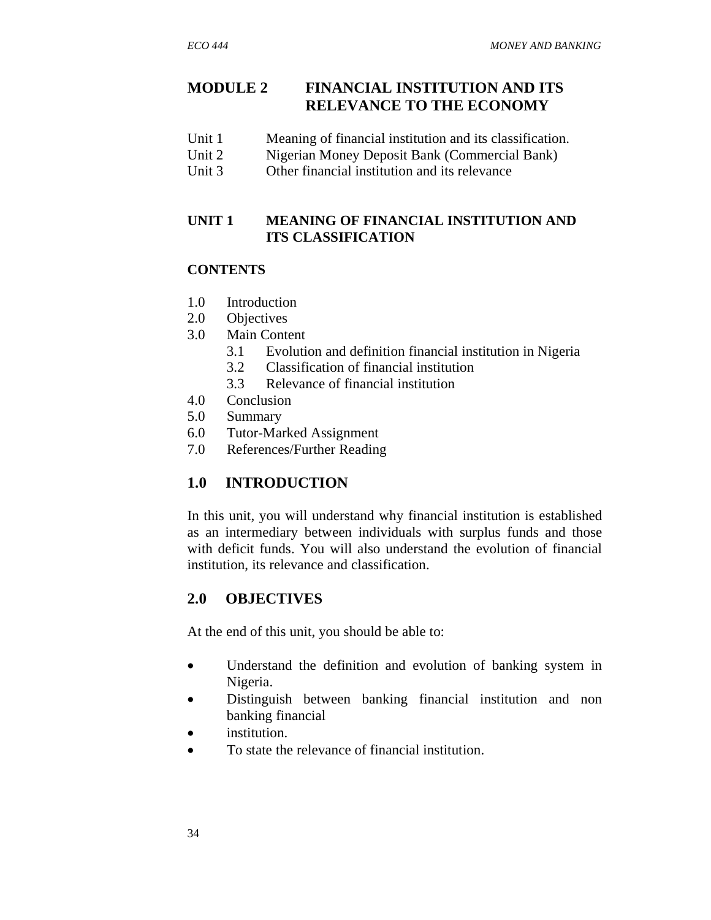# **MODULE 2 FINANCIAL INSTITUTION AND ITS RELEVANCE TO THE ECONOMY**

- Unit 1 Meaning of financial institution and its classification.
- Unit 2 Nigerian Money Deposit Bank (Commercial Bank)
- Unit 3 Other financial institution and its relevance

## **UNIT 1 MEANING OF FINANCIAL INSTITUTION AND ITS CLASSIFICATION**

#### **CONTENTS**

- 1.0 Introduction
- 2.0 Objectives
- 3.0 Main Content
	- 3.1 Evolution and definition financial institution in Nigeria
	- 3.2 Classification of financial institution
	- 3.3 Relevance of financial institution
- 4.0 Conclusion
- 5.0 Summary
- 6.0 Tutor-Marked Assignment
- 7.0 References/Further Reading

# **1.0 INTRODUCTION**

In this unit, you will understand why financial institution is established as an intermediary between individuals with surplus funds and those with deficit funds. You will also understand the evolution of financial institution, its relevance and classification.

# **2.0 OBJECTIVES**

At the end of this unit, you should be able to:

- Understand the definition and evolution of banking system in Nigeria.
- Distinguish between banking financial institution and non banking financial
- institution.
- To state the relevance of financial institution.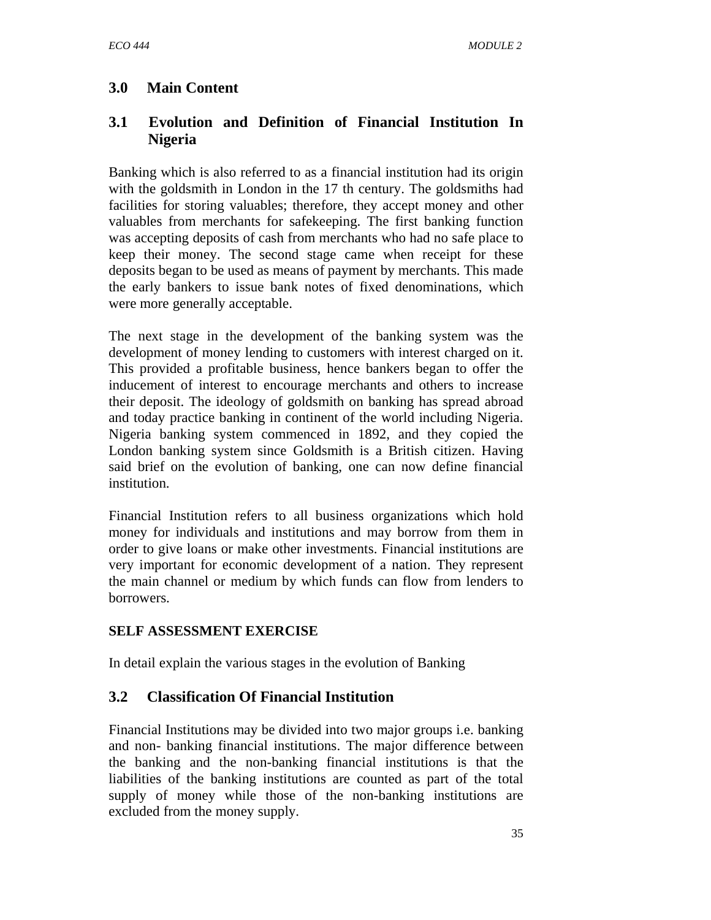# **3.0 Main Content**

# **3.1 Evolution and Definition of Financial Institution In Nigeria**

Banking which is also referred to as a financial institution had its origin with the goldsmith in London in the 17 th century. The goldsmiths had facilities for storing valuables; therefore, they accept money and other valuables from merchants for safekeeping. The first banking function was accepting deposits of cash from merchants who had no safe place to keep their money. The second stage came when receipt for these deposits began to be used as means of payment by merchants. This made the early bankers to issue bank notes of fixed denominations, which were more generally acceptable.

The next stage in the development of the banking system was the development of money lending to customers with interest charged on it. This provided a profitable business, hence bankers began to offer the inducement of interest to encourage merchants and others to increase their deposit. The ideology of goldsmith on banking has spread abroad and today practice banking in continent of the world including Nigeria. Nigeria banking system commenced in 1892, and they copied the London banking system since Goldsmith is a British citizen. Having said brief on the evolution of banking, one can now define financial institution.

Financial Institution refers to all business organizations which hold money for individuals and institutions and may borrow from them in order to give loans or make other investments. Financial institutions are very important for economic development of a nation. They represent the main channel or medium by which funds can flow from lenders to borrowers.

## **SELF ASSESSMENT EXERCISE**

In detail explain the various stages in the evolution of Banking

# **3.2 Classification Of Financial Institution**

Financial Institutions may be divided into two major groups i.e. banking and non- banking financial institutions. The major difference between the banking and the non-banking financial institutions is that the liabilities of the banking institutions are counted as part of the total supply of money while those of the non-banking institutions are excluded from the money supply.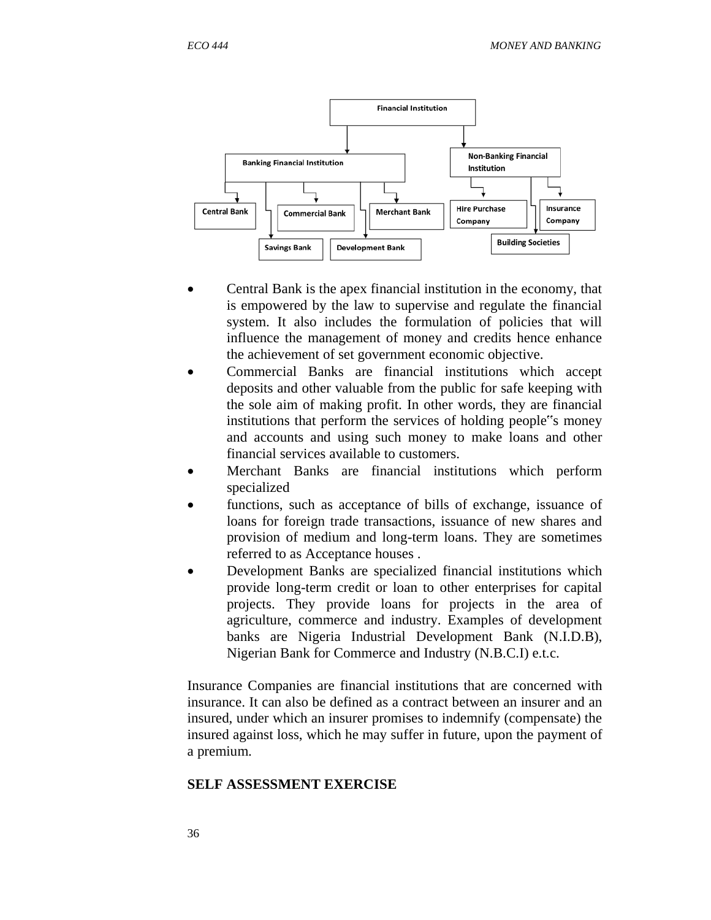

- Central Bank is the apex financial institution in the economy, that is empowered by the law to supervise and regulate the financial system. It also includes the formulation of policies that will influence the management of money and credits hence enhance the achievement of set government economic objective.
- Commercial Banks are financial institutions which accept deposits and other valuable from the public for safe keeping with the sole aim of making profit. In other words, they are financial institutions that perform the services of holding people"s money and accounts and using such money to make loans and other financial services available to customers.
- Merchant Banks are financial institutions which perform specialized
- functions, such as acceptance of bills of exchange, issuance of loans for foreign trade transactions, issuance of new shares and provision of medium and long-term loans. They are sometimes referred to as Acceptance houses .
- Development Banks are specialized financial institutions which provide long-term credit or loan to other enterprises for capital projects. They provide loans for projects in the area of agriculture, commerce and industry. Examples of development banks are Nigeria Industrial Development Bank (N.I.D.B), Nigerian Bank for Commerce and Industry (N.B.C.I) e.t.c.

Insurance Companies are financial institutions that are concerned with insurance. It can also be defined as a contract between an insurer and an insured, under which an insurer promises to indemnify (compensate) the insured against loss, which he may suffer in future, upon the payment of a premium.

#### **SELF ASSESSMENT EXERCISE**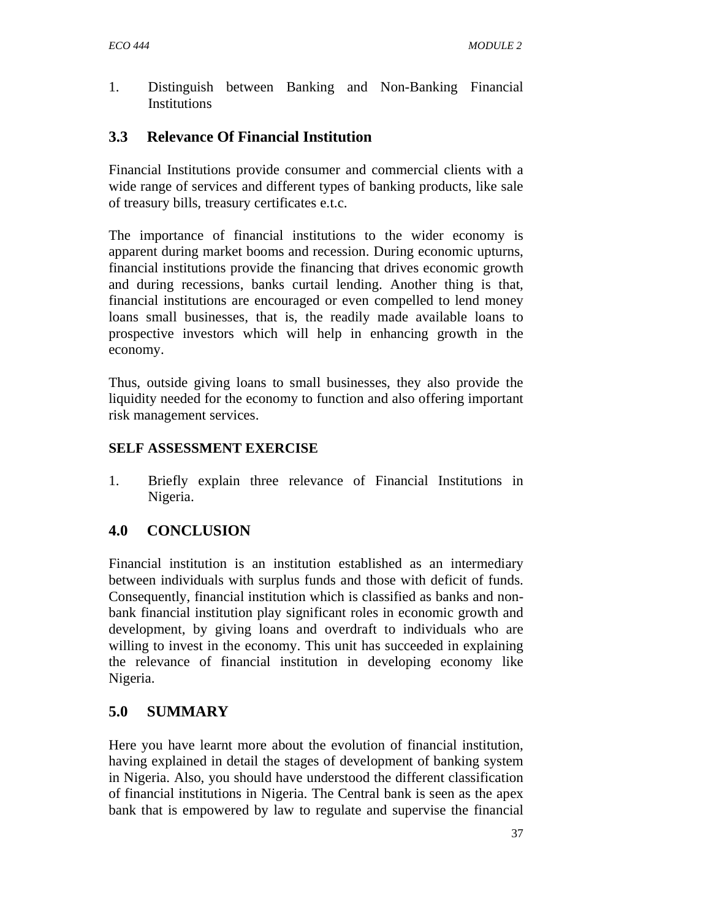1. Distinguish between Banking and Non-Banking Financial Institutions

# **3.3 Relevance Of Financial Institution**

Financial Institutions provide consumer and commercial clients with a wide range of services and different types of banking products, like sale of treasury bills, treasury certificates e.t.c.

The importance of financial institutions to the wider economy is apparent during market booms and recession. During economic upturns, financial institutions provide the financing that drives economic growth and during recessions, banks curtail lending. Another thing is that, financial institutions are encouraged or even compelled to lend money loans small businesses, that is, the readily made available loans to prospective investors which will help in enhancing growth in the economy.

Thus, outside giving loans to small businesses, they also provide the liquidity needed for the economy to function and also offering important risk management services.

## **SELF ASSESSMENT EXERCISE**

1. Briefly explain three relevance of Financial Institutions in Nigeria.

# **4.0 CONCLUSION**

Financial institution is an institution established as an intermediary between individuals with surplus funds and those with deficit of funds. Consequently, financial institution which is classified as banks and nonbank financial institution play significant roles in economic growth and development, by giving loans and overdraft to individuals who are willing to invest in the economy. This unit has succeeded in explaining the relevance of financial institution in developing economy like Nigeria.

# **5.0 SUMMARY**

Here you have learnt more about the evolution of financial institution, having explained in detail the stages of development of banking system in Nigeria. Also, you should have understood the different classification of financial institutions in Nigeria. The Central bank is seen as the apex bank that is empowered by law to regulate and supervise the financial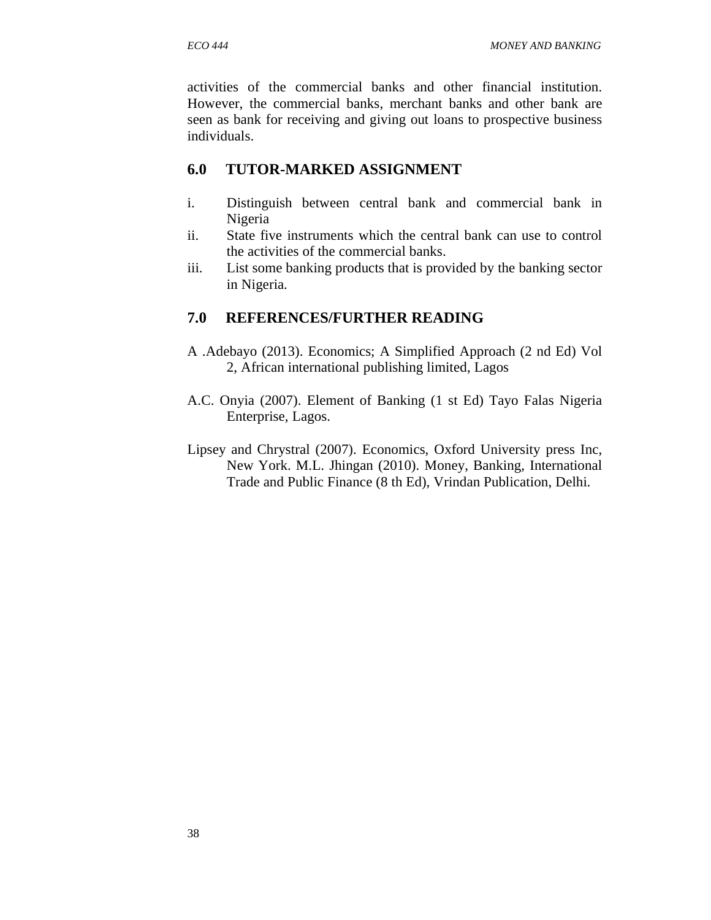activities of the commercial banks and other financial institution. However, the commercial banks, merchant banks and other bank are seen as bank for receiving and giving out loans to prospective business individuals.

## **6.0 TUTOR-MARKED ASSIGNMENT**

- i. Distinguish between central bank and commercial bank in Nigeria
- ii. State five instruments which the central bank can use to control the activities of the commercial banks.
- iii. List some banking products that is provided by the banking sector in Nigeria.

# **7.0 REFERENCES/FURTHER READING**

- A .Adebayo (2013). Economics; A Simplified Approach (2 nd Ed) Vol 2, African international publishing limited, Lagos
- A.C. Onyia (2007). Element of Banking (1 st Ed) Tayo Falas Nigeria Enterprise, Lagos.
- Lipsey and Chrystral (2007). Economics, Oxford University press Inc, New York. M.L. Jhingan (2010). Money, Banking, International Trade and Public Finance (8 th Ed), Vrindan Publication, Delhi.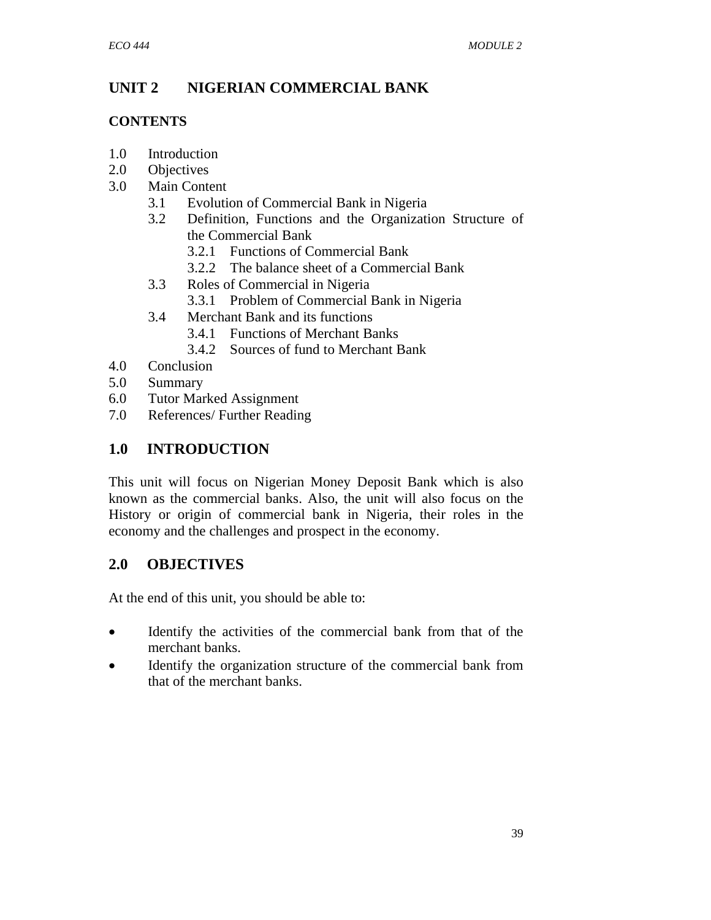# **UNIT 2 NIGERIAN COMMERCIAL BANK**

## **CONTENTS**

- 1.0 Introduction
- 2.0 Objectives
- 3.0 Main Content
	- 3.1 Evolution of Commercial Bank in Nigeria
	- 3.2 Definition, Functions and the Organization Structure of the Commercial Bank
		- 3.2.1 Functions of Commercial Bank
		- 3.2.2 The balance sheet of a Commercial Bank
	- 3.3 Roles of Commercial in Nigeria
		- 3.3.1 Problem of Commercial Bank in Nigeria
	- 3.4 Merchant Bank and its functions
		- 3.4.1 Functions of Merchant Banks
		- 3.4.2 Sources of fund to Merchant Bank
- 4.0 Conclusion
- 5.0 Summary
- 6.0 Tutor Marked Assignment
- 7.0 References/ Further Reading

# **1.0 INTRODUCTION**

This unit will focus on Nigerian Money Deposit Bank which is also known as the commercial banks. Also, the unit will also focus on the History or origin of commercial bank in Nigeria, their roles in the economy and the challenges and prospect in the economy.

# **2.0 OBJECTIVES**

At the end of this unit, you should be able to:

- Identify the activities of the commercial bank from that of the merchant banks.
- Identify the organization structure of the commercial bank from that of the merchant banks.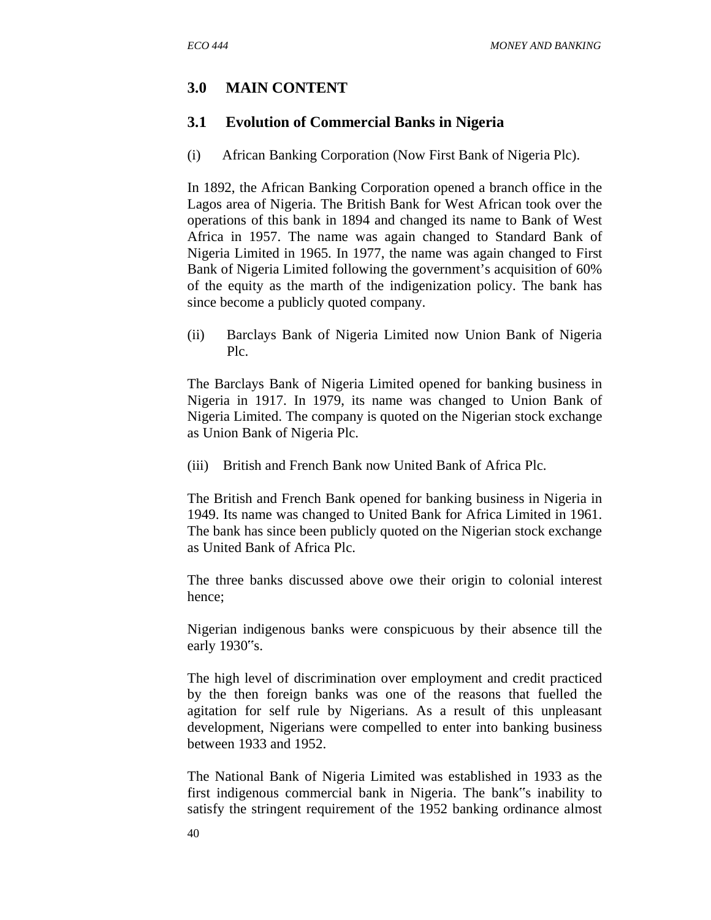# **3.0 MAIN CONTENT**

#### **3.1 Evolution of Commercial Banks in Nigeria**

(i) African Banking Corporation (Now First Bank of Nigeria Plc).

In 1892, the African Banking Corporation opened a branch office in the Lagos area of Nigeria. The British Bank for West African took over the operations of this bank in 1894 and changed its name to Bank of West Africa in 1957. The name was again changed to Standard Bank of Nigeria Limited in 1965. In 1977, the name was again changed to First Bank of Nigeria Limited following the government's acquisition of 60% of the equity as the marth of the indigenization policy. The bank has since become a publicly quoted company.

(ii) Barclays Bank of Nigeria Limited now Union Bank of Nigeria Plc.

The Barclays Bank of Nigeria Limited opened for banking business in Nigeria in 1917. In 1979, its name was changed to Union Bank of Nigeria Limited. The company is quoted on the Nigerian stock exchange as Union Bank of Nigeria Plc.

(iii) British and French Bank now United Bank of Africa Plc.

The British and French Bank opened for banking business in Nigeria in 1949. Its name was changed to United Bank for Africa Limited in 1961. The bank has since been publicly quoted on the Nigerian stock exchange as United Bank of Africa Plc.

The three banks discussed above owe their origin to colonial interest hence;

Nigerian indigenous banks were conspicuous by their absence till the early 1930"s.

The high level of discrimination over employment and credit practiced by the then foreign banks was one of the reasons that fuelled the agitation for self rule by Nigerians. As a result of this unpleasant development, Nigerians were compelled to enter into banking business between 1933 and 1952.

The National Bank of Nigeria Limited was established in 1933 as the first indigenous commercial bank in Nigeria. The bank"s inability to satisfy the stringent requirement of the 1952 banking ordinance almost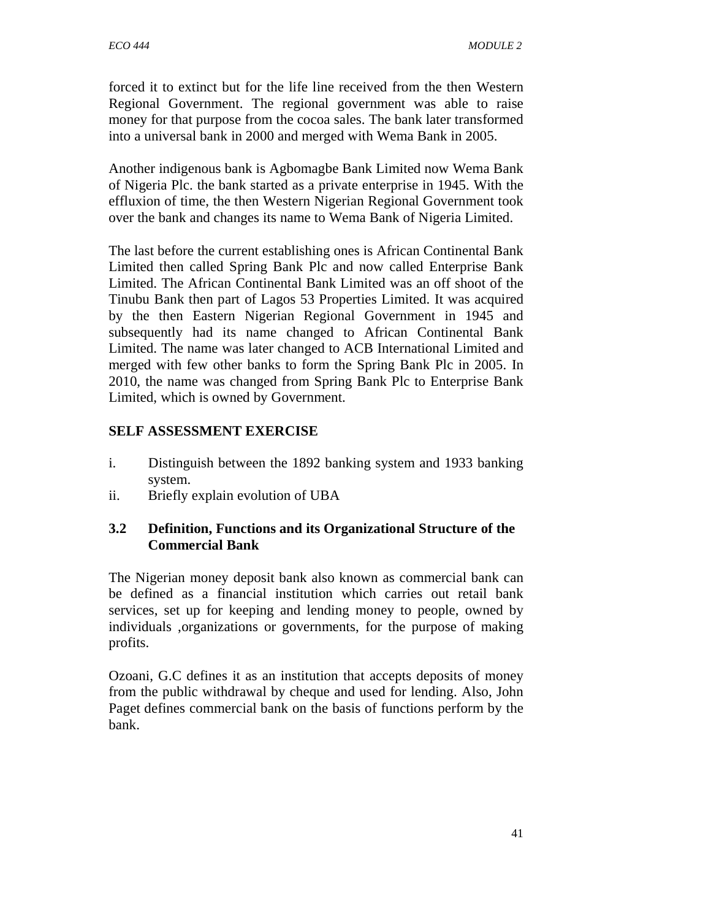forced it to extinct but for the life line received from the then Western Regional Government. The regional government was able to raise money for that purpose from the cocoa sales. The bank later transformed into a universal bank in 2000 and merged with Wema Bank in 2005.

Another indigenous bank is Agbomagbe Bank Limited now Wema Bank of Nigeria Plc. the bank started as a private enterprise in 1945. With the effluxion of time, the then Western Nigerian Regional Government took over the bank and changes its name to Wema Bank of Nigeria Limited.

The last before the current establishing ones is African Continental Bank Limited then called Spring Bank Plc and now called Enterprise Bank Limited. The African Continental Bank Limited was an off shoot of the Tinubu Bank then part of Lagos 53 Properties Limited. It was acquired by the then Eastern Nigerian Regional Government in 1945 and subsequently had its name changed to African Continental Bank Limited. The name was later changed to ACB International Limited and merged with few other banks to form the Spring Bank Plc in 2005. In 2010, the name was changed from Spring Bank Plc to Enterprise Bank Limited, which is owned by Government.

## **SELF ASSESSMENT EXERCISE**

- i. Distinguish between the 1892 banking system and 1933 banking system.
- ii. Briefly explain evolution of UBA

## **3.2 Definition, Functions and its Organizational Structure of the Commercial Bank**

The Nigerian money deposit bank also known as commercial bank can be defined as a financial institution which carries out retail bank services, set up for keeping and lending money to people, owned by individuals ,organizations or governments, for the purpose of making profits.

Ozoani, G.C defines it as an institution that accepts deposits of money from the public withdrawal by cheque and used for lending. Also, John Paget defines commercial bank on the basis of functions perform by the bank.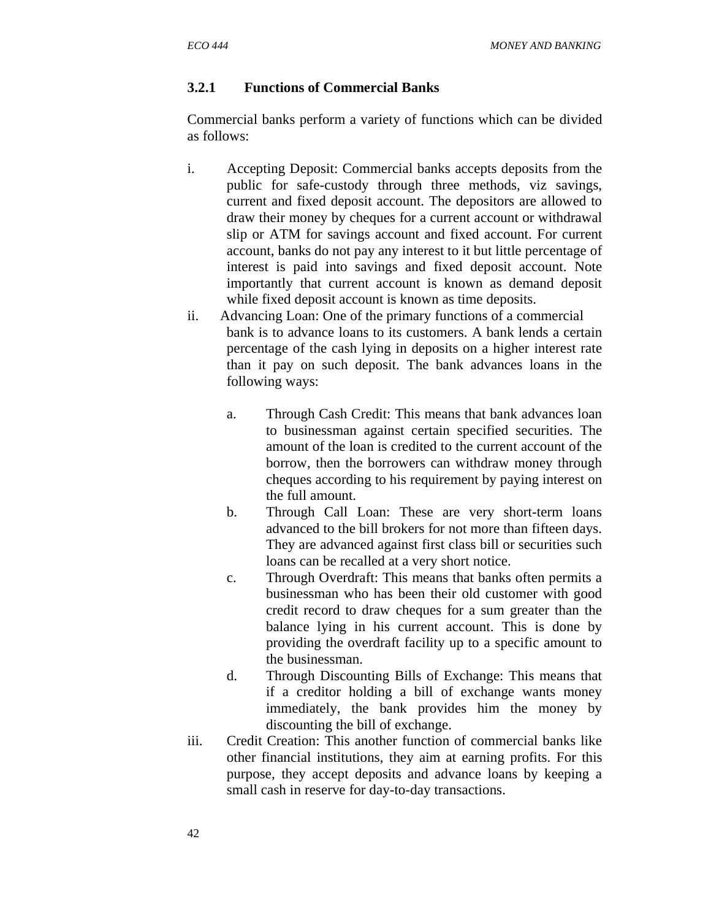## **3.2.1 Functions of Commercial Banks**

Commercial banks perform a variety of functions which can be divided as follows:

- i. Accepting Deposit: Commercial banks accepts deposits from the public for safe-custody through three methods, viz savings, current and fixed deposit account. The depositors are allowed to draw their money by cheques for a current account or withdrawal slip or ATM for savings account and fixed account. For current account, banks do not pay any interest to it but little percentage of interest is paid into savings and fixed deposit account. Note importantly that current account is known as demand deposit while fixed deposit account is known as time deposits.
- ii. Advancing Loan: One of the primary functions of a commercial bank is to advance loans to its customers. A bank lends a certain percentage of the cash lying in deposits on a higher interest rate than it pay on such deposit. The bank advances loans in the following ways:
	- a. Through Cash Credit: This means that bank advances loan to businessman against certain specified securities. The amount of the loan is credited to the current account of the borrow, then the borrowers can withdraw money through cheques according to his requirement by paying interest on the full amount.
	- b. Through Call Loan: These are very short-term loans advanced to the bill brokers for not more than fifteen days. They are advanced against first class bill or securities such loans can be recalled at a very short notice.
	- c. Through Overdraft: This means that banks often permits a businessman who has been their old customer with good credit record to draw cheques for a sum greater than the balance lying in his current account. This is done by providing the overdraft facility up to a specific amount to the businessman.
	- d. Through Discounting Bills of Exchange: This means that if a creditor holding a bill of exchange wants money immediately, the bank provides him the money by discounting the bill of exchange.
- iii. Credit Creation: This another function of commercial banks like other financial institutions, they aim at earning profits. For this purpose, they accept deposits and advance loans by keeping a small cash in reserve for day-to-day transactions.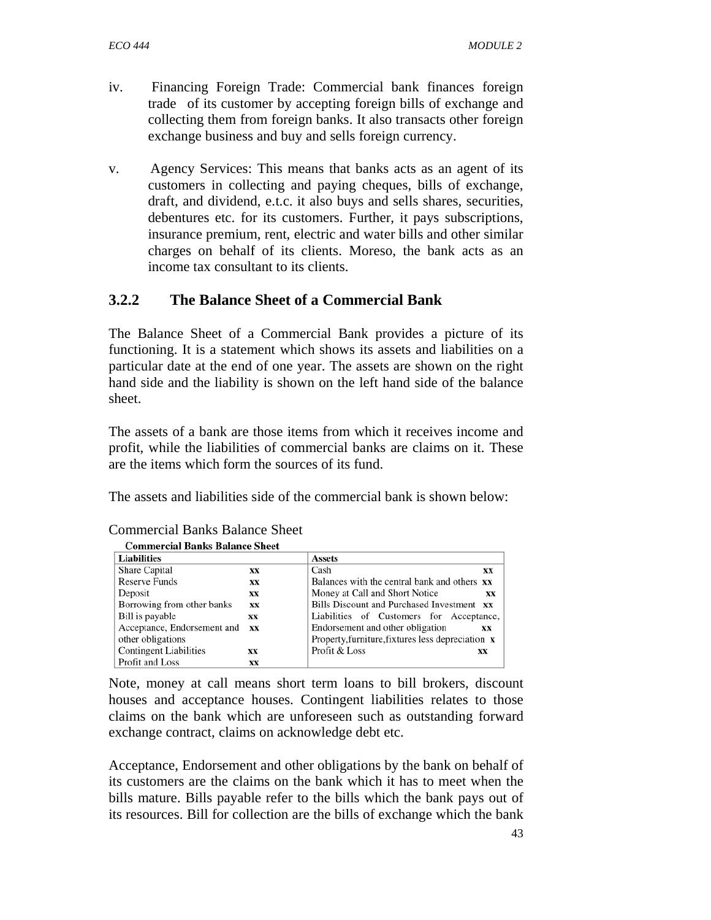- iv. Financing Foreign Trade: Commercial bank finances foreign trade of its customer by accepting foreign bills of exchange and collecting them from foreign banks. It also transacts other foreign exchange business and buy and sells foreign currency.
- v. Agency Services: This means that banks acts as an agent of its customers in collecting and paying cheques, bills of exchange, draft, and dividend, e.t.c. it also buys and sells shares, securities, debentures etc. for its customers. Further, it pays subscriptions, insurance premium, rent, electric and water bills and other similar charges on behalf of its clients. Moreso, the bank acts as an income tax consultant to its clients.

# **3.2.2 The Balance Sheet of a Commercial Bank**

The Balance Sheet of a Commercial Bank provides a picture of its functioning. It is a statement which shows its assets and liabilities on a particular date at the end of one year. The assets are shown on the right hand side and the liability is shown on the left hand side of the balance sheet.

The assets of a bank are those items from which it receives income and profit, while the liabilities of commercial banks are claims on it. These are the items which form the sources of its fund.

The assets and liabilities side of the commercial bank is shown below:

| <b>Liabilities</b>            |           | <b>Assets</b>                                            |    |
|-------------------------------|-----------|----------------------------------------------------------|----|
| <b>Share Capital</b>          | xх        | Cash                                                     | XX |
| <b>Reserve Funds</b>          | XX        | Balances with the central bank and others <b>xx</b>      |    |
| Deposit                       | XX        | Money at Call and Short Notice                           | XX |
| Borrowing from other banks    | XX        | Bills Discount and Purchased Investment xx               |    |
| Bill is payable               | XX        | Liabilities of Customers for Acceptance,                 |    |
| Acceptance, Endorsement and   | <b>XX</b> | Endorsement and other obligation                         | XX |
| other obligations             |           | Property, furniture, fixtures less depreciation $\bf{x}$ |    |
| <b>Contingent Liabilities</b> | XX        | Profit & Loss                                            | XX |
| Profit and Loss               | xх        |                                                          |    |

# Commercial Banks Balance Sheet

Note, money at call means short term loans to bill brokers, discount houses and acceptance houses. Contingent liabilities relates to those claims on the bank which are unforeseen such as outstanding forward exchange contract, claims on acknowledge debt etc.

Acceptance, Endorsement and other obligations by the bank on behalf of its customers are the claims on the bank which it has to meet when the bills mature. Bills payable refer to the bills which the bank pays out of its resources. Bill for collection are the bills of exchange which the bank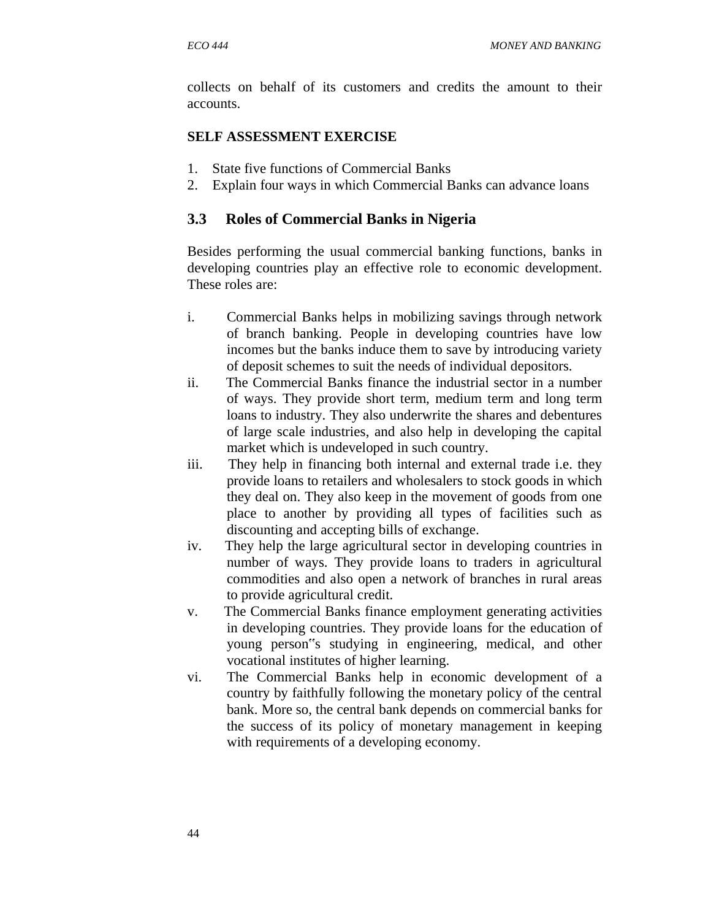collects on behalf of its customers and credits the amount to their accounts.

#### **SELF ASSESSMENT EXERCISE**

- 1. State five functions of Commercial Banks
- 2. Explain four ways in which Commercial Banks can advance loans

## **3.3 Roles of Commercial Banks in Nigeria**

Besides performing the usual commercial banking functions, banks in developing countries play an effective role to economic development. These roles are:

- i. Commercial Banks helps in mobilizing savings through network of branch banking. People in developing countries have low incomes but the banks induce them to save by introducing variety of deposit schemes to suit the needs of individual depositors.
- ii. The Commercial Banks finance the industrial sector in a number of ways. They provide short term, medium term and long term loans to industry. They also underwrite the shares and debentures of large scale industries, and also help in developing the capital market which is undeveloped in such country.
- iii. They help in financing both internal and external trade i.e. they provide loans to retailers and wholesalers to stock goods in which they deal on. They also keep in the movement of goods from one place to another by providing all types of facilities such as discounting and accepting bills of exchange.
- iv. They help the large agricultural sector in developing countries in number of ways. They provide loans to traders in agricultural commodities and also open a network of branches in rural areas to provide agricultural credit.
- v. The Commercial Banks finance employment generating activities in developing countries. They provide loans for the education of young person"s studying in engineering, medical, and other vocational institutes of higher learning.
- vi. The Commercial Banks help in economic development of a country by faithfully following the monetary policy of the central bank. More so, the central bank depends on commercial banks for the success of its policy of monetary management in keeping with requirements of a developing economy.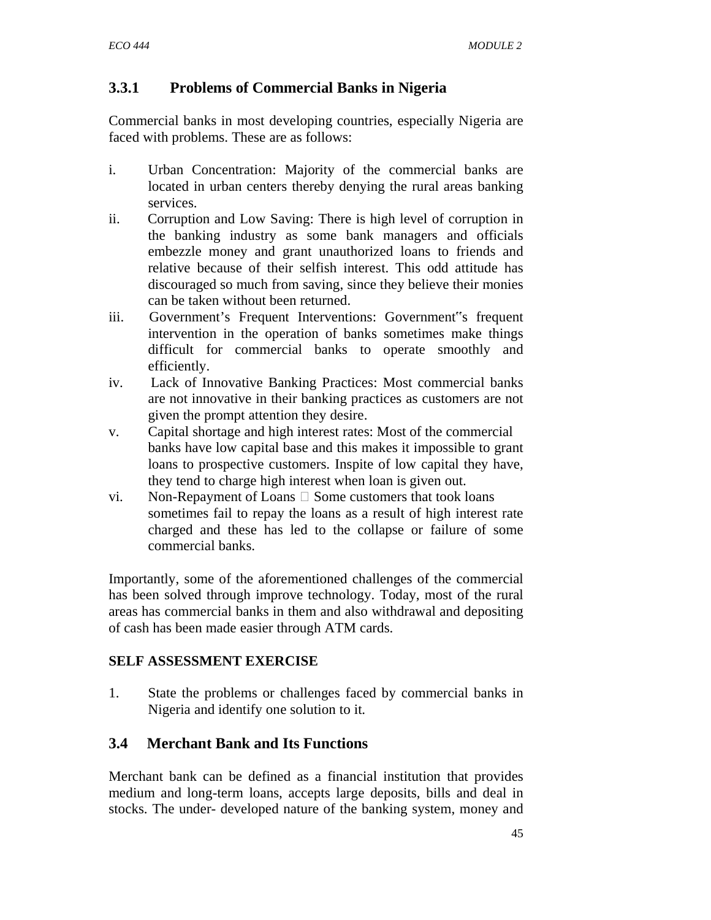# **3.3.1 Problems of Commercial Banks in Nigeria**

Commercial banks in most developing countries, especially Nigeria are faced with problems. These are as follows:

- i. Urban Concentration: Majority of the commercial banks are located in urban centers thereby denying the rural areas banking services.
- ii. Corruption and Low Saving: There is high level of corruption in the banking industry as some bank managers and officials embezzle money and grant unauthorized loans to friends and relative because of their selfish interest. This odd attitude has discouraged so much from saving, since they believe their monies can be taken without been returned.
- iii. Government's Frequent Interventions: Government"s frequent intervention in the operation of banks sometimes make things difficult for commercial banks to operate smoothly and efficiently.
- iv. Lack of Innovative Banking Practices: Most commercial banks are not innovative in their banking practices as customers are not given the prompt attention they desire.
- v. Capital shortage and high interest rates: Most of the commercial banks have low capital base and this makes it impossible to grant loans to prospective customers. Inspite of low capital they have, they tend to charge high interest when loan is given out.
- vi. Non-Repayment of Loans  $\Box$  Some customers that took loans sometimes fail to repay the loans as a result of high interest rate charged and these has led to the collapse or failure of some commercial banks.

Importantly, some of the aforementioned challenges of the commercial has been solved through improve technology. Today, most of the rural areas has commercial banks in them and also withdrawal and depositing of cash has been made easier through ATM cards.

# **SELF ASSESSMENT EXERCISE**

1. State the problems or challenges faced by commercial banks in Nigeria and identify one solution to it.

# **3.4 Merchant Bank and Its Functions**

Merchant bank can be defined as a financial institution that provides medium and long-term loans, accepts large deposits, bills and deal in stocks. The under- developed nature of the banking system, money and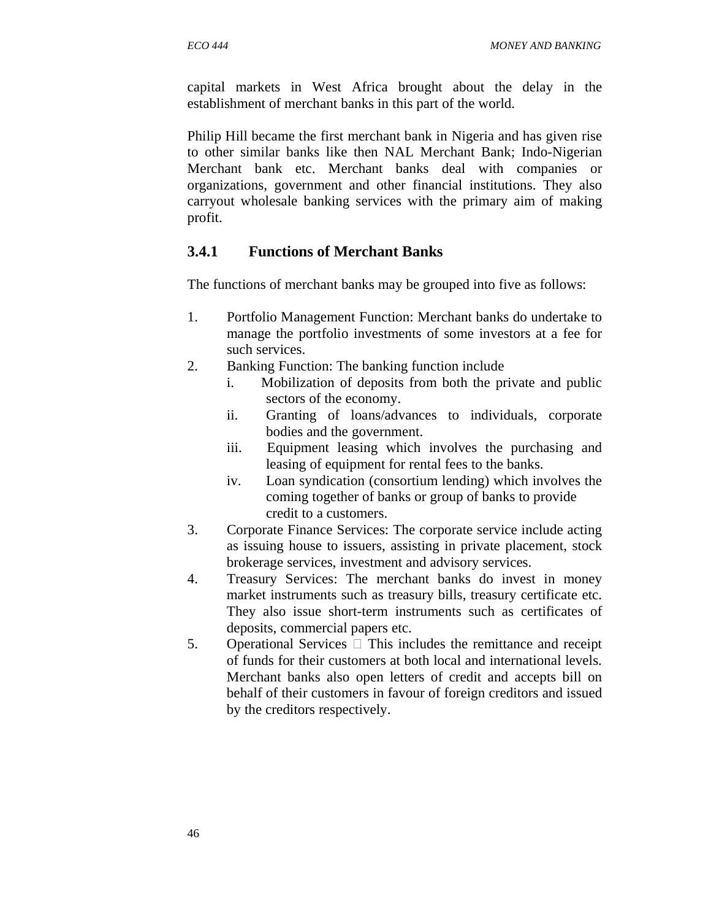capital markets in West Africa brought about the delay in the establishment of merchant banks in this part of the world.

Philip Hill became the first merchant bank in Nigeria and has given rise to other similar banks like then NAL Merchant Bank; Indo-Nigerian Merchant bank etc. Merchant banks deal with companies or organizations, government and other financial institutions. They also carryout wholesale banking services with the primary aim of making profit.

# **3.4.1 Functions of Merchant Banks**

The functions of merchant banks may be grouped into five as follows:

- 1. Portfolio Management Function: Merchant banks do undertake to manage the portfolio investments of some investors at a fee for such services.
- 2. Banking Function: The banking function include
	- i. Mobilization of deposits from both the private and public sectors of the economy.
	- ii. Granting of loans/advances to individuals, corporate bodies and the government.
	- iii. Equipment leasing which involves the purchasing and leasing of equipment for rental fees to the banks.
	- iv. Loan syndication (consortium lending) which involves the coming together of banks or group of banks to provide credit to a customers.
- 3. Corporate Finance Services: The corporate service include acting as issuing house to issuers, assisting in private placement, stock brokerage services, investment and advisory services.
- 4. Treasury Services: The merchant banks do invest in money market instruments such as treasury bills, treasury certificate etc. They also issue short-term instruments such as certificates of deposits, commercial papers etc.
- 5. Operational Services  $\Box$  This includes the remittance and receipt of funds for their customers at both local and international levels. Merchant banks also open letters of credit and accepts bill on behalf of their customers in favour of foreign creditors and issued by the creditors respectively.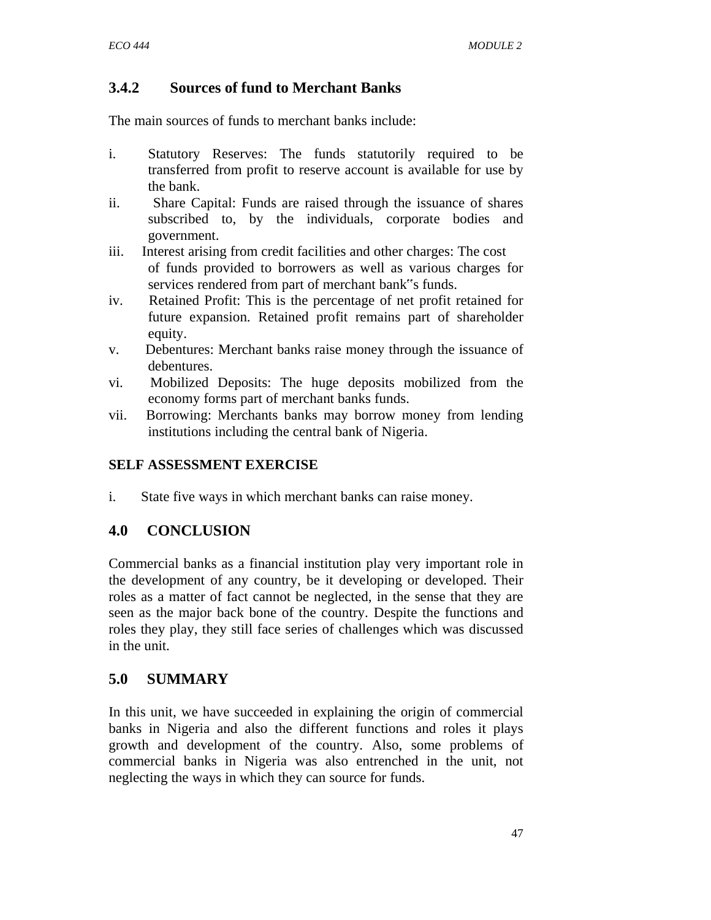# **3.4.2 Sources of fund to Merchant Banks**

The main sources of funds to merchant banks include:

- i. Statutory Reserves: The funds statutorily required to be transferred from profit to reserve account is available for use by the bank.
- ii. Share Capital: Funds are raised through the issuance of shares subscribed to, by the individuals, corporate bodies and government.
- iii. Interest arising from credit facilities and other charges: The cost of funds provided to borrowers as well as various charges for services rendered from part of merchant bank"s funds.
- iv. Retained Profit: This is the percentage of net profit retained for future expansion. Retained profit remains part of shareholder equity.
- v. Debentures: Merchant banks raise money through the issuance of debentures.
- vi. Mobilized Deposits: The huge deposits mobilized from the economy forms part of merchant banks funds.
- vii. Borrowing: Merchants banks may borrow money from lending institutions including the central bank of Nigeria.

## **SELF ASSESSMENT EXERCISE**

i. State five ways in which merchant banks can raise money.

# **4.0 CONCLUSION**

Commercial banks as a financial institution play very important role in the development of any country, be it developing or developed. Their roles as a matter of fact cannot be neglected, in the sense that they are seen as the major back bone of the country. Despite the functions and roles they play, they still face series of challenges which was discussed in the unit.

# **5.0 SUMMARY**

In this unit, we have succeeded in explaining the origin of commercial banks in Nigeria and also the different functions and roles it plays growth and development of the country. Also, some problems of commercial banks in Nigeria was also entrenched in the unit, not neglecting the ways in which they can source for funds.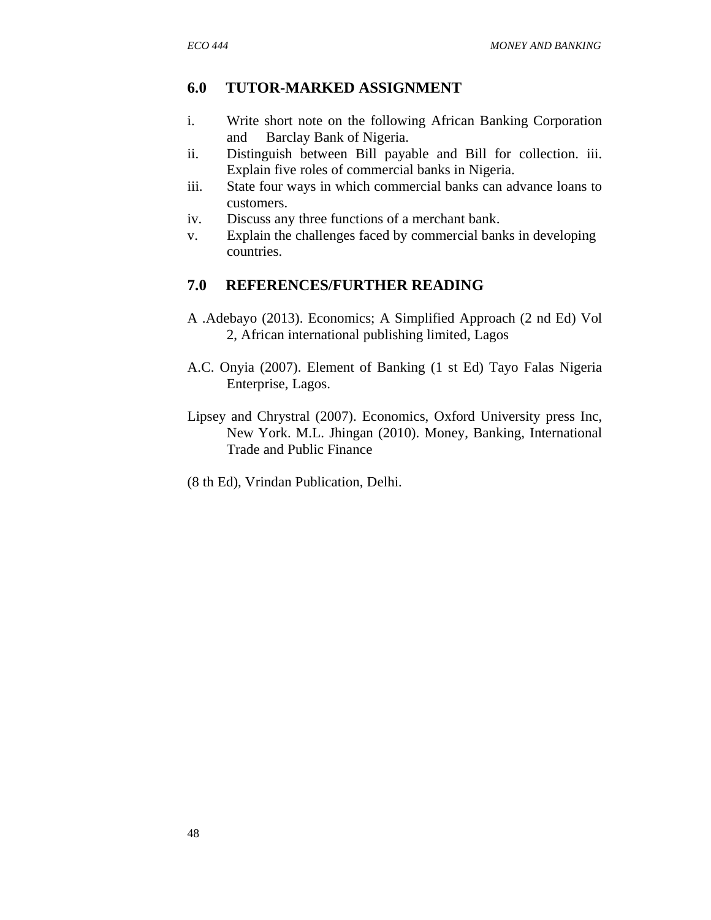## **6.0 TUTOR-MARKED ASSIGNMENT**

- i. Write short note on the following African Banking Corporation and Barclay Bank of Nigeria.
- ii. Distinguish between Bill payable and Bill for collection. iii. Explain five roles of commercial banks in Nigeria.
- iii. State four ways in which commercial banks can advance loans to customers.
- iv. Discuss any three functions of a merchant bank.
- v. Explain the challenges faced by commercial banks in developing countries.

## **7.0 REFERENCES/FURTHER READING**

- A .Adebayo (2013). Economics; A Simplified Approach (2 nd Ed) Vol 2, African international publishing limited, Lagos
- A.C. Onyia (2007). Element of Banking (1 st Ed) Tayo Falas Nigeria Enterprise, Lagos.
- Lipsey and Chrystral (2007). Economics, Oxford University press Inc, New York. M.L. Jhingan (2010). Money, Banking, International Trade and Public Finance
- (8 th Ed), Vrindan Publication, Delhi.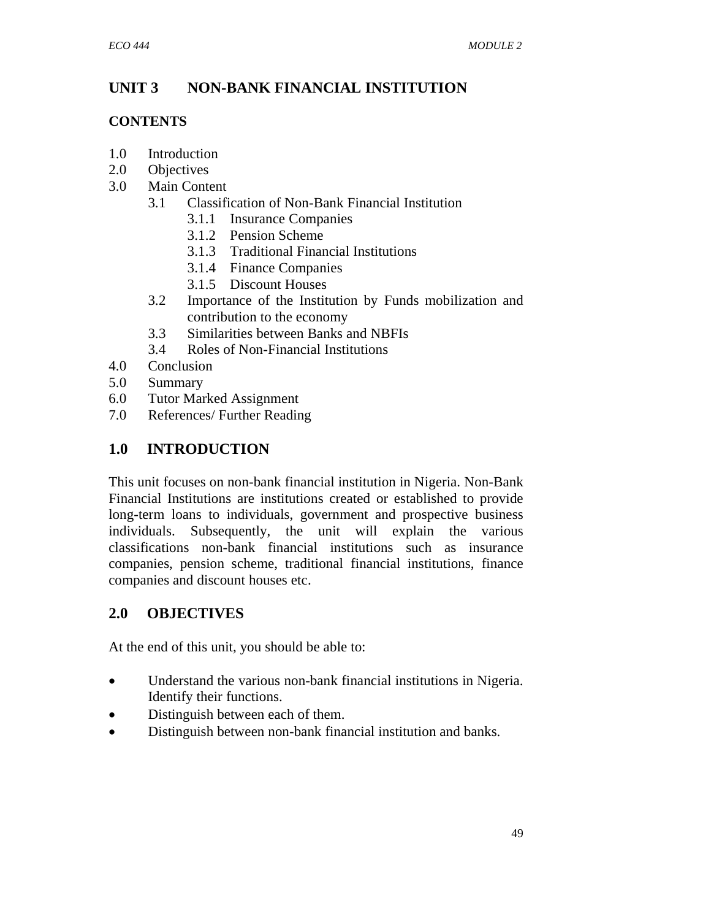# **UNIT 3 NON-BANK FINANCIAL INSTITUTION**

# **CONTENTS**

- 1.0 Introduction
- 2.0 Objectives
- 3.0 Main Content
	- 3.1 Classification of Non-Bank Financial Institution
		- 3.1.1 Insurance Companies
		- 3.1.2 Pension Scheme
		- 3.1.3 Traditional Financial Institutions
		- 3.1.4 Finance Companies
		- 3.1.5 Discount Houses
	- 3.2 Importance of the Institution by Funds mobilization and contribution to the economy
	- 3.3 Similarities between Banks and NBFIs
	- 3.4 Roles of Non-Financial Institutions
- 4.0 Conclusion
- 5.0 Summary
- 6.0 Tutor Marked Assignment
- 7.0 References/ Further Reading

# **1.0 INTRODUCTION**

This unit focuses on non-bank financial institution in Nigeria. Non-Bank Financial Institutions are institutions created or established to provide long-term loans to individuals, government and prospective business individuals. Subsequently, the unit will explain the various classifications non-bank financial institutions such as insurance companies, pension scheme, traditional financial institutions, finance companies and discount houses etc.

# **2.0 OBJECTIVES**

At the end of this unit, you should be able to:

- Understand the various non-bank financial institutions in Nigeria. Identify their functions.
- Distinguish between each of them.
- Distinguish between non-bank financial institution and banks.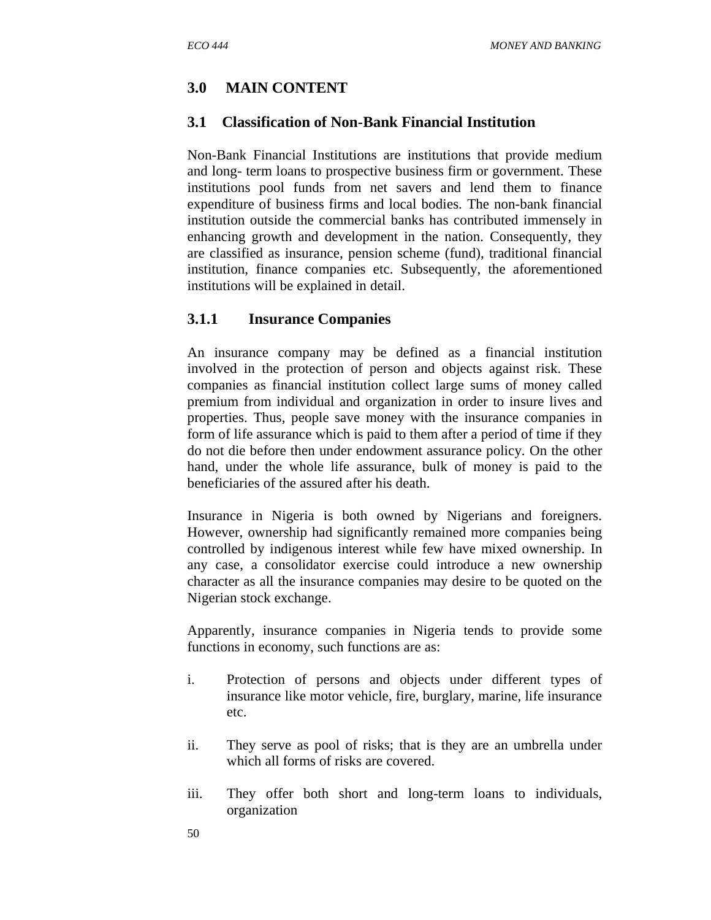# **3.0 MAIN CONTENT**

## **3.1 Classification of Non-Bank Financial Institution**

Non-Bank Financial Institutions are institutions that provide medium and long- term loans to prospective business firm or government. These institutions pool funds from net savers and lend them to finance expenditure of business firms and local bodies. The non-bank financial institution outside the commercial banks has contributed immensely in enhancing growth and development in the nation. Consequently, they are classified as insurance, pension scheme (fund), traditional financial institution, finance companies etc. Subsequently, the aforementioned institutions will be explained in detail.

## **3.1.1 Insurance Companies**

An insurance company may be defined as a financial institution involved in the protection of person and objects against risk. These companies as financial institution collect large sums of money called premium from individual and organization in order to insure lives and properties. Thus, people save money with the insurance companies in form of life assurance which is paid to them after a period of time if they do not die before then under endowment assurance policy. On the other hand, under the whole life assurance, bulk of money is paid to the beneficiaries of the assured after his death.

Insurance in Nigeria is both owned by Nigerians and foreigners. However, ownership had significantly remained more companies being controlled by indigenous interest while few have mixed ownership. In any case, a consolidator exercise could introduce a new ownership character as all the insurance companies may desire to be quoted on the Nigerian stock exchange.

Apparently, insurance companies in Nigeria tends to provide some functions in economy, such functions are as:

- i. Protection of persons and objects under different types of insurance like motor vehicle, fire, burglary, marine, life insurance etc.
- ii. They serve as pool of risks; that is they are an umbrella under which all forms of risks are covered.
- iii. They offer both short and long-term loans to individuals, organization
- 50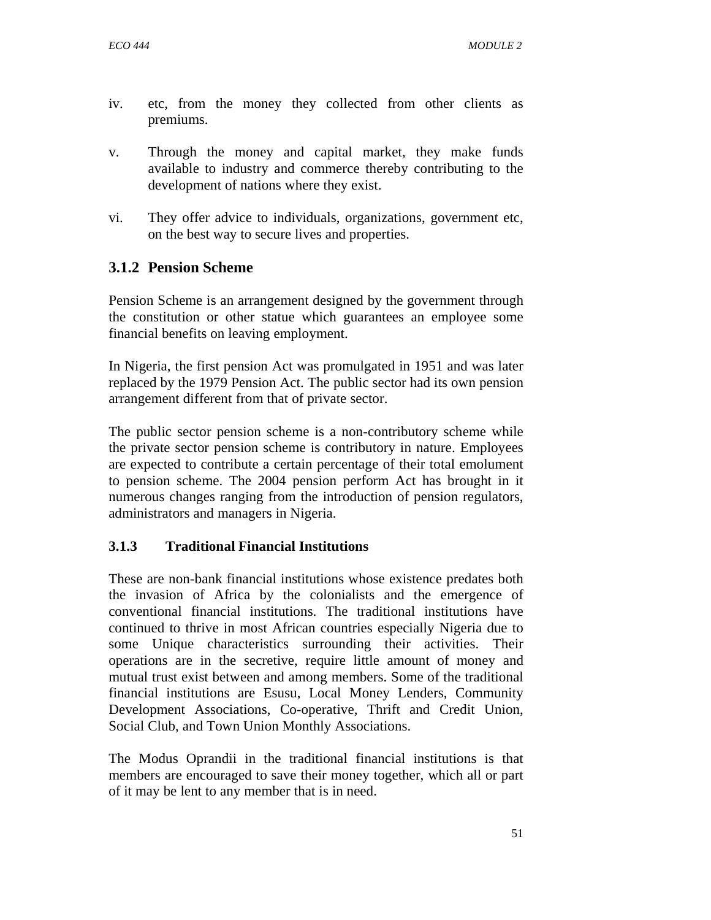- iv. etc, from the money they collected from other clients as premiums.
- v. Through the money and capital market, they make funds available to industry and commerce thereby contributing to the development of nations where they exist.
- vi. They offer advice to individuals, organizations, government etc, on the best way to secure lives and properties.

# **3.1.2 Pension Scheme**

Pension Scheme is an arrangement designed by the government through the constitution or other statue which guarantees an employee some financial benefits on leaving employment.

In Nigeria, the first pension Act was promulgated in 1951 and was later replaced by the 1979 Pension Act. The public sector had its own pension arrangement different from that of private sector.

The public sector pension scheme is a non-contributory scheme while the private sector pension scheme is contributory in nature. Employees are expected to contribute a certain percentage of their total emolument to pension scheme. The 2004 pension perform Act has brought in it numerous changes ranging from the introduction of pension regulators, administrators and managers in Nigeria.

## **3.1.3 Traditional Financial Institutions**

These are non-bank financial institutions whose existence predates both the invasion of Africa by the colonialists and the emergence of conventional financial institutions. The traditional institutions have continued to thrive in most African countries especially Nigeria due to some Unique characteristics surrounding their activities. Their operations are in the secretive, require little amount of money and mutual trust exist between and among members. Some of the traditional financial institutions are Esusu, Local Money Lenders, Community Development Associations, Co-operative, Thrift and Credit Union, Social Club, and Town Union Monthly Associations.

The Modus Oprandii in the traditional financial institutions is that members are encouraged to save their money together, which all or part of it may be lent to any member that is in need.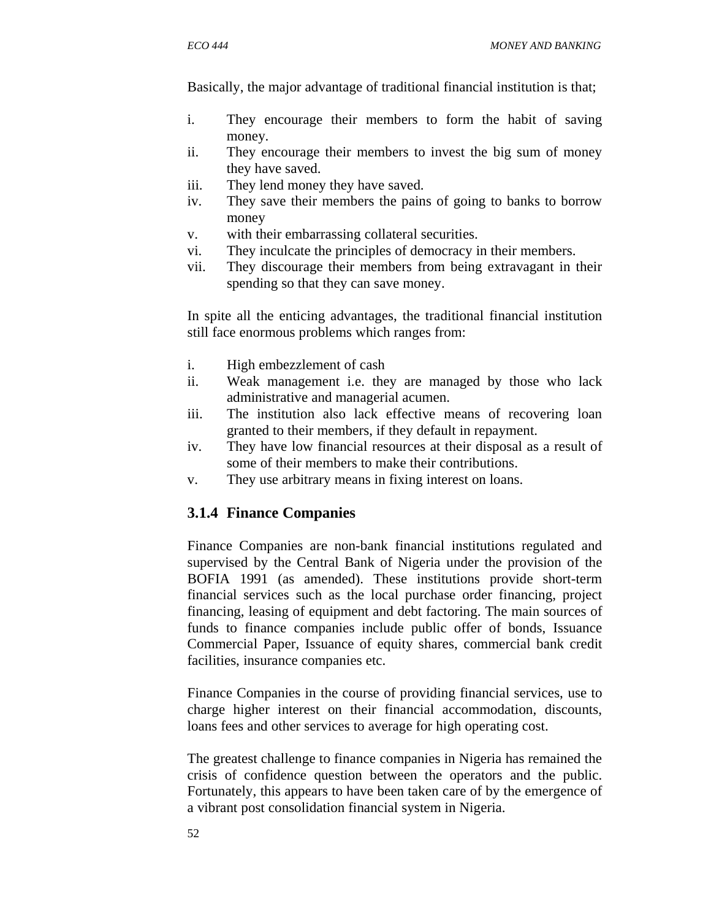Basically, the major advantage of traditional financial institution is that;

- i. They encourage their members to form the habit of saving money.
- ii. They encourage their members to invest the big sum of money they have saved.
- iii. They lend money they have saved.
- iv. They save their members the pains of going to banks to borrow money
- v. with their embarrassing collateral securities.
- vi. They inculcate the principles of democracy in their members.
- vii. They discourage their members from being extravagant in their spending so that they can save money.

In spite all the enticing advantages, the traditional financial institution still face enormous problems which ranges from:

- i. High embezzlement of cash
- ii. Weak management i.e. they are managed by those who lack administrative and managerial acumen.
- iii. The institution also lack effective means of recovering loan granted to their members, if they default in repayment.
- iv. They have low financial resources at their disposal as a result of some of their members to make their contributions.
- v. They use arbitrary means in fixing interest on loans.

# **3.1.4 Finance Companies**

Finance Companies are non-bank financial institutions regulated and supervised by the Central Bank of Nigeria under the provision of the BOFIA 1991 (as amended). These institutions provide short-term financial services such as the local purchase order financing, project financing, leasing of equipment and debt factoring. The main sources of funds to finance companies include public offer of bonds, Issuance Commercial Paper, Issuance of equity shares, commercial bank credit facilities, insurance companies etc.

Finance Companies in the course of providing financial services, use to charge higher interest on their financial accommodation, discounts, loans fees and other services to average for high operating cost.

The greatest challenge to finance companies in Nigeria has remained the crisis of confidence question between the operators and the public. Fortunately, this appears to have been taken care of by the emergence of a vibrant post consolidation financial system in Nigeria.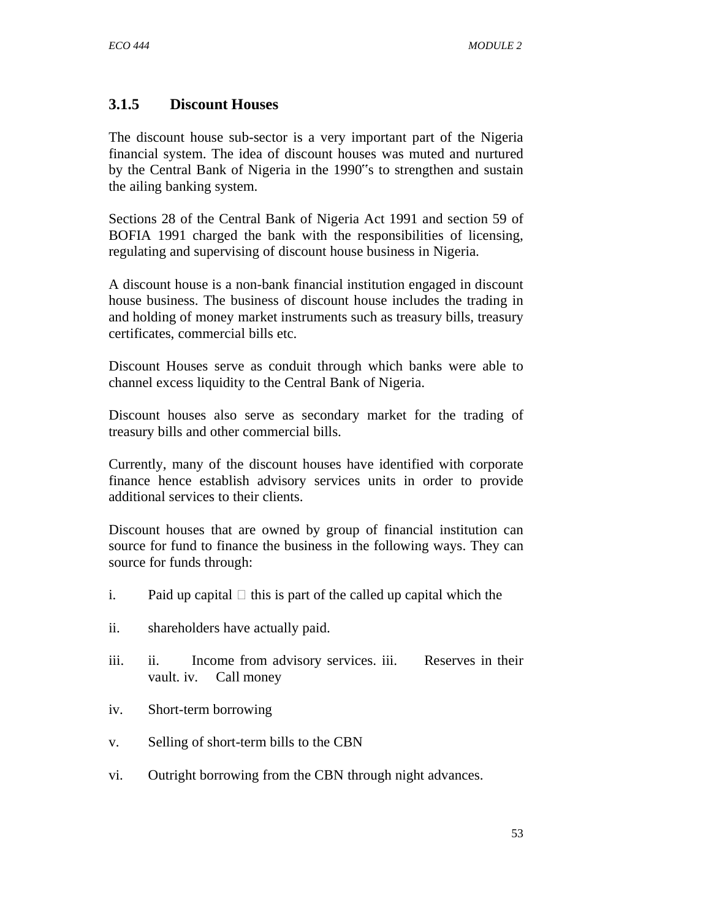# **3.1.5 Discount Houses**

The discount house sub-sector is a very important part of the Nigeria financial system. The idea of discount houses was muted and nurtured by the Central Bank of Nigeria in the 1990"s to strengthen and sustain the ailing banking system.

Sections 28 of the Central Bank of Nigeria Act 1991 and section 59 of BOFIA 1991 charged the bank with the responsibilities of licensing, regulating and supervising of discount house business in Nigeria.

A discount house is a non-bank financial institution engaged in discount house business. The business of discount house includes the trading in and holding of money market instruments such as treasury bills, treasury certificates, commercial bills etc.

Discount Houses serve as conduit through which banks were able to channel excess liquidity to the Central Bank of Nigeria.

Discount houses also serve as secondary market for the trading of treasury bills and other commercial bills.

Currently, many of the discount houses have identified with corporate finance hence establish advisory services units in order to provide additional services to their clients.

Discount houses that are owned by group of financial institution can source for fund to finance the business in the following ways. They can source for funds through:

- i. Paid up capital  $\Box$  this is part of the called up capital which the
- ii. shareholders have actually paid.
- iii. ii. Income from advisory services. iii. Reserves in their vault. iv. Call money
- iv. Short-term borrowing
- v. Selling of short-term bills to the CBN
- vi. Outright borrowing from the CBN through night advances.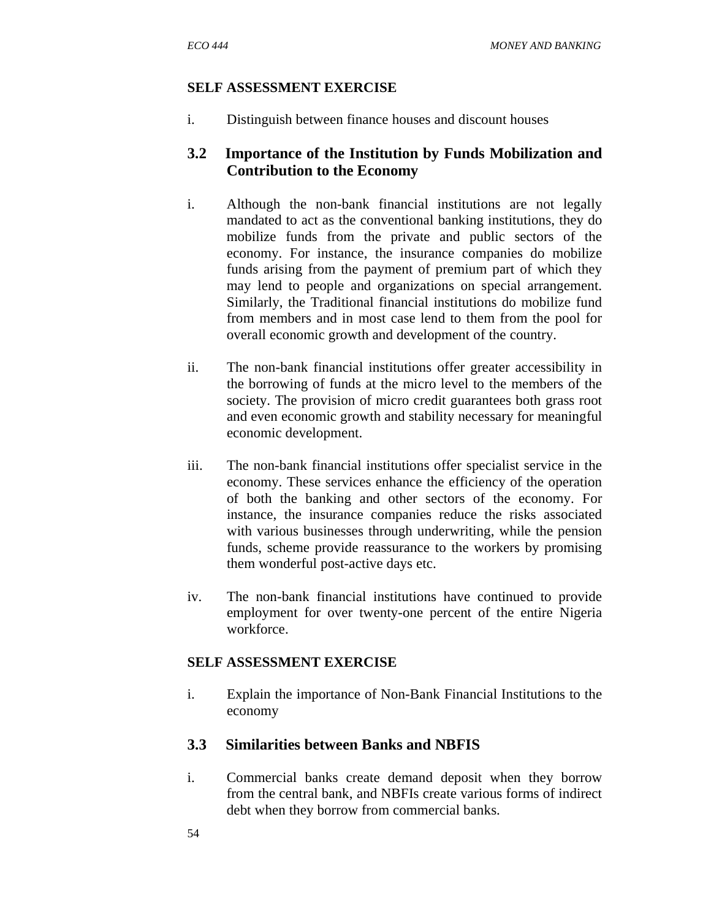i. Distinguish between finance houses and discount houses

# **3.2 Importance of the Institution by Funds Mobilization and Contribution to the Economy**

- i. Although the non-bank financial institutions are not legally mandated to act as the conventional banking institutions, they do mobilize funds from the private and public sectors of the economy. For instance, the insurance companies do mobilize funds arising from the payment of premium part of which they may lend to people and organizations on special arrangement. Similarly, the Traditional financial institutions do mobilize fund from members and in most case lend to them from the pool for overall economic growth and development of the country.
- ii. The non-bank financial institutions offer greater accessibility in the borrowing of funds at the micro level to the members of the society. The provision of micro credit guarantees both grass root and even economic growth and stability necessary for meaningful economic development.
- iii. The non-bank financial institutions offer specialist service in the economy. These services enhance the efficiency of the operation of both the banking and other sectors of the economy. For instance, the insurance companies reduce the risks associated with various businesses through underwriting, while the pension funds, scheme provide reassurance to the workers by promising them wonderful post-active days etc.
- iv. The non-bank financial institutions have continued to provide employment for over twenty-one percent of the entire Nigeria workforce.

## **SELF ASSESSMENT EXERCISE**

i. Explain the importance of Non-Bank Financial Institutions to the economy

# **3.3 Similarities between Banks and NBFIS**

i. Commercial banks create demand deposit when they borrow from the central bank, and NBFIs create various forms of indirect debt when they borrow from commercial banks.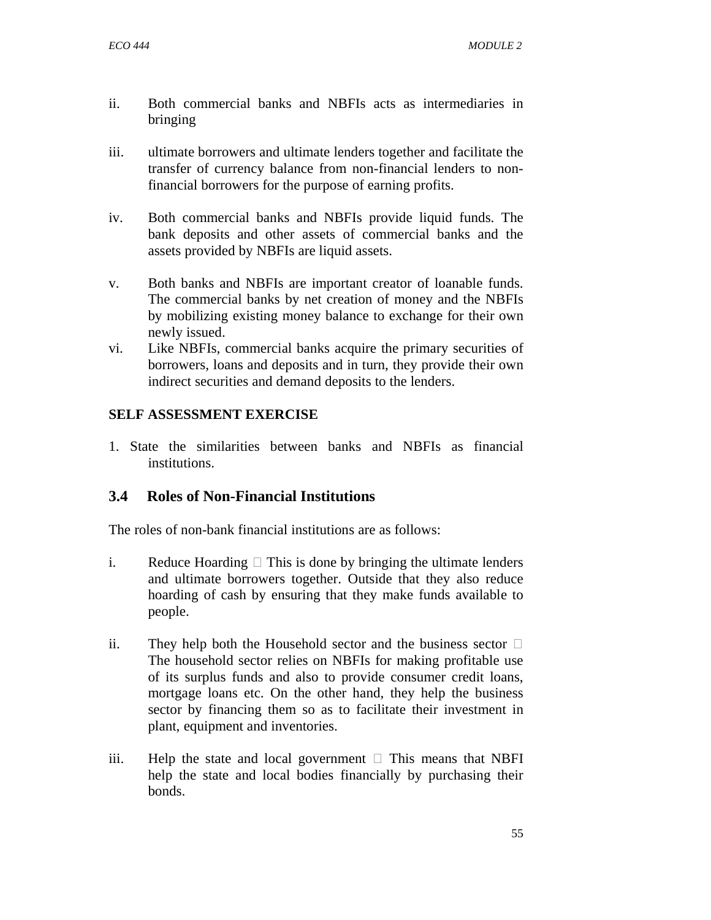- ii. Both commercial banks and NBFIs acts as intermediaries in bringing
- iii. ultimate borrowers and ultimate lenders together and facilitate the transfer of currency balance from non-financial lenders to nonfinancial borrowers for the purpose of earning profits.
- iv. Both commercial banks and NBFIs provide liquid funds. The bank deposits and other assets of commercial banks and the assets provided by NBFIs are liquid assets.
- v. Both banks and NBFIs are important creator of loanable funds. The commercial banks by net creation of money and the NBFIs by mobilizing existing money balance to exchange for their own newly issued.
- vi. Like NBFIs, commercial banks acquire the primary securities of borrowers, loans and deposits and in turn, they provide their own indirect securities and demand deposits to the lenders.

1. State the similarities between banks and NBFIs as financial institutions.

## **3.4 Roles of Non-Financial Institutions**

The roles of non-bank financial institutions are as follows:

- i. Reduce Hoarding  $\Box$  This is done by bringing the ultimate lenders and ultimate borrowers together. Outside that they also reduce hoarding of cash by ensuring that they make funds available to people.
- ii. They help both the Household sector and the business sector  $\Box$ The household sector relies on NBFIs for making profitable use of its surplus funds and also to provide consumer credit loans, mortgage loans etc. On the other hand, they help the business sector by financing them so as to facilitate their investment in plant, equipment and inventories.
- iii. Help the state and local government  $\Box$  This means that NBFI help the state and local bodies financially by purchasing their bonds.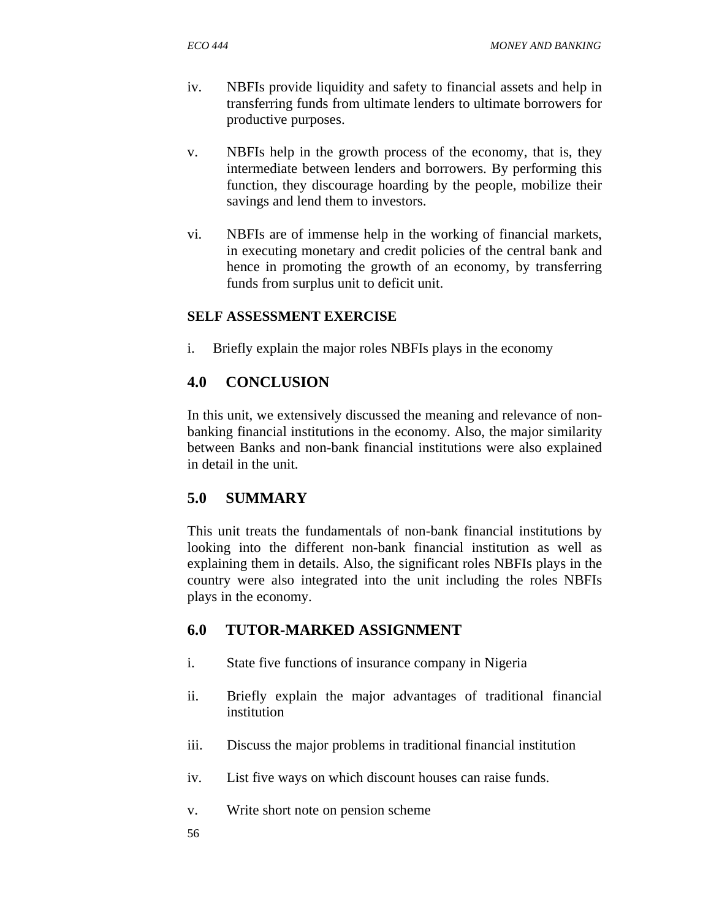- iv. NBFIs provide liquidity and safety to financial assets and help in transferring funds from ultimate lenders to ultimate borrowers for productive purposes.
- v. NBFIs help in the growth process of the economy, that is, they intermediate between lenders and borrowers. By performing this function, they discourage hoarding by the people, mobilize their savings and lend them to investors.
- vi. NBFIs are of immense help in the working of financial markets, in executing monetary and credit policies of the central bank and hence in promoting the growth of an economy, by transferring funds from surplus unit to deficit unit.

i. Briefly explain the major roles NBFIs plays in the economy

# **4.0 CONCLUSION**

In this unit, we extensively discussed the meaning and relevance of nonbanking financial institutions in the economy. Also, the major similarity between Banks and non-bank financial institutions were also explained in detail in the unit.

# **5.0 SUMMARY**

This unit treats the fundamentals of non-bank financial institutions by looking into the different non-bank financial institution as well as explaining them in details. Also, the significant roles NBFIs plays in the country were also integrated into the unit including the roles NBFIs plays in the economy.

# **6.0 TUTOR-MARKED ASSIGNMENT**

- i. State five functions of insurance company in Nigeria
- ii. Briefly explain the major advantages of traditional financial institution
- iii. Discuss the major problems in traditional financial institution
- iv. List five ways on which discount houses can raise funds.
- v. Write short note on pension scheme
- 56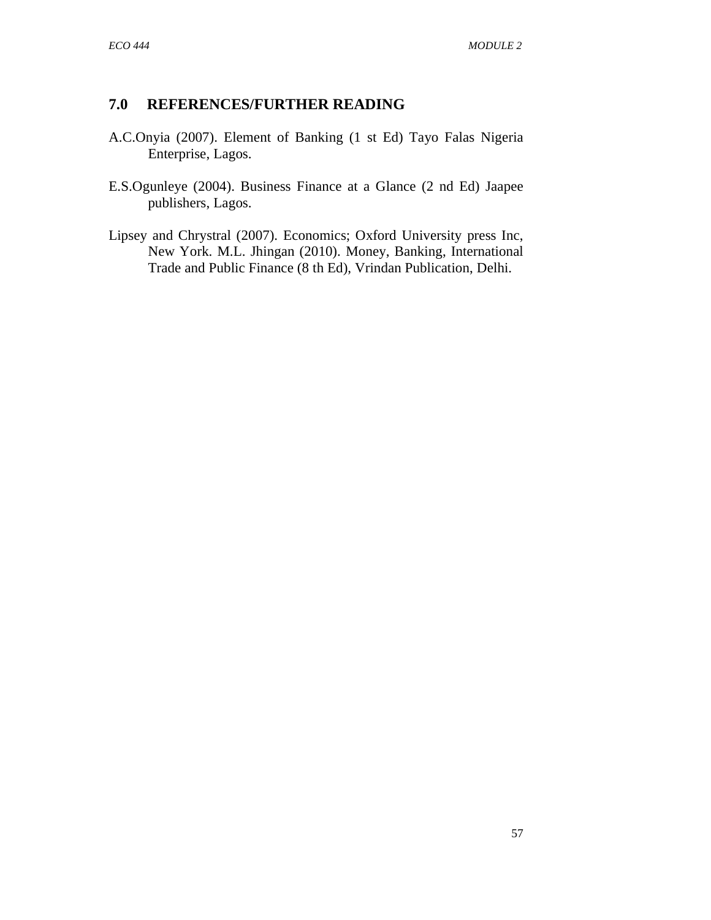## **7.0 REFERENCES/FURTHER READING**

- A.C.Onyia (2007). Element of Banking (1 st Ed) Tayo Falas Nigeria Enterprise, Lagos.
- E.S.Ogunleye (2004). Business Finance at a Glance (2 nd Ed) Jaapee publishers, Lagos.
- Lipsey and Chrystral (2007). Economics; Oxford University press Inc, New York. M.L. Jhingan (2010). Money, Banking, International Trade and Public Finance (8 th Ed), Vrindan Publication, Delhi.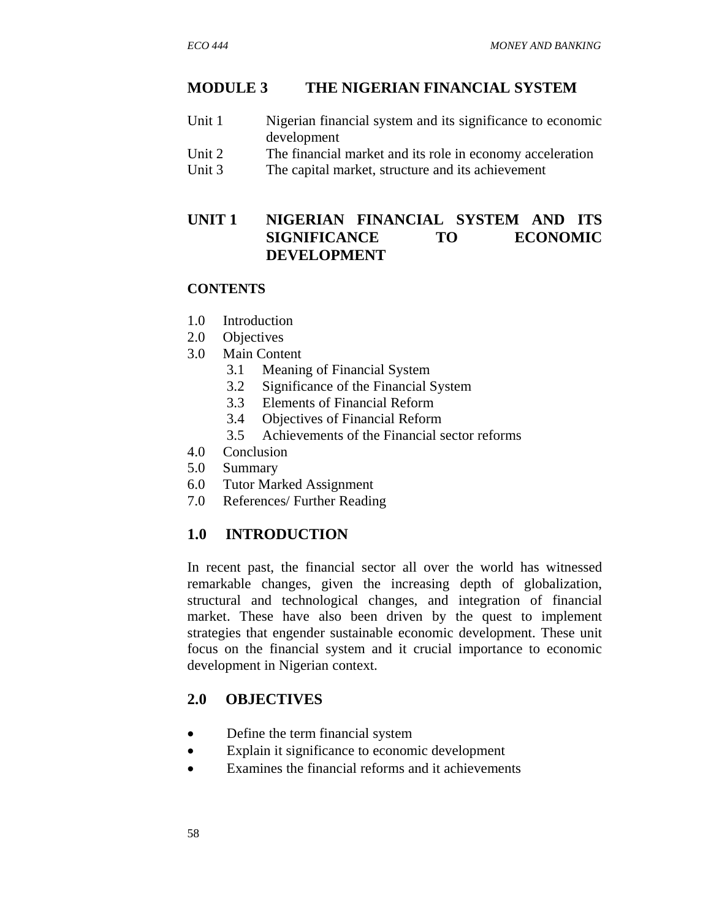## **MODULE 3 THE NIGERIAN FINANCIAL SYSTEM**

- Unit 1 Nigerian financial system and its significance to economic development
- Unit 2 The financial market and its role in economy acceleration
- Unit 3 The capital market, structure and its achievement

# **UNIT 1 NIGERIAN FINANCIAL SYSTEM AND ITS SIGNIFICANCE TO ECONOMIC DEVELOPMENT**

#### **CONTENTS**

- 1.0 Introduction
- 2.0 Objectives
- 3.0 Main Content
	- 3.1 Meaning of Financial System
	- 3.2 Significance of the Financial System
	- 3.3 Elements of Financial Reform
	- 3.4 Objectives of Financial Reform
	- 3.5 Achievements of the Financial sector reforms
- 4.0 Conclusion
- 5.0 Summary
- 6.0 Tutor Marked Assignment
- 7.0 References/ Further Reading

## **1.0 INTRODUCTION**

In recent past, the financial sector all over the world has witnessed remarkable changes, given the increasing depth of globalization, structural and technological changes, and integration of financial market. These have also been driven by the quest to implement strategies that engender sustainable economic development. These unit focus on the financial system and it crucial importance to economic development in Nigerian context.

## **2.0 OBJECTIVES**

- Define the term financial system
- Explain it significance to economic development
- Examines the financial reforms and it achievements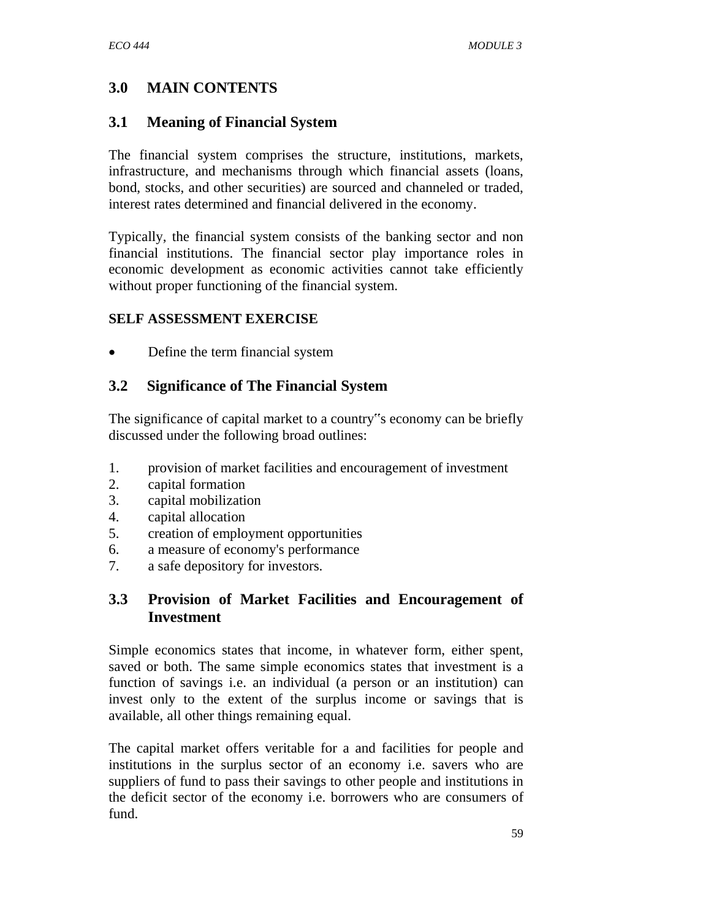# **3.0 MAIN CONTENTS**

## **3.1 Meaning of Financial System**

The financial system comprises the structure, institutions, markets, infrastructure, and mechanisms through which financial assets (loans, bond, stocks, and other securities) are sourced and channeled or traded, interest rates determined and financial delivered in the economy.

Typically, the financial system consists of the banking sector and non financial institutions. The financial sector play importance roles in economic development as economic activities cannot take efficiently without proper functioning of the financial system.

#### **SELF ASSESSMENT EXERCISE**

• Define the term financial system

## **3.2 Significance of The Financial System**

The significance of capital market to a country"s economy can be briefly discussed under the following broad outlines:

- 1. provision of market facilities and encouragement of investment
- 2. capital formation
- 3. capital mobilization
- 4. capital allocation
- 5. creation of employment opportunities
- 6. a measure of economy's performance
- 7. a safe depository for investors.

# **3.3 Provision of Market Facilities and Encouragement of Investment**

Simple economics states that income, in whatever form, either spent, saved or both. The same simple economics states that investment is a function of savings i.e. an individual (a person or an institution) can invest only to the extent of the surplus income or savings that is available, all other things remaining equal.

The capital market offers veritable for a and facilities for people and institutions in the surplus sector of an economy i.e. savers who are suppliers of fund to pass their savings to other people and institutions in the deficit sector of the economy i.e. borrowers who are consumers of fund.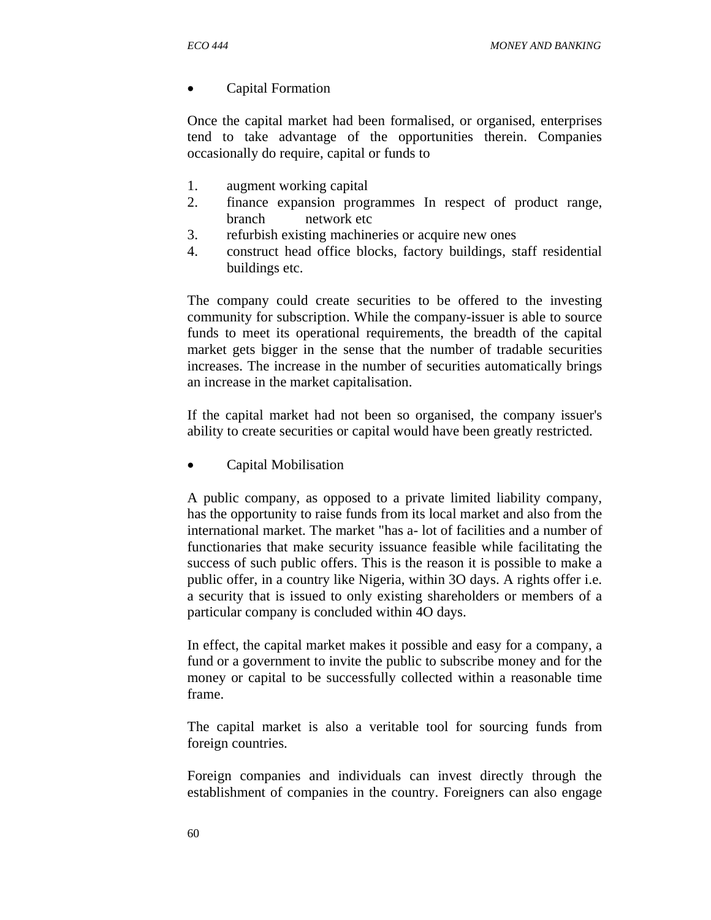• Capital Formation

Once the capital market had been formalised, or organised, enterprises tend to take advantage of the opportunities therein. Companies occasionally do require, capital or funds to

- 1. augment working capital
- 2. finance expansion programmes In respect of product range, branch network etc
- 3. refurbish existing machineries or acquire new ones
- 4. construct head office blocks, factory buildings, staff residential buildings etc.

The company could create securities to be offered to the investing community for subscription. While the company-issuer is able to source funds to meet its operational requirements, the breadth of the capital market gets bigger in the sense that the number of tradable securities increases. The increase in the number of securities automatically brings an increase in the market capitalisation.

If the capital market had not been so organised, the company issuer's ability to create securities or capital would have been greatly restricted.

• Capital Mobilisation

A public company, as opposed to a private limited liability company, has the opportunity to raise funds from its local market and also from the international market. The market "has a- lot of facilities and a number of functionaries that make security issuance feasible while facilitating the success of such public offers. This is the reason it is possible to make a public offer, in a country like Nigeria, within 3O days. A rights offer i.e. a security that is issued to only existing shareholders or members of a particular company is concluded within 4O days.

In effect, the capital market makes it possible and easy for a company, a fund or a government to invite the public to subscribe money and for the money or capital to be successfully collected within a reasonable time frame.

The capital market is also a veritable tool for sourcing funds from foreign countries.

Foreign companies and individuals can invest directly through the establishment of companies in the country. Foreigners can also engage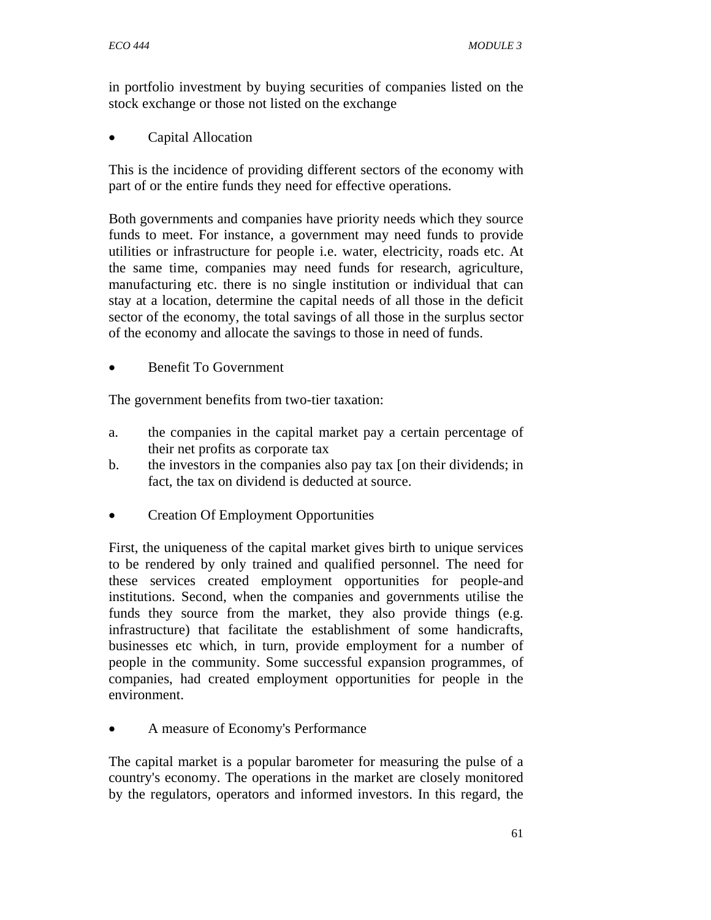in portfolio investment by buying securities of companies listed on the stock exchange or those not listed on the exchange

• Capital Allocation

This is the incidence of providing different sectors of the economy with part of or the entire funds they need for effective operations.

Both governments and companies have priority needs which they source funds to meet. For instance, a government may need funds to provide utilities or infrastructure for people i.e. water, electricity, roads etc. At the same time, companies may need funds for research, agriculture, manufacturing etc. there is no single institution or individual that can stay at a location, determine the capital needs of all those in the deficit sector of the economy, the total savings of all those in the surplus sector of the economy and allocate the savings to those in need of funds.

• Benefit To Government

The government benefits from two-tier taxation:

- a. the companies in the capital market pay a certain percentage of their net profits as corporate tax
- b. the investors in the companies also pay tax [on their dividends; in fact, the tax on dividend is deducted at source.
- Creation Of Employment Opportunities

First, the uniqueness of the capital market gives birth to unique services to be rendered by only trained and qualified personnel. The need for these services created employment opportunities for people-and institutions. Second, when the companies and governments utilise the funds they source from the market, they also provide things (e.g. infrastructure) that facilitate the establishment of some handicrafts, businesses etc which, in turn, provide employment for a number of people in the community. Some successful expansion programmes, of companies, had created employment opportunities for people in the environment.

• A measure of Economy's Performance

The capital market is a popular barometer for measuring the pulse of a country's economy. The operations in the market are closely monitored by the regulators, operators and informed investors. In this regard, the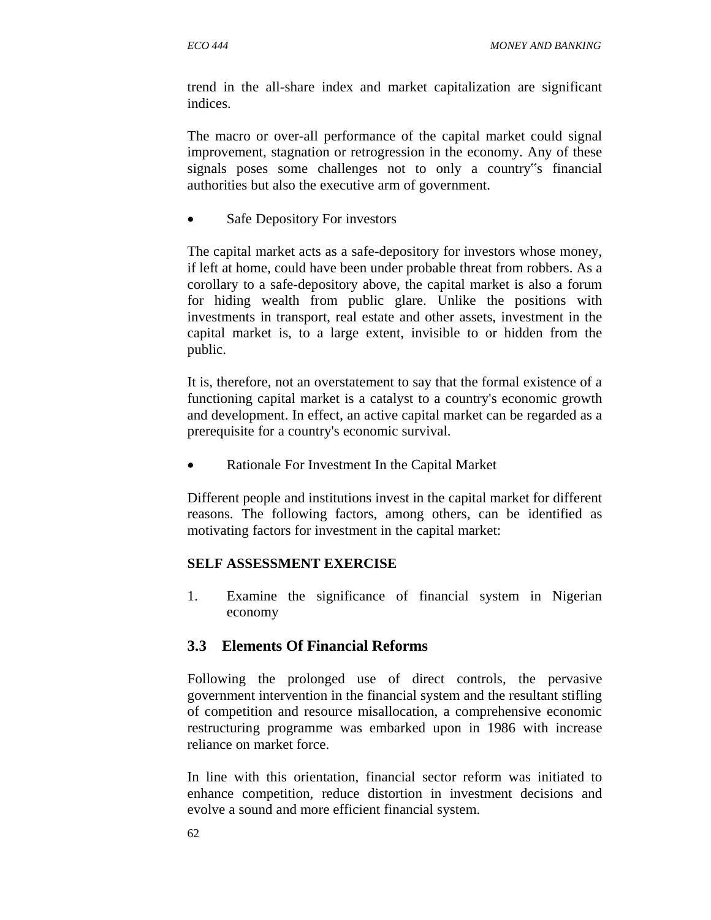trend in the all-share index and market capitalization are significant indices.

The macro or over-all performance of the capital market could signal improvement, stagnation or retrogression in the economy. Any of these signals poses some challenges not to only a country"s financial authorities but also the executive arm of government.

• Safe Depository For investors

The capital market acts as a safe-depository for investors whose money, if left at home, could have been under probable threat from robbers. As a corollary to a safe-depository above, the capital market is also a forum for hiding wealth from public glare. Unlike the positions with investments in transport, real estate and other assets, investment in the capital market is, to a large extent, invisible to or hidden from the public.

It is, therefore, not an overstatement to say that the formal existence of a functioning capital market is a catalyst to a country's economic growth and development. In effect, an active capital market can be regarded as a prerequisite for a country's economic survival.

• Rationale For Investment In the Capital Market

Different people and institutions invest in the capital market for different reasons. The following factors, among others, can be identified as motivating factors for investment in the capital market:

### **SELF ASSESSMENT EXERCISE**

1. Examine the significance of financial system in Nigerian economy

# **3.3 Elements Of Financial Reforms**

Following the prolonged use of direct controls, the pervasive government intervention in the financial system and the resultant stifling of competition and resource misallocation, a comprehensive economic restructuring programme was embarked upon in 1986 with increase reliance on market force.

In line with this orientation, financial sector reform was initiated to enhance competition, reduce distortion in investment decisions and evolve a sound and more efficient financial system.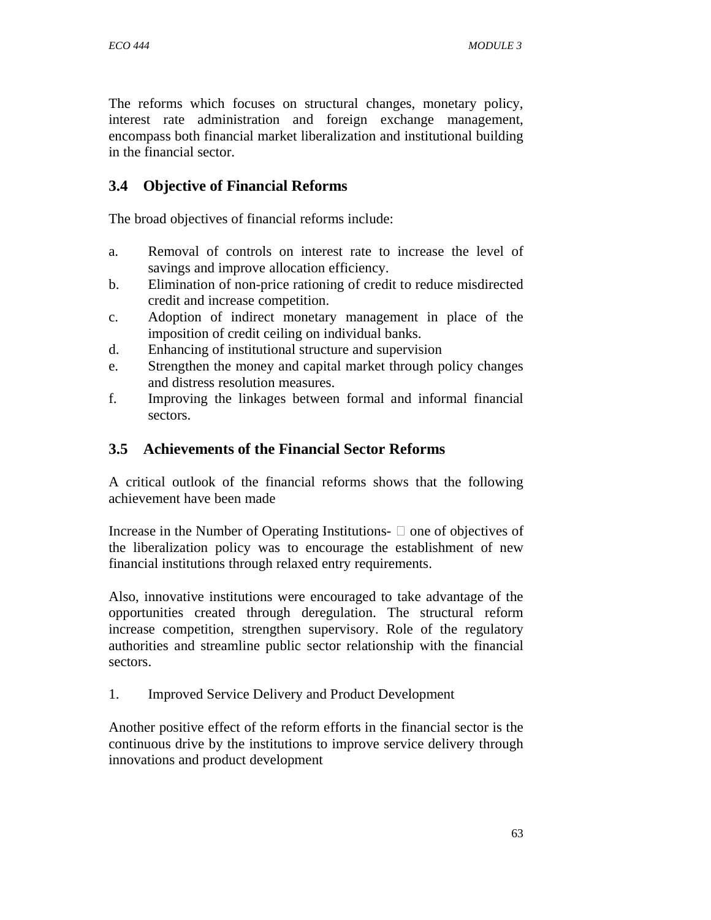The reforms which focuses on structural changes, monetary policy, interest rate administration and foreign exchange management, encompass both financial market liberalization and institutional building in the financial sector.

# **3.4 Objective of Financial Reforms**

The broad objectives of financial reforms include:

- a. Removal of controls on interest rate to increase the level of savings and improve allocation efficiency.
- b. Elimination of non-price rationing of credit to reduce misdirected credit and increase competition.
- c. Adoption of indirect monetary management in place of the imposition of credit ceiling on individual banks.
- d. Enhancing of institutional structure and supervision
- e. Strengthen the money and capital market through policy changes and distress resolution measures.
- f. Improving the linkages between formal and informal financial sectors.

# **3.5 Achievements of the Financial Sector Reforms**

A critical outlook of the financial reforms shows that the following achievement have been made

Increase in the Number of Operating Institutions-  $\Box$  one of objectives of the liberalization policy was to encourage the establishment of new financial institutions through relaxed entry requirements.

Also, innovative institutions were encouraged to take advantage of the opportunities created through deregulation. The structural reform increase competition, strengthen supervisory. Role of the regulatory authorities and streamline public sector relationship with the financial sectors.

1. Improved Service Delivery and Product Development

Another positive effect of the reform efforts in the financial sector is the continuous drive by the institutions to improve service delivery through innovations and product development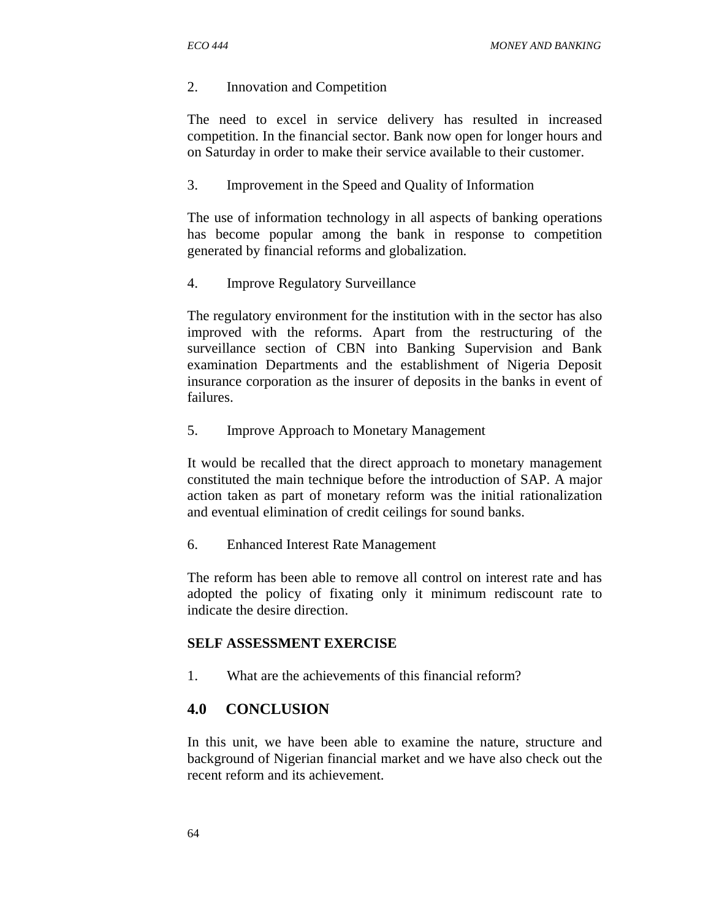#### 2. Innovation and Competition

The need to excel in service delivery has resulted in increased competition. In the financial sector. Bank now open for longer hours and on Saturday in order to make their service available to their customer.

3. Improvement in the Speed and Quality of Information

The use of information technology in all aspects of banking operations has become popular among the bank in response to competition generated by financial reforms and globalization.

4. Improve Regulatory Surveillance

The regulatory environment for the institution with in the sector has also improved with the reforms. Apart from the restructuring of the surveillance section of CBN into Banking Supervision and Bank examination Departments and the establishment of Nigeria Deposit insurance corporation as the insurer of deposits in the banks in event of failures.

5. Improve Approach to Monetary Management

It would be recalled that the direct approach to monetary management constituted the main technique before the introduction of SAP. A major action taken as part of monetary reform was the initial rationalization and eventual elimination of credit ceilings for sound banks.

6. Enhanced Interest Rate Management

The reform has been able to remove all control on interest rate and has adopted the policy of fixating only it minimum rediscount rate to indicate the desire direction.

### **SELF ASSESSMENT EXERCISE**

1. What are the achievements of this financial reform?

# **4.0 CONCLUSION**

In this unit, we have been able to examine the nature, structure and background of Nigerian financial market and we have also check out the recent reform and its achievement.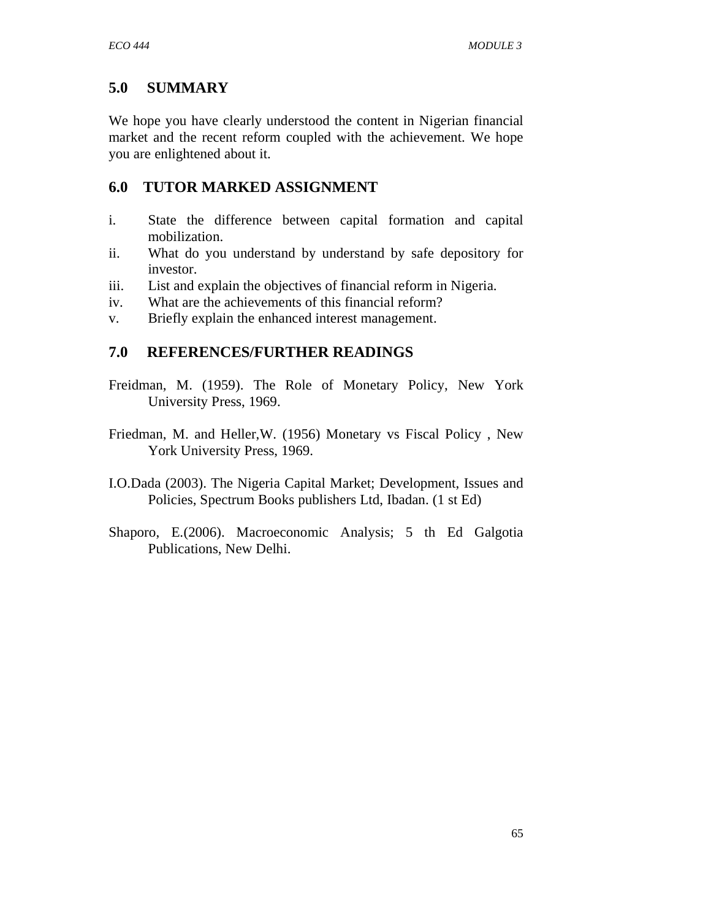# **5.0 SUMMARY**

We hope you have clearly understood the content in Nigerian financial market and the recent reform coupled with the achievement. We hope you are enlightened about it.

# **6.0 TUTOR MARKED ASSIGNMENT**

- i. State the difference between capital formation and capital mobilization.
- ii. What do you understand by understand by safe depository for investor.
- iii. List and explain the objectives of financial reform in Nigeria.
- iv. What are the achievements of this financial reform?
- v. Briefly explain the enhanced interest management.

# **7.0 REFERENCES/FURTHER READINGS**

- Freidman, M. (1959). The Role of Monetary Policy, New York University Press, 1969.
- Friedman, M. and Heller,W. (1956) Monetary vs Fiscal Policy , New York University Press, 1969.
- I.O.Dada (2003). The Nigeria Capital Market; Development, Issues and Policies, Spectrum Books publishers Ltd, Ibadan. (1 st Ed)
- Shaporo, E.(2006). Macroeconomic Analysis; 5 th Ed Galgotia Publications, New Delhi.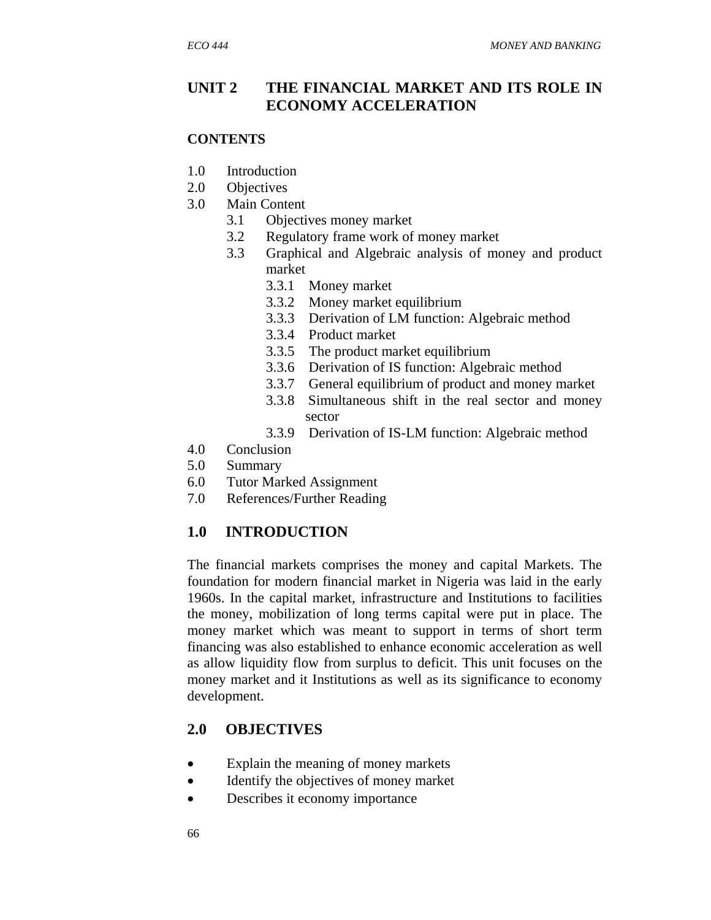# **UNIT 2 THE FINANCIAL MARKET AND ITS ROLE IN ECONOMY ACCELERATION**

#### **CONTENTS**

- 1.0 Introduction
- 2.0 Objectives
- 3.0 Main Content
	- 3.1 Objectives money market
	- 3.2 Regulatory frame work of money market
	- 3.3 Graphical and Algebraic analysis of money and product market
		- 3.3.1 Money market
		- 3.3.2 Money market equilibrium
		- 3.3.3 Derivation of LM function: Algebraic method
		- 3.3.4 Product market
		- 3.3.5 The product market equilibrium
		- 3.3.6 Derivation of IS function: Algebraic method
		- 3.3.7 General equilibrium of product and money market
		- 3.3.8 Simultaneous shift in the real sector and money sector
		- 3.3.9 Derivation of IS-LM function: Algebraic method
- 4.0 Conclusion
- 5.0 Summary
- 6.0 Tutor Marked Assignment
- 7.0 References/Further Reading

# **1.0 INTRODUCTION**

The financial markets comprises the money and capital Markets. The foundation for modern financial market in Nigeria was laid in the early 1960s. In the capital market, infrastructure and Institutions to facilities the money, mobilization of long terms capital were put in place. The money market which was meant to support in terms of short term financing was also established to enhance economic acceleration as well as allow liquidity flow from surplus to deficit. This unit focuses on the money market and it Institutions as well as its significance to economy development.

# **2.0 OBJECTIVES**

- Explain the meaning of money markets
- Identify the objectives of money market
- Describes it economy importance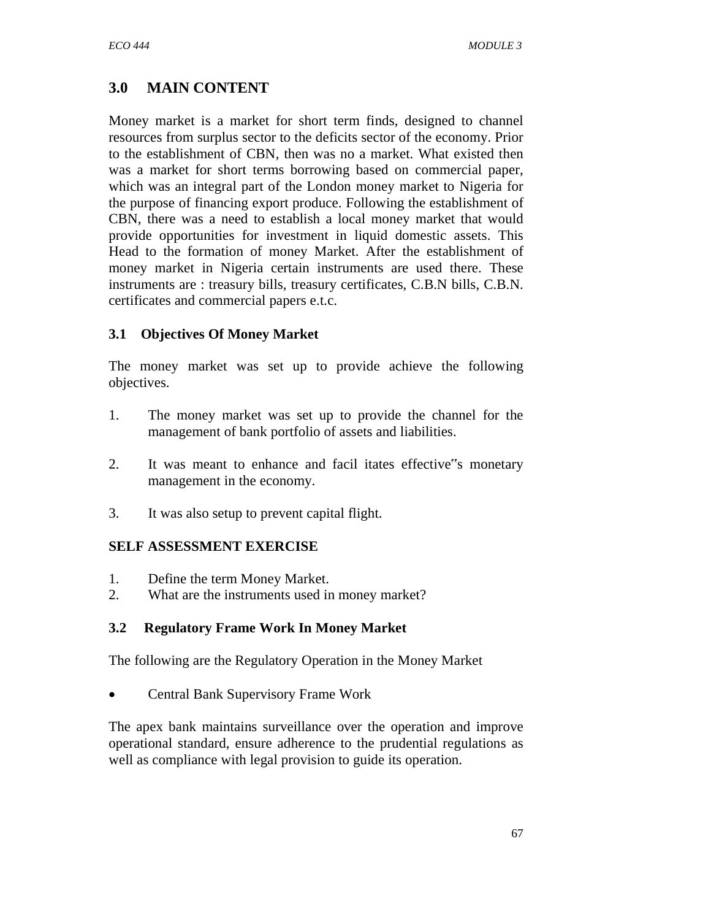# **3.0 MAIN CONTENT**

Money market is a market for short term finds, designed to channel resources from surplus sector to the deficits sector of the economy. Prior to the establishment of CBN, then was no a market. What existed then was a market for short terms borrowing based on commercial paper, which was an integral part of the London money market to Nigeria for the purpose of financing export produce. Following the establishment of CBN, there was a need to establish a local money market that would provide opportunities for investment in liquid domestic assets. This Head to the formation of money Market. After the establishment of money market in Nigeria certain instruments are used there. These instruments are : treasury bills, treasury certificates, C.B.N bills, C.B.N. certificates and commercial papers e.t.c.

## **3.1 Objectives Of Money Market**

The money market was set up to provide achieve the following objectives.

- 1. The money market was set up to provide the channel for the management of bank portfolio of assets and liabilities.
- 2. It was meant to enhance and facil itates effective"s monetary management in the economy.
- 3. It was also setup to prevent capital flight.

# **SELF ASSESSMENT EXERCISE**

- 1. Define the term Money Market.
- 2. What are the instruments used in money market?

### **3.2 Regulatory Frame Work In Money Market**

The following are the Regulatory Operation in the Money Market

• Central Bank Supervisory Frame Work

The apex bank maintains surveillance over the operation and improve operational standard, ensure adherence to the prudential regulations as well as compliance with legal provision to guide its operation.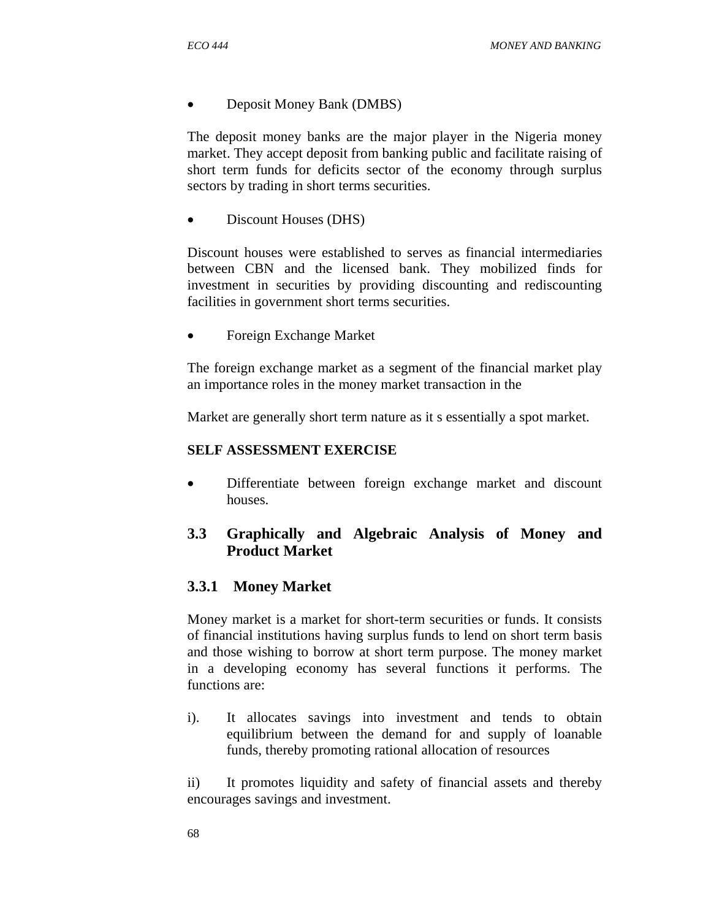### • Deposit Money Bank (DMBS)

The deposit money banks are the major player in the Nigeria money market. They accept deposit from banking public and facilitate raising of short term funds for deficits sector of the economy through surplus sectors by trading in short terms securities.

• Discount Houses (DHS)

Discount houses were established to serves as financial intermediaries between CBN and the licensed bank. They mobilized finds for investment in securities by providing discounting and rediscounting facilities in government short terms securities.

• Foreign Exchange Market

The foreign exchange market as a segment of the financial market play an importance roles in the money market transaction in the

Market are generally short term nature as it s essentially a spot market.

### **SELF ASSESSMENT EXERCISE**

• Differentiate between foreign exchange market and discount houses.

# **3.3 Graphically and Algebraic Analysis of Money and Product Market**

# **3.3.1 Money Market**

Money market is a market for short-term securities or funds. It consists of financial institutions having surplus funds to lend on short term basis and those wishing to borrow at short term purpose. The money market in a developing economy has several functions it performs. The functions are:

i). It allocates savings into investment and tends to obtain equilibrium between the demand for and supply of loanable funds, thereby promoting rational allocation of resources

ii) It promotes liquidity and safety of financial assets and thereby encourages savings and investment.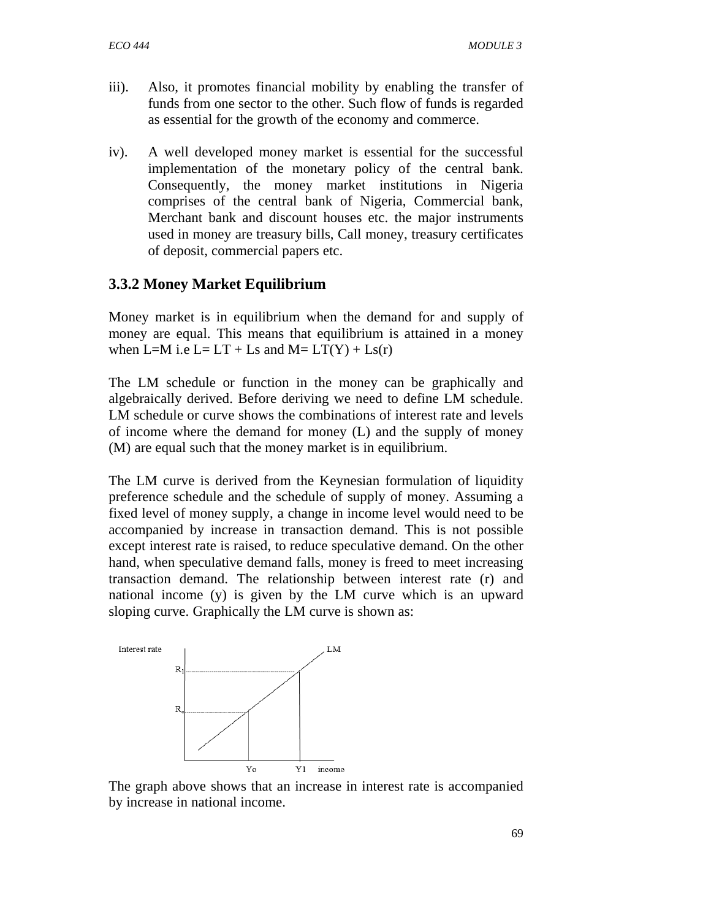- iii). Also, it promotes financial mobility by enabling the transfer of funds from one sector to the other. Such flow of funds is regarded as essential for the growth of the economy and commerce.
- iv). A well developed money market is essential for the successful implementation of the monetary policy of the central bank. Consequently, the money market institutions in Nigeria comprises of the central bank of Nigeria, Commercial bank, Merchant bank and discount houses etc. the major instruments used in money are treasury bills, Call money, treasury certificates of deposit, commercial papers etc.

## **3.3.2 Money Market Equilibrium**

Money market is in equilibrium when the demand for and supply of money are equal. This means that equilibrium is attained in a money when L=M i.e L= LT + Ls and M=  $LT(Y)$  + Ls(r)

The LM schedule or function in the money can be graphically and algebraically derived. Before deriving we need to define LM schedule. LM schedule or curve shows the combinations of interest rate and levels of income where the demand for money (L) and the supply of money (M) are equal such that the money market is in equilibrium.

The LM curve is derived from the Keynesian formulation of liquidity preference schedule and the schedule of supply of money. Assuming a fixed level of money supply, a change in income level would need to be accompanied by increase in transaction demand. This is not possible except interest rate is raised, to reduce speculative demand. On the other hand, when speculative demand falls, money is freed to meet increasing transaction demand. The relationship between interest rate (r) and national income (y) is given by the LM curve which is an upward sloping curve. Graphically the LM curve is shown as:



The graph above shows that an increase in interest rate is accompanied by increase in national income.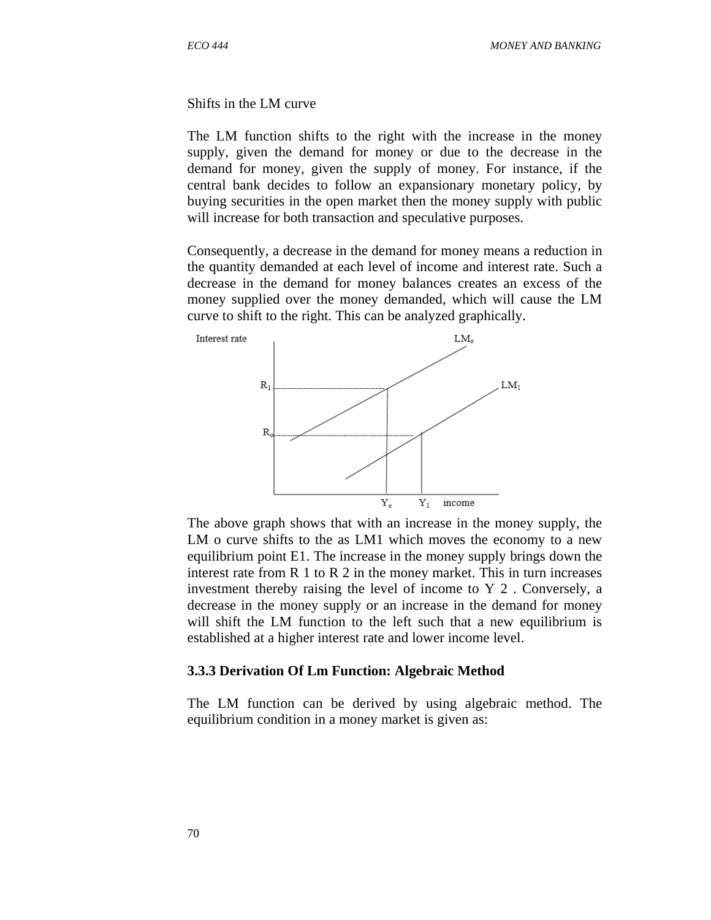Shifts in the LM curve

The LM function shifts to the right with the increase in the money supply, given the demand for money or due to the decrease in the demand for money, given the supply of money. For instance, if the central bank decides to follow an expansionary monetary policy, by buying securities in the open market then the money supply with public will increase for both transaction and speculative purposes.

Consequently, a decrease in the demand for money means a reduction in the quantity demanded at each level of income and interest rate. Such a decrease in the demand for money balances creates an excess of the money supplied over the money demanded, which will cause the LM curve to shift to the right. This can be analyzed graphically.



The above graph shows that with an increase in the money supply, the LM o curve shifts to the as LM1 which moves the economy to a new equilibrium point E1. The increase in the money supply brings down the interest rate from  $R$  1 to  $R$  2 in the money market. This in turn increases investment thereby raising the level of income to Y 2 . Conversely, a decrease in the money supply or an increase in the demand for money will shift the LM function to the left such that a new equilibrium is established at a higher interest rate and lower income level.

#### **3.3.3 Derivation Of Lm Function: Algebraic Method**

The LM function can be derived by using algebraic method. The equilibrium condition in a money market is given as: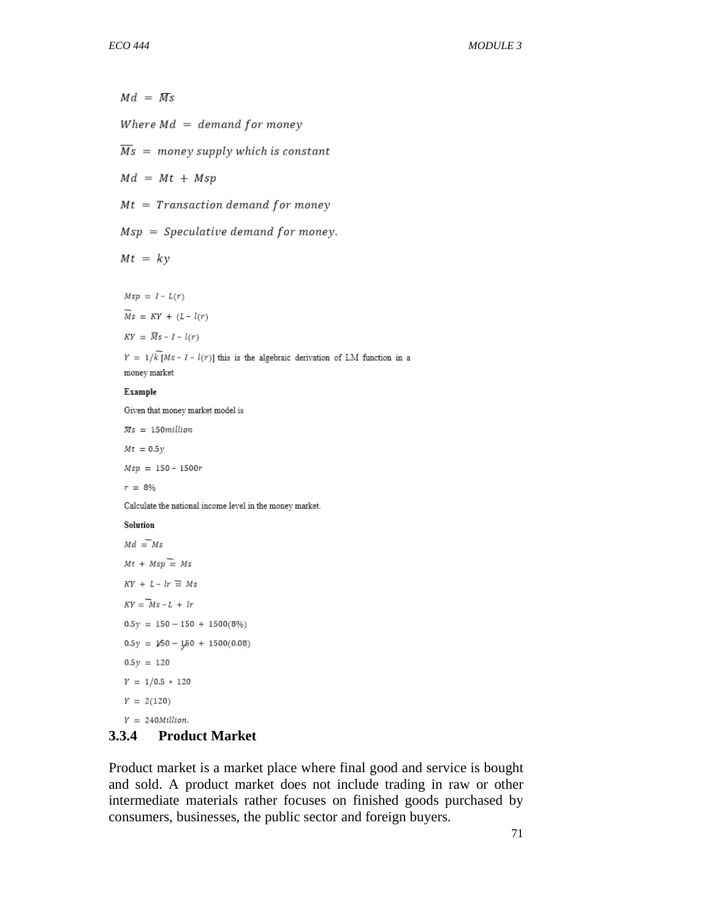$Md = Ms$ Where  $Md = demand$  for money  $\overline{Ms}$  = money supply which is constant  $Md = Mt + Msp$  $Mt = Transaction$  demand for money  $Msp = Speculative demand for money.$  $Mt = ky$  $Msp = I - L(r)$  $\overline{Ms} = KY + (L - l(r))$  $KY = \overline{Ms} - I - l(r)$  $Y = 1/\overline{k[Ms - I - l(r)]}$  this is the algebraic derivation of LM function in a money market Example Given that money market model is  $Ms = 150 million$  $Mt = 0.5y$  $Msp = 150 - 1500r$  $r = 8\%$ Calculate the national income level in the money market. Solution  $Md = Ms$  $Mt + Msp = Ms$  $KY + L - lr \equiv Ms$  $KY = Ms - L + lr$  $0.5y = 150 - 150 + 1500(8%)$  $0.5y = 150 - 150 + 1500(0.08)$  $0.5y = 120$  $Y = 1/0.5 * 120$  $Y = 2(120)$ 

#### $Y = 240$ Million.

#### **3.3.4 Product Market**

Product market is a market place where final good and service is bought and sold. A product market does not include trading in raw or other intermediate materials rather focuses on finished goods purchased by consumers, businesses, the public sector and foreign buyers.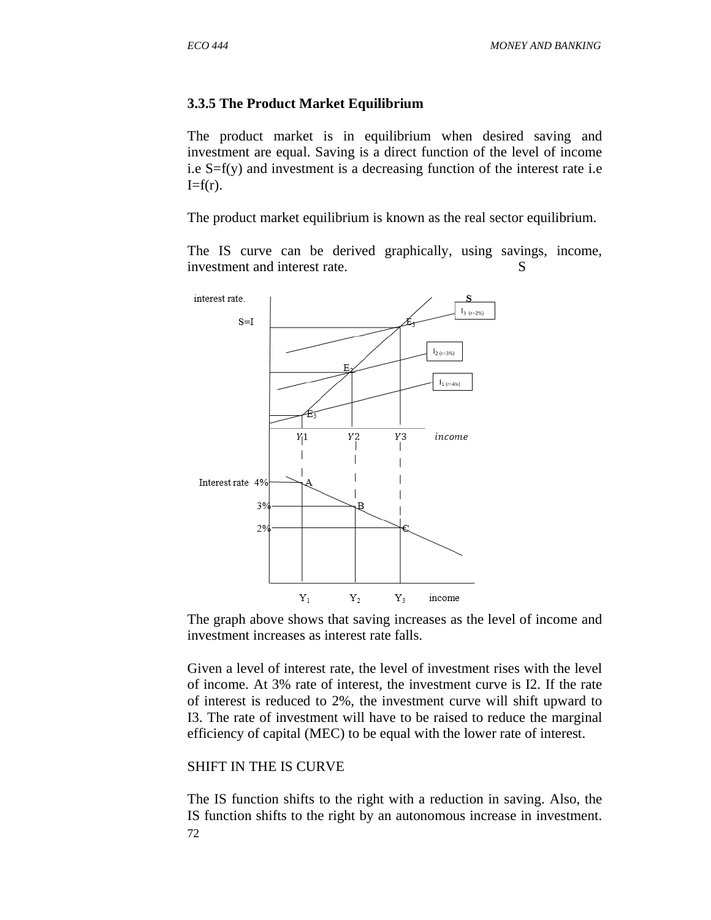#### **3.3.5 The Product Market Equilibrium**

The product market is in equilibrium when desired saving and investment are equal. Saving is a direct function of the level of income i.e  $S=f(y)$  and investment is a decreasing function of the interest rate i.e  $I=f(r)$ .

The product market equilibrium is known as the real sector equilibrium.

The IS curve can be derived graphically, using savings, income, investment and interest rate. S



The graph above shows that saving increases as the level of income and investment increases as interest rate falls.

Given a level of interest rate, the level of investment rises with the level of income. At 3% rate of interest, the investment curve is I2. If the rate of interest is reduced to 2%, the investment curve will shift upward to I3. The rate of investment will have to be raised to reduce the marginal efficiency of capital (MEC) to be equal with the lower rate of interest.

#### SHIFT IN THE IS CURVE

72 The IS function shifts to the right with a reduction in saving. Also, the IS function shifts to the right by an autonomous increase in investment.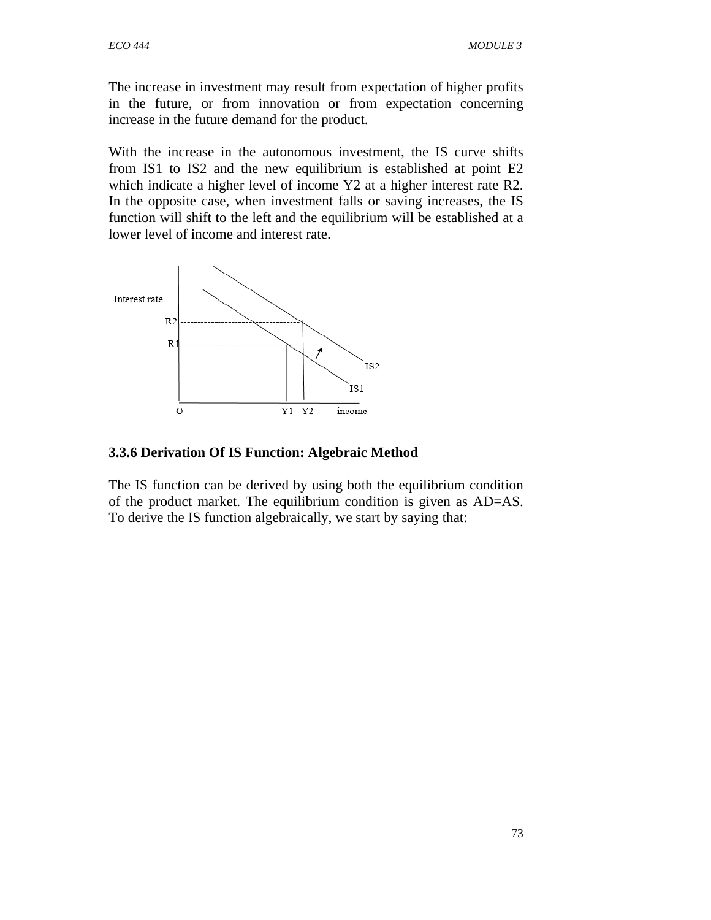The increase in investment may result from expectation of higher profits in the future, or from innovation or from expectation concerning increase in the future demand for the product.

With the increase in the autonomous investment, the IS curve shifts from IS1 to IS2 and the new equilibrium is established at point E2 which indicate a higher level of income Y2 at a higher interest rate R2. In the opposite case, when investment falls or saving increases, the IS function will shift to the left and the equilibrium will be established at a lower level of income and interest rate.



#### **3.3.6 Derivation Of IS Function: Algebraic Method**

The IS function can be derived by using both the equilibrium condition of the product market. The equilibrium condition is given as AD=AS. To derive the IS function algebraically, we start by saying that: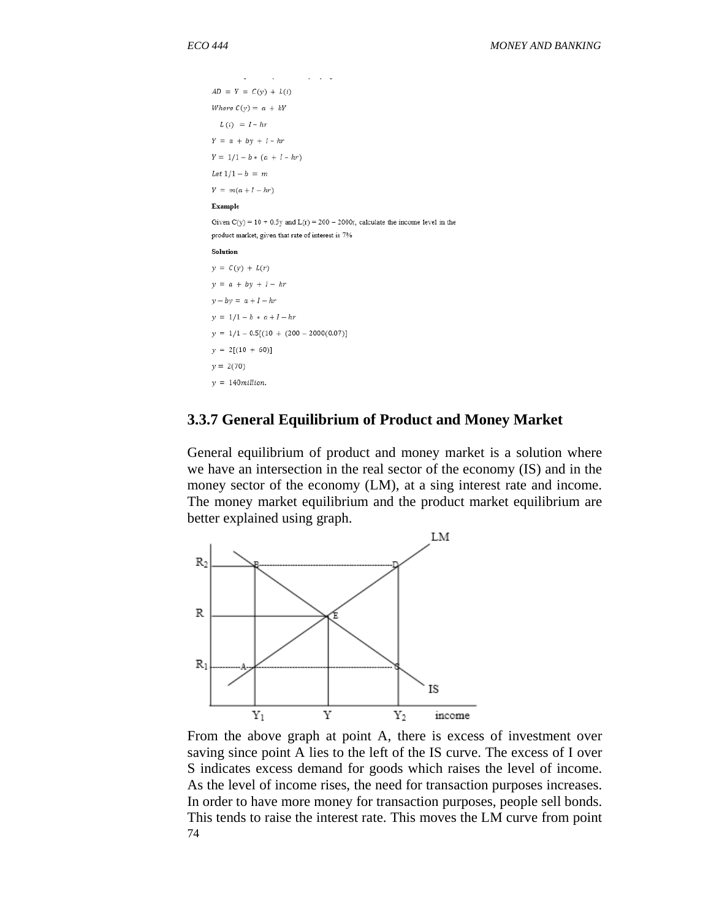```
AD = Y = C(y) + L(i)Where C(y) = a + bYL(i) = I - hrY = a + by + I - hrY = 1/1 - b * (a + I - hr)Let 1/1 - b = mY = m(a + I - hr)Example
Given C(y) = 10 + 0.5y and L(r) = 200 - 2000r, calculate the income level in the
product market, given that rate of interest is 7\%Solution
y = C(y) + L(r)y = a + by + I - hry - by = a + I - hry = 1/1 - b * a + I - hry = 1/1 - 0.5[(10 + (200 - 2000(0.07))]y = 2[(10 + 60)]y = 2(70)y = 140million.
```
#### **3.3.7 General Equilibrium of Product and Money Market**

General equilibrium of product and money market is a solution where we have an intersection in the real sector of the economy (IS) and in the money sector of the economy (LM), at a sing interest rate and income. The money market equilibrium and the product market equilibrium are better explained using graph.



74 From the above graph at point A, there is excess of investment over saving since point A lies to the left of the IS curve. The excess of I over S indicates excess demand for goods which raises the level of income. As the level of income rises, the need for transaction purposes increases. In order to have more money for transaction purposes, people sell bonds. This tends to raise the interest rate. This moves the LM curve from point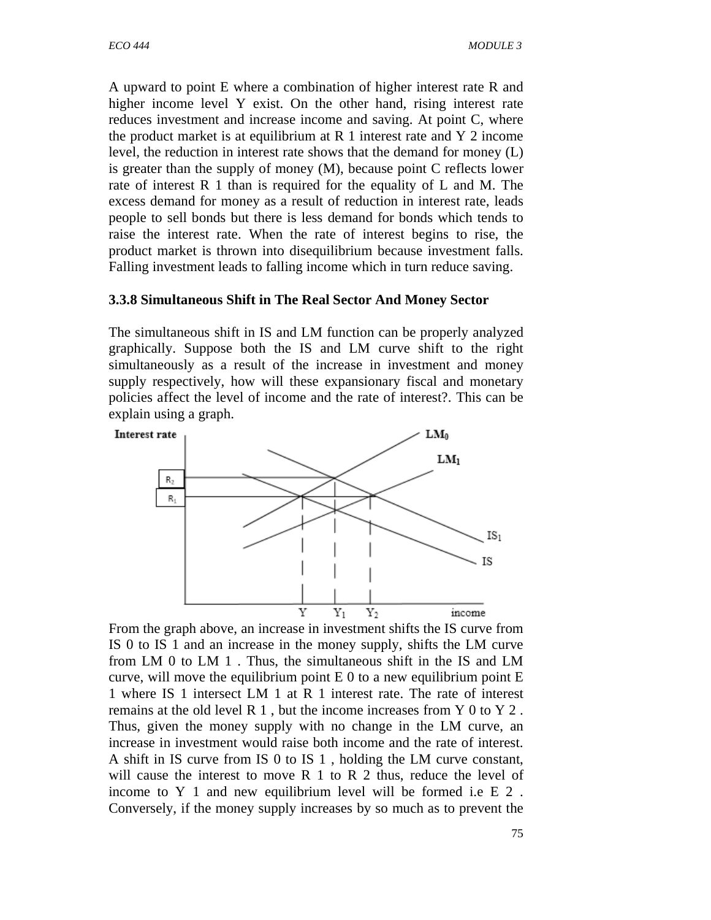A upward to point E where a combination of higher interest rate R and higher income level Y exist. On the other hand, rising interest rate reduces investment and increase income and saving. At point C, where the product market is at equilibrium at  $R$  1 interest rate and  $Y$  2 income level, the reduction in interest rate shows that the demand for money (L) is greater than the supply of money (M), because point C reflects lower rate of interest R 1 than is required for the equality of L and M. The excess demand for money as a result of reduction in interest rate, leads people to sell bonds but there is less demand for bonds which tends to raise the interest rate. When the rate of interest begins to rise, the product market is thrown into disequilibrium because investment falls. Falling investment leads to falling income which in turn reduce saving.

#### **3.3.8 Simultaneous Shift in The Real Sector And Money Sector**

The simultaneous shift in IS and LM function can be properly analyzed graphically. Suppose both the IS and LM curve shift to the right simultaneously as a result of the increase in investment and money supply respectively, how will these expansionary fiscal and monetary policies affect the level of income and the rate of interest?. This can be explain using a graph.



From the graph above, an increase in investment shifts the IS curve from IS 0 to IS 1 and an increase in the money supply, shifts the LM curve from LM 0 to LM 1 . Thus, the simultaneous shift in the IS and LM curve, will move the equilibrium point  $E_0$  to a new equilibrium point  $E_1$ 1 where IS 1 intersect LM 1 at R 1 interest rate. The rate of interest remains at the old level R 1 , but the income increases from Y 0 to Y 2 . Thus, given the money supply with no change in the LM curve, an increase in investment would raise both income and the rate of interest. A shift in IS curve from IS 0 to IS 1 , holding the LM curve constant, will cause the interest to move R 1 to R 2 thus, reduce the level of income to Y 1 and new equilibrium level will be formed i.e E 2 . Conversely, if the money supply increases by so much as to prevent the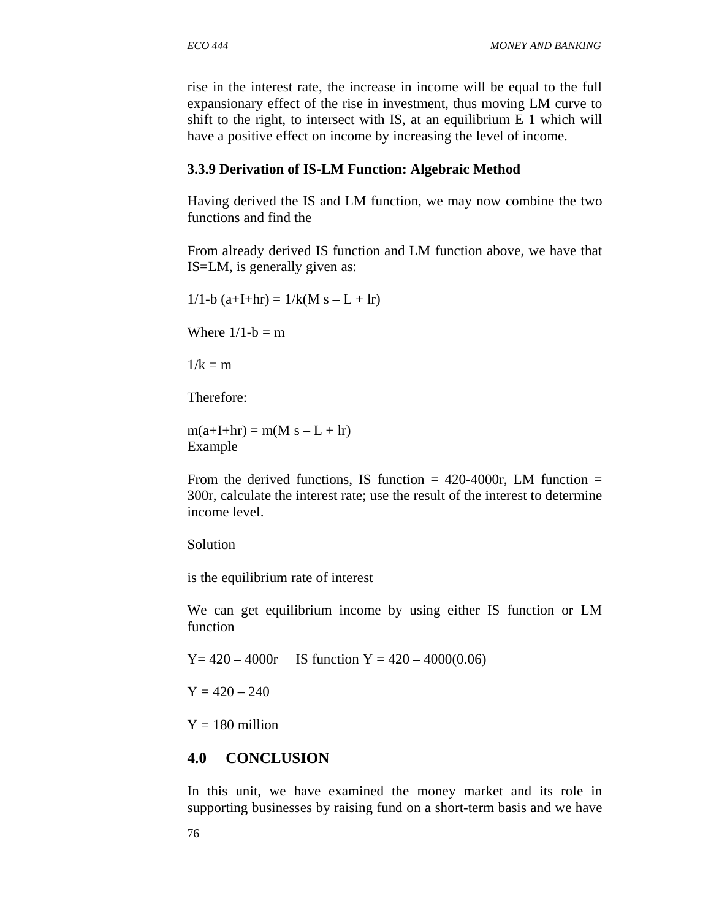rise in the interest rate, the increase in income will be equal to the full expansionary effect of the rise in investment, thus moving LM curve to shift to the right, to intersect with IS, at an equilibrium E 1 which will have a positive effect on income by increasing the level of income.

#### **3.3.9 Derivation of IS-LM Function: Algebraic Method**

Having derived the IS and LM function, we may now combine the two functions and find the

From already derived IS function and LM function above, we have that IS=LM, is generally given as:

 $1/1-b$  (a+I+hr) =  $1/k(M s - L + lr)$ 

Where  $1/1-b = m$ 

 $1/k = m$ 

Therefore:

 $m(a+I+hr) = m(M s - L + Ir)$ Example

From the derived functions, IS function  $=$  420-4000r, LM function  $=$ 300r, calculate the interest rate; use the result of the interest to determine income level.

Solution

is the equilibrium rate of interest

We can get equilibrium income by using either IS function or LM function

 $Y = 420 - 4000r$  IS function  $Y = 420 - 4000(0.06)$ 

 $Y = 420 - 240$ 

 $Y = 180$  million

# **4.0 CONCLUSION**

In this unit, we have examined the money market and its role in supporting businesses by raising fund on a short-term basis and we have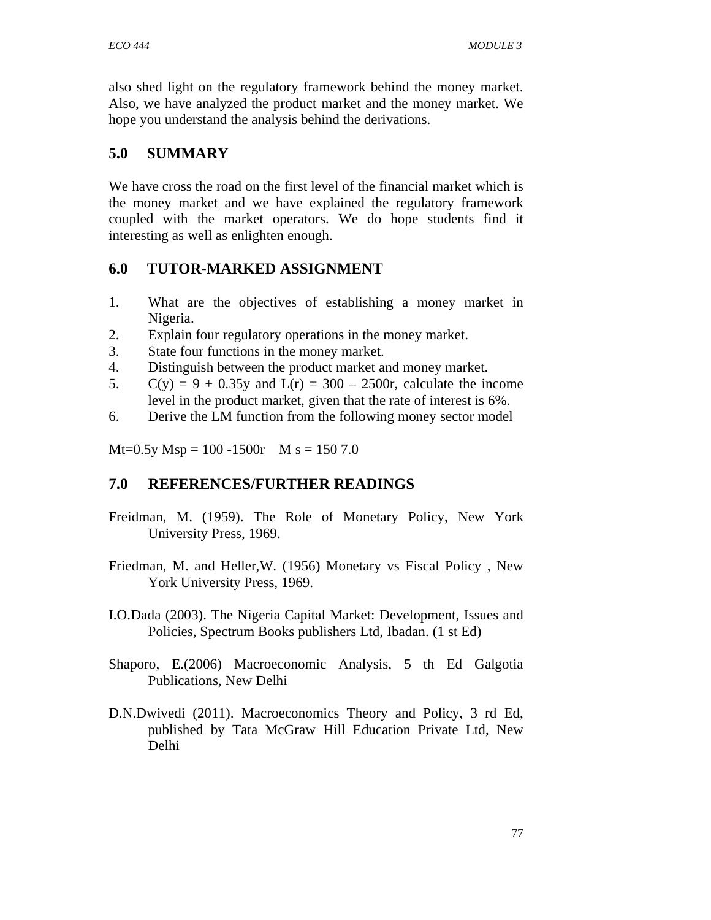also shed light on the regulatory framework behind the money market. Also, we have analyzed the product market and the money market. We hope you understand the analysis behind the derivations.

# **5.0 SUMMARY**

We have cross the road on the first level of the financial market which is the money market and we have explained the regulatory framework coupled with the market operators. We do hope students find it interesting as well as enlighten enough.

# **6.0 TUTOR-MARKED ASSIGNMENT**

- 1. What are the objectives of establishing a money market in Nigeria.
- 2. Explain four regulatory operations in the money market.
- 3. State four functions in the money market.
- 4. Distinguish between the product market and money market.
- 5. C(y) = 9 + 0.35y and L(r) = 300 2500r, calculate the income level in the product market, given that the rate of interest is 6%.
- 6. Derive the LM function from the following money sector model

 $Mt=0.5y$  Msp = 100 -1500r M s = 150 7.0

# **7.0 REFERENCES/FURTHER READINGS**

- Freidman, M. (1959). The Role of Monetary Policy, New York University Press, 1969.
- Friedman, M. and Heller,W. (1956) Monetary vs Fiscal Policy , New York University Press, 1969.
- I.O.Dada (2003). The Nigeria Capital Market: Development, Issues and Policies, Spectrum Books publishers Ltd, Ibadan. (1 st Ed)
- Shaporo, E.(2006) Macroeconomic Analysis, 5 th Ed Galgotia Publications, New Delhi
- D.N.Dwivedi (2011). Macroeconomics Theory and Policy, 3 rd Ed, published by Tata McGraw Hill Education Private Ltd, New Delhi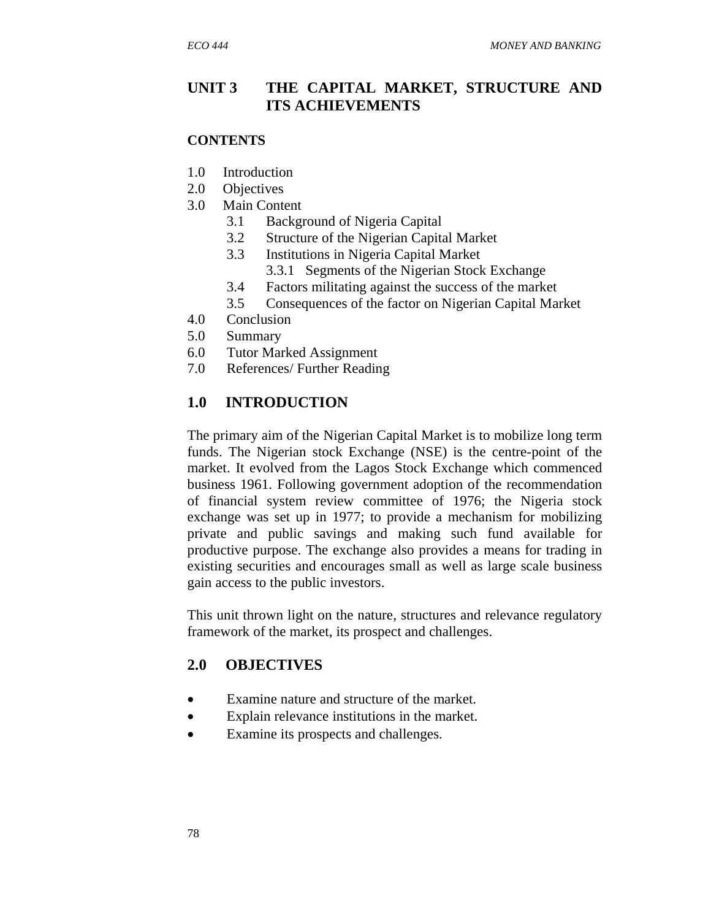### **UNIT 3 THE CAPITAL MARKET, STRUCTURE AND ITS ACHIEVEMENTS**

#### **CONTENTS**

- 1.0 Introduction
- 2.0 Objectives
- 3.0 Main Content
	- 3.1 Background of Nigeria Capital
	- 3.2 Structure of the Nigerian Capital Market
	- 3.3 Institutions in Nigeria Capital Market
		- 3.3.1 Segments of the Nigerian Stock Exchange
	- 3.4 Factors militating against the success of the market
	- 3.5 Consequences of the factor on Nigerian Capital Market
- 4.0 Conclusion
- 5.0 Summary
- 6.0 Tutor Marked Assignment
- 7.0 References/ Further Reading

#### **1.0 INTRODUCTION**

The primary aim of the Nigerian Capital Market is to mobilize long term funds. The Nigerian stock Exchange (NSE) is the centre-point of the market. It evolved from the Lagos Stock Exchange which commenced business 1961. Following government adoption of the recommendation of financial system review committee of 1976; the Nigeria stock exchange was set up in 1977; to provide a mechanism for mobilizing private and public savings and making such fund available for productive purpose. The exchange also provides a means for trading in existing securities and encourages small as well as large scale business gain access to the public investors.

This unit thrown light on the nature, structures and relevance regulatory framework of the market, its prospect and challenges.

#### **2.0 OBJECTIVES**

- Examine nature and structure of the market.
- Explain relevance institutions in the market.
- Examine its prospects and challenges.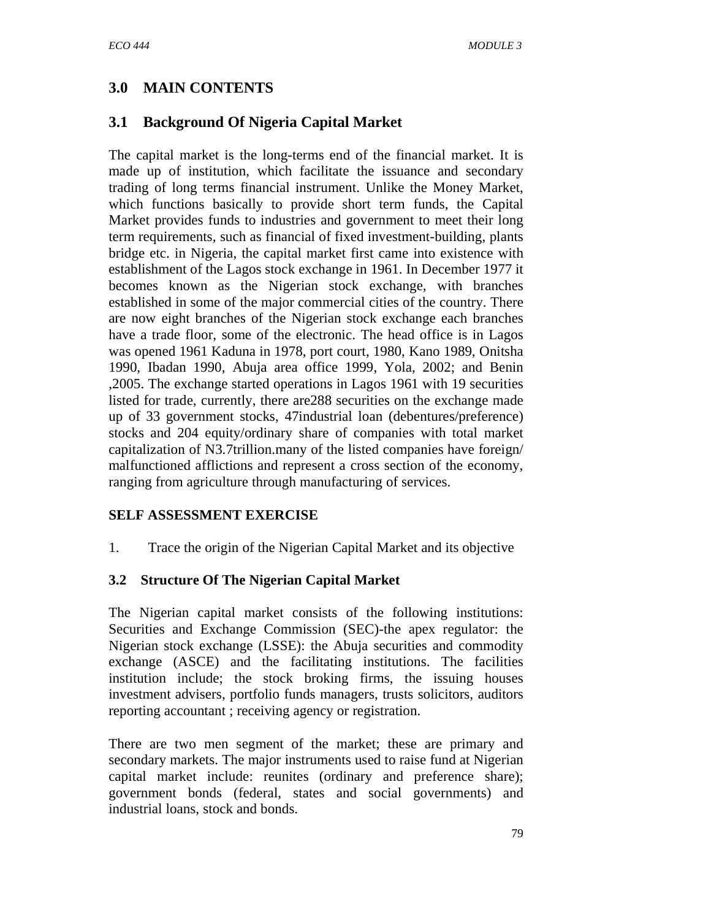# **3.0 MAIN CONTENTS**

# **3.1 Background Of Nigeria Capital Market**

The capital market is the long-terms end of the financial market. It is made up of institution, which facilitate the issuance and secondary trading of long terms financial instrument. Unlike the Money Market, which functions basically to provide short term funds, the Capital Market provides funds to industries and government to meet their long term requirements, such as financial of fixed investment-building, plants bridge etc. in Nigeria, the capital market first came into existence with establishment of the Lagos stock exchange in 1961. In December 1977 it becomes known as the Nigerian stock exchange, with branches established in some of the major commercial cities of the country. There are now eight branches of the Nigerian stock exchange each branches have a trade floor, some of the electronic. The head office is in Lagos was opened 1961 Kaduna in 1978, port court, 1980, Kano 1989, Onitsha 1990, Ibadan 1990, Abuja area office 1999, Yola, 2002; and Benin ,2005. The exchange started operations in Lagos 1961 with 19 securities listed for trade, currently, there are288 securities on the exchange made up of 33 government stocks, 47industrial loan (debentures/preference) stocks and 204 equity/ordinary share of companies with total market capitalization of N3.7trillion.many of the listed companies have foreign/ malfunctioned afflictions and represent a cross section of the economy, ranging from agriculture through manufacturing of services.

### **SELF ASSESSMENT EXERCISE**

1. Trace the origin of the Nigerian Capital Market and its objective

### **3.2 Structure Of The Nigerian Capital Market**

The Nigerian capital market consists of the following institutions: Securities and Exchange Commission (SEC)-the apex regulator: the Nigerian stock exchange (LSSE): the Abuja securities and commodity exchange (ASCE) and the facilitating institutions. The facilities institution include; the stock broking firms, the issuing houses investment advisers, portfolio funds managers, trusts solicitors, auditors reporting accountant ; receiving agency or registration.

There are two men segment of the market; these are primary and secondary markets. The major instruments used to raise fund at Nigerian capital market include: reunites (ordinary and preference share); government bonds (federal, states and social governments) and industrial loans, stock and bonds.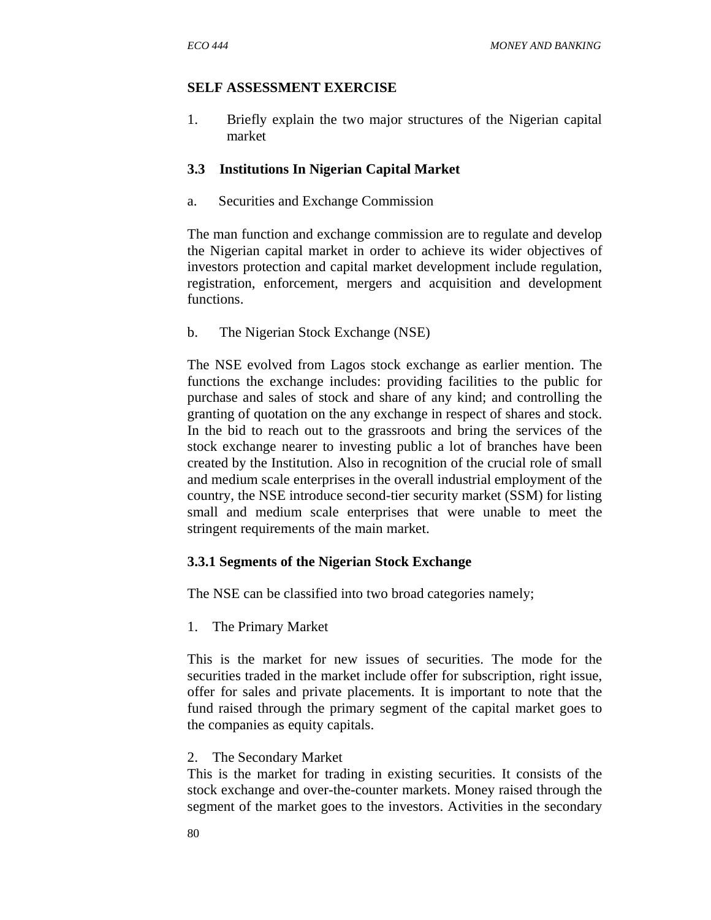#### **SELF ASSESSMENT EXERCISE**

1. Briefly explain the two major structures of the Nigerian capital market

### **3.3 Institutions In Nigerian Capital Market**

a. Securities and Exchange Commission

The man function and exchange commission are to regulate and develop the Nigerian capital market in order to achieve its wider objectives of investors protection and capital market development include regulation, registration, enforcement, mergers and acquisition and development functions.

b. The Nigerian Stock Exchange (NSE)

The NSE evolved from Lagos stock exchange as earlier mention. The functions the exchange includes: providing facilities to the public for purchase and sales of stock and share of any kind; and controlling the granting of quotation on the any exchange in respect of shares and stock. In the bid to reach out to the grassroots and bring the services of the stock exchange nearer to investing public a lot of branches have been created by the Institution. Also in recognition of the crucial role of small and medium scale enterprises in the overall industrial employment of the country, the NSE introduce second-tier security market (SSM) for listing small and medium scale enterprises that were unable to meet the stringent requirements of the main market.

### **3.3.1 Segments of the Nigerian Stock Exchange**

The NSE can be classified into two broad categories namely;

1. The Primary Market

This is the market for new issues of securities. The mode for the securities traded in the market include offer for subscription, right issue, offer for sales and private placements. It is important to note that the fund raised through the primary segment of the capital market goes to the companies as equity capitals.

2. The Secondary Market

This is the market for trading in existing securities. It consists of the stock exchange and over-the-counter markets. Money raised through the segment of the market goes to the investors. Activities in the secondary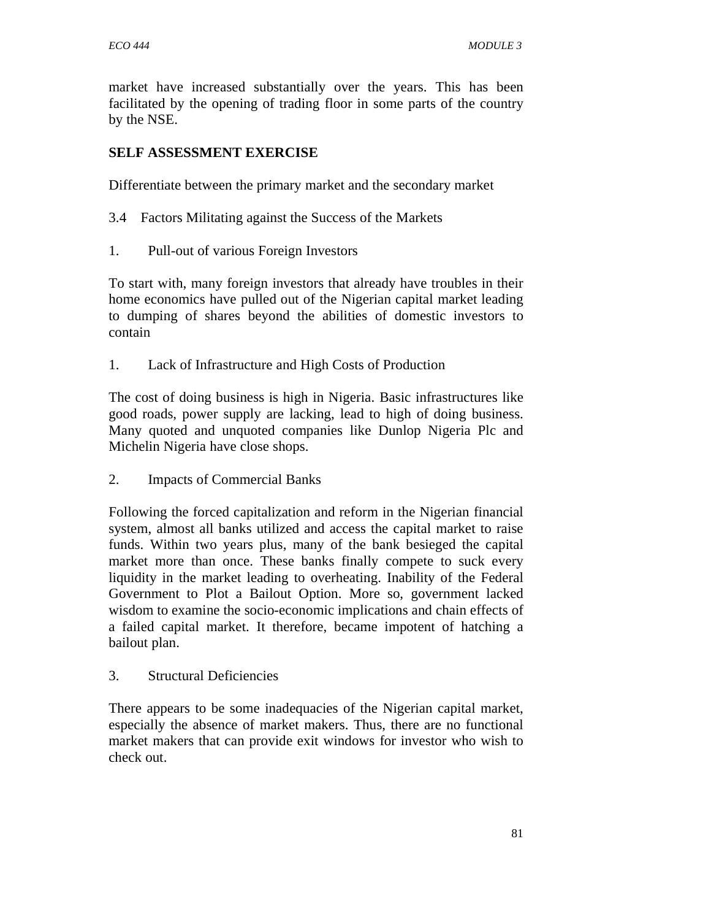market have increased substantially over the years. This has been facilitated by the opening of trading floor in some parts of the country by the NSE.

### **SELF ASSESSMENT EXERCISE**

Differentiate between the primary market and the secondary market

- 3.4 Factors Militating against the Success of the Markets
- 1. Pull-out of various Foreign Investors

To start with, many foreign investors that already have troubles in their home economics have pulled out of the Nigerian capital market leading to dumping of shares beyond the abilities of domestic investors to contain

1. Lack of Infrastructure and High Costs of Production

The cost of doing business is high in Nigeria. Basic infrastructures like good roads, power supply are lacking, lead to high of doing business. Many quoted and unquoted companies like Dunlop Nigeria Plc and Michelin Nigeria have close shops.

2. Impacts of Commercial Banks

Following the forced capitalization and reform in the Nigerian financial system, almost all banks utilized and access the capital market to raise funds. Within two years plus, many of the bank besieged the capital market more than once. These banks finally compete to suck every liquidity in the market leading to overheating. Inability of the Federal Government to Plot a Bailout Option. More so, government lacked wisdom to examine the socio-economic implications and chain effects of a failed capital market. It therefore, became impotent of hatching a bailout plan.

3. Structural Deficiencies

There appears to be some inadequacies of the Nigerian capital market, especially the absence of market makers. Thus, there are no functional market makers that can provide exit windows for investor who wish to check out.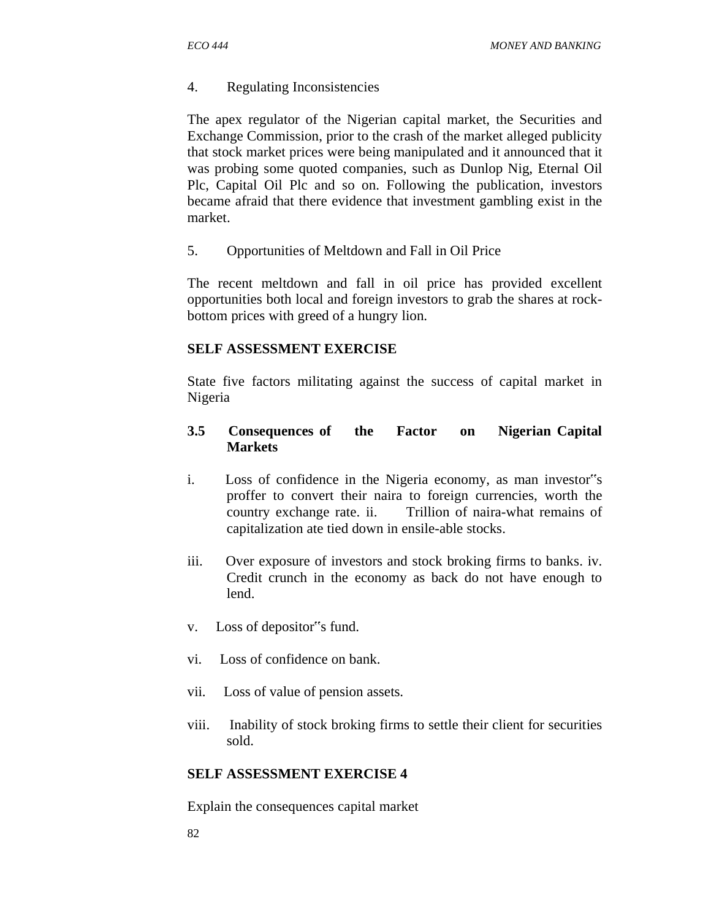#### 4. Regulating Inconsistencies

The apex regulator of the Nigerian capital market, the Securities and Exchange Commission, prior to the crash of the market alleged publicity that stock market prices were being manipulated and it announced that it was probing some quoted companies, such as Dunlop Nig, Eternal Oil Plc, Capital Oil Plc and so on. Following the publication, investors became afraid that there evidence that investment gambling exist in the market.

5. Opportunities of Meltdown and Fall in Oil Price

The recent meltdown and fall in oil price has provided excellent opportunities both local and foreign investors to grab the shares at rockbottom prices with greed of a hungry lion.

#### **SELF ASSESSMENT EXERCISE**

State five factors militating against the success of capital market in Nigeria

### **3.5 Consequences of the Factor on Nigerian Capital Markets**

- i. Loss of confidence in the Nigeria economy, as man investor"s proffer to convert their naira to foreign currencies, worth the country exchange rate. ii. Trillion of naira-what remains of capitalization ate tied down in ensile-able stocks.
- iii. Over exposure of investors and stock broking firms to banks. iv. Credit crunch in the economy as back do not have enough to lend.
- v. Loss of depositor"s fund.
- vi. Loss of confidence on bank.
- vii. Loss of value of pension assets.
- viii. Inability of stock broking firms to settle their client for securities sold.

#### **SELF ASSESSMENT EXERCISE 4**

Explain the consequences capital market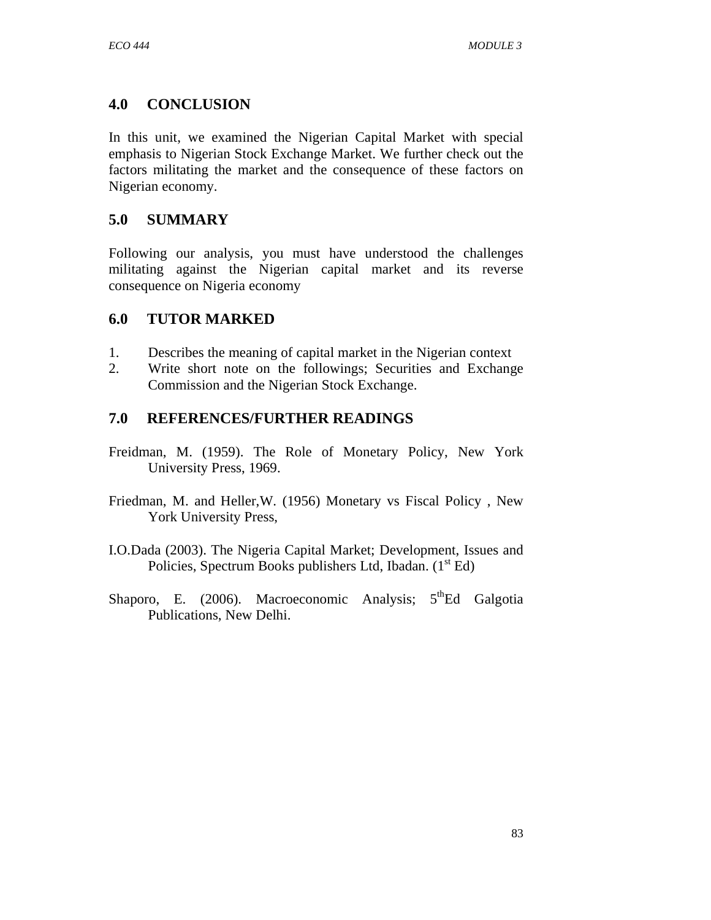# **4.0 CONCLUSION**

In this unit, we examined the Nigerian Capital Market with special emphasis to Nigerian Stock Exchange Market. We further check out the factors militating the market and the consequence of these factors on Nigerian economy.

# **5.0 SUMMARY**

Following our analysis, you must have understood the challenges militating against the Nigerian capital market and its reverse consequence on Nigeria economy

# **6.0 TUTOR MARKED**

- 1. Describes the meaning of capital market in the Nigerian context
- 2. Write short note on the followings; Securities and Exchange Commission and the Nigerian Stock Exchange.

# **7.0 REFERENCES/FURTHER READINGS**

- Freidman, M. (1959). The Role of Monetary Policy, New York University Press, 1969.
- Friedman, M. and Heller,W. (1956) Monetary vs Fiscal Policy , New York University Press,
- I.O.Dada (2003). The Nigeria Capital Market; Development, Issues and Policies, Spectrum Books publishers Ltd, Ibadan.  $(1<sup>st</sup> Ed)$
- Shaporo, E. (2006). Macroeconomic Analysis;  $5<sup>th</sup>Ed$  Galgotia Publications, New Delhi.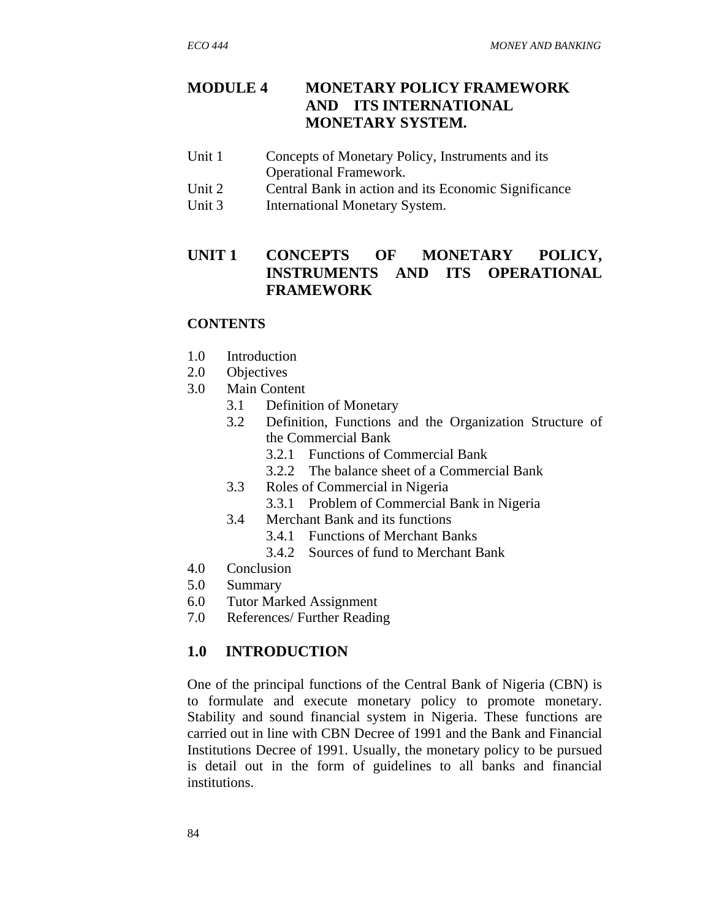# **MODULE 4 MONETARY POLICY FRAMEWORK AND ITS INTERNATIONAL MONETARY SYSTEM.**

- Unit 1 Concepts of Monetary Policy, Instruments and its Operational Framework.
- Unit 2 Central Bank in action and its Economic Significance
- Unit 3 International Monetary System.

# **UNIT 1 CONCEPTS OF MONETARY POLICY, INSTRUMENTS AND ITS OPERATIONAL FRAMEWORK**

#### **CONTENTS**

- 1.0 Introduction
- 2.0 Objectives
- 3.0 Main Content
	- 3.1 Definition of Monetary
	- 3.2 Definition, Functions and the Organization Structure of the Commercial Bank
		- 3.2.1 Functions of Commercial Bank
		- 3.2.2 The balance sheet of a Commercial Bank
	- 3.3 Roles of Commercial in Nigeria
		- 3.3.1 Problem of Commercial Bank in Nigeria
	- 3.4 Merchant Bank and its functions
		- 3.4.1 Functions of Merchant Banks
		- 3.4.2 Sources of fund to Merchant Bank
- 4.0 Conclusion
- 5.0 Summary
- 6.0 Tutor Marked Assignment
- 7.0 References/ Further Reading

### **1.0 INTRODUCTION**

One of the principal functions of the Central Bank of Nigeria (CBN) is to formulate and execute monetary policy to promote monetary. Stability and sound financial system in Nigeria. These functions are carried out in line with CBN Decree of 1991 and the Bank and Financial Institutions Decree of 1991. Usually, the monetary policy to be pursued is detail out in the form of guidelines to all banks and financial institutions.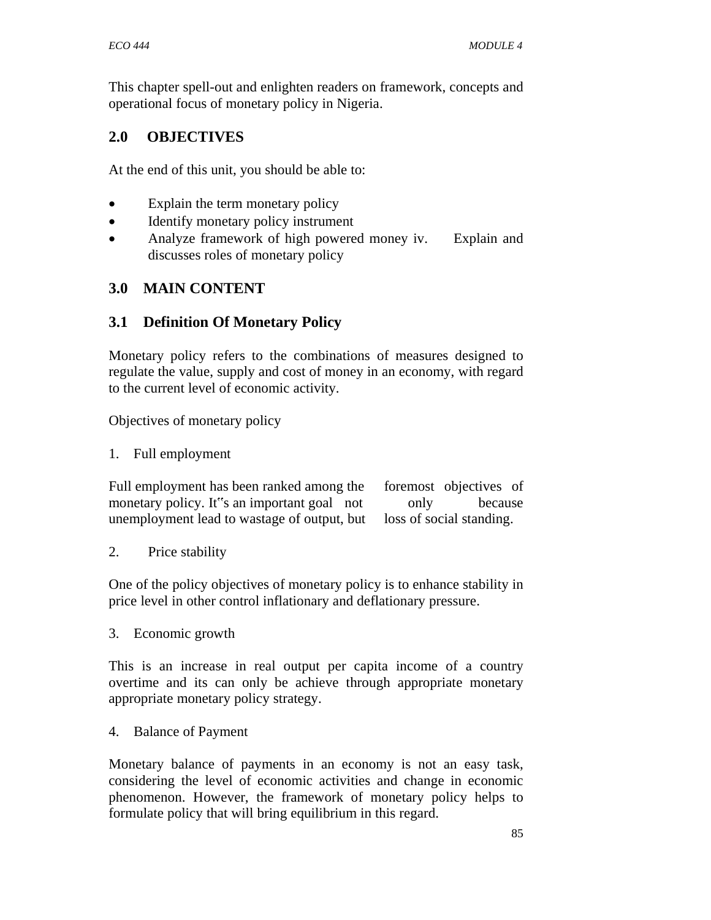This chapter spell-out and enlighten readers on framework, concepts and operational focus of monetary policy in Nigeria.

# **2.0 OBJECTIVES**

At the end of this unit, you should be able to:

- Explain the term monetary policy
- Identify monetary policy instrument
- Analyze framework of high powered money iv. Explain and discusses roles of monetary policy

# **3.0 MAIN CONTENT**

# **3.1 Definition Of Monetary Policy**

Monetary policy refers to the combinations of measures designed to regulate the value, supply and cost of money in an economy, with regard to the current level of economic activity.

Objectives of monetary policy

1. Full employment

Full employment has been ranked among the foremost objectives of monetary policy. It"s an important goal not only because unemployment lead to wastage of output, but loss of social standing.

2. Price stability

One of the policy objectives of monetary policy is to enhance stability in price level in other control inflationary and deflationary pressure.

3. Economic growth

This is an increase in real output per capita income of a country overtime and its can only be achieve through appropriate monetary appropriate monetary policy strategy.

4. Balance of Payment

Monetary balance of payments in an economy is not an easy task, considering the level of economic activities and change in economic phenomenon. However, the framework of monetary policy helps to formulate policy that will bring equilibrium in this regard.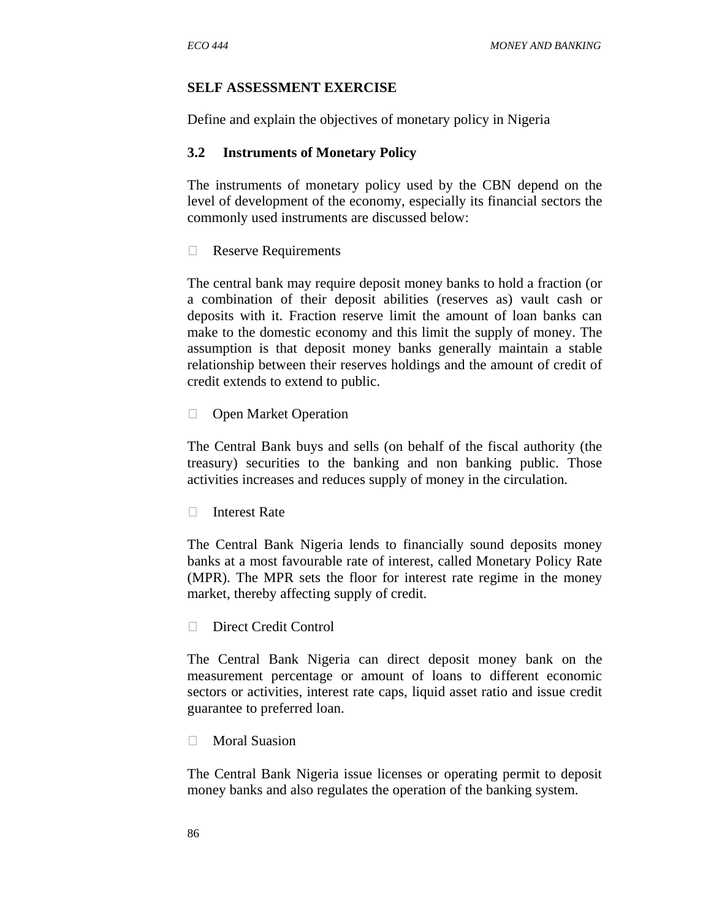#### **SELF ASSESSMENT EXERCISE**

Define and explain the objectives of monetary policy in Nigeria

#### **3.2 Instruments of Monetary Policy**

The instruments of monetary policy used by the CBN depend on the level of development of the economy, especially its financial sectors the commonly used instruments are discussed below:

Reserve Requirements

The central bank may require deposit money banks to hold a fraction (or a combination of their deposit abilities (reserves as) vault cash or deposits with it. Fraction reserve limit the amount of loan banks can make to the domestic economy and this limit the supply of money. The assumption is that deposit money banks generally maintain a stable relationship between their reserves holdings and the amount of credit of credit extends to extend to public.

**D** Open Market Operation

The Central Bank buys and sells (on behalf of the fiscal authority (the treasury) securities to the banking and non banking public. Those activities increases and reduces supply of money in the circulation.

□ Interest Rate

The Central Bank Nigeria lends to financially sound deposits money banks at a most favourable rate of interest, called Monetary Policy Rate (MPR). The MPR sets the floor for interest rate regime in the money market, thereby affecting supply of credit.

Direct Credit Control

The Central Bank Nigeria can direct deposit money bank on the measurement percentage or amount of loans to different economic sectors or activities, interest rate caps, liquid asset ratio and issue credit guarantee to preferred loan.

Moral Suasion

The Central Bank Nigeria issue licenses or operating permit to deposit money banks and also regulates the operation of the banking system.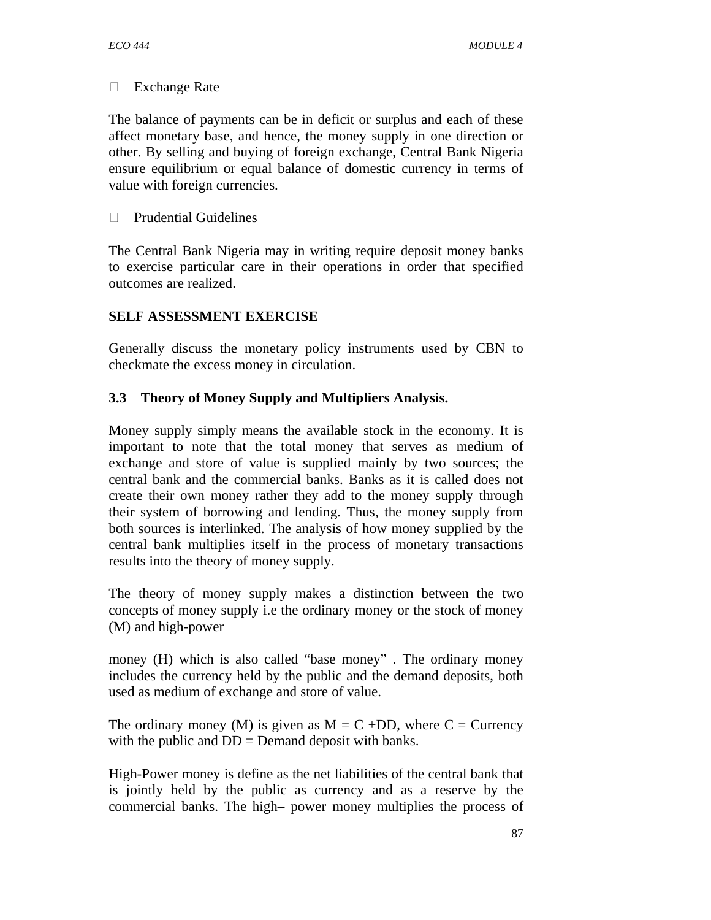□ Exchange Rate

The balance of payments can be in deficit or surplus and each of these affect monetary base, and hence, the money supply in one direction or other. By selling and buying of foreign exchange, Central Bank Nigeria ensure equilibrium or equal balance of domestic currency in terms of value with foreign currencies.

 $\Box$  Prudential Guidelines

The Central Bank Nigeria may in writing require deposit money banks to exercise particular care in their operations in order that specified outcomes are realized.

# **SELF ASSESSMENT EXERCISE**

Generally discuss the monetary policy instruments used by CBN to checkmate the excess money in circulation.

## **3.3 Theory of Money Supply and Multipliers Analysis.**

Money supply simply means the available stock in the economy. It is important to note that the total money that serves as medium of exchange and store of value is supplied mainly by two sources; the central bank and the commercial banks. Banks as it is called does not create their own money rather they add to the money supply through their system of borrowing and lending. Thus, the money supply from both sources is interlinked. The analysis of how money supplied by the central bank multiplies itself in the process of monetary transactions results into the theory of money supply.

The theory of money supply makes a distinction between the two concepts of money supply i.e the ordinary money or the stock of money (M) and high-power

money (H) which is also called "base money" . The ordinary money includes the currency held by the public and the demand deposits, both used as medium of exchange and store of value.

The ordinary money (M) is given as  $M = C + DD$ , where  $C =$  Currency with the public and  $DD =$  Demand deposit with banks.

High-Power money is define as the net liabilities of the central bank that is jointly held by the public as currency and as a reserve by the commercial banks. The high– power money multiplies the process of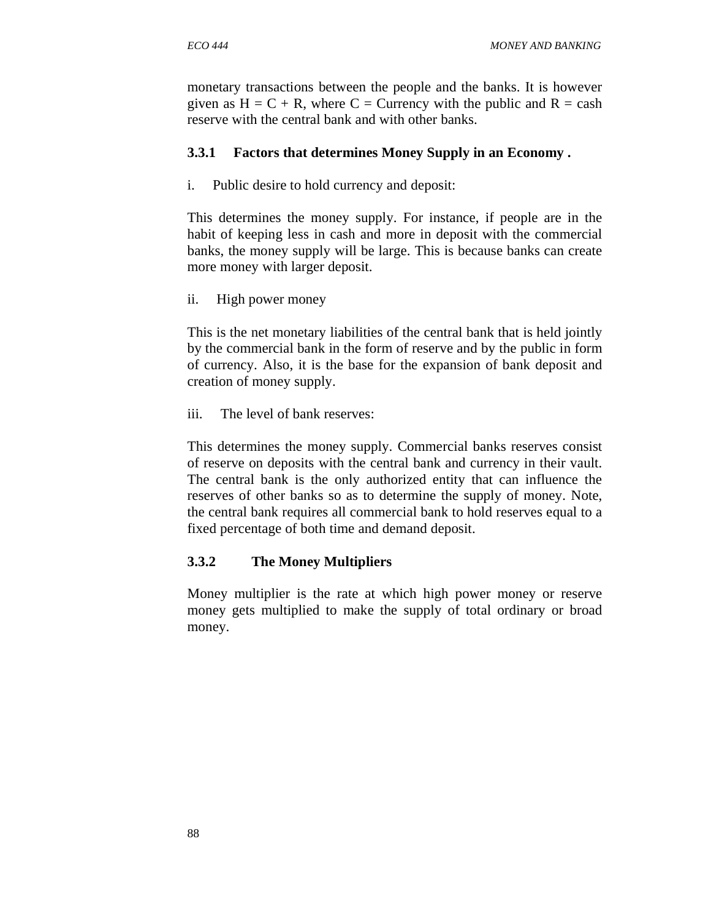monetary transactions between the people and the banks. It is however given as  $H = C + R$ , where  $C =$  Currency with the public and  $R =$  cash reserve with the central bank and with other banks.

#### **3.3.1 Factors that determines Money Supply in an Economy .**

i. Public desire to hold currency and deposit:

This determines the money supply. For instance, if people are in the habit of keeping less in cash and more in deposit with the commercial banks, the money supply will be large. This is because banks can create more money with larger deposit.

ii. High power money

This is the net monetary liabilities of the central bank that is held jointly by the commercial bank in the form of reserve and by the public in form of currency. Also, it is the base for the expansion of bank deposit and creation of money supply.

iii. The level of bank reserves:

This determines the money supply. Commercial banks reserves consist of reserve on deposits with the central bank and currency in their vault. The central bank is the only authorized entity that can influence the reserves of other banks so as to determine the supply of money. Note, the central bank requires all commercial bank to hold reserves equal to a fixed percentage of both time and demand deposit.

### **3.3.2 The Money Multipliers**

Money multiplier is the rate at which high power money or reserve money gets multiplied to make the supply of total ordinary or broad money.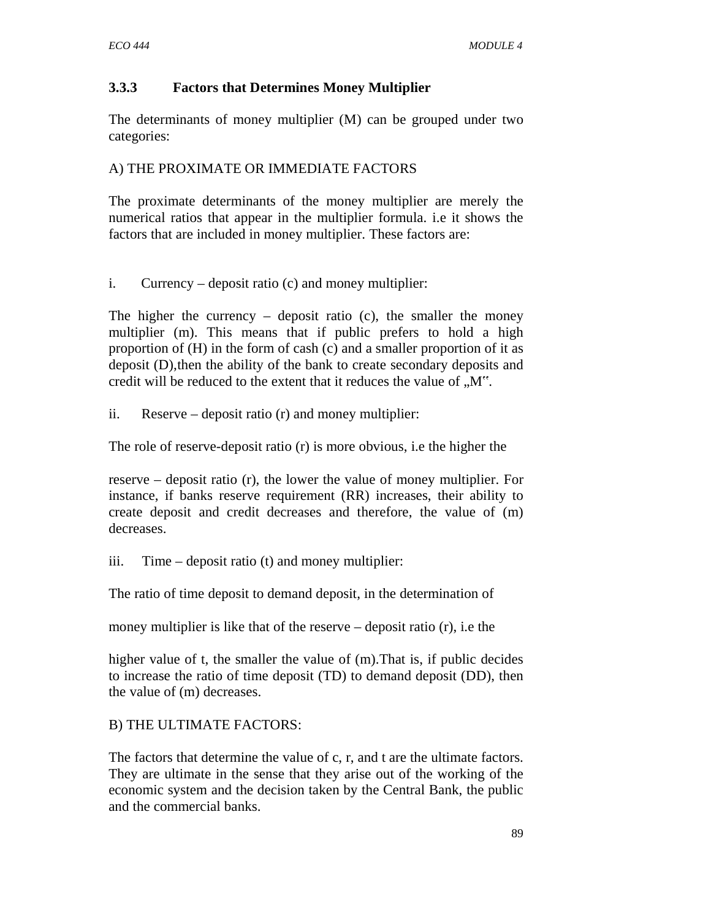## **3.3.3 Factors that Determines Money Multiplier**

The determinants of money multiplier (M) can be grouped under two categories:

### A) THE PROXIMATE OR IMMEDIATE FACTORS

The proximate determinants of the money multiplier are merely the numerical ratios that appear in the multiplier formula. i.e it shows the factors that are included in money multiplier. These factors are:

i. Currency – deposit ratio (c) and money multiplier:

The higher the currency – deposit ratio  $(c)$ , the smaller the money multiplier (m). This means that if public prefers to hold a high proportion of (H) in the form of cash (c) and a smaller proportion of it as deposit (D),then the ability of the bank to create secondary deposits and credit will be reduced to the extent that it reduces the value of  $.M^{\prime\prime}$ .

ii. Reserve – deposit ratio (r) and money multiplier:

The role of reserve-deposit ratio (r) is more obvious, i.e the higher the

reserve – deposit ratio (r), the lower the value of money multiplier. For instance, if banks reserve requirement (RR) increases, their ability to create deposit and credit decreases and therefore, the value of (m) decreases.

iii. Time – deposit ratio (t) and money multiplier:

The ratio of time deposit to demand deposit, in the determination of

money multiplier is like that of the reserve – deposit ratio (r), i.e the

higher value of t, the smaller the value of (m).That is, if public decides to increase the ratio of time deposit (TD) to demand deposit (DD), then the value of (m) decreases.

# B) THE ULTIMATE FACTORS:

The factors that determine the value of c, r, and t are the ultimate factors. They are ultimate in the sense that they arise out of the working of the economic system and the decision taken by the Central Bank, the public and the commercial banks.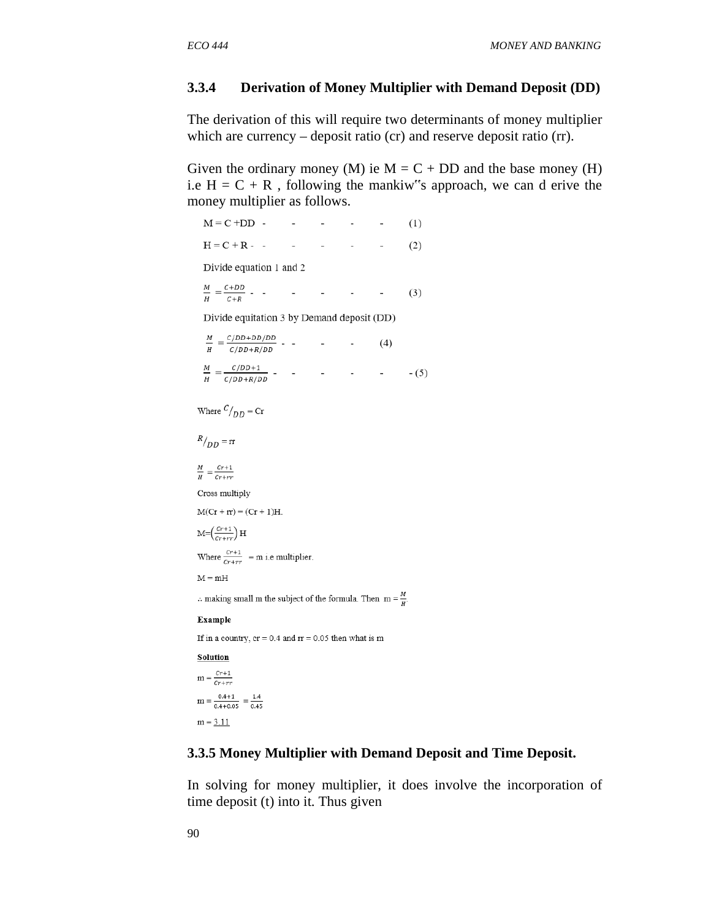#### **3.3.4 Derivation of Money Multiplier with Demand Deposit (DD)**

The derivation of this will require two determinants of money multiplier which are currency – deposit ratio (cr) and reserve deposit ratio (rr).

Given the ordinary money (M) ie  $M = C + DD$  and the base money (H) i.e  $H = C + R$ , following the mankiw<sup>\*</sup>s approach, we can d erive the money multiplier as follows.

```
M = C + DD - - - - -
                                                              (1)H = C + R - - - -
                                          \sim\sim 10(2)Divide equation 1 and 2
 \frac{M}{H} = \frac{C + DD}{C + R} - - - - - - - -
                                                              (3)Divide equitation 3 by Demand deposit (DD)
  \frac{M}{H}=\frac{c/\textit{DD}+\textit{DD}/\textit{DD}}{c/\textit{DD}+\textit{R}/\textit{DD}}\text{ - }\text{ - } \text{ -- } \text{ (4)}Where C/_{DD} = Cr
R/_{DD} = rr
\frac{M}{H} = \frac{Cr+1}{Cr+rr}Cross multiply
M(Cr + rr) = (Cr + 1)H.M = \left(\frac{Cr+1}{Cr+rr}\right)HWhere \frac{c_{r+1}}{c_{r+rr}} = m i.e multiplier.
M = mH.. making small m the subject of the formula. Then m = \frac{M}{H}.
Example
If in a country, cr = 0.4 and rr = 0.05 then what is m
Solution
m = \frac{cr+1}{cr+rr}m = \frac{0.4+1}{0.4+0.05} = \frac{1.4}{0.45}
```
 $m = 3.11$ 

#### **3.3.5 Money Multiplier with Demand Deposit and Time Deposit.**

In solving for money multiplier, it does involve the incorporation of time deposit (t) into it. Thus given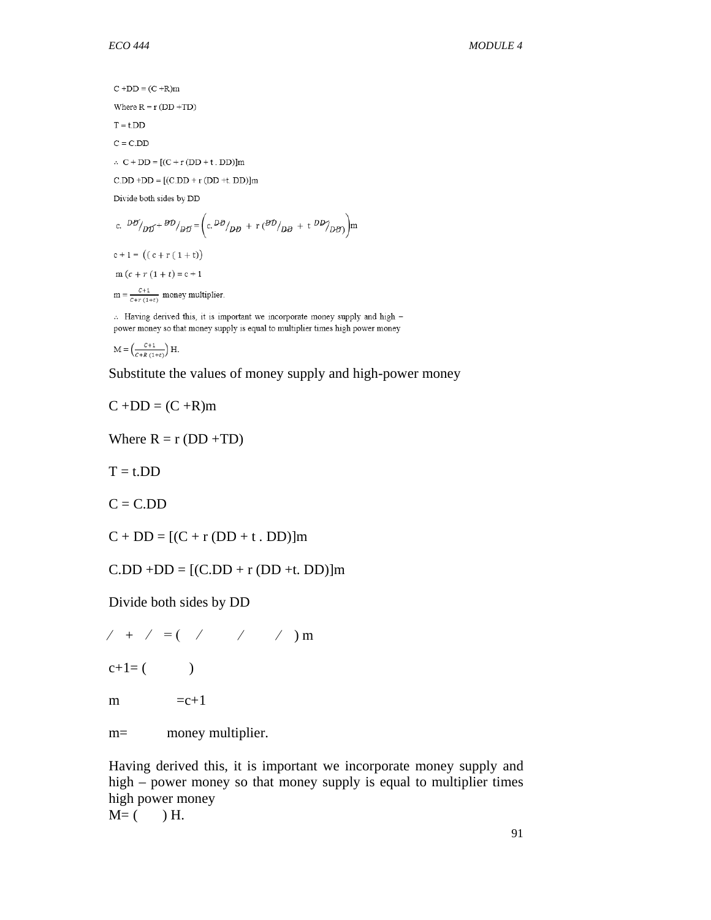$C + DD = (C + R)m$ Where  $R = r (DD + TD)$  $T = t$ . $DD$  $C = C.DD$  $\therefore$  C + DD = [(C + r (DD + t . DD)]m  $C.DD + DD = [(C.DD + r (DD + t. DD)]m$ Divide both sides by DD c.  $D\theta /_{D\theta} + \theta D /_{D\theta} = \left( c \cdot D\theta /_{D\theta} + r \cdot (\theta D /_{D\theta} + t \cdot DD /_{D\theta}) \right) m$  $c + 1 = ((c + r (1 + t))$  $m(c + r(1 + t)) = c + 1$ 

 $m = \frac{c+1}{c+r(1+t)}$  money multiplier.

». Having derived this, it is important we incorporate money supply and high power money so that money supply is equal to multiplier times high power money

 $M = \left(\frac{C+1}{C+R(1+t)}\right)H$ 

Substitute the values of money supply and high-power money

$$
C + DD = (C + R)m
$$

Where  $R = r (DD + TD)$ 

 $T = t$ .DD

 $C = C.DD$ 

 $C + DD = [(C + r (DD + t \cdot DD)]m$ 

 $C.DD + DD = [(C.DD + r (DD + t. DD)]m$ 

Divide both sides by DD

 $/ + / = ($  / / / ) m

 $c+1=$  ( )

```
m = c+1
```
m= money multiplier.

Having derived this, it is important we incorporate money supply and high – power money so that money supply is equal to multiplier times high power money  $M=$  ( ) H.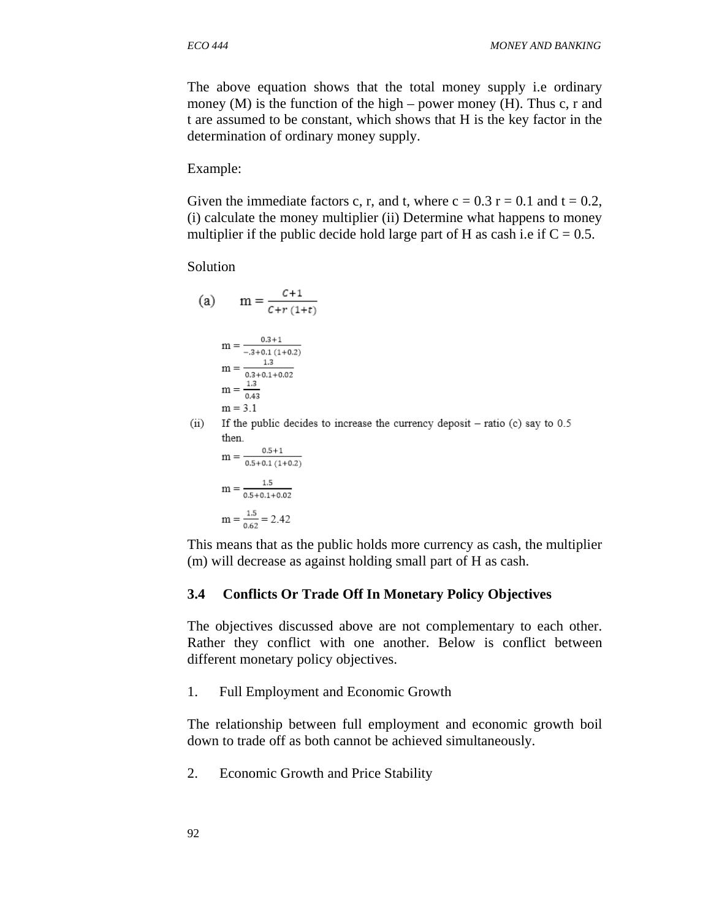The above equation shows that the total money supply i.e ordinary money  $(M)$  is the function of the high – power money  $(H)$ . Thus c, r and t are assumed to be constant, which shows that H is the key factor in the determination of ordinary money supply.

Example:

Given the immediate factors c, r, and t, where  $c = 0.3$  r = 0.1 and t = 0.2, (i) calculate the money multiplier (ii) Determine what happens to money multiplier if the public decide hold large part of H as cash i.e if  $C = 0.5$ .

Solution

(a) 
$$
m = \frac{C+1}{C+r (1+t)}
$$
  
\n
$$
m = \frac{0.3+1}{-0.3+0.1 (1+0.2)}
$$
\n
$$
m = \frac{1.3}{0.3+0.1+0.02}
$$
\n
$$
m = \frac{1.3}{0.43}
$$
\n
$$
m = 3.1
$$

 $(ii)$ If the public decides to increase the currency deposit  $-$  ratio (c) say to 0.5 then.

 $m = \frac{0.5+1}{0.5+0.1(1+0.2)}$  $m = \frac{1.5}{0.5 + 0.1 + 0.02}$  $m = \frac{1.5}{0.62} = 2.42$ 

This means that as the public holds more currency as cash, the multiplier (m) will decrease as against holding small part of H as cash.

#### **3.4 Conflicts Or Trade Off In Monetary Policy Objectives**

The objectives discussed above are not complementary to each other. Rather they conflict with one another. Below is conflict between different monetary policy objectives.

1. Full Employment and Economic Growth

The relationship between full employment and economic growth boil down to trade off as both cannot be achieved simultaneously.

2. Economic Growth and Price Stability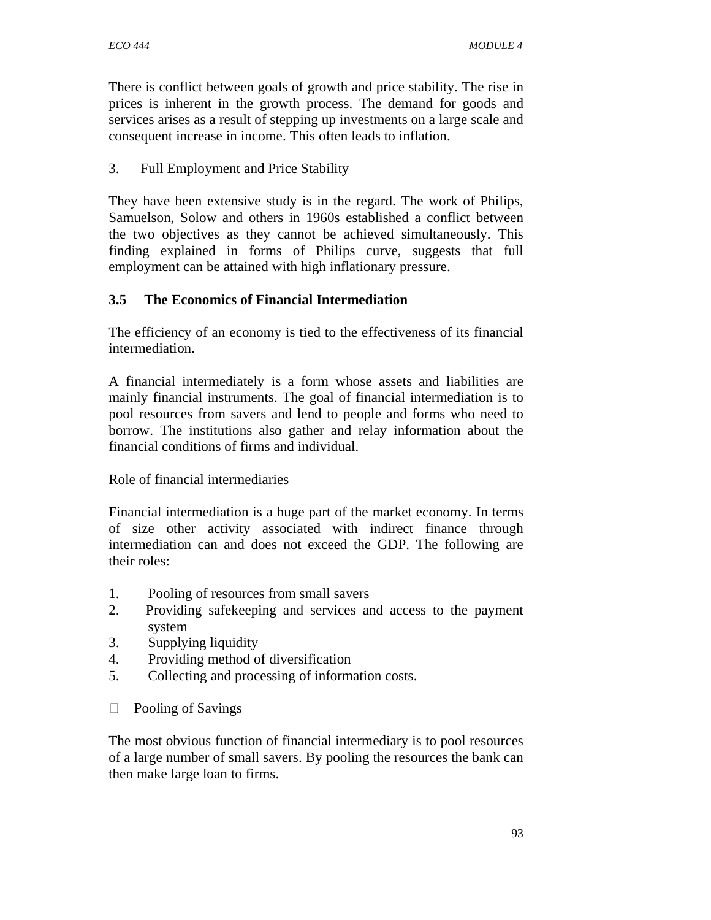There is conflict between goals of growth and price stability. The rise in prices is inherent in the growth process. The demand for goods and services arises as a result of stepping up investments on a large scale and consequent increase in income. This often leads to inflation.

### 3. Full Employment and Price Stability

They have been extensive study is in the regard. The work of Philips, Samuelson, Solow and others in 1960s established a conflict between the two objectives as they cannot be achieved simultaneously. This finding explained in forms of Philips curve, suggests that full employment can be attained with high inflationary pressure.

## **3.5 The Economics of Financial Intermediation**

The efficiency of an economy is tied to the effectiveness of its financial intermediation.

A financial intermediately is a form whose assets and liabilities are mainly financial instruments. The goal of financial intermediation is to pool resources from savers and lend to people and forms who need to borrow. The institutions also gather and relay information about the financial conditions of firms and individual.

Role of financial intermediaries

Financial intermediation is a huge part of the market economy. In terms of size other activity associated with indirect finance through intermediation can and does not exceed the GDP. The following are their roles:

- 1. Pooling of resources from small savers
- 2. Providing safekeeping and services and access to the payment system
- 3. Supplying liquidity
- 4. Providing method of diversification
- 5. Collecting and processing of information costs.
- D Pooling of Savings

The most obvious function of financial intermediary is to pool resources of a large number of small savers. By pooling the resources the bank can then make large loan to firms.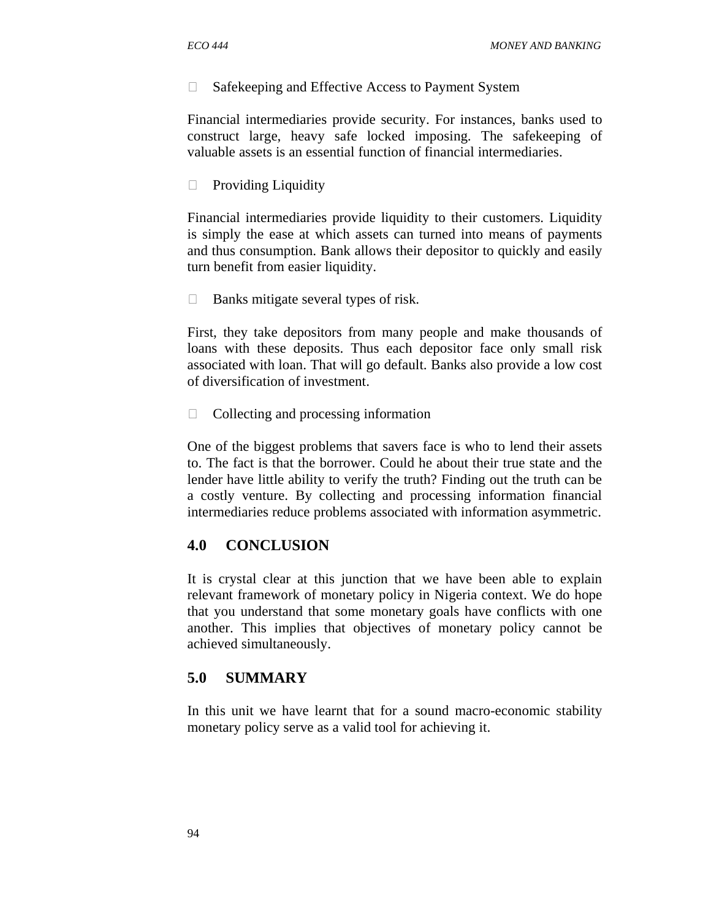$\Box$  Safekeeping and Effective Access to Payment System

Financial intermediaries provide security. For instances, banks used to construct large, heavy safe locked imposing. The safekeeping of valuable assets is an essential function of financial intermediaries.

 $\Box$  Providing Liquidity

Financial intermediaries provide liquidity to their customers. Liquidity is simply the ease at which assets can turned into means of payments and thus consumption. Bank allows their depositor to quickly and easily turn benefit from easier liquidity.

 $\Box$  Banks mitigate several types of risk.

First, they take depositors from many people and make thousands of loans with these deposits. Thus each depositor face only small risk associated with loan. That will go default. Banks also provide a low cost of diversification of investment.

 $\Box$  Collecting and processing information

One of the biggest problems that savers face is who to lend their assets to. The fact is that the borrower. Could he about their true state and the lender have little ability to verify the truth? Finding out the truth can be a costly venture. By collecting and processing information financial intermediaries reduce problems associated with information asymmetric.

#### **4.0 CONCLUSION**

It is crystal clear at this junction that we have been able to explain relevant framework of monetary policy in Nigeria context. We do hope that you understand that some monetary goals have conflicts with one another. This implies that objectives of monetary policy cannot be achieved simultaneously.

#### **5.0 SUMMARY**

In this unit we have learnt that for a sound macro-economic stability monetary policy serve as a valid tool for achieving it.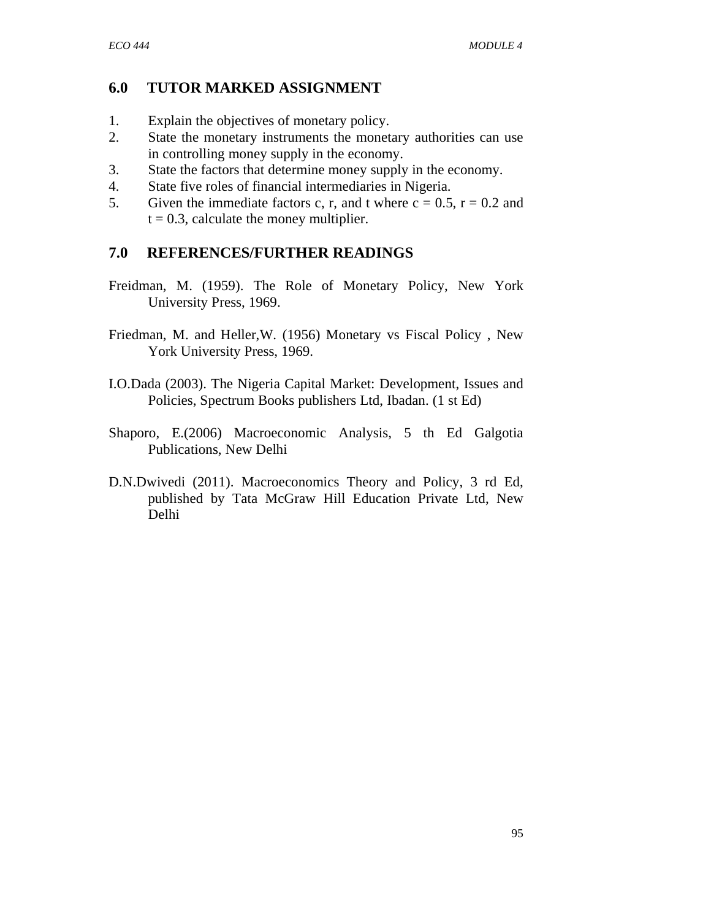# **6.0 TUTOR MARKED ASSIGNMENT**

- 1. Explain the objectives of monetary policy.
- 2. State the monetary instruments the monetary authorities can use in controlling money supply in the economy.
- 3. State the factors that determine money supply in the economy.
- 4. State five roles of financial intermediaries in Nigeria.
- 5. Given the immediate factors c, r, and t where  $c = 0.5$ ,  $r = 0.2$  and  $t = 0.3$ , calculate the money multiplier.

### **7.0 REFERENCES/FURTHER READINGS**

- Freidman, M. (1959). The Role of Monetary Policy, New York University Press, 1969.
- Friedman, M. and Heller,W. (1956) Monetary vs Fiscal Policy , New York University Press, 1969.
- I.O.Dada (2003). The Nigeria Capital Market: Development, Issues and Policies, Spectrum Books publishers Ltd, Ibadan. (1 st Ed)
- Shaporo, E.(2006) Macroeconomic Analysis, 5 th Ed Galgotia Publications, New Delhi
- D.N.Dwivedi (2011). Macroeconomics Theory and Policy, 3 rd Ed, published by Tata McGraw Hill Education Private Ltd, New Delhi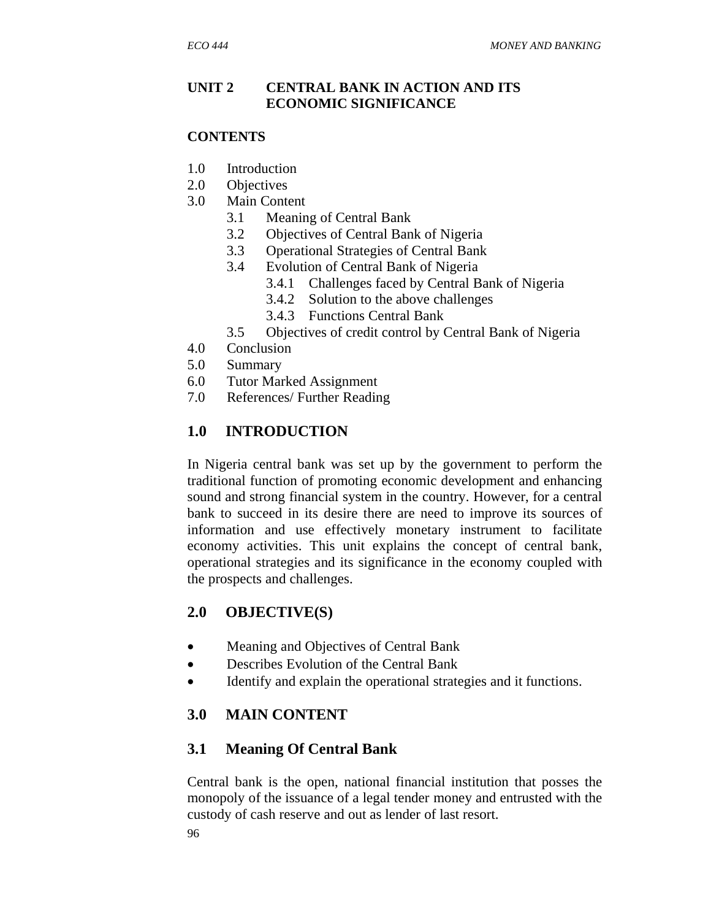### **UNIT 2 CENTRAL BANK IN ACTION AND ITS ECONOMIC SIGNIFICANCE**

#### **CONTENTS**

- 1.0 Introduction
- 2.0 Objectives
- 3.0 Main Content
	- 3.1 Meaning of Central Bank
	- 3.2 Objectives of Central Bank of Nigeria
	- 3.3 Operational Strategies of Central Bank
	- 3.4 Evolution of Central Bank of Nigeria
		- 3.4.1 Challenges faced by Central Bank of Nigeria
		- 3.4.2 Solution to the above challenges
		- 3.4.3 Functions Central Bank
	- 3.5 Objectives of credit control by Central Bank of Nigeria
- 4.0 Conclusion
- 5.0 Summary
- 6.0 Tutor Marked Assignment
- 7.0 References/ Further Reading

# **1.0 INTRODUCTION**

In Nigeria central bank was set up by the government to perform the traditional function of promoting economic development and enhancing sound and strong financial system in the country. However, for a central bank to succeed in its desire there are need to improve its sources of information and use effectively monetary instrument to facilitate economy activities. This unit explains the concept of central bank, operational strategies and its significance in the economy coupled with the prospects and challenges.

# **2.0 OBJECTIVE(S)**

- Meaning and Objectives of Central Bank
- Describes Evolution of the Central Bank
- Identify and explain the operational strategies and it functions.

# **3.0 MAIN CONTENT**

# **3.1 Meaning Of Central Bank**

Central bank is the open, national financial institution that posses the monopoly of the issuance of a legal tender money and entrusted with the custody of cash reserve and out as lender of last resort.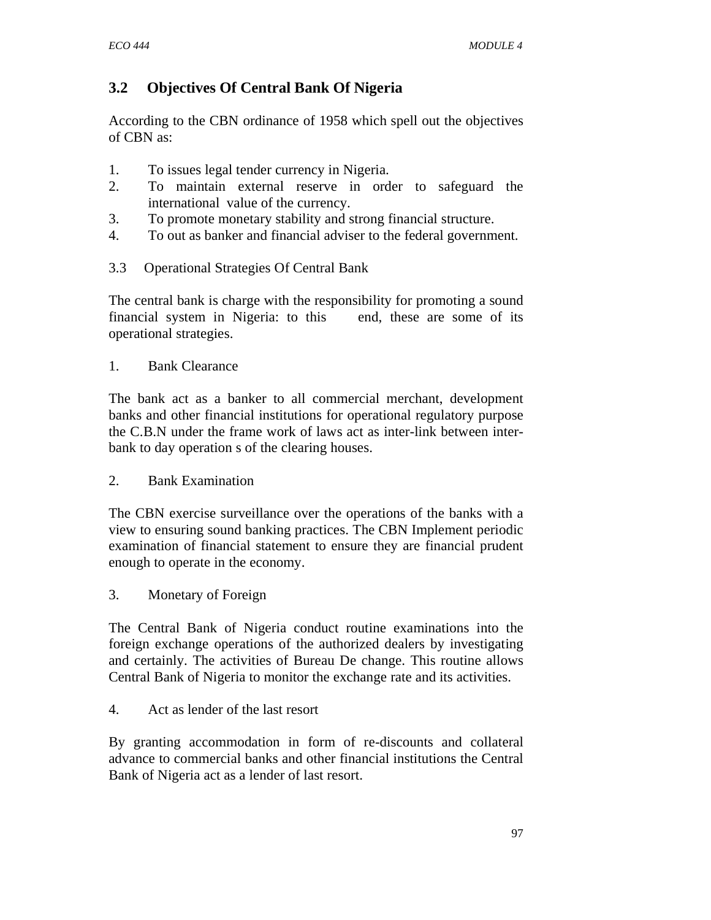# **3.2 Objectives Of Central Bank Of Nigeria**

According to the CBN ordinance of 1958 which spell out the objectives of CBN as:

- 1. To issues legal tender currency in Nigeria.
- 2. To maintain external reserve in order to safeguard the international value of the currency.
- 3. To promote monetary stability and strong financial structure.
- 4. To out as banker and financial adviser to the federal government.
- 3.3 Operational Strategies Of Central Bank

The central bank is charge with the responsibility for promoting a sound financial system in Nigeria: to this end, these are some of its operational strategies.

### 1. Bank Clearance

The bank act as a banker to all commercial merchant, development banks and other financial institutions for operational regulatory purpose the C.B.N under the frame work of laws act as inter-link between interbank to day operation s of the clearing houses.

### 2. Bank Examination

The CBN exercise surveillance over the operations of the banks with a view to ensuring sound banking practices. The CBN Implement periodic examination of financial statement to ensure they are financial prudent enough to operate in the economy.

3. Monetary of Foreign

The Central Bank of Nigeria conduct routine examinations into the foreign exchange operations of the authorized dealers by investigating and certainly. The activities of Bureau De change. This routine allows Central Bank of Nigeria to monitor the exchange rate and its activities.

### 4. Act as lender of the last resort

By granting accommodation in form of re-discounts and collateral advance to commercial banks and other financial institutions the Central Bank of Nigeria act as a lender of last resort.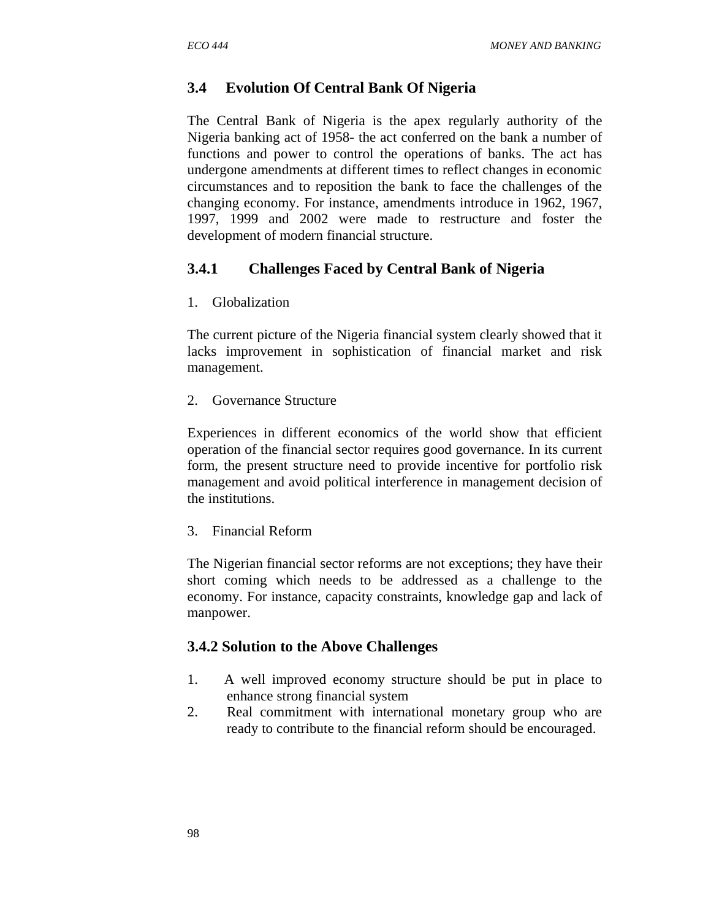#### **3.4 Evolution Of Central Bank Of Nigeria**

The Central Bank of Nigeria is the apex regularly authority of the Nigeria banking act of 1958- the act conferred on the bank a number of functions and power to control the operations of banks. The act has undergone amendments at different times to reflect changes in economic circumstances and to reposition the bank to face the challenges of the changing economy. For instance, amendments introduce in 1962, 1967, 1997, 1999 and 2002 were made to restructure and foster the development of modern financial structure.

#### **3.4.1 Challenges Faced by Central Bank of Nigeria**

1. Globalization

The current picture of the Nigeria financial system clearly showed that it lacks improvement in sophistication of financial market and risk management.

2. Governance Structure

Experiences in different economics of the world show that efficient operation of the financial sector requires good governance. In its current form, the present structure need to provide incentive for portfolio risk management and avoid political interference in management decision of the institutions.

3. Financial Reform

The Nigerian financial sector reforms are not exceptions; they have their short coming which needs to be addressed as a challenge to the economy. For instance, capacity constraints, knowledge gap and lack of manpower.

#### **3.4.2 Solution to the Above Challenges**

- 1. A well improved economy structure should be put in place to enhance strong financial system
- 2. Real commitment with international monetary group who are ready to contribute to the financial reform should be encouraged.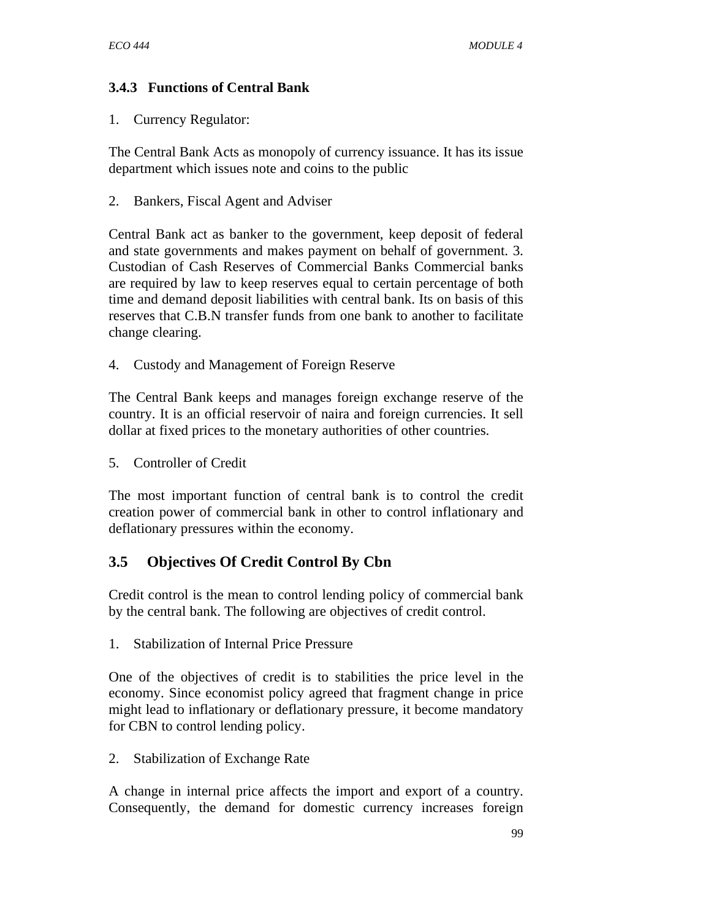## **3.4.3 Functions of Central Bank**

### 1. Currency Regulator:

The Central Bank Acts as monopoly of currency issuance. It has its issue department which issues note and coins to the public

2. Bankers, Fiscal Agent and Adviser

Central Bank act as banker to the government, keep deposit of federal and state governments and makes payment on behalf of government. 3. Custodian of Cash Reserves of Commercial Banks Commercial banks are required by law to keep reserves equal to certain percentage of both time and demand deposit liabilities with central bank. Its on basis of this reserves that C.B.N transfer funds from one bank to another to facilitate change clearing.

4. Custody and Management of Foreign Reserve

The Central Bank keeps and manages foreign exchange reserve of the country. It is an official reservoir of naira and foreign currencies. It sell dollar at fixed prices to the monetary authorities of other countries.

5. Controller of Credit

The most important function of central bank is to control the credit creation power of commercial bank in other to control inflationary and deflationary pressures within the economy.

# **3.5 Objectives Of Credit Control By Cbn**

Credit control is the mean to control lending policy of commercial bank by the central bank. The following are objectives of credit control.

1. Stabilization of Internal Price Pressure

One of the objectives of credit is to stabilities the price level in the economy. Since economist policy agreed that fragment change in price might lead to inflationary or deflationary pressure, it become mandatory for CBN to control lending policy.

2. Stabilization of Exchange Rate

A change in internal price affects the import and export of a country. Consequently, the demand for domestic currency increases foreign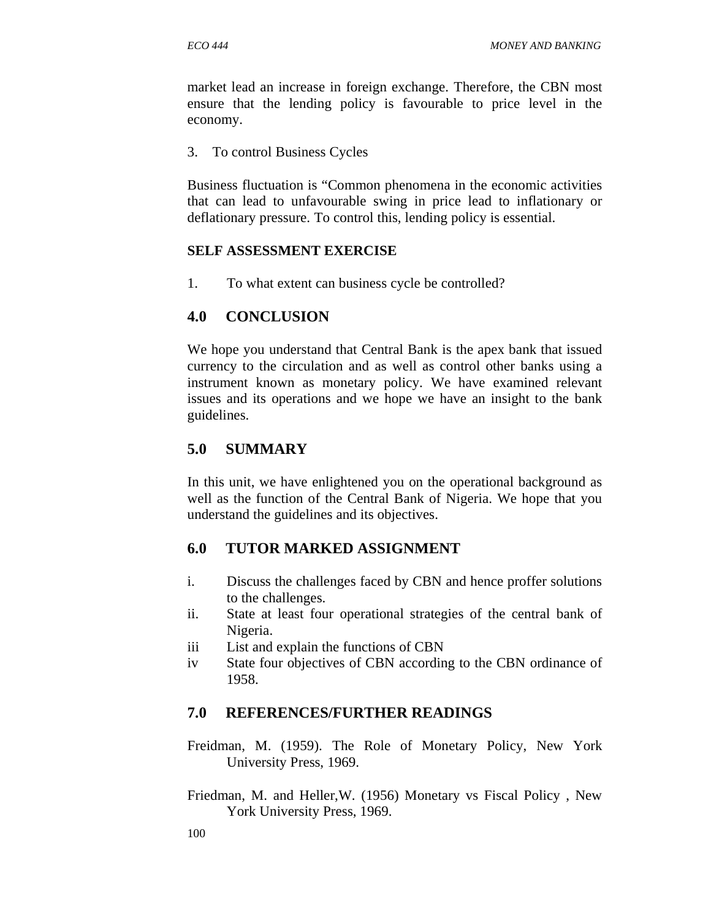market lead an increase in foreign exchange. Therefore, the CBN most ensure that the lending policy is favourable to price level in the economy.

3. To control Business Cycles

Business fluctuation is "Common phenomena in the economic activities that can lead to unfavourable swing in price lead to inflationary or deflationary pressure. To control this, lending policy is essential.

### **SELF ASSESSMENT EXERCISE**

1. To what extent can business cycle be controlled?

## **4.0 CONCLUSION**

We hope you understand that Central Bank is the apex bank that issued currency to the circulation and as well as control other banks using a instrument known as monetary policy. We have examined relevant issues and its operations and we hope we have an insight to the bank guidelines.

# **5.0 SUMMARY**

In this unit, we have enlightened you on the operational background as well as the function of the Central Bank of Nigeria. We hope that you understand the guidelines and its objectives.

# **6.0 TUTOR MARKED ASSIGNMENT**

- i. Discuss the challenges faced by CBN and hence proffer solutions to the challenges.
- ii. State at least four operational strategies of the central bank of Nigeria.
- iii List and explain the functions of CBN
- iv State four objectives of CBN according to the CBN ordinance of 1958.

# **7.0 REFERENCES/FURTHER READINGS**

- Freidman, M. (1959). The Role of Monetary Policy, New York University Press, 1969.
- Friedman, M. and Heller,W. (1956) Monetary vs Fiscal Policy , New York University Press, 1969.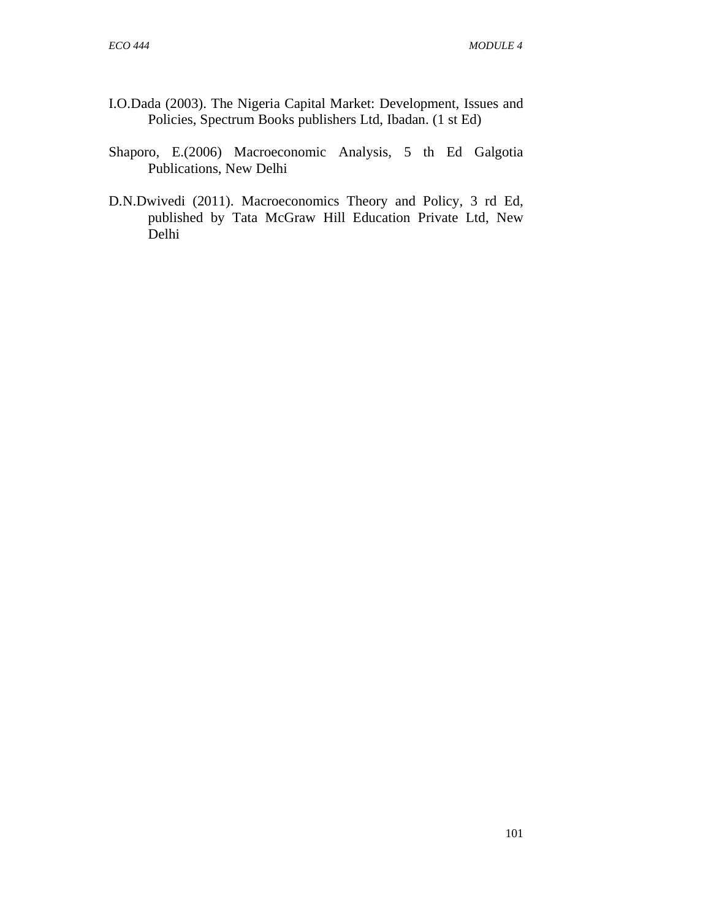- I.O.Dada (2003). The Nigeria Capital Market: Development, Issues and Policies, Spectrum Books publishers Ltd, Ibadan. (1 st Ed)
- Shaporo, E.(2006) Macroeconomic Analysis, 5 th Ed Galgotia Publications, New Delhi
- D.N.Dwivedi (2011). Macroeconomics Theory and Policy, 3 rd Ed, published by Tata McGraw Hill Education Private Ltd, New Delhi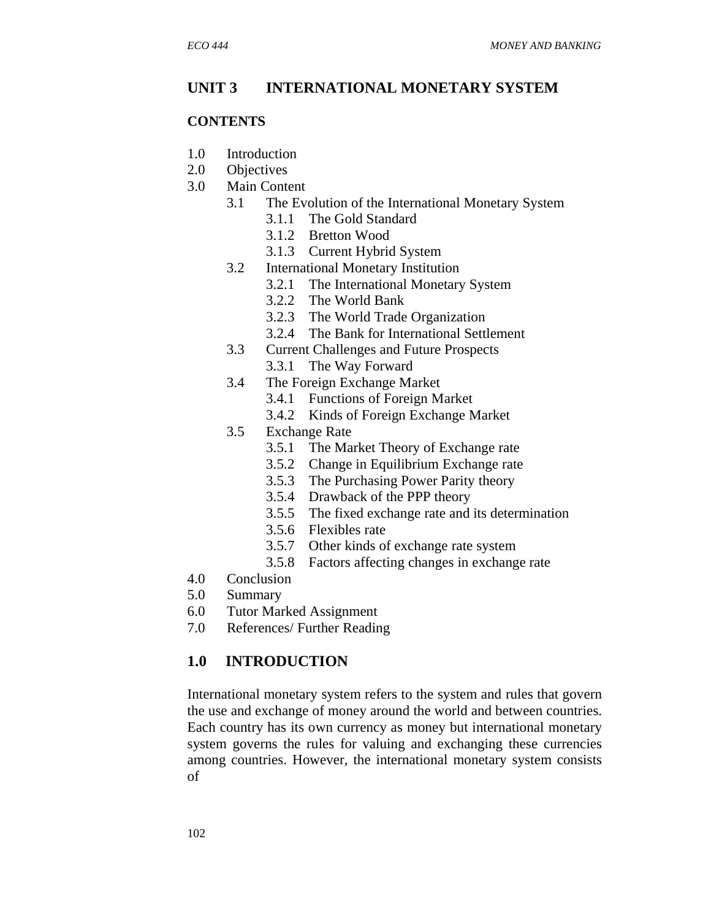## **UNIT 3 INTERNATIONAL MONETARY SYSTEM**

#### **CONTENTS**

- 1.0 Introduction
- 2.0 Objectives
- 3.0 Main Content
	- 3.1 The Evolution of the International Monetary System
		- 3.1.1 The Gold Standard
		- 3.1.2 Bretton Wood
		- 3.1.3 Current Hybrid System
	- 3.2 International Monetary Institution
		- 3.2.1 The International Monetary System
		- 3.2.2 The World Bank
		- 3.2.3 The World Trade Organization
		- 3.2.4 The Bank for International Settlement
	- 3.3 Current Challenges and Future Prospects
		- 3.3.1 The Way Forward
	- 3.4 The Foreign Exchange Market
		- 3.4.1 Functions of Foreign Market
		- 3.4.2 Kinds of Foreign Exchange Market
	- 3.5 Exchange Rate
		- 3.5.1 The Market Theory of Exchange rate
		- 3.5.2 Change in Equilibrium Exchange rate
		- 3.5.3 The Purchasing Power Parity theory
		- 3.5.4 Drawback of the PPP theory
		- 3.5.5 The fixed exchange rate and its determination
		- 3.5.6 Flexibles rate
		- 3.5.7 Other kinds of exchange rate system
		- 3.5.8 Factors affecting changes in exchange rate
- 4.0 Conclusion
- 5.0 Summary
- 6.0 Tutor Marked Assignment
- 7.0 References/ Further Reading

## **1.0 INTRODUCTION**

International monetary system refers to the system and rules that govern the use and exchange of money around the world and between countries. Each country has its own currency as money but international monetary system governs the rules for valuing and exchanging these currencies among countries. However, the international monetary system consists of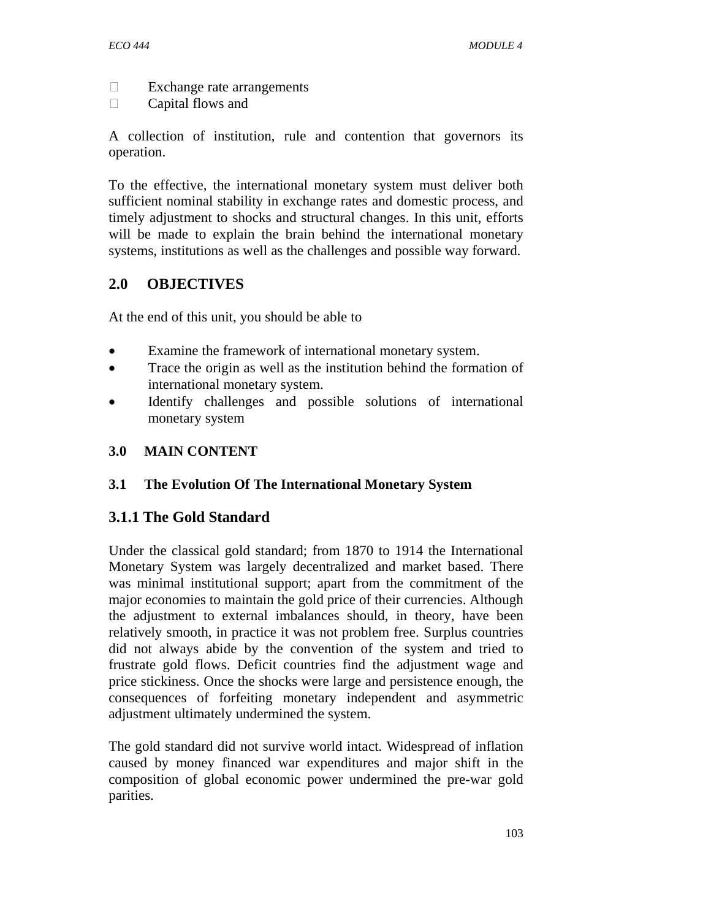- □ Exchange rate arrangements
- **Capital flows and**

A collection of institution, rule and contention that governors its operation.

To the effective, the international monetary system must deliver both sufficient nominal stability in exchange rates and domestic process, and timely adjustment to shocks and structural changes. In this unit, efforts will be made to explain the brain behind the international monetary systems, institutions as well as the challenges and possible way forward.

## **2.0 OBJECTIVES**

At the end of this unit, you should be able to

- Examine the framework of international monetary system.
- Trace the origin as well as the institution behind the formation of international monetary system.
- Identify challenges and possible solutions of international monetary system

## **3.0 MAIN CONTENT**

## **3.1 The Evolution Of The International Monetary System**

## **3.1.1 The Gold Standard**

Under the classical gold standard; from 1870 to 1914 the International Monetary System was largely decentralized and market based. There was minimal institutional support; apart from the commitment of the major economies to maintain the gold price of their currencies. Although the adjustment to external imbalances should, in theory, have been relatively smooth, in practice it was not problem free. Surplus countries did not always abide by the convention of the system and tried to frustrate gold flows. Deficit countries find the adjustment wage and price stickiness. Once the shocks were large and persistence enough, the consequences of forfeiting monetary independent and asymmetric adjustment ultimately undermined the system.

The gold standard did not survive world intact. Widespread of inflation caused by money financed war expenditures and major shift in the composition of global economic power undermined the pre-war gold parities.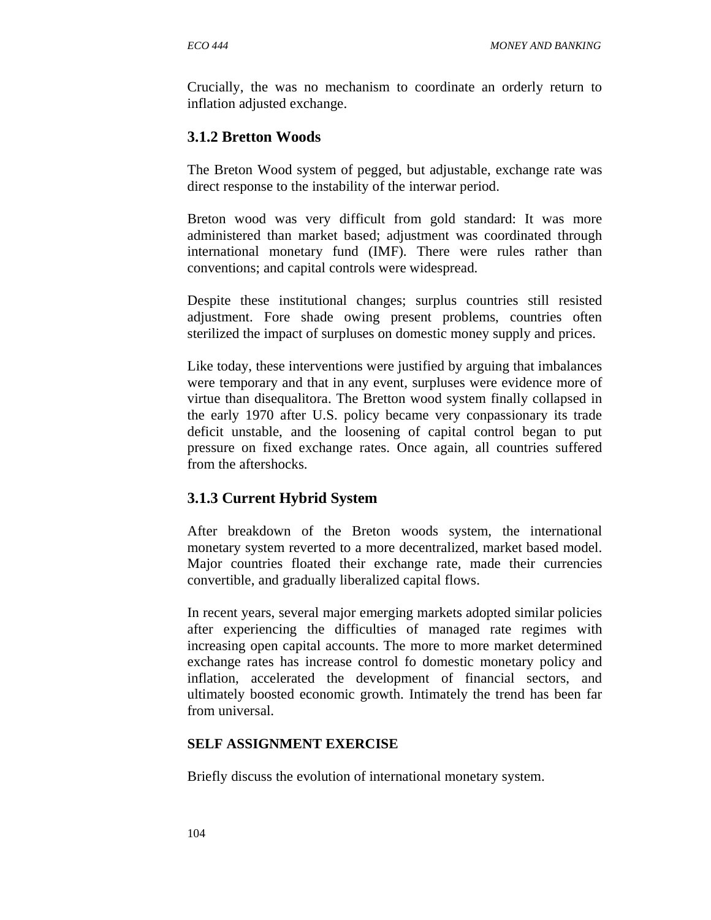Crucially, the was no mechanism to coordinate an orderly return to inflation adjusted exchange.

## **3.1.2 Bretton Woods**

The Breton Wood system of pegged, but adjustable, exchange rate was direct response to the instability of the interwar period.

Breton wood was very difficult from gold standard: It was more administered than market based; adjustment was coordinated through international monetary fund (IMF). There were rules rather than conventions; and capital controls were widespread.

Despite these institutional changes; surplus countries still resisted adjustment. Fore shade owing present problems, countries often sterilized the impact of surpluses on domestic money supply and prices.

Like today, these interventions were justified by arguing that imbalances were temporary and that in any event, surpluses were evidence more of virtue than disequalitora. The Bretton wood system finally collapsed in the early 1970 after U.S. policy became very conpassionary its trade deficit unstable, and the loosening of capital control began to put pressure on fixed exchange rates. Once again, all countries suffered from the aftershocks.

### **3.1.3 Current Hybrid System**

After breakdown of the Breton woods system, the international monetary system reverted to a more decentralized, market based model. Major countries floated their exchange rate, made their currencies convertible, and gradually liberalized capital flows.

In recent years, several major emerging markets adopted similar policies after experiencing the difficulties of managed rate regimes with increasing open capital accounts. The more to more market determined exchange rates has increase control fo domestic monetary policy and inflation, accelerated the development of financial sectors, and ultimately boosted economic growth. Intimately the trend has been far from universal.

### **SELF ASSIGNMENT EXERCISE**

Briefly discuss the evolution of international monetary system.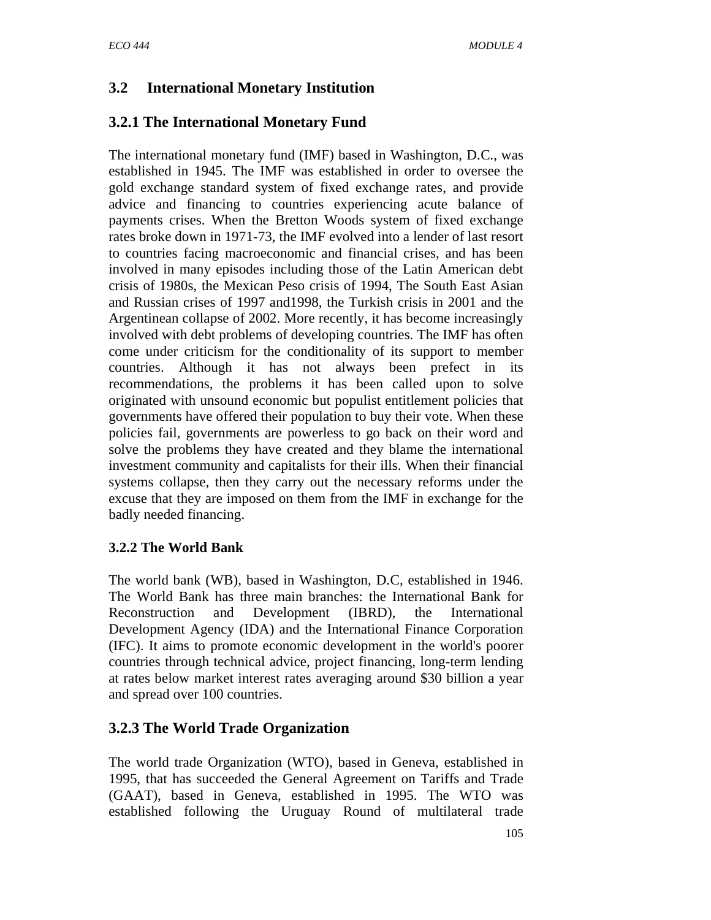# **3.2 International Monetary Institution**

# **3.2.1 The International Monetary Fund**

The international monetary fund (IMF) based in Washington, D.C., was established in 1945. The IMF was established in order to oversee the gold exchange standard system of fixed exchange rates, and provide advice and financing to countries experiencing acute balance of payments crises. When the Bretton Woods system of fixed exchange rates broke down in 1971-73, the IMF evolved into a lender of last resort to countries facing macroeconomic and financial crises, and has been involved in many episodes including those of the Latin American debt crisis of 1980s, the Mexican Peso crisis of 1994, The South East Asian and Russian crises of 1997 and1998, the Turkish crisis in 2001 and the Argentinean collapse of 2002. More recently, it has become increasingly involved with debt problems of developing countries. The IMF has often come under criticism for the conditionality of its support to member countries. Although it has not always been prefect in its recommendations, the problems it has been called upon to solve originated with unsound economic but populist entitlement policies that governments have offered their population to buy their vote. When these policies fail, governments are powerless to go back on their word and solve the problems they have created and they blame the international investment community and capitalists for their ills. When their financial systems collapse, then they carry out the necessary reforms under the excuse that they are imposed on them from the IMF in exchange for the badly needed financing.

## **3.2.2 The World Bank**

The world bank (WB), based in Washington, D.C, established in 1946. The World Bank has three main branches: the International Bank for Reconstruction and Development (IBRD), the International Development Agency (IDA) and the International Finance Corporation (IFC). It aims to promote economic development in the world's poorer countries through technical advice, project financing, long-term lending at rates below market interest rates averaging around \$30 billion a year and spread over 100 countries.

# **3.2.3 The World Trade Organization**

The world trade Organization (WTO), based in Geneva, established in 1995, that has succeeded the General Agreement on Tariffs and Trade (GAAT), based in Geneva, established in 1995. The WTO was established following the Uruguay Round of multilateral trade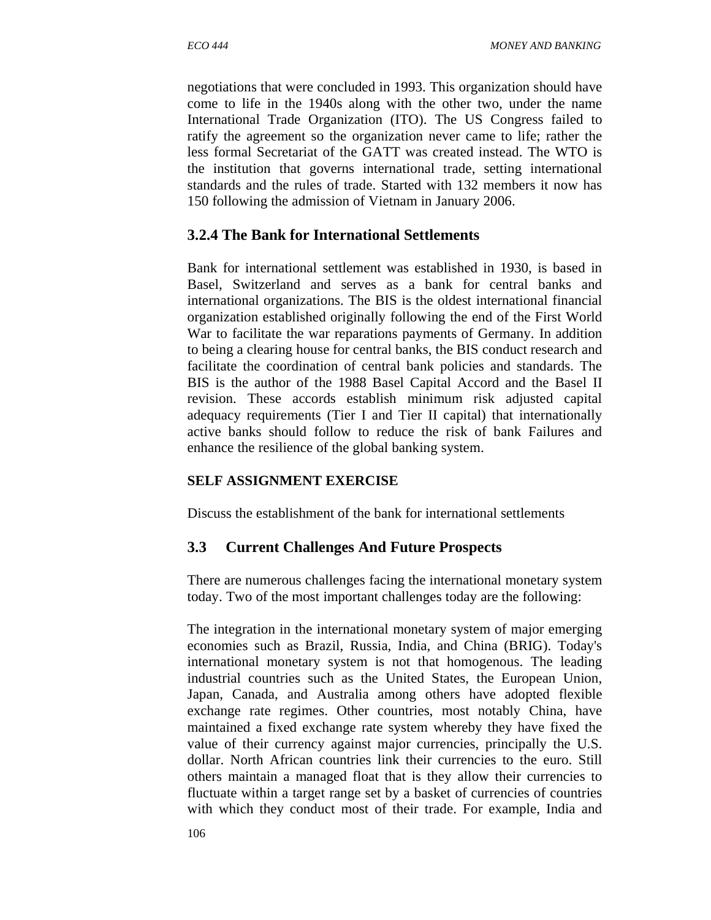negotiations that were concluded in 1993. This organization should have come to life in the 1940s along with the other two, under the name International Trade Organization (ITO). The US Congress failed to ratify the agreement so the organization never came to life; rather the less formal Secretariat of the GATT was created instead. The WTO is the institution that governs international trade, setting international standards and the rules of trade. Started with 132 members it now has 150 following the admission of Vietnam in January 2006.

## **3.2.4 The Bank for International Settlements**

Bank for international settlement was established in 1930, is based in Basel, Switzerland and serves as a bank for central banks and international organizations. The BIS is the oldest international financial organization established originally following the end of the First World War to facilitate the war reparations payments of Germany. In addition to being a clearing house for central banks, the BIS conduct research and facilitate the coordination of central bank policies and standards. The BIS is the author of the 1988 Basel Capital Accord and the Basel II revision. These accords establish minimum risk adjusted capital adequacy requirements (Tier I and Tier II capital) that internationally active banks should follow to reduce the risk of bank Failures and enhance the resilience of the global banking system.

### **SELF ASSIGNMENT EXERCISE**

Discuss the establishment of the bank for international settlements

## **3.3 Current Challenges And Future Prospects**

There are numerous challenges facing the international monetary system today. Two of the most important challenges today are the following:

The integration in the international monetary system of major emerging economies such as Brazil, Russia, India, and China (BRIG). Today's international monetary system is not that homogenous. The leading industrial countries such as the United States, the European Union, Japan, Canada, and Australia among others have adopted flexible exchange rate regimes. Other countries, most notably China, have maintained a fixed exchange rate system whereby they have fixed the value of their currency against major currencies, principally the U.S. dollar. North African countries link their currencies to the euro. Still others maintain a managed float that is they allow their currencies to fluctuate within a target range set by a basket of currencies of countries with which they conduct most of their trade. For example, India and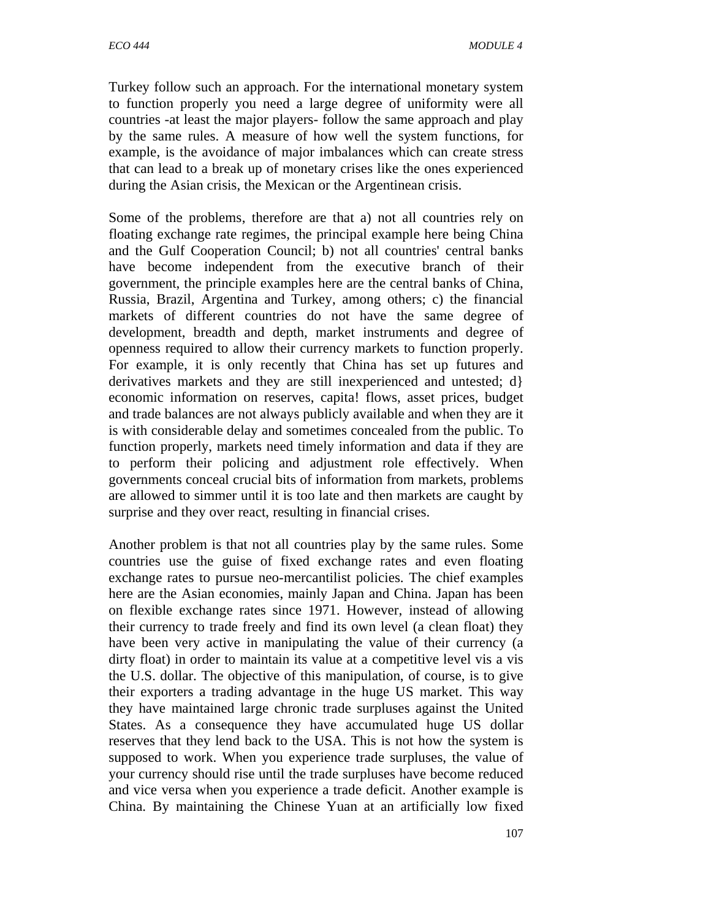Turkey follow such an approach. For the international monetary system to function properly you need a large degree of uniformity were all countries -at least the major players- follow the same approach and play by the same rules. A measure of how well the system functions, for example, is the avoidance of major imbalances which can create stress that can lead to a break up of monetary crises like the ones experienced during the Asian crisis, the Mexican or the Argentinean crisis.

Some of the problems, therefore are that a) not all countries rely on floating exchange rate regimes, the principal example here being China and the Gulf Cooperation Council; b) not all countries' central banks have become independent from the executive branch of their government, the principle examples here are the central banks of China, Russia, Brazil, Argentina and Turkey, among others; c) the financial markets of different countries do not have the same degree of development, breadth and depth, market instruments and degree of openness required to allow their currency markets to function properly. For example, it is only recently that China has set up futures and derivatives markets and they are still inexperienced and untested; d} economic information on reserves, capita! flows, asset prices, budget and trade balances are not always publicly available and when they are it is with considerable delay and sometimes concealed from the public. To function properly, markets need timely information and data if they are to perform their policing and adjustment role effectively. When governments conceal crucial bits of information from markets, problems are allowed to simmer until it is too late and then markets are caught by surprise and they over react, resulting in financial crises.

Another problem is that not all countries play by the same rules. Some countries use the guise of fixed exchange rates and even floating exchange rates to pursue neo-mercantilist policies. The chief examples here are the Asian economies, mainly Japan and China. Japan has been on flexible exchange rates since 1971. However, instead of allowing their currency to trade freely and find its own level (a clean float) they have been very active in manipulating the value of their currency (a dirty float) in order to maintain its value at a competitive level vis a vis the U.S. dollar. The objective of this manipulation, of course, is to give their exporters a trading advantage in the huge US market. This way they have maintained large chronic trade surpluses against the United States. As a consequence they have accumulated huge US dollar reserves that they lend back to the USA. This is not how the system is supposed to work. When you experience trade surpluses, the value of your currency should rise until the trade surpluses have become reduced and vice versa when you experience a trade deficit. Another example is China. By maintaining the Chinese Yuan at an artificially low fixed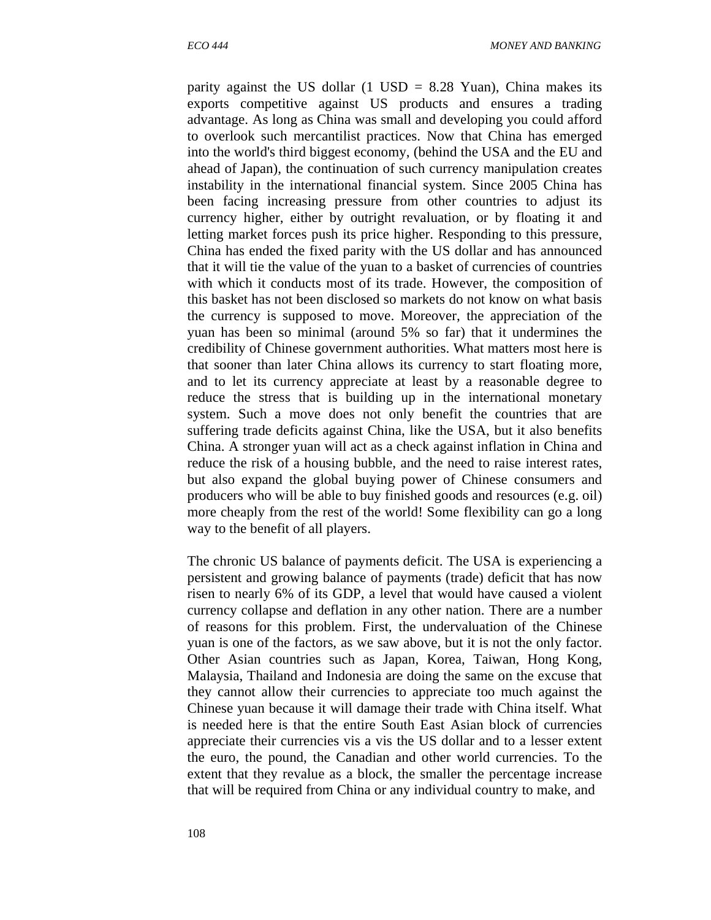parity against the US dollar  $(1 \text{ USD} = 8.28 \text{ Yuan})$ , China makes its exports competitive against US products and ensures a trading advantage. As long as China was small and developing you could afford to overlook such mercantilist practices. Now that China has emerged into the world's third biggest economy, (behind the USA and the EU and ahead of Japan), the continuation of such currency manipulation creates instability in the international financial system. Since 2005 China has been facing increasing pressure from other countries to adjust its currency higher, either by outright revaluation, or by floating it and letting market forces push its price higher. Responding to this pressure, China has ended the fixed parity with the US dollar and has announced that it will tie the value of the yuan to a basket of currencies of countries with which it conducts most of its trade. However, the composition of this basket has not been disclosed so markets do not know on what basis the currency is supposed to move. Moreover, the appreciation of the yuan has been so minimal (around 5% so far) that it undermines the credibility of Chinese government authorities. What matters most here is that sooner than later China allows its currency to start floating more, and to let its currency appreciate at least by a reasonable degree to reduce the stress that is building up in the international monetary system. Such a move does not only benefit the countries that are suffering trade deficits against China, like the USA, but it also benefits China. A stronger yuan will act as a check against inflation in China and reduce the risk of a housing bubble, and the need to raise interest rates, but also expand the global buying power of Chinese consumers and producers who will be able to buy finished goods and resources (e.g. oil) more cheaply from the rest of the world! Some flexibility can go a long way to the benefit of all players.

The chronic US balance of payments deficit. The USA is experiencing a persistent and growing balance of payments (trade) deficit that has now risen to nearly 6% of its GDP, a level that would have caused a violent currency collapse and deflation in any other nation. There are a number of reasons for this problem. First, the undervaluation of the Chinese yuan is one of the factors, as we saw above, but it is not the only factor. Other Asian countries such as Japan, Korea, Taiwan, Hong Kong, Malaysia, Thailand and Indonesia are doing the same on the excuse that they cannot allow their currencies to appreciate too much against the Chinese yuan because it will damage their trade with China itself. What is needed here is that the entire South East Asian block of currencies appreciate their currencies vis a vis the US dollar and to a lesser extent the euro, the pound, the Canadian and other world currencies. To the extent that they revalue as a block, the smaller the percentage increase that will be required from China or any individual country to make, and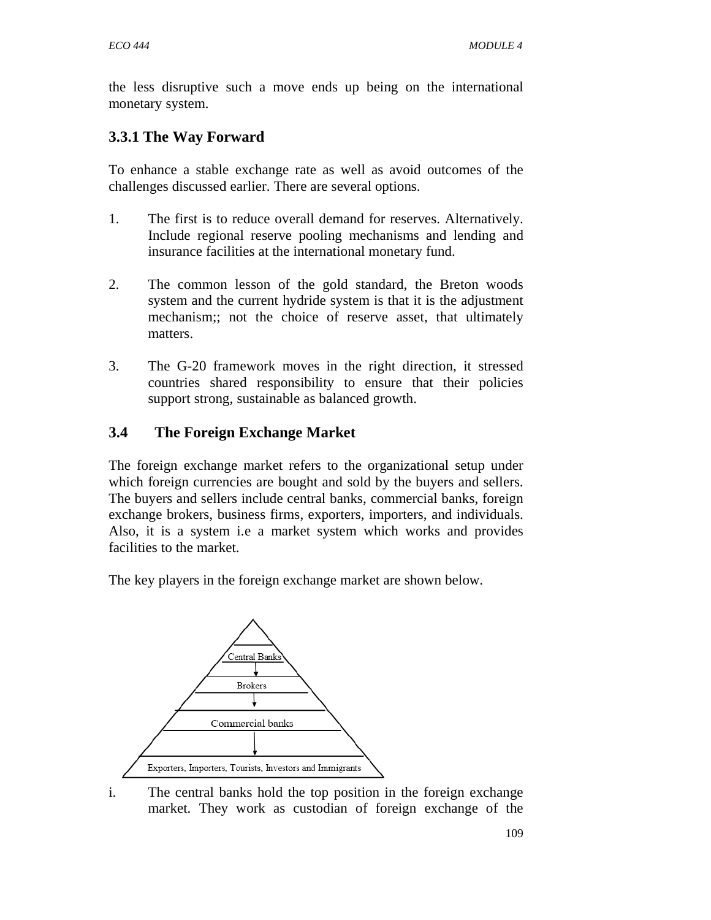the less disruptive such a move ends up being on the international monetary system.

# **3.3.1 The Way Forward**

To enhance a stable exchange rate as well as avoid outcomes of the challenges discussed earlier. There are several options.

- 1. The first is to reduce overall demand for reserves. Alternatively. Include regional reserve pooling mechanisms and lending and insurance facilities at the international monetary fund.
- 2. The common lesson of the gold standard, the Breton woods system and the current hydride system is that it is the adjustment mechanism;; not the choice of reserve asset, that ultimately matters.
- 3. The G-20 framework moves in the right direction, it stressed countries shared responsibility to ensure that their policies support strong, sustainable as balanced growth.

## **3.4 The Foreign Exchange Market**

The foreign exchange market refers to the organizational setup under which foreign currencies are bought and sold by the buyers and sellers. The buyers and sellers include central banks, commercial banks, foreign exchange brokers, business firms, exporters, importers, and individuals. Also, it is a system i.e a market system which works and provides facilities to the market.

The key players in the foreign exchange market are shown below.



i. The central banks hold the top position in the foreign exchange market. They work as custodian of foreign exchange of the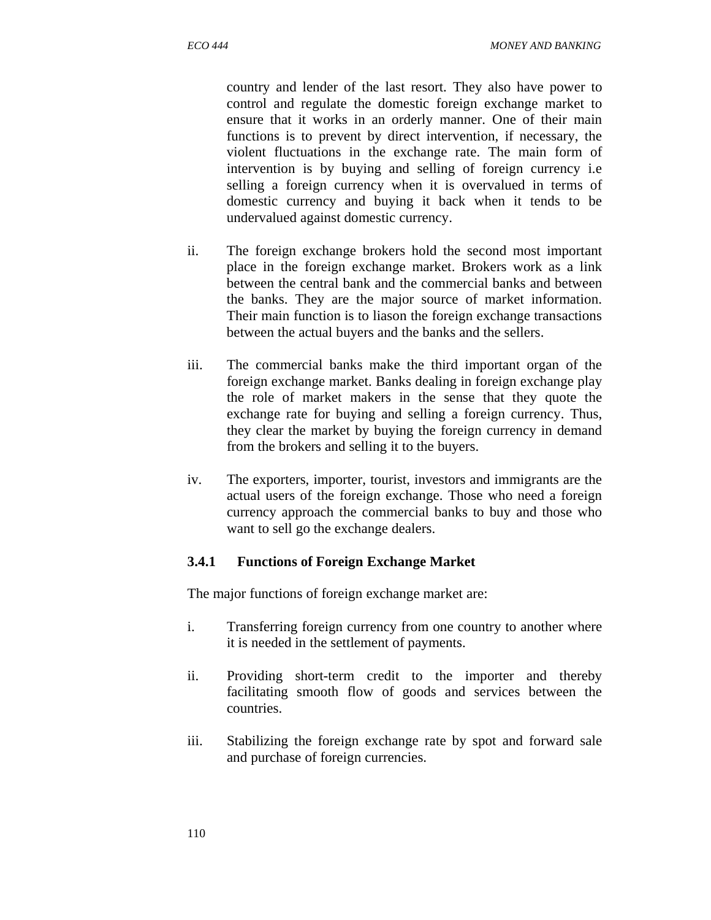country and lender of the last resort. They also have power to control and regulate the domestic foreign exchange market to ensure that it works in an orderly manner. One of their main functions is to prevent by direct intervention, if necessary, the violent fluctuations in the exchange rate. The main form of intervention is by buying and selling of foreign currency i.e selling a foreign currency when it is overvalued in terms of domestic currency and buying it back when it tends to be undervalued against domestic currency.

- ii. The foreign exchange brokers hold the second most important place in the foreign exchange market. Brokers work as a link between the central bank and the commercial banks and between the banks. They are the major source of market information. Their main function is to liason the foreign exchange transactions between the actual buyers and the banks and the sellers.
- iii. The commercial banks make the third important organ of the foreign exchange market. Banks dealing in foreign exchange play the role of market makers in the sense that they quote the exchange rate for buying and selling a foreign currency. Thus, they clear the market by buying the foreign currency in demand from the brokers and selling it to the buyers.
- iv. The exporters, importer, tourist, investors and immigrants are the actual users of the foreign exchange. Those who need a foreign currency approach the commercial banks to buy and those who want to sell go the exchange dealers.

#### **3.4.1 Functions of Foreign Exchange Market**

The major functions of foreign exchange market are:

- i. Transferring foreign currency from one country to another where it is needed in the settlement of payments.
- ii. Providing short-term credit to the importer and thereby facilitating smooth flow of goods and services between the countries.
- iii. Stabilizing the foreign exchange rate by spot and forward sale and purchase of foreign currencies.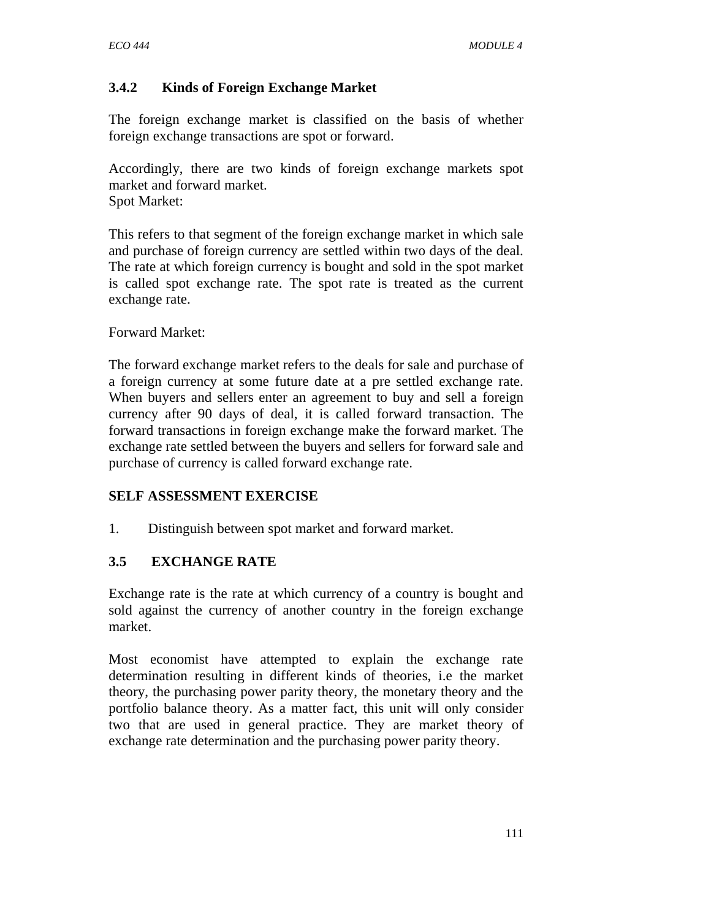## **3.4.2 Kinds of Foreign Exchange Market**

The foreign exchange market is classified on the basis of whether foreign exchange transactions are spot or forward.

Accordingly, there are two kinds of foreign exchange markets spot market and forward market. Spot Market:

This refers to that segment of the foreign exchange market in which sale and purchase of foreign currency are settled within two days of the deal. The rate at which foreign currency is bought and sold in the spot market is called spot exchange rate. The spot rate is treated as the current exchange rate.

#### Forward Market:

The forward exchange market refers to the deals for sale and purchase of a foreign currency at some future date at a pre settled exchange rate. When buyers and sellers enter an agreement to buy and sell a foreign currency after 90 days of deal, it is called forward transaction. The forward transactions in foreign exchange make the forward market. The exchange rate settled between the buyers and sellers for forward sale and purchase of currency is called forward exchange rate.

### **SELF ASSESSMENT EXERCISE**

1. Distinguish between spot market and forward market.

### **3.5 EXCHANGE RATE**

Exchange rate is the rate at which currency of a country is bought and sold against the currency of another country in the foreign exchange market.

Most economist have attempted to explain the exchange rate determination resulting in different kinds of theories, i.e the market theory, the purchasing power parity theory, the monetary theory and the portfolio balance theory. As a matter fact, this unit will only consider two that are used in general practice. They are market theory of exchange rate determination and the purchasing power parity theory.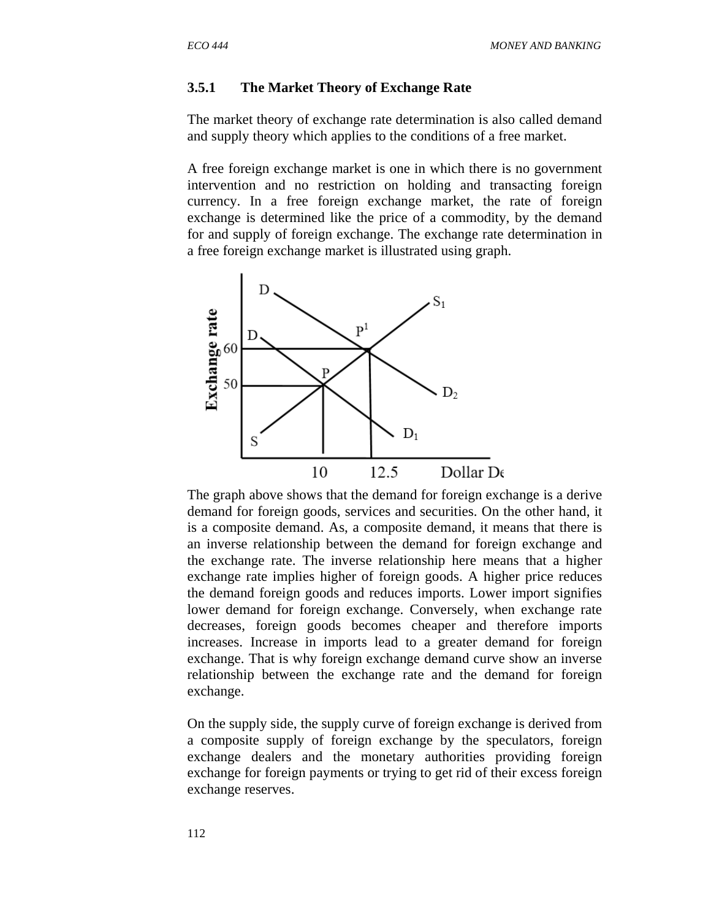#### **3.5.1 The Market Theory of Exchange Rate**

The market theory of exchange rate determination is also called demand and supply theory which applies to the conditions of a free market.

A free foreign exchange market is one in which there is no government intervention and no restriction on holding and transacting foreign currency. In a free foreign exchange market, the rate of foreign exchange is determined like the price of a commodity, by the demand for and supply of foreign exchange. The exchange rate determination in a free foreign exchange market is illustrated using graph.



The graph above shows that the demand for foreign exchange is a derive demand for foreign goods, services and securities. On the other hand, it is a composite demand. As, a composite demand, it means that there is an inverse relationship between the demand for foreign exchange and the exchange rate. The inverse relationship here means that a higher exchange rate implies higher of foreign goods. A higher price reduces the demand foreign goods and reduces imports. Lower import signifies lower demand for foreign exchange. Conversely, when exchange rate decreases, foreign goods becomes cheaper and therefore imports increases. Increase in imports lead to a greater demand for foreign exchange. That is why foreign exchange demand curve show an inverse relationship between the exchange rate and the demand for foreign exchange.

On the supply side, the supply curve of foreign exchange is derived from a composite supply of foreign exchange by the speculators, foreign exchange dealers and the monetary authorities providing foreign exchange for foreign payments or trying to get rid of their excess foreign exchange reserves.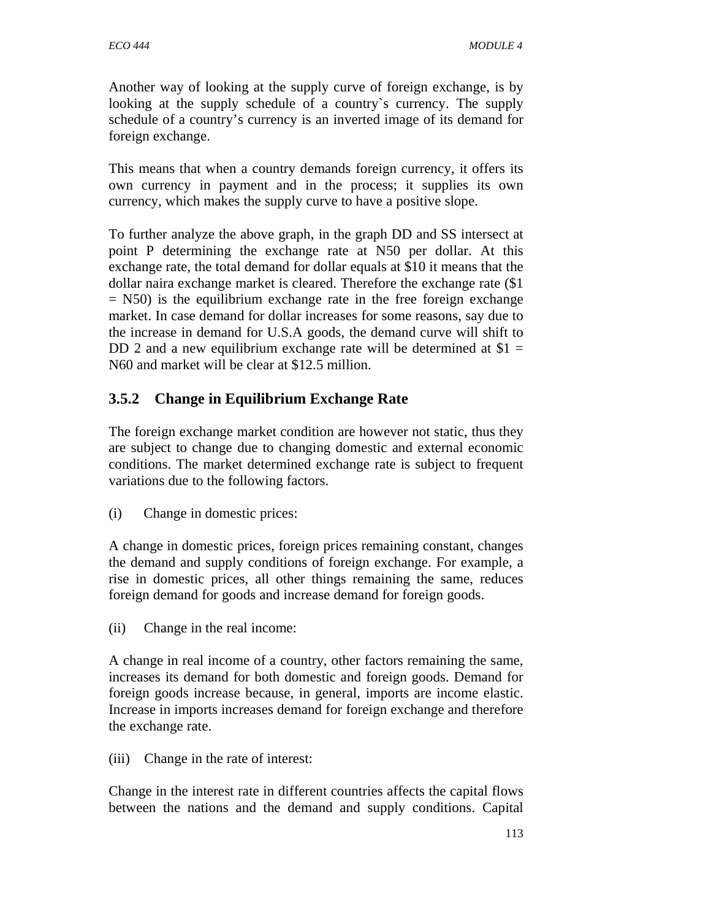Another way of looking at the supply curve of foreign exchange, is by looking at the supply schedule of a country`s currency. The supply schedule of a country's currency is an inverted image of its demand for foreign exchange.

This means that when a country demands foreign currency, it offers its own currency in payment and in the process; it supplies its own currency, which makes the supply curve to have a positive slope.

To further analyze the above graph, in the graph DD and SS intersect at point P determining the exchange rate at N50 per dollar. At this exchange rate, the total demand for dollar equals at \$10 it means that the dollar naira exchange market is cleared. Therefore the exchange rate (\$1  $=$  N50) is the equilibrium exchange rate in the free foreign exchange market. In case demand for dollar increases for some reasons, say due to the increase in demand for U.S.A goods, the demand curve will shift to DD 2 and a new equilibrium exchange rate will be determined at  $$1 =$ N60 and market will be clear at \$12.5 million.

# **3.5.2 Change in Equilibrium Exchange Rate**

The foreign exchange market condition are however not static, thus they are subject to change due to changing domestic and external economic conditions. The market determined exchange rate is subject to frequent variations due to the following factors.

(i) Change in domestic prices:

A change in domestic prices, foreign prices remaining constant, changes the demand and supply conditions of foreign exchange. For example, a rise in domestic prices, all other things remaining the same, reduces foreign demand for goods and increase demand for foreign goods.

(ii) Change in the real income:

A change in real income of a country, other factors remaining the same, increases its demand for both domestic and foreign goods. Demand for foreign goods increase because, in general, imports are income elastic. Increase in imports increases demand for foreign exchange and therefore the exchange rate.

(iii) Change in the rate of interest:

Change in the interest rate in different countries affects the capital flows between the nations and the demand and supply conditions. Capital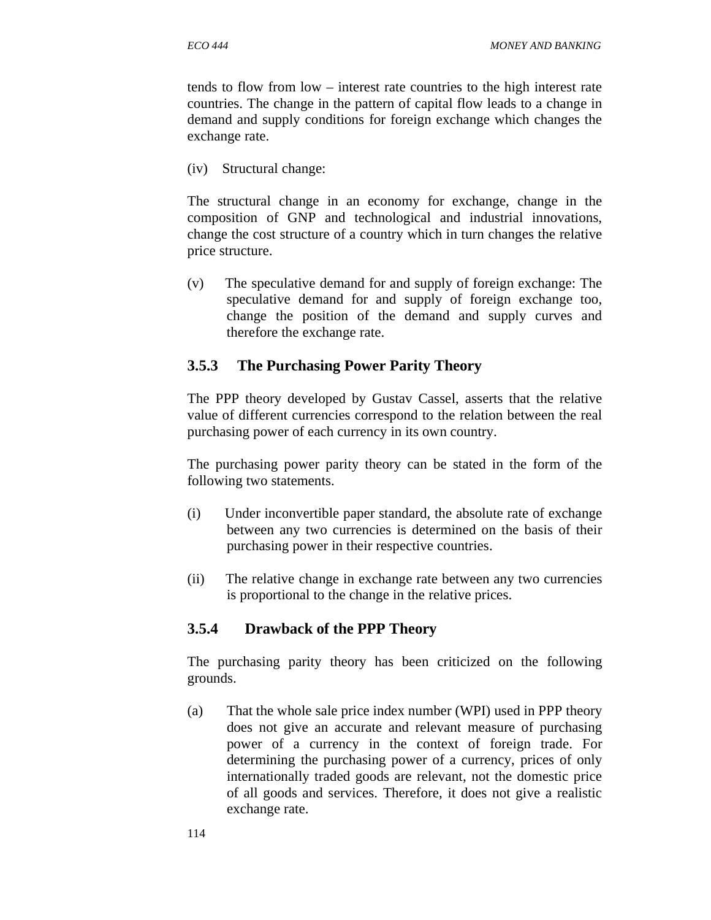tends to flow from low – interest rate countries to the high interest rate countries. The change in the pattern of capital flow leads to a change in demand and supply conditions for foreign exchange which changes the exchange rate.

(iv) Structural change:

The structural change in an economy for exchange, change in the composition of GNP and technological and industrial innovations, change the cost structure of a country which in turn changes the relative price structure.

(v) The speculative demand for and supply of foreign exchange: The speculative demand for and supply of foreign exchange too, change the position of the demand and supply curves and therefore the exchange rate.

## **3.5.3 The Purchasing Power Parity Theory**

The PPP theory developed by Gustav Cassel, asserts that the relative value of different currencies correspond to the relation between the real purchasing power of each currency in its own country.

The purchasing power parity theory can be stated in the form of the following two statements.

- (i) Under inconvertible paper standard, the absolute rate of exchange between any two currencies is determined on the basis of their purchasing power in their respective countries.
- (ii) The relative change in exchange rate between any two currencies is proportional to the change in the relative prices.

## **3.5.4 Drawback of the PPP Theory**

The purchasing parity theory has been criticized on the following grounds.

(a) That the whole sale price index number (WPI) used in PPP theory does not give an accurate and relevant measure of purchasing power of a currency in the context of foreign trade. For determining the purchasing power of a currency, prices of only internationally traded goods are relevant, not the domestic price of all goods and services. Therefore, it does not give a realistic exchange rate.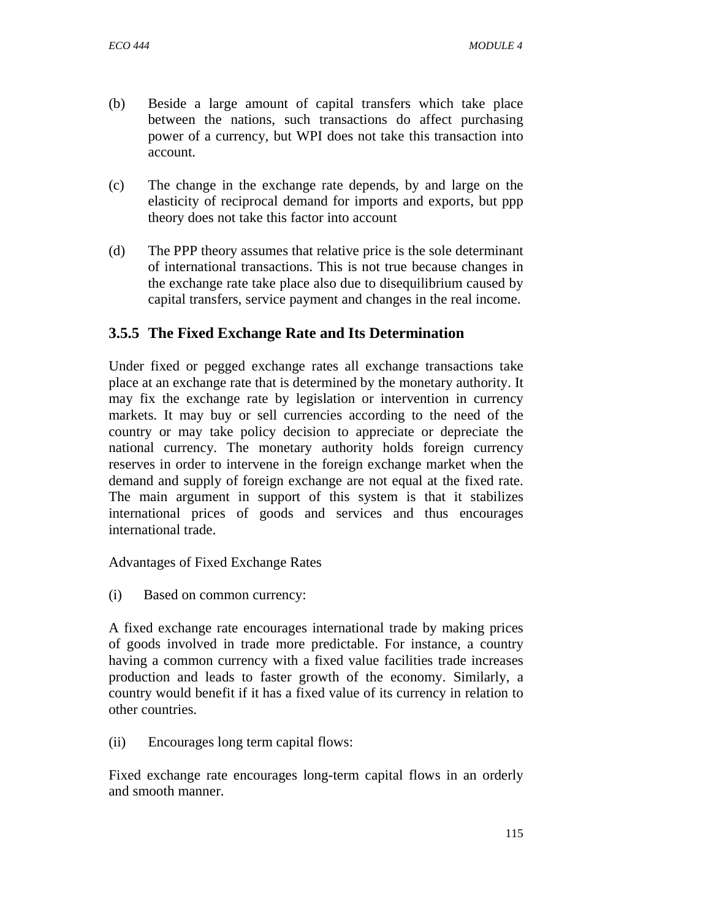- (b) Beside a large amount of capital transfers which take place between the nations, such transactions do affect purchasing power of a currency, but WPI does not take this transaction into account.
- (c) The change in the exchange rate depends, by and large on the elasticity of reciprocal demand for imports and exports, but ppp theory does not take this factor into account
- (d) The PPP theory assumes that relative price is the sole determinant of international transactions. This is not true because changes in the exchange rate take place also due to disequilibrium caused by capital transfers, service payment and changes in the real income.

## **3.5.5 The Fixed Exchange Rate and Its Determination**

Under fixed or pegged exchange rates all exchange transactions take place at an exchange rate that is determined by the monetary authority. It may fix the exchange rate by legislation or intervention in currency markets. It may buy or sell currencies according to the need of the country or may take policy decision to appreciate or depreciate the national currency. The monetary authority holds foreign currency reserves in order to intervene in the foreign exchange market when the demand and supply of foreign exchange are not equal at the fixed rate. The main argument in support of this system is that it stabilizes international prices of goods and services and thus encourages international trade.

Advantages of Fixed Exchange Rates

(i) Based on common currency:

A fixed exchange rate encourages international trade by making prices of goods involved in trade more predictable. For instance, a country having a common currency with a fixed value facilities trade increases production and leads to faster growth of the economy. Similarly, a country would benefit if it has a fixed value of its currency in relation to other countries.

(ii) Encourages long term capital flows:

Fixed exchange rate encourages long-term capital flows in an orderly and smooth manner.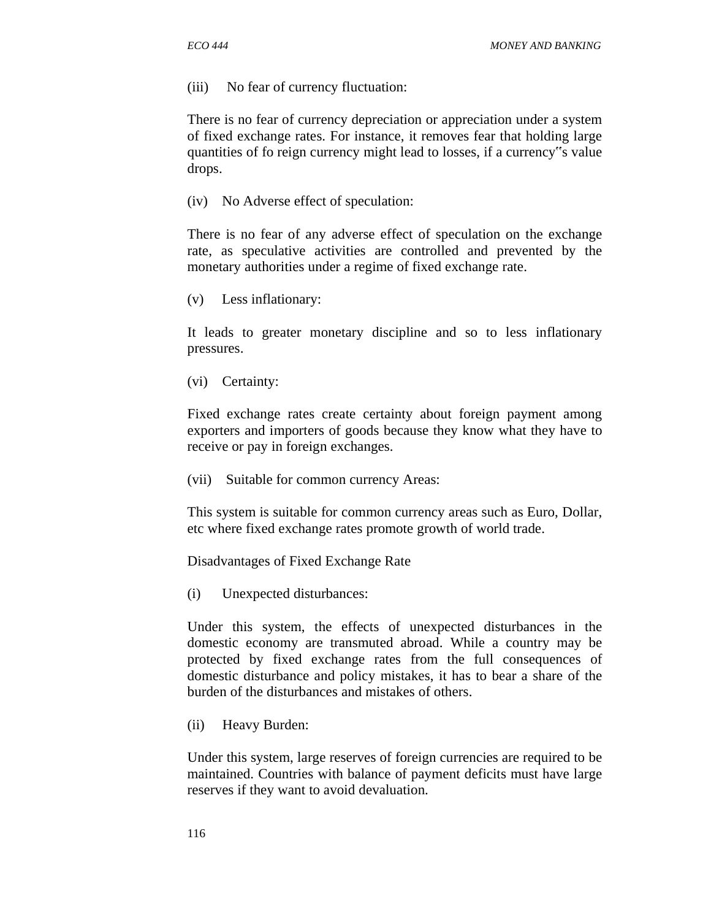(iii) No fear of currency fluctuation:

There is no fear of currency depreciation or appreciation under a system of fixed exchange rates. For instance, it removes fear that holding large quantities of fo reign currency might lead to losses, if a currency"s value drops.

(iv) No Adverse effect of speculation:

There is no fear of any adverse effect of speculation on the exchange rate, as speculative activities are controlled and prevented by the monetary authorities under a regime of fixed exchange rate.

(v) Less inflationary:

It leads to greater monetary discipline and so to less inflationary pressures.

(vi) Certainty:

Fixed exchange rates create certainty about foreign payment among exporters and importers of goods because they know what they have to receive or pay in foreign exchanges.

(vii) Suitable for common currency Areas:

This system is suitable for common currency areas such as Euro, Dollar, etc where fixed exchange rates promote growth of world trade.

Disadvantages of Fixed Exchange Rate

(i) Unexpected disturbances:

Under this system, the effects of unexpected disturbances in the domestic economy are transmuted abroad. While a country may be protected by fixed exchange rates from the full consequences of domestic disturbance and policy mistakes, it has to bear a share of the burden of the disturbances and mistakes of others.

(ii) Heavy Burden:

Under this system, large reserves of foreign currencies are required to be maintained. Countries with balance of payment deficits must have large reserves if they want to avoid devaluation.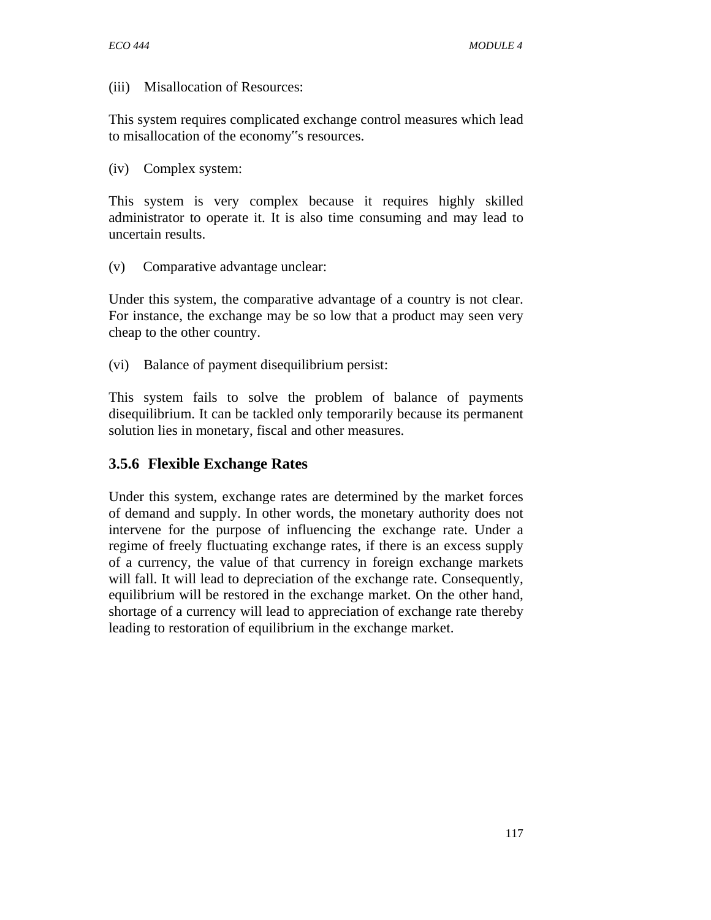#### (iii) Misallocation of Resources:

This system requires complicated exchange control measures which lead to misallocation of the economy"s resources.

(iv) Complex system:

This system is very complex because it requires highly skilled administrator to operate it. It is also time consuming and may lead to uncertain results.

(v) Comparative advantage unclear:

Under this system, the comparative advantage of a country is not clear. For instance, the exchange may be so low that a product may seen very cheap to the other country.

(vi) Balance of payment disequilibrium persist:

This system fails to solve the problem of balance of payments disequilibrium. It can be tackled only temporarily because its permanent solution lies in monetary, fiscal and other measures.

## **3.5.6 Flexible Exchange Rates**

Under this system, exchange rates are determined by the market forces of demand and supply. In other words, the monetary authority does not intervene for the purpose of influencing the exchange rate. Under a regime of freely fluctuating exchange rates, if there is an excess supply of a currency, the value of that currency in foreign exchange markets will fall. It will lead to depreciation of the exchange rate. Consequently, equilibrium will be restored in the exchange market. On the other hand, shortage of a currency will lead to appreciation of exchange rate thereby leading to restoration of equilibrium in the exchange market.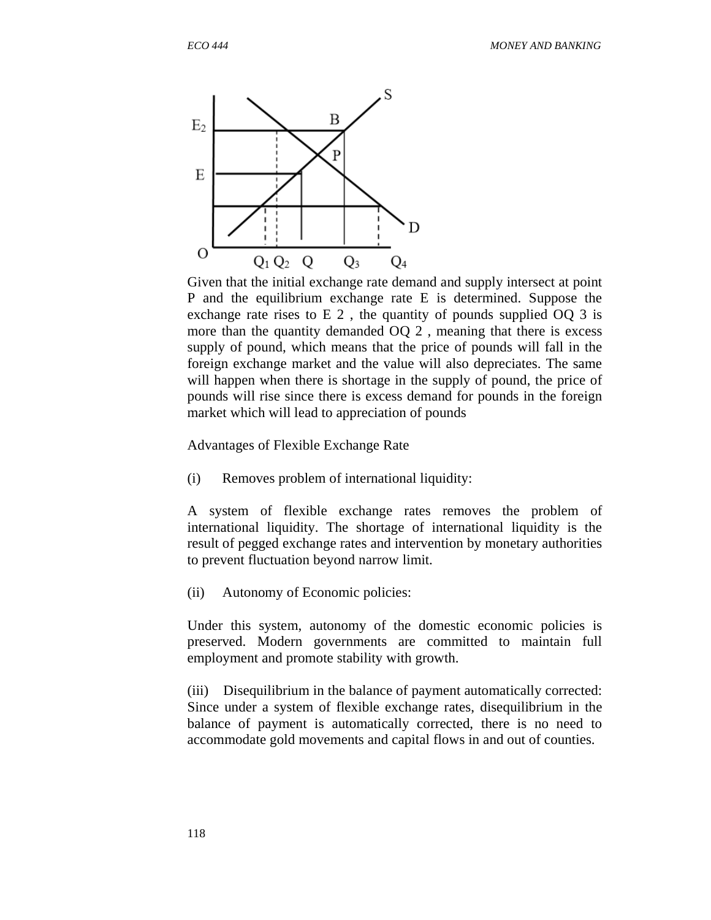

Given that the initial exchange rate demand and supply intersect at point P and the equilibrium exchange rate E is determined. Suppose the exchange rate rises to E 2 , the quantity of pounds supplied OQ 3 is more than the quantity demanded OQ 2 , meaning that there is excess supply of pound, which means that the price of pounds will fall in the foreign exchange market and the value will also depreciates. The same will happen when there is shortage in the supply of pound, the price of pounds will rise since there is excess demand for pounds in the foreign market which will lead to appreciation of pounds

Advantages of Flexible Exchange Rate

(i) Removes problem of international liquidity:

A system of flexible exchange rates removes the problem of international liquidity. The shortage of international liquidity is the result of pegged exchange rates and intervention by monetary authorities to prevent fluctuation beyond narrow limit.

(ii) Autonomy of Economic policies:

Under this system, autonomy of the domestic economic policies is preserved. Modern governments are committed to maintain full employment and promote stability with growth.

(iii) Disequilibrium in the balance of payment automatically corrected: Since under a system of flexible exchange rates, disequilibrium in the balance of payment is automatically corrected, there is no need to accommodate gold movements and capital flows in and out of counties.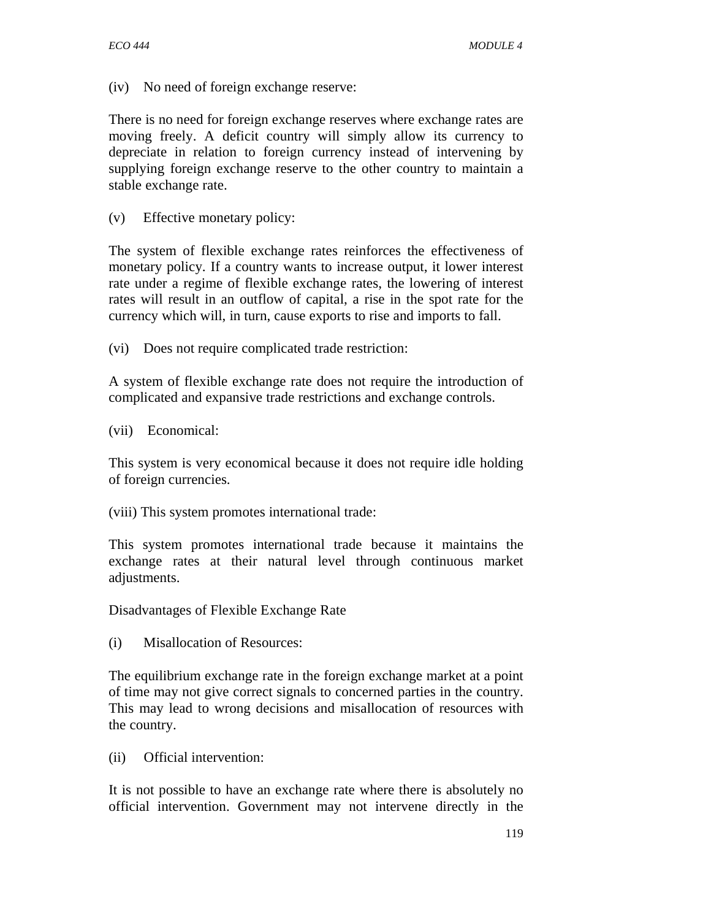(iv) No need of foreign exchange reserve:

There is no need for foreign exchange reserves where exchange rates are moving freely. A deficit country will simply allow its currency to depreciate in relation to foreign currency instead of intervening by supplying foreign exchange reserve to the other country to maintain a stable exchange rate.

(v) Effective monetary policy:

The system of flexible exchange rates reinforces the effectiveness of monetary policy. If a country wants to increase output, it lower interest rate under a regime of flexible exchange rates, the lowering of interest rates will result in an outflow of capital, a rise in the spot rate for the currency which will, in turn, cause exports to rise and imports to fall.

(vi) Does not require complicated trade restriction:

A system of flexible exchange rate does not require the introduction of complicated and expansive trade restrictions and exchange controls.

(vii) Economical:

This system is very economical because it does not require idle holding of foreign currencies.

(viii) This system promotes international trade:

This system promotes international trade because it maintains the exchange rates at their natural level through continuous market adjustments.

Disadvantages of Flexible Exchange Rate

(i) Misallocation of Resources:

The equilibrium exchange rate in the foreign exchange market at a point of time may not give correct signals to concerned parties in the country. This may lead to wrong decisions and misallocation of resources with the country.

(ii) Official intervention:

It is not possible to have an exchange rate where there is absolutely no official intervention. Government may not intervene directly in the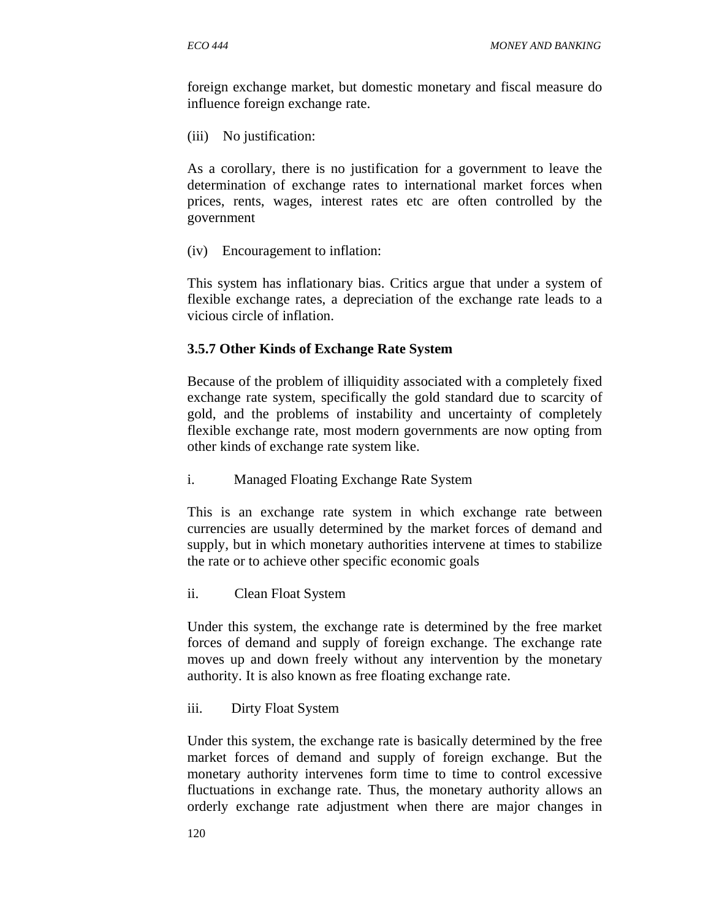foreign exchange market, but domestic monetary and fiscal measure do influence foreign exchange rate.

(iii) No justification:

As a corollary, there is no justification for a government to leave the determination of exchange rates to international market forces when prices, rents, wages, interest rates etc are often controlled by the government

(iv) Encouragement to inflation:

This system has inflationary bias. Critics argue that under a system of flexible exchange rates, a depreciation of the exchange rate leads to a vicious circle of inflation.

#### **3.5.7 Other Kinds of Exchange Rate System**

Because of the problem of illiquidity associated with a completely fixed exchange rate system, specifically the gold standard due to scarcity of gold, and the problems of instability and uncertainty of completely flexible exchange rate, most modern governments are now opting from other kinds of exchange rate system like.

i. Managed Floating Exchange Rate System

This is an exchange rate system in which exchange rate between currencies are usually determined by the market forces of demand and supply, but in which monetary authorities intervene at times to stabilize the rate or to achieve other specific economic goals

ii. Clean Float System

Under this system, the exchange rate is determined by the free market forces of demand and supply of foreign exchange. The exchange rate moves up and down freely without any intervention by the monetary authority. It is also known as free floating exchange rate.

iii. Dirty Float System

Under this system, the exchange rate is basically determined by the free market forces of demand and supply of foreign exchange. But the monetary authority intervenes form time to time to control excessive fluctuations in exchange rate. Thus, the monetary authority allows an orderly exchange rate adjustment when there are major changes in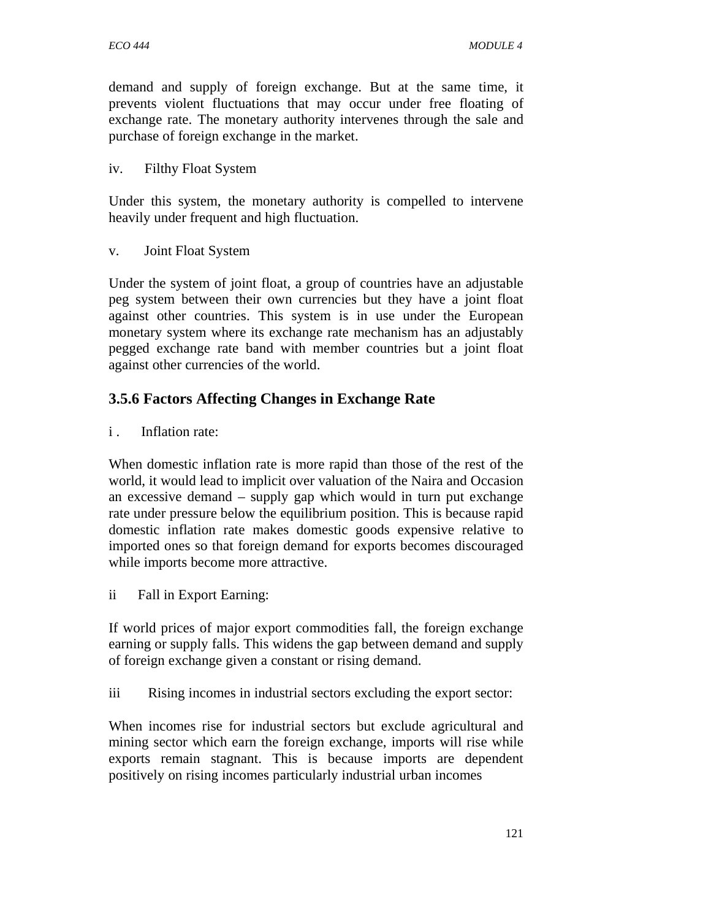demand and supply of foreign exchange. But at the same time, it prevents violent fluctuations that may occur under free floating of exchange rate. The monetary authority intervenes through the sale and purchase of foreign exchange in the market.

#### iv. Filthy Float System

Under this system, the monetary authority is compelled to intervene heavily under frequent and high fluctuation.

v. Joint Float System

Under the system of joint float, a group of countries have an adjustable peg system between their own currencies but they have a joint float against other countries. This system is in use under the European monetary system where its exchange rate mechanism has an adjustably pegged exchange rate band with member countries but a joint float against other currencies of the world.

## **3.5.6 Factors Affecting Changes in Exchange Rate**

i. Inflation rate:

When domestic inflation rate is more rapid than those of the rest of the world, it would lead to implicit over valuation of the Naira and Occasion an excessive demand – supply gap which would in turn put exchange rate under pressure below the equilibrium position. This is because rapid domestic inflation rate makes domestic goods expensive relative to imported ones so that foreign demand for exports becomes discouraged while imports become more attractive.

ii Fall in Export Earning:

If world prices of major export commodities fall, the foreign exchange earning or supply falls. This widens the gap between demand and supply of foreign exchange given a constant or rising demand.

iii Rising incomes in industrial sectors excluding the export sector:

When incomes rise for industrial sectors but exclude agricultural and mining sector which earn the foreign exchange, imports will rise while exports remain stagnant. This is because imports are dependent positively on rising incomes particularly industrial urban incomes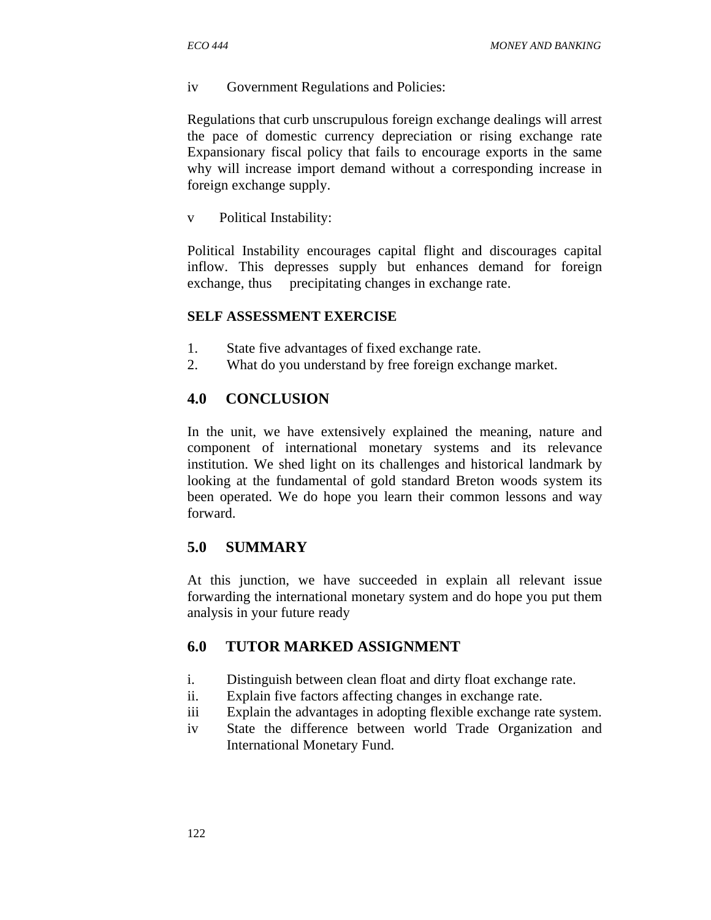iv Government Regulations and Policies:

Regulations that curb unscrupulous foreign exchange dealings will arrest the pace of domestic currency depreciation or rising exchange rate Expansionary fiscal policy that fails to encourage exports in the same why will increase import demand without a corresponding increase in foreign exchange supply.

v Political Instability:

Political Instability encourages capital flight and discourages capital inflow. This depresses supply but enhances demand for foreign exchange, thus precipitating changes in exchange rate.

#### **SELF ASSESSMENT EXERCISE**

- 1. State five advantages of fixed exchange rate.
- 2. What do you understand by free foreign exchange market.

### **4.0 CONCLUSION**

In the unit, we have extensively explained the meaning, nature and component of international monetary systems and its relevance institution. We shed light on its challenges and historical landmark by looking at the fundamental of gold standard Breton woods system its been operated. We do hope you learn their common lessons and way forward.

#### **5.0 SUMMARY**

At this junction, we have succeeded in explain all relevant issue forwarding the international monetary system and do hope you put them analysis in your future ready

### **6.0 TUTOR MARKED ASSIGNMENT**

- i. Distinguish between clean float and dirty float exchange rate.
- ii. Explain five factors affecting changes in exchange rate.
- iii Explain the advantages in adopting flexible exchange rate system.
- iv State the difference between world Trade Organization and International Monetary Fund.